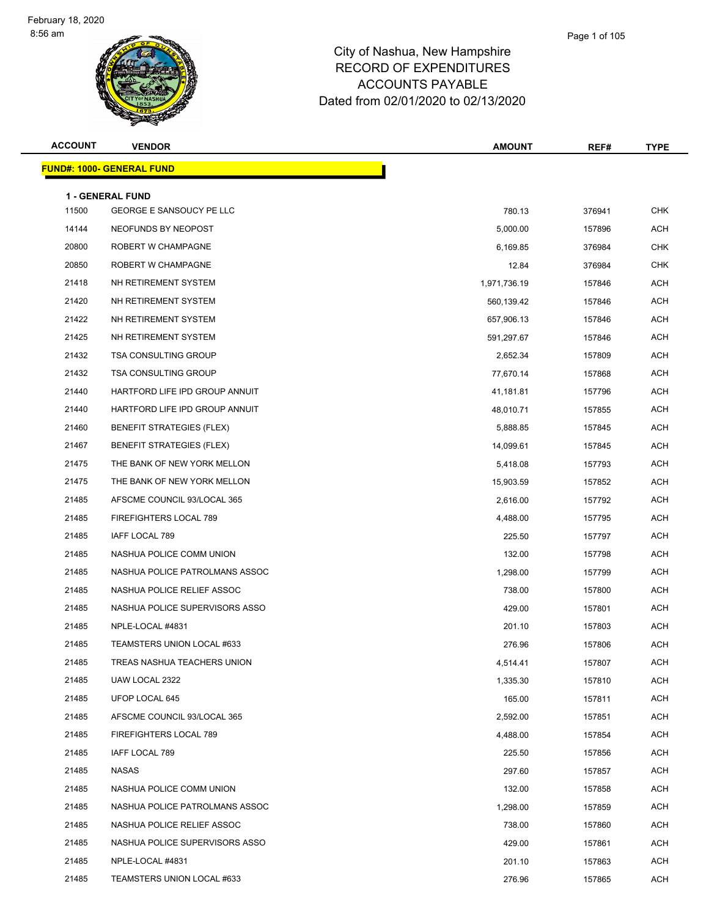#### Page 1 of 105

| <b>ACCOUNT</b> | <b>VENDOR</b>                                              | <b>AMOUNT</b>          | REF#             | <b>TYPE</b> |
|----------------|------------------------------------------------------------|------------------------|------------------|-------------|
|                | <b>FUND#: 1000- GENERAL FUND</b>                           |                        |                  |             |
|                |                                                            |                        |                  |             |
| 11500          | <b>1 - GENERAL FUND</b><br><b>GEORGE E SANSOUCY PE LLC</b> | 780.13                 | 376941           | <b>CHK</b>  |
| 14144          | NEOFUNDS BY NEOPOST                                        | 5,000.00               | 157896           | ACH         |
| 20800          | ROBERT W CHAMPAGNE                                         | 6,169.85               | 376984           | <b>CHK</b>  |
| 20850          | ROBERT W CHAMPAGNE                                         | 12.84                  | 376984           | <b>CHK</b>  |
| 21418          | NH RETIREMENT SYSTEM                                       | 1,971,736.19           | 157846           | ACH         |
| 21420          | NH RETIREMENT SYSTEM                                       | 560,139.42             | 157846           | <b>ACH</b>  |
| 21422          | NH RETIREMENT SYSTEM                                       | 657,906.13             | 157846           | ACH         |
| 21425          | NH RETIREMENT SYSTEM                                       |                        | 157846           | <b>ACH</b>  |
| 21432          | <b>TSA CONSULTING GROUP</b>                                | 591,297.67<br>2,652.34 | 157809           | ACH         |
| 21432          | <b>TSA CONSULTING GROUP</b>                                |                        |                  | ACH         |
| 21440          | HARTFORD LIFE IPD GROUP ANNUIT                             | 77,670.14<br>41,181.81 | 157868<br>157796 | <b>ACH</b>  |
| 21440          | HARTFORD LIFE IPD GROUP ANNUIT                             |                        |                  | ACH         |
| 21460          | <b>BENEFIT STRATEGIES (FLEX)</b>                           | 48,010.71              | 157855           | <b>ACH</b>  |
| 21467          | <b>BENEFIT STRATEGIES (FLEX)</b>                           | 5,888.85               | 157845           | ACH         |
|                |                                                            | 14,099.61              | 157845           | ACH         |
| 21475          | THE BANK OF NEW YORK MELLON                                | 5,418.08               | 157793           |             |
| 21475          | THE BANK OF NEW YORK MELLON                                | 15,903.59              | 157852           | <b>ACH</b>  |
| 21485          | AFSCME COUNCIL 93/LOCAL 365                                | 2,616.00               | 157792           | ACH         |
| 21485          | FIREFIGHTERS LOCAL 789                                     | 4,488.00               | 157795           | <b>ACH</b>  |
| 21485          | IAFF LOCAL 789                                             | 225.50                 | 157797           | ACH         |
| 21485          | NASHUA POLICE COMM UNION                                   | 132.00                 | 157798           | ACH         |
| 21485          | NASHUA POLICE PATROLMANS ASSOC                             | 1,298.00               | 157799           | <b>ACH</b>  |
| 21485          | NASHUA POLICE RELIEF ASSOC                                 | 738.00                 | 157800           | ACH         |
| 21485          | NASHUA POLICE SUPERVISORS ASSO                             | 429.00                 | 157801           | <b>ACH</b>  |
| 21485          | NPLE-LOCAL #4831                                           | 201.10                 | 157803           | ACH         |
| 21485          | TEAMSTERS UNION LOCAL #633                                 | 276.96                 | 157806           | ACH         |
| 21485          | TREAS NASHUA TEACHERS UNION                                | 4,514.41               | 157807           | ACH         |
| 21485          | UAW LOCAL 2322                                             | 1,335.30               | 157810           | ACH         |
| 21485          | UFOP LOCAL 645                                             | 165.00                 | 157811           | ACH         |
| 21485          | AFSCME COUNCIL 93/LOCAL 365                                | 2,592.00               | 157851           | ACH         |
| 21485          | FIREFIGHTERS LOCAL 789                                     | 4,488.00               | 157854           | ACH         |
| 21485          | IAFF LOCAL 789                                             | 225.50                 | 157856           | ACH         |
| 21485          | NASAS                                                      | 297.60                 | 157857           | ACH         |
| 21485          | NASHUA POLICE COMM UNION                                   | 132.00                 | 157858           | ACH         |
| 21485          | NASHUA POLICE PATROLMANS ASSOC                             | 1,298.00               | 157859           | ACH         |
| 21485          | NASHUA POLICE RELIEF ASSOC                                 | 738.00                 | 157860           | ACH         |
| 21485          | NASHUA POLICE SUPERVISORS ASSO                             | 429.00                 | 157861           | ACH         |
| 21485          | NPLE-LOCAL #4831                                           | 201.10                 | 157863           | ACH         |
| 21485          | TEAMSTERS UNION LOCAL #633                                 | 276.96                 | 157865           | ACH         |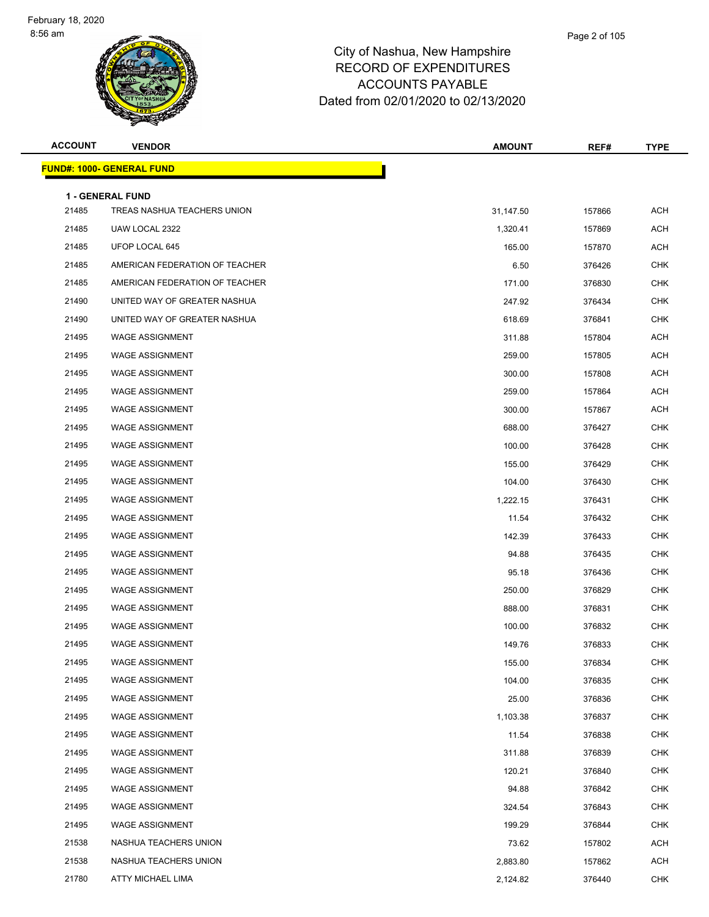| <b>ACCOUNT</b> | <b>VENDOR</b>                                          | <b>AMOUNT</b> | REF#   | <b>TYPE</b> |
|----------------|--------------------------------------------------------|---------------|--------|-------------|
|                | <b>FUND#: 1000- GENERAL FUND</b>                       |               |        |             |
|                |                                                        |               |        |             |
| 21485          | <b>1 - GENERAL FUND</b><br>TREAS NASHUA TEACHERS UNION | 31,147.50     | 157866 | <b>ACH</b>  |
| 21485          | UAW LOCAL 2322                                         | 1,320.41      | 157869 | <b>ACH</b>  |
| 21485          | UFOP LOCAL 645                                         | 165.00        | 157870 | <b>ACH</b>  |
| 21485          | AMERICAN FEDERATION OF TEACHER                         | 6.50          | 376426 | <b>CHK</b>  |
| 21485          | AMERICAN FEDERATION OF TEACHER                         | 171.00        | 376830 | <b>CHK</b>  |
| 21490          | UNITED WAY OF GREATER NASHUA                           | 247.92        | 376434 | <b>CHK</b>  |
| 21490          | UNITED WAY OF GREATER NASHUA                           | 618.69        | 376841 | <b>CHK</b>  |
| 21495          | <b>WAGE ASSIGNMENT</b>                                 | 311.88        | 157804 | <b>ACH</b>  |
| 21495          | <b>WAGE ASSIGNMENT</b>                                 | 259.00        | 157805 | <b>ACH</b>  |
| 21495          | <b>WAGE ASSIGNMENT</b>                                 | 300.00        | 157808 | <b>ACH</b>  |
| 21495          | <b>WAGE ASSIGNMENT</b>                                 | 259.00        | 157864 | <b>ACH</b>  |
| 21495          | <b>WAGE ASSIGNMENT</b>                                 | 300.00        | 157867 | <b>ACH</b>  |
| 21495          | <b>WAGE ASSIGNMENT</b>                                 | 688.00        | 376427 | CHK         |
| 21495          | <b>WAGE ASSIGNMENT</b>                                 | 100.00        | 376428 | <b>CHK</b>  |
| 21495          | <b>WAGE ASSIGNMENT</b>                                 | 155.00        | 376429 | <b>CHK</b>  |
| 21495          | <b>WAGE ASSIGNMENT</b>                                 | 104.00        | 376430 | <b>CHK</b>  |
| 21495          | <b>WAGE ASSIGNMENT</b>                                 | 1,222.15      | 376431 | CHK         |
| 21495          | <b>WAGE ASSIGNMENT</b>                                 | 11.54         | 376432 | <b>CHK</b>  |
| 21495          | <b>WAGE ASSIGNMENT</b>                                 | 142.39        | 376433 | <b>CHK</b>  |
| 21495          | <b>WAGE ASSIGNMENT</b>                                 | 94.88         | 376435 | <b>CHK</b>  |
| 21495          | <b>WAGE ASSIGNMENT</b>                                 | 95.18         | 376436 | <b>CHK</b>  |
| 21495          | <b>WAGE ASSIGNMENT</b>                                 | 250.00        | 376829 | <b>CHK</b>  |
| 21495          | <b>WAGE ASSIGNMENT</b>                                 | 888.00        | 376831 | CHK         |
| 21495          | <b>WAGE ASSIGNMENT</b>                                 | 100.00        | 376832 | <b>CHK</b>  |
| 21495          | <b>WAGE ASSIGNMENT</b>                                 | 149.76        | 376833 | <b>CHK</b>  |
| 21495          | <b>WAGE ASSIGNMENT</b>                                 | 155.00        | 376834 | CHK         |
| 21495          | <b>WAGE ASSIGNMENT</b>                                 | 104.00        | 376835 | <b>CHK</b>  |
| 21495          | <b>WAGE ASSIGNMENT</b>                                 | 25.00         | 376836 | <b>CHK</b>  |
| 21495          | <b>WAGE ASSIGNMENT</b>                                 | 1,103.38      | 376837 | <b>CHK</b>  |
| 21495          | <b>WAGE ASSIGNMENT</b>                                 | 11.54         | 376838 | <b>CHK</b>  |
| 21495          | <b>WAGE ASSIGNMENT</b>                                 | 311.88        | 376839 | <b>CHK</b>  |
| 21495          | <b>WAGE ASSIGNMENT</b>                                 | 120.21        | 376840 | <b>CHK</b>  |
| 21495          | <b>WAGE ASSIGNMENT</b>                                 | 94.88         | 376842 | <b>CHK</b>  |
| 21495          | <b>WAGE ASSIGNMENT</b>                                 | 324.54        | 376843 | <b>CHK</b>  |
| 21495          | <b>WAGE ASSIGNMENT</b>                                 | 199.29        | 376844 | <b>CHK</b>  |
| 21538          | NASHUA TEACHERS UNION                                  | 73.62         | 157802 | <b>ACH</b>  |
| 21538          | NASHUA TEACHERS UNION                                  | 2,883.80      | 157862 | <b>ACH</b>  |
| 21780          | ATTY MICHAEL LIMA                                      | 2,124.82      | 376440 | <b>CHK</b>  |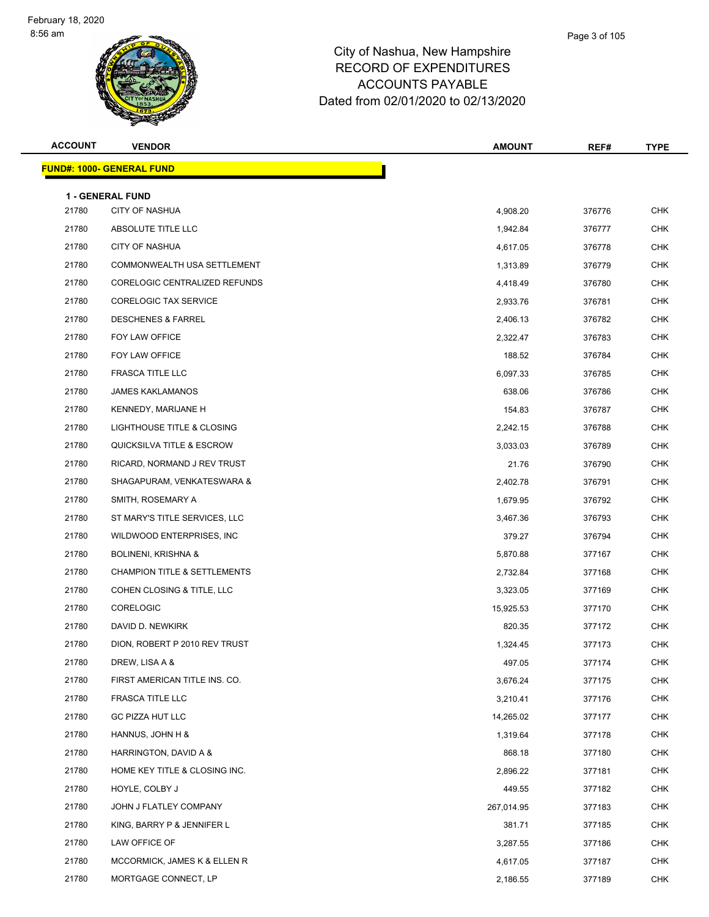| <b>ACCOUNT</b> | <b>VENDOR</b>                           | <b>AMOUNT</b> | REF#   | <b>TYPE</b> |
|----------------|-----------------------------------------|---------------|--------|-------------|
|                | <b>FUND#: 1000- GENERAL FUND</b>        |               |        |             |
|                | <b>1 - GENERAL FUND</b>                 |               |        |             |
| 21780          | CITY OF NASHUA                          | 4,908.20      | 376776 | <b>CHK</b>  |
| 21780          | ABSOLUTE TITLE LLC                      | 1,942.84      | 376777 | <b>CHK</b>  |
| 21780          | <b>CITY OF NASHUA</b>                   | 4,617.05      | 376778 | <b>CHK</b>  |
| 21780          | COMMONWEALTH USA SETTLEMENT             | 1,313.89      | 376779 | <b>CHK</b>  |
| 21780          | CORELOGIC CENTRALIZED REFUNDS           | 4,418.49      | 376780 | <b>CHK</b>  |
| 21780          | <b>CORELOGIC TAX SERVICE</b>            | 2,933.76      | 376781 | CHK         |
| 21780          | <b>DESCHENES &amp; FARREL</b>           | 2,406.13      | 376782 | CHK         |
| 21780          | FOY LAW OFFICE                          | 2,322.47      | 376783 | CHK         |
| 21780          | FOY LAW OFFICE                          | 188.52        | 376784 | <b>CHK</b>  |
| 21780          | <b>FRASCA TITLE LLC</b>                 | 6,097.33      | 376785 | <b>CHK</b>  |
| 21780          | <b>JAMES KAKLAMANOS</b>                 | 638.06        | 376786 | <b>CHK</b>  |
| 21780          | KENNEDY, MARIJANE H                     | 154.83        | 376787 | CHK         |
| 21780          | LIGHTHOUSE TITLE & CLOSING              | 2,242.15      | 376788 | <b>CHK</b>  |
| 21780          | QUICKSILVA TITLE & ESCROW               | 3,033.03      | 376789 | <b>CHK</b>  |
| 21780          | RICARD, NORMAND J REV TRUST             | 21.76         | 376790 | <b>CHK</b>  |
| 21780          | SHAGAPURAM, VENKATESWARA &              | 2,402.78      | 376791 | CHK         |
| 21780          | SMITH, ROSEMARY A                       | 1,679.95      | 376792 | CHK         |
| 21780          | ST MARY'S TITLE SERVICES, LLC           | 3,467.36      | 376793 | CHK         |
| 21780          | WILDWOOD ENTERPRISES, INC.              | 379.27        | 376794 | <b>CHK</b>  |
| 21780          | <b>BOLINENI, KRISHNA &amp;</b>          | 5,870.88      | 377167 | <b>CHK</b>  |
| 21780          | <b>CHAMPION TITLE &amp; SETTLEMENTS</b> | 2,732.84      | 377168 | <b>CHK</b>  |
| 21780          | COHEN CLOSING & TITLE, LLC              | 3,323.05      | 377169 | CHK         |
| 21780          | CORELOGIC                               | 15,925.53     | 377170 | CHK         |
| 21780          | DAVID D. NEWKIRK                        | 820.35        | 377172 | <b>CHK</b>  |
| 21780          | DION, ROBERT P 2010 REV TRUST           | 1,324.45      | 377173 | <b>CHK</b>  |
| 21780          | DREW, LISA A &                          | 497.05        | 377174 | <b>CHK</b>  |
| 21780          | FIRST AMERICAN TITLE INS. CO.           | 3,676.24      | 377175 | <b>CHK</b>  |
| 21780          | FRASCA TITLE LLC                        | 3,210.41      | 377176 | <b>CHK</b>  |
| 21780          | GC PIZZA HUT LLC                        | 14,265.02     | 377177 | <b>CHK</b>  |
| 21780          | HANNUS, JOHN H &                        | 1,319.64      | 377178 | <b>CHK</b>  |
| 21780          | HARRINGTON, DAVID A &                   | 868.18        | 377180 | <b>CHK</b>  |
| 21780          | HOME KEY TITLE & CLOSING INC.           | 2,896.22      | 377181 | <b>CHK</b>  |
| 21780          | HOYLE, COLBY J                          | 449.55        | 377182 | <b>CHK</b>  |
| 21780          | JOHN J FLATLEY COMPANY                  | 267,014.95    | 377183 | <b>CHK</b>  |
| 21780          | KING, BARRY P & JENNIFER L              | 381.71        | 377185 | <b>CHK</b>  |
| 21780          | LAW OFFICE OF                           | 3,287.55      | 377186 | <b>CHK</b>  |
| 21780          | MCCORMICK, JAMES K & ELLEN R            | 4,617.05      | 377187 | <b>CHK</b>  |
| 21780          | MORTGAGE CONNECT, LP                    | 2,186.55      | 377189 | <b>CHK</b>  |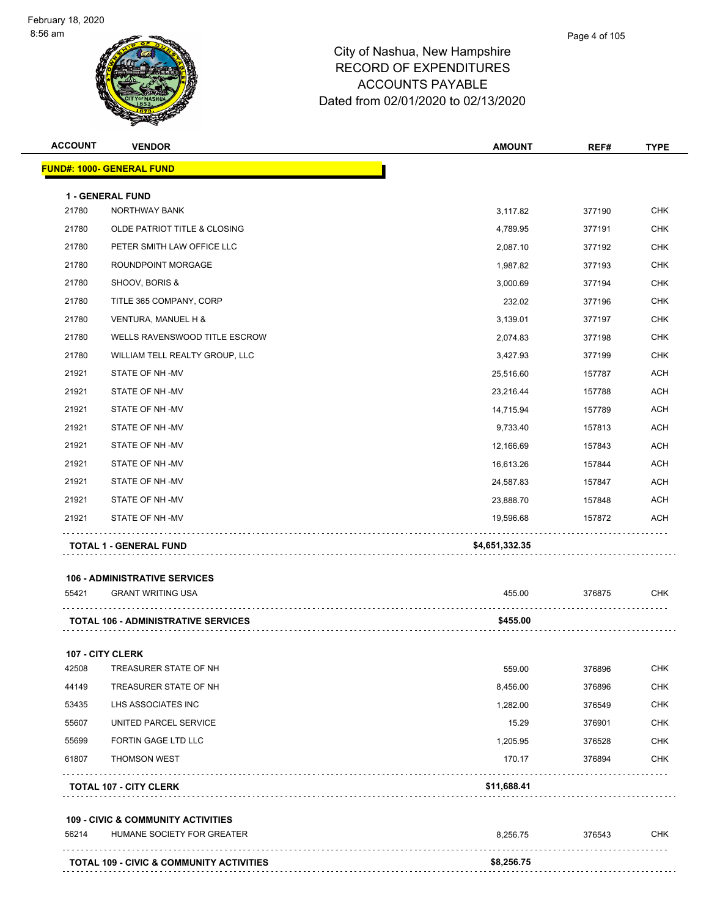| <b>ACCOUNT</b> | <b>VENDOR</b>                                       | <b>AMOUNT</b>  | REF#   | <b>TYPE</b> |
|----------------|-----------------------------------------------------|----------------|--------|-------------|
|                | <b>FUND#: 1000- GENERAL FUND</b>                    |                |        |             |
|                | <b>1 - GENERAL FUND</b>                             |                |        |             |
| 21780          | NORTHWAY BANK                                       | 3,117.82       | 377190 | <b>CHK</b>  |
| 21780          | OLDE PATRIOT TITLE & CLOSING                        | 4,789.95       | 377191 | <b>CHK</b>  |
| 21780          | PETER SMITH LAW OFFICE LLC                          | 2,087.10       | 377192 | <b>CHK</b>  |
| 21780          | ROUNDPOINT MORGAGE                                  | 1,987.82       | 377193 | <b>CHK</b>  |
| 21780          | SHOOV, BORIS &                                      | 3,000.69       | 377194 | <b>CHK</b>  |
| 21780          | TITLE 365 COMPANY, CORP                             | 232.02         | 377196 | <b>CHK</b>  |
| 21780          | VENTURA, MANUEL H &                                 | 3,139.01       | 377197 | <b>CHK</b>  |
| 21780          | WELLS RAVENSWOOD TITLE ESCROW                       | 2,074.83       | 377198 | <b>CHK</b>  |
| 21780          | WILLIAM TELL REALTY GROUP, LLC                      | 3,427.93       | 377199 | <b>CHK</b>  |
| 21921          | STATE OF NH-MV                                      | 25,516.60      | 157787 | <b>ACH</b>  |
| 21921          | STATE OF NH-MV                                      | 23,216.44      | 157788 | <b>ACH</b>  |
| 21921          | STATE OF NH-MV                                      | 14,715.94      | 157789 | <b>ACH</b>  |
| 21921          | STATE OF NH-MV                                      | 9,733.40       | 157813 | <b>ACH</b>  |
| 21921          | STATE OF NH-MV                                      | 12,166.69      | 157843 | <b>ACH</b>  |
| 21921          | STATE OF NH-MV                                      | 16,613.26      | 157844 | <b>ACH</b>  |
| 21921          | STATE OF NH-MV                                      | 24,587.83      | 157847 | <b>ACH</b>  |
| 21921          | STATE OF NH-MV                                      | 23,888.70      | 157848 | <b>ACH</b>  |
| 21921          | STATE OF NH-MV                                      | 19,596.68      | 157872 | ACH         |
|                | <b>TOTAL 1 - GENERAL FUND</b>                       | \$4,651,332.35 |        |             |
|                | <b>106 - ADMINISTRATIVE SERVICES</b>                |                |        |             |
| 55421          | <b>GRANT WRITING USA</b>                            | 455.00         | 376875 | <b>CHK</b>  |
|                | <b>TOTAL 106 - ADMINISTRATIVE SERVICES</b>          | \$455.00       |        |             |
|                | <b>107 - CITY CLERK</b>                             |                |        |             |
| 42508          | TREASURER STATE OF NH                               | 559.00         | 376896 | <b>CHK</b>  |
| 44149          | TREASURER STATE OF NH                               | 8,456.00       | 376896 | <b>CHK</b>  |
| 53435          | LHS ASSOCIATES INC                                  | 1,282.00       | 376549 | <b>CHK</b>  |
| 55607          | UNITED PARCEL SERVICE                               | 15.29          | 376901 | <b>CHK</b>  |
| 55699          | <b>FORTIN GAGE LTD LLC</b>                          | 1,205.95       | 376528 | <b>CHK</b>  |
| 61807          | <b>THOMSON WEST</b>                                 | 170.17         | 376894 | <b>CHK</b>  |
|                | <b>TOTAL 107 - CITY CLERK</b>                       | \$11,688.41    |        |             |
|                | <b>109 - CIVIC &amp; COMMUNITY ACTIVITIES</b>       |                |        |             |
| 56214          | HUMANE SOCIETY FOR GREATER                          | 8,256.75       | 376543 | <b>CHK</b>  |
|                | <b>TOTAL 109 - CIVIC &amp; COMMUNITY ACTIVITIES</b> | \$8,256.75     |        |             |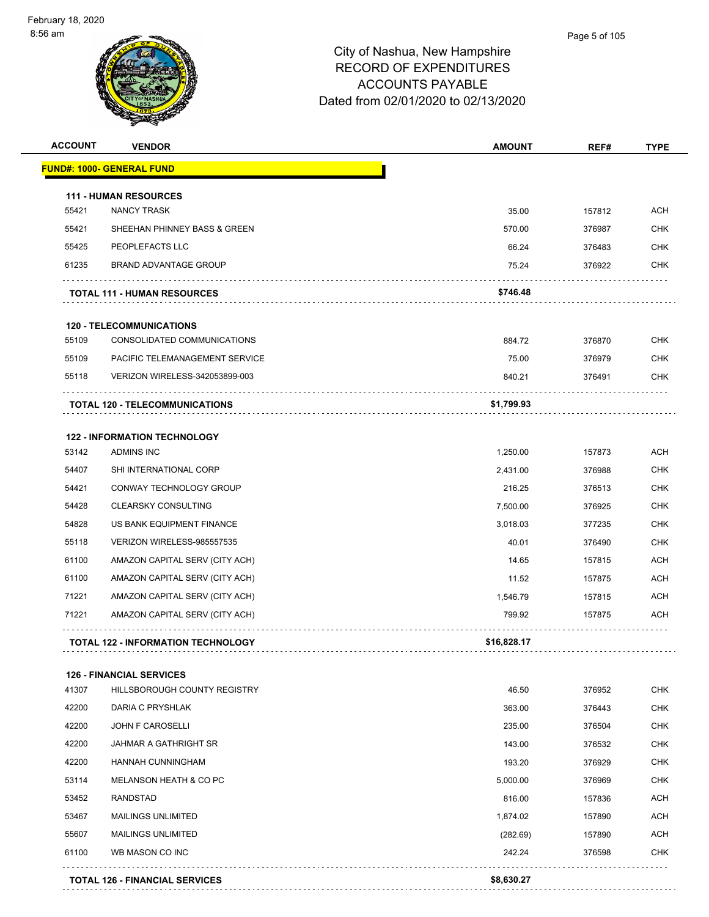| <u> FUND#: 1000- GENERAL FUND</u><br><b>111 - HUMAN RESOURCES</b><br>35.00<br>55421<br><b>NANCY TRASK</b><br>157812<br>55421<br>SHEEHAN PHINNEY BASS & GREEN<br>570.00<br>376987<br>55425<br>PEOPLEFACTS LLC<br>66.24<br>376483<br>61235<br><b>BRAND ADVANTAGE GROUP</b><br>75.24<br>376922<br>\$746.48<br><b>TOTAL 111 - HUMAN RESOURCES</b><br><b>120 - TELECOMMUNICATIONS</b><br>55109<br>CONSOLIDATED COMMUNICATIONS<br>884.72<br>376870<br>75.00<br>55109<br>PACIFIC TELEMANAGEMENT SERVICE<br>376979<br>55118<br>VERIZON WIRELESS-342053899-003<br>840.21<br>376491<br>\$1,799.93<br><b>TOTAL 120 - TELECOMMUNICATIONS</b><br><b>122 - INFORMATION TECHNOLOGY</b><br>53142<br><b>ADMINS INC</b><br>1,250.00<br>157873<br>54407<br>SHI INTERNATIONAL CORP<br>2,431.00<br>376988<br>54421<br>CONWAY TECHNOLOGY GROUP<br>216.25<br>376513<br>54428<br><b>CLEARSKY CONSULTING</b><br>7,500.00<br>376925<br>54828<br>US BANK EQUIPMENT FINANCE<br>3,018.03<br>377235<br>55118<br>VERIZON WIRELESS-985557535<br>40.01<br>376490<br>61100<br>AMAZON CAPITAL SERV (CITY ACH)<br>14.65<br>157815<br>61100<br>AMAZON CAPITAL SERV (CITY ACH)<br>11.52<br>157875<br>71221<br>AMAZON CAPITAL SERV (CITY ACH)<br>1,546.79<br>157815<br>71221<br>AMAZON CAPITAL SERV (CITY ACH)<br>799.92<br>157875<br><b>TOTAL 122 - INFORMATION TECHNOLOGY</b><br>\$16,828.17<br><b>126 - FINANCIAL SERVICES</b><br>41307<br>HILLSBOROUGH COUNTY REGISTRY<br>46.50<br>376952<br>42200<br>DARIA C PRYSHLAK<br>363.00<br>376443<br>42200<br><b>JOHN F CAROSELLI</b><br>235.00<br>376504<br>42200<br><b>JAHMAR A GATHRIGHT SR</b><br>143.00<br>376532<br>42200<br>HANNAH CUNNINGHAM<br>193.20<br>376929<br>53114<br>MELANSON HEATH & CO PC<br>5,000.00<br>376969<br>53452<br><b>RANDSTAD</b><br>816.00<br>157836<br>53467<br><b>MAILINGS UNLIMITED</b><br>1,874.02<br>157890<br>55607<br>(282.69)<br><b>MAILINGS UNLIMITED</b><br>157890<br>61100<br>WB MASON CO INC<br>242.24<br>376598<br>\$8,630.27<br><b>TOTAL 126 - FINANCIAL SERVICES</b> | <b>ACCOUNT</b> | <b>VENDOR</b> | <b>AMOUNT</b> | REF# | <b>TYPE</b> |
|------------------------------------------------------------------------------------------------------------------------------------------------------------------------------------------------------------------------------------------------------------------------------------------------------------------------------------------------------------------------------------------------------------------------------------------------------------------------------------------------------------------------------------------------------------------------------------------------------------------------------------------------------------------------------------------------------------------------------------------------------------------------------------------------------------------------------------------------------------------------------------------------------------------------------------------------------------------------------------------------------------------------------------------------------------------------------------------------------------------------------------------------------------------------------------------------------------------------------------------------------------------------------------------------------------------------------------------------------------------------------------------------------------------------------------------------------------------------------------------------------------------------------------------------------------------------------------------------------------------------------------------------------------------------------------------------------------------------------------------------------------------------------------------------------------------------------------------------------------------------------------------------------------------------------------------------------------------------------------------------------------------------|----------------|---------------|---------------|------|-------------|
|                                                                                                                                                                                                                                                                                                                                                                                                                                                                                                                                                                                                                                                                                                                                                                                                                                                                                                                                                                                                                                                                                                                                                                                                                                                                                                                                                                                                                                                                                                                                                                                                                                                                                                                                                                                                                                                                                                                                                                                                                        |                |               |               |      |             |
|                                                                                                                                                                                                                                                                                                                                                                                                                                                                                                                                                                                                                                                                                                                                                                                                                                                                                                                                                                                                                                                                                                                                                                                                                                                                                                                                                                                                                                                                                                                                                                                                                                                                                                                                                                                                                                                                                                                                                                                                                        |                |               |               |      |             |
|                                                                                                                                                                                                                                                                                                                                                                                                                                                                                                                                                                                                                                                                                                                                                                                                                                                                                                                                                                                                                                                                                                                                                                                                                                                                                                                                                                                                                                                                                                                                                                                                                                                                                                                                                                                                                                                                                                                                                                                                                        |                |               |               |      | <b>ACH</b>  |
|                                                                                                                                                                                                                                                                                                                                                                                                                                                                                                                                                                                                                                                                                                                                                                                                                                                                                                                                                                                                                                                                                                                                                                                                                                                                                                                                                                                                                                                                                                                                                                                                                                                                                                                                                                                                                                                                                                                                                                                                                        |                |               |               |      | <b>CHK</b>  |
|                                                                                                                                                                                                                                                                                                                                                                                                                                                                                                                                                                                                                                                                                                                                                                                                                                                                                                                                                                                                                                                                                                                                                                                                                                                                                                                                                                                                                                                                                                                                                                                                                                                                                                                                                                                                                                                                                                                                                                                                                        |                |               |               |      | <b>CHK</b>  |
|                                                                                                                                                                                                                                                                                                                                                                                                                                                                                                                                                                                                                                                                                                                                                                                                                                                                                                                                                                                                                                                                                                                                                                                                                                                                                                                                                                                                                                                                                                                                                                                                                                                                                                                                                                                                                                                                                                                                                                                                                        |                |               |               |      | <b>CHK</b>  |
|                                                                                                                                                                                                                                                                                                                                                                                                                                                                                                                                                                                                                                                                                                                                                                                                                                                                                                                                                                                                                                                                                                                                                                                                                                                                                                                                                                                                                                                                                                                                                                                                                                                                                                                                                                                                                                                                                                                                                                                                                        |                |               |               |      |             |
|                                                                                                                                                                                                                                                                                                                                                                                                                                                                                                                                                                                                                                                                                                                                                                                                                                                                                                                                                                                                                                                                                                                                                                                                                                                                                                                                                                                                                                                                                                                                                                                                                                                                                                                                                                                                                                                                                                                                                                                                                        |                |               |               |      |             |
|                                                                                                                                                                                                                                                                                                                                                                                                                                                                                                                                                                                                                                                                                                                                                                                                                                                                                                                                                                                                                                                                                                                                                                                                                                                                                                                                                                                                                                                                                                                                                                                                                                                                                                                                                                                                                                                                                                                                                                                                                        |                |               |               |      | <b>CHK</b>  |
|                                                                                                                                                                                                                                                                                                                                                                                                                                                                                                                                                                                                                                                                                                                                                                                                                                                                                                                                                                                                                                                                                                                                                                                                                                                                                                                                                                                                                                                                                                                                                                                                                                                                                                                                                                                                                                                                                                                                                                                                                        |                |               |               |      | <b>CHK</b>  |
|                                                                                                                                                                                                                                                                                                                                                                                                                                                                                                                                                                                                                                                                                                                                                                                                                                                                                                                                                                                                                                                                                                                                                                                                                                                                                                                                                                                                                                                                                                                                                                                                                                                                                                                                                                                                                                                                                                                                                                                                                        |                |               |               |      | <b>CHK</b>  |
|                                                                                                                                                                                                                                                                                                                                                                                                                                                                                                                                                                                                                                                                                                                                                                                                                                                                                                                                                                                                                                                                                                                                                                                                                                                                                                                                                                                                                                                                                                                                                                                                                                                                                                                                                                                                                                                                                                                                                                                                                        |                |               |               |      |             |
|                                                                                                                                                                                                                                                                                                                                                                                                                                                                                                                                                                                                                                                                                                                                                                                                                                                                                                                                                                                                                                                                                                                                                                                                                                                                                                                                                                                                                                                                                                                                                                                                                                                                                                                                                                                                                                                                                                                                                                                                                        |                |               |               |      |             |
|                                                                                                                                                                                                                                                                                                                                                                                                                                                                                                                                                                                                                                                                                                                                                                                                                                                                                                                                                                                                                                                                                                                                                                                                                                                                                                                                                                                                                                                                                                                                                                                                                                                                                                                                                                                                                                                                                                                                                                                                                        |                |               |               |      | <b>ACH</b>  |
|                                                                                                                                                                                                                                                                                                                                                                                                                                                                                                                                                                                                                                                                                                                                                                                                                                                                                                                                                                                                                                                                                                                                                                                                                                                                                                                                                                                                                                                                                                                                                                                                                                                                                                                                                                                                                                                                                                                                                                                                                        |                |               |               |      | <b>CHK</b>  |
|                                                                                                                                                                                                                                                                                                                                                                                                                                                                                                                                                                                                                                                                                                                                                                                                                                                                                                                                                                                                                                                                                                                                                                                                                                                                                                                                                                                                                                                                                                                                                                                                                                                                                                                                                                                                                                                                                                                                                                                                                        |                |               |               |      | <b>CHK</b>  |
|                                                                                                                                                                                                                                                                                                                                                                                                                                                                                                                                                                                                                                                                                                                                                                                                                                                                                                                                                                                                                                                                                                                                                                                                                                                                                                                                                                                                                                                                                                                                                                                                                                                                                                                                                                                                                                                                                                                                                                                                                        |                |               |               |      | <b>CHK</b>  |
|                                                                                                                                                                                                                                                                                                                                                                                                                                                                                                                                                                                                                                                                                                                                                                                                                                                                                                                                                                                                                                                                                                                                                                                                                                                                                                                                                                                                                                                                                                                                                                                                                                                                                                                                                                                                                                                                                                                                                                                                                        |                |               |               |      | <b>CHK</b>  |
|                                                                                                                                                                                                                                                                                                                                                                                                                                                                                                                                                                                                                                                                                                                                                                                                                                                                                                                                                                                                                                                                                                                                                                                                                                                                                                                                                                                                                                                                                                                                                                                                                                                                                                                                                                                                                                                                                                                                                                                                                        |                |               |               |      | <b>CHK</b>  |
|                                                                                                                                                                                                                                                                                                                                                                                                                                                                                                                                                                                                                                                                                                                                                                                                                                                                                                                                                                                                                                                                                                                                                                                                                                                                                                                                                                                                                                                                                                                                                                                                                                                                                                                                                                                                                                                                                                                                                                                                                        |                |               |               |      | <b>ACH</b>  |
|                                                                                                                                                                                                                                                                                                                                                                                                                                                                                                                                                                                                                                                                                                                                                                                                                                                                                                                                                                                                                                                                                                                                                                                                                                                                                                                                                                                                                                                                                                                                                                                                                                                                                                                                                                                                                                                                                                                                                                                                                        |                |               |               |      | ACH         |
|                                                                                                                                                                                                                                                                                                                                                                                                                                                                                                                                                                                                                                                                                                                                                                                                                                                                                                                                                                                                                                                                                                                                                                                                                                                                                                                                                                                                                                                                                                                                                                                                                                                                                                                                                                                                                                                                                                                                                                                                                        |                |               |               |      | ACH         |
|                                                                                                                                                                                                                                                                                                                                                                                                                                                                                                                                                                                                                                                                                                                                                                                                                                                                                                                                                                                                                                                                                                                                                                                                                                                                                                                                                                                                                                                                                                                                                                                                                                                                                                                                                                                                                                                                                                                                                                                                                        |                |               |               |      | ACH         |
|                                                                                                                                                                                                                                                                                                                                                                                                                                                                                                                                                                                                                                                                                                                                                                                                                                                                                                                                                                                                                                                                                                                                                                                                                                                                                                                                                                                                                                                                                                                                                                                                                                                                                                                                                                                                                                                                                                                                                                                                                        |                |               |               |      |             |
|                                                                                                                                                                                                                                                                                                                                                                                                                                                                                                                                                                                                                                                                                                                                                                                                                                                                                                                                                                                                                                                                                                                                                                                                                                                                                                                                                                                                                                                                                                                                                                                                                                                                                                                                                                                                                                                                                                                                                                                                                        |                |               |               |      |             |
|                                                                                                                                                                                                                                                                                                                                                                                                                                                                                                                                                                                                                                                                                                                                                                                                                                                                                                                                                                                                                                                                                                                                                                                                                                                                                                                                                                                                                                                                                                                                                                                                                                                                                                                                                                                                                                                                                                                                                                                                                        |                |               |               |      | <b>CHK</b>  |
|                                                                                                                                                                                                                                                                                                                                                                                                                                                                                                                                                                                                                                                                                                                                                                                                                                                                                                                                                                                                                                                                                                                                                                                                                                                                                                                                                                                                                                                                                                                                                                                                                                                                                                                                                                                                                                                                                                                                                                                                                        |                |               |               |      | <b>CHK</b>  |
|                                                                                                                                                                                                                                                                                                                                                                                                                                                                                                                                                                                                                                                                                                                                                                                                                                                                                                                                                                                                                                                                                                                                                                                                                                                                                                                                                                                                                                                                                                                                                                                                                                                                                                                                                                                                                                                                                                                                                                                                                        |                |               |               |      | <b>CHK</b>  |
|                                                                                                                                                                                                                                                                                                                                                                                                                                                                                                                                                                                                                                                                                                                                                                                                                                                                                                                                                                                                                                                                                                                                                                                                                                                                                                                                                                                                                                                                                                                                                                                                                                                                                                                                                                                                                                                                                                                                                                                                                        |                |               |               |      | <b>CHK</b>  |
|                                                                                                                                                                                                                                                                                                                                                                                                                                                                                                                                                                                                                                                                                                                                                                                                                                                                                                                                                                                                                                                                                                                                                                                                                                                                                                                                                                                                                                                                                                                                                                                                                                                                                                                                                                                                                                                                                                                                                                                                                        |                |               |               |      | <b>CHK</b>  |
|                                                                                                                                                                                                                                                                                                                                                                                                                                                                                                                                                                                                                                                                                                                                                                                                                                                                                                                                                                                                                                                                                                                                                                                                                                                                                                                                                                                                                                                                                                                                                                                                                                                                                                                                                                                                                                                                                                                                                                                                                        |                |               |               |      | <b>CHK</b>  |
|                                                                                                                                                                                                                                                                                                                                                                                                                                                                                                                                                                                                                                                                                                                                                                                                                                                                                                                                                                                                                                                                                                                                                                                                                                                                                                                                                                                                                                                                                                                                                                                                                                                                                                                                                                                                                                                                                                                                                                                                                        |                |               |               |      | <b>ACH</b>  |
|                                                                                                                                                                                                                                                                                                                                                                                                                                                                                                                                                                                                                                                                                                                                                                                                                                                                                                                                                                                                                                                                                                                                                                                                                                                                                                                                                                                                                                                                                                                                                                                                                                                                                                                                                                                                                                                                                                                                                                                                                        |                |               |               |      | <b>ACH</b>  |
|                                                                                                                                                                                                                                                                                                                                                                                                                                                                                                                                                                                                                                                                                                                                                                                                                                                                                                                                                                                                                                                                                                                                                                                                                                                                                                                                                                                                                                                                                                                                                                                                                                                                                                                                                                                                                                                                                                                                                                                                                        |                |               |               |      | ACH         |
|                                                                                                                                                                                                                                                                                                                                                                                                                                                                                                                                                                                                                                                                                                                                                                                                                                                                                                                                                                                                                                                                                                                                                                                                                                                                                                                                                                                                                                                                                                                                                                                                                                                                                                                                                                                                                                                                                                                                                                                                                        |                |               |               |      | <b>CHK</b>  |
|                                                                                                                                                                                                                                                                                                                                                                                                                                                                                                                                                                                                                                                                                                                                                                                                                                                                                                                                                                                                                                                                                                                                                                                                                                                                                                                                                                                                                                                                                                                                                                                                                                                                                                                                                                                                                                                                                                                                                                                                                        |                |               |               |      |             |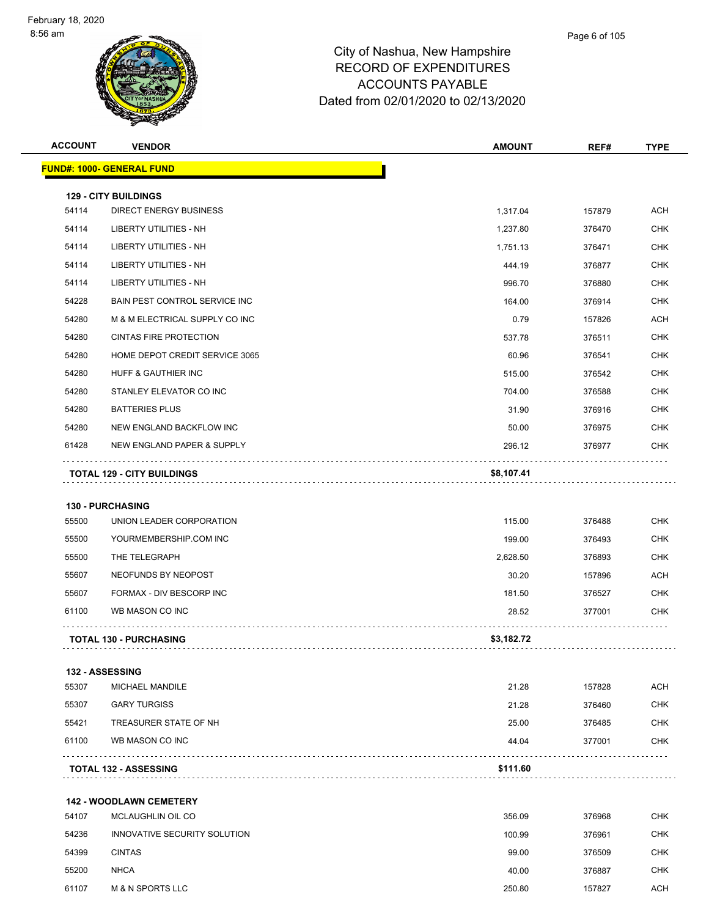| <b>ACCOUNT</b> | <b>VENDOR</b>                                                | <b>AMOUNT</b> | REF#   | <b>TYPE</b> |
|----------------|--------------------------------------------------------------|---------------|--------|-------------|
|                | <b>FUND#: 1000- GENERAL FUND</b>                             |               |        |             |
|                |                                                              |               |        |             |
| 54114          | <b>129 - CITY BUILDINGS</b><br><b>DIRECT ENERGY BUSINESS</b> | 1,317.04      | 157879 | <b>ACH</b>  |
| 54114          | LIBERTY UTILITIES - NH                                       | 1,237.80      | 376470 | <b>CHK</b>  |
| 54114          | LIBERTY UTILITIES - NH                                       | 1,751.13      | 376471 | <b>CHK</b>  |
| 54114          | LIBERTY UTILITIES - NH                                       | 444.19        | 376877 | CHK         |
| 54114          | <b>LIBERTY UTILITIES - NH</b>                                | 996.70        | 376880 | <b>CHK</b>  |
| 54228          | BAIN PEST CONTROL SERVICE INC                                | 164.00        | 376914 | <b>CHK</b>  |
| 54280          | M & M ELECTRICAL SUPPLY CO INC                               | 0.79          | 157826 | ACH         |
| 54280          | CINTAS FIRE PROTECTION                                       | 537.78        | 376511 | <b>CHK</b>  |
| 54280          | HOME DEPOT CREDIT SERVICE 3065                               | 60.96         | 376541 | <b>CHK</b>  |
| 54280          | HUFF & GAUTHIER INC                                          | 515.00        | 376542 | <b>CHK</b>  |
| 54280          | STANLEY ELEVATOR CO INC                                      | 704.00        | 376588 | <b>CHK</b>  |
| 54280          | <b>BATTERIES PLUS</b>                                        | 31.90         | 376916 | <b>CHK</b>  |
| 54280          | NEW ENGLAND BACKFLOW INC                                     | 50.00         | 376975 | <b>CHK</b>  |
| 61428          | NEW ENGLAND PAPER & SUPPLY                                   | 296.12        | 376977 | CHK         |
|                | <b>TOTAL 129 - CITY BUILDINGS</b>                            | \$8,107.41    |        |             |
|                |                                                              |               |        |             |
|                | 130 - PURCHASING                                             |               |        |             |
| 55500          | UNION LEADER CORPORATION                                     | 115.00        | 376488 | <b>CHK</b>  |
| 55500          | YOURMEMBERSHIP.COM INC                                       | 199.00        | 376493 | <b>CHK</b>  |
| 55500          | THE TELEGRAPH                                                | 2,628.50      | 376893 | CHK         |
| 55607          | NEOFUNDS BY NEOPOST                                          | 30.20         | 157896 | <b>ACH</b>  |
| 55607          | FORMAX - DIV BESCORP INC                                     | 181.50        | 376527 | <b>CHK</b>  |
| 61100          | WB MASON CO INC                                              | 28.52         | 377001 | <b>CHK</b>  |
|                | <b>TOTAL 130 - PURCHASING</b>                                | \$3,182.72    |        |             |
|                |                                                              |               |        |             |
| 55307          | 132 - ASSESSING<br>MICHAEL MANDILE                           | 21.28         | 157828 | <b>ACH</b>  |
| 55307          | <b>GARY TURGISS</b>                                          | 21.28         | 376460 | <b>CHK</b>  |
| 55421          | TREASURER STATE OF NH                                        | 25.00         | 376485 | <b>CHK</b>  |
| 61100          | WB MASON CO INC                                              | 44.04         | 377001 | CHK         |
|                | <b>TOTAL 132 - ASSESSING</b>                                 | \$111.60      |        |             |
|                |                                                              |               |        |             |
|                | <b>142 - WOODLAWN CEMETERY</b>                               |               |        |             |
| 54107          | MCLAUGHLIN OIL CO                                            | 356.09        | 376968 | <b>CHK</b>  |
| 54236          | INNOVATIVE SECURITY SOLUTION                                 | 100.99        | 376961 | <b>CHK</b>  |
| 54399          | <b>CINTAS</b>                                                | 99.00         | 376509 | CHK         |
| 55200          | <b>NHCA</b>                                                  | 40.00         | 376887 | <b>CHK</b>  |
| 61107          | <b>M &amp; N SPORTS LLC</b>                                  | 250.80        | 157827 | <b>ACH</b>  |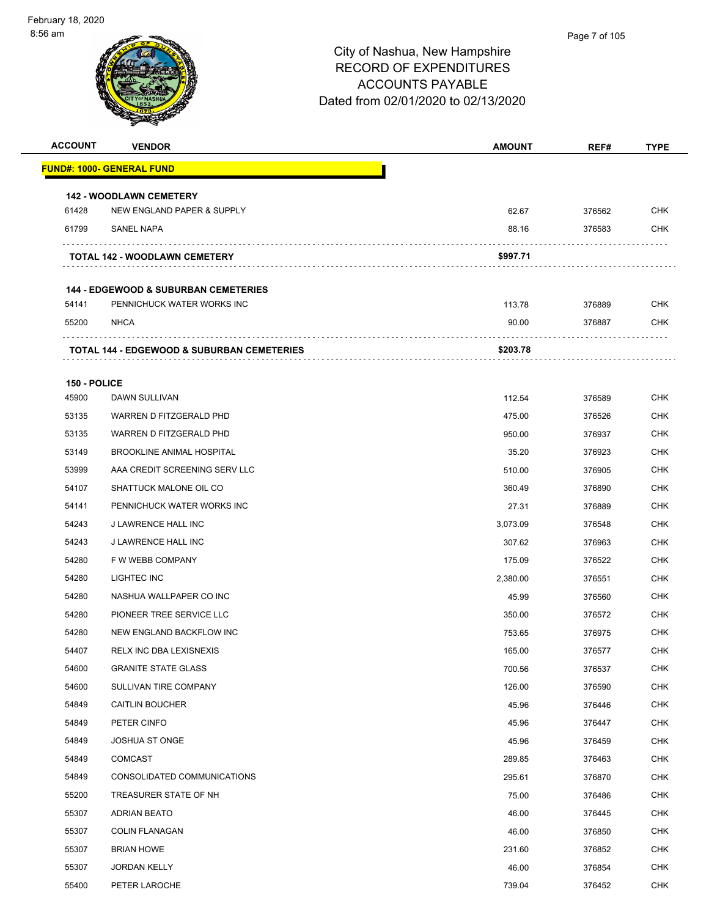| <b>VENDOR</b>                                         | <b>AMOUNT</b>                                                                                                                                 | REF#                                | <b>TYPE</b>                |
|-------------------------------------------------------|-----------------------------------------------------------------------------------------------------------------------------------------------|-------------------------------------|----------------------------|
| FUND#: 1000- GENERAL FUND                             |                                                                                                                                               |                                     |                            |
|                                                       |                                                                                                                                               |                                     |                            |
| NEW ENGLAND PAPER & SUPPLY                            | 62.67                                                                                                                                         | 376562                              | <b>CHK</b>                 |
| <b>SANEL NAPA</b>                                     | 88.16                                                                                                                                         | 376583                              | <b>CHK</b>                 |
| <b>TOTAL 142 - WOODLAWN CEMETERY</b>                  | \$997.71                                                                                                                                      |                                     |                            |
|                                                       |                                                                                                                                               |                                     |                            |
| PENNICHUCK WATER WORKS INC                            | 113.78                                                                                                                                        | 376889                              | <b>CHK</b>                 |
| <b>NHCA</b>                                           | 90.00                                                                                                                                         | 376887                              | <b>CHK</b>                 |
| <b>TOTAL 144 - EDGEWOOD &amp; SUBURBAN CEMETERIES</b> | \$203.78                                                                                                                                      |                                     |                            |
|                                                       |                                                                                                                                               |                                     |                            |
|                                                       |                                                                                                                                               |                                     | <b>CHK</b>                 |
|                                                       |                                                                                                                                               |                                     | <b>CHK</b>                 |
| WARREN D FITZGERALD PHD                               |                                                                                                                                               |                                     | <b>CHK</b>                 |
| <b>BROOKLINE ANIMAL HOSPITAL</b>                      |                                                                                                                                               | 376923                              | <b>CHK</b>                 |
| AAA CREDIT SCREENING SERV LLC                         | 510.00                                                                                                                                        | 376905                              | <b>CHK</b>                 |
| SHATTUCK MALONE OIL CO                                | 360.49                                                                                                                                        | 376890                              | <b>CHK</b>                 |
| PENNICHUCK WATER WORKS INC                            | 27.31                                                                                                                                         | 376889                              | <b>CHK</b>                 |
| J LAWRENCE HALL INC                                   | 3,073.09                                                                                                                                      | 376548                              | <b>CHK</b>                 |
| J LAWRENCE HALL INC                                   | 307.62                                                                                                                                        | 376963                              | <b>CHK</b>                 |
| F W WEBB COMPANY                                      | 175.09                                                                                                                                        | 376522                              | <b>CHK</b>                 |
| LIGHTEC INC                                           | 2,380.00                                                                                                                                      | 376551                              | <b>CHK</b>                 |
| NASHUA WALLPAPER CO INC                               | 45.99                                                                                                                                         | 376560                              | <b>CHK</b>                 |
| PIONEER TREE SERVICE LLC                              | 350.00                                                                                                                                        | 376572                              | <b>CHK</b>                 |
| NEW ENGLAND BACKFLOW INC                              | 753.65                                                                                                                                        | 376975                              | <b>CHK</b>                 |
| RELX INC DBA LEXISNEXIS                               | 165.00                                                                                                                                        | 376577                              | <b>CHK</b>                 |
| <b>GRANITE STATE GLASS</b>                            | 700.56                                                                                                                                        | 376537                              | <b>CHK</b>                 |
| SULLIVAN TIRE COMPANY                                 | 126.00                                                                                                                                        | 376590                              | <b>CHK</b>                 |
| <b>CAITLIN BOUCHER</b>                                | 45.96                                                                                                                                         | 376446                              | <b>CHK</b>                 |
| PETER CINFO                                           | 45.96                                                                                                                                         | 376447                              | <b>CHK</b>                 |
| <b>JOSHUA ST ONGE</b>                                 | 45.96                                                                                                                                         | 376459                              | <b>CHK</b>                 |
| <b>COMCAST</b>                                        | 289.85                                                                                                                                        | 376463                              | <b>CHK</b>                 |
| CONSOLIDATED COMMUNICATIONS                           | 295.61                                                                                                                                        | 376870                              | <b>CHK</b>                 |
| TREASURER STATE OF NH                                 | 75.00                                                                                                                                         | 376486                              | <b>CHK</b>                 |
| <b>ADRIAN BEATO</b>                                   | 46.00                                                                                                                                         | 376445                              | CHK                        |
| <b>COLIN FLANAGAN</b>                                 | 46.00                                                                                                                                         | 376850                              | <b>CHK</b>                 |
| <b>BRIAN HOWE</b>                                     | 231.60                                                                                                                                        | 376852                              | <b>CHK</b>                 |
| <b>JORDAN KELLY</b>                                   | 46.00                                                                                                                                         | 376854                              | <b>CHK</b>                 |
| PETER LAROCHE                                         | 739.04                                                                                                                                        | 376452                              | <b>CHK</b>                 |
|                                                       | <b>142 - WOODLAWN CEMETERY</b><br><b>144 - EDGEWOOD &amp; SUBURBAN CEMETERIES</b><br>150 - POLICE<br>DAWN SULLIVAN<br>WARREN D FITZGERALD PHD | 112.54<br>475.00<br>950.00<br>35.20 | 376589<br>376526<br>376937 |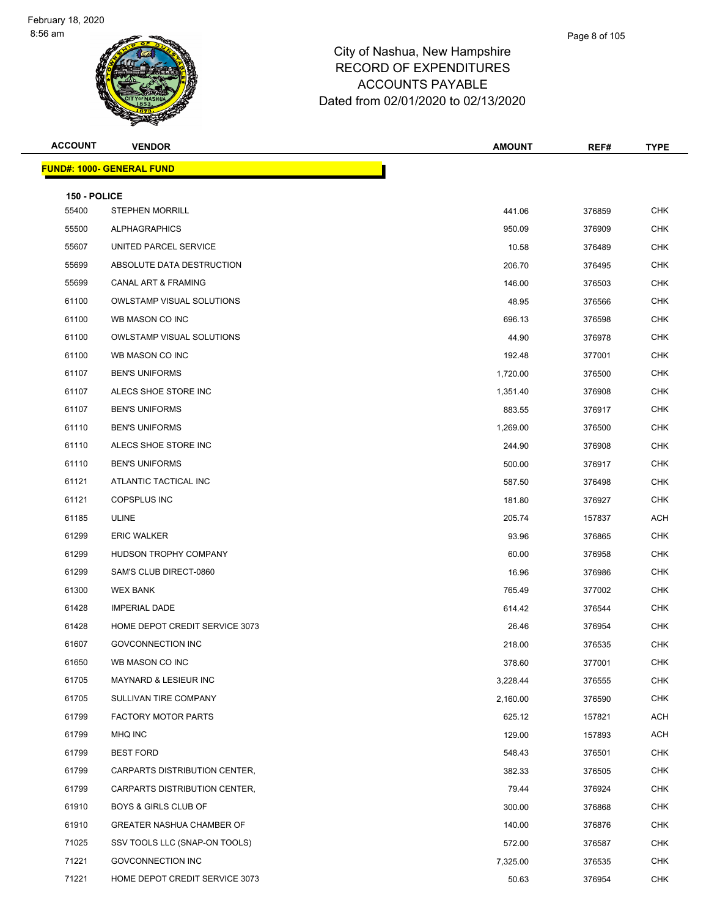| <b>ACCOUNT</b>        | <b>VENDOR</b>                     | <b>AMOUNT</b> | REF#   | <b>TYPE</b> |
|-----------------------|-----------------------------------|---------------|--------|-------------|
|                       | <u> FUND#: 1000- GENERAL FUND</u> |               |        |             |
|                       |                                   |               |        |             |
| 150 - POLICE<br>55400 | <b>STEPHEN MORRILL</b>            | 441.06        | 376859 | <b>CHK</b>  |
| 55500                 | <b>ALPHAGRAPHICS</b>              | 950.09        | 376909 | <b>CHK</b>  |
| 55607                 | UNITED PARCEL SERVICE             | 10.58         | 376489 | <b>CHK</b>  |
| 55699                 | ABSOLUTE DATA DESTRUCTION         | 206.70        | 376495 | <b>CHK</b>  |
| 55699                 | <b>CANAL ART &amp; FRAMING</b>    | 146.00        | 376503 | <b>CHK</b>  |
| 61100                 | <b>OWLSTAMP VISUAL SOLUTIONS</b>  | 48.95         | 376566 | <b>CHK</b>  |
| 61100                 | WB MASON CO INC                   | 696.13        | 376598 | <b>CHK</b>  |
| 61100                 | <b>OWLSTAMP VISUAL SOLUTIONS</b>  | 44.90         | 376978 | <b>CHK</b>  |
| 61100                 | WB MASON CO INC                   | 192.48        | 377001 | <b>CHK</b>  |
| 61107                 | <b>BEN'S UNIFORMS</b>             | 1,720.00      | 376500 | <b>CHK</b>  |
| 61107                 | ALECS SHOE STORE INC              | 1,351.40      | 376908 | CHK         |
| 61107                 | <b>BEN'S UNIFORMS</b>             | 883.55        | 376917 | <b>CHK</b>  |
| 61110                 | <b>BEN'S UNIFORMS</b>             | 1,269.00      | 376500 | <b>CHK</b>  |
| 61110                 | ALECS SHOE STORE INC              | 244.90        | 376908 | <b>CHK</b>  |
| 61110                 | <b>BEN'S UNIFORMS</b>             | 500.00        | 376917 | <b>CHK</b>  |
| 61121                 | ATLANTIC TACTICAL INC             | 587.50        | 376498 | <b>CHK</b>  |
| 61121                 | <b>COPSPLUS INC</b>               | 181.80        | 376927 | <b>CHK</b>  |
| 61185                 | <b>ULINE</b>                      | 205.74        | 157837 | ACH         |
| 61299                 | <b>ERIC WALKER</b>                | 93.96         | 376865 | <b>CHK</b>  |
| 61299                 | HUDSON TROPHY COMPANY             | 60.00         | 376958 | <b>CHK</b>  |
| 61299                 | SAM'S CLUB DIRECT-0860            | 16.96         | 376986 | CHK         |
| 61300                 | <b>WEX BANK</b>                   | 765.49        | 377002 | <b>CHK</b>  |
| 61428                 | <b>IMPERIAL DADE</b>              | 614.42        | 376544 | <b>CHK</b>  |
| 61428                 | HOME DEPOT CREDIT SERVICE 3073    | 26.46         | 376954 | <b>CHK</b>  |
| 61607                 | <b>GOVCONNECTION INC</b>          | 218.00        | 376535 | <b>CHK</b>  |
| 61650                 | WB MASON CO INC                   | 378.60        | 377001 | <b>CHK</b>  |
| 61705                 | <b>MAYNARD &amp; LESIEUR INC</b>  | 3,228.44      | 376555 | <b>CHK</b>  |
| 61705                 | SULLIVAN TIRE COMPANY             | 2,160.00      | 376590 | <b>CHK</b>  |
| 61799                 | <b>FACTORY MOTOR PARTS</b>        | 625.12        | 157821 | ACH         |
| 61799                 | MHQ INC                           | 129.00        | 157893 | ACH         |
| 61799                 | <b>BEST FORD</b>                  | 548.43        | 376501 | <b>CHK</b>  |
| 61799                 | CARPARTS DISTRIBUTION CENTER,     | 382.33        | 376505 | <b>CHK</b>  |
| 61799                 | CARPARTS DISTRIBUTION CENTER,     | 79.44         | 376924 | <b>CHK</b>  |
| 61910                 | BOYS & GIRLS CLUB OF              | 300.00        | 376868 | <b>CHK</b>  |
| 61910                 | <b>GREATER NASHUA CHAMBER OF</b>  | 140.00        | 376876 | <b>CHK</b>  |
| 71025                 | SSV TOOLS LLC (SNAP-ON TOOLS)     | 572.00        | 376587 | <b>CHK</b>  |
| 71221                 | <b>GOVCONNECTION INC</b>          | 7,325.00      | 376535 | <b>CHK</b>  |
| 71221                 | HOME DEPOT CREDIT SERVICE 3073    | 50.63         | 376954 | <b>CHK</b>  |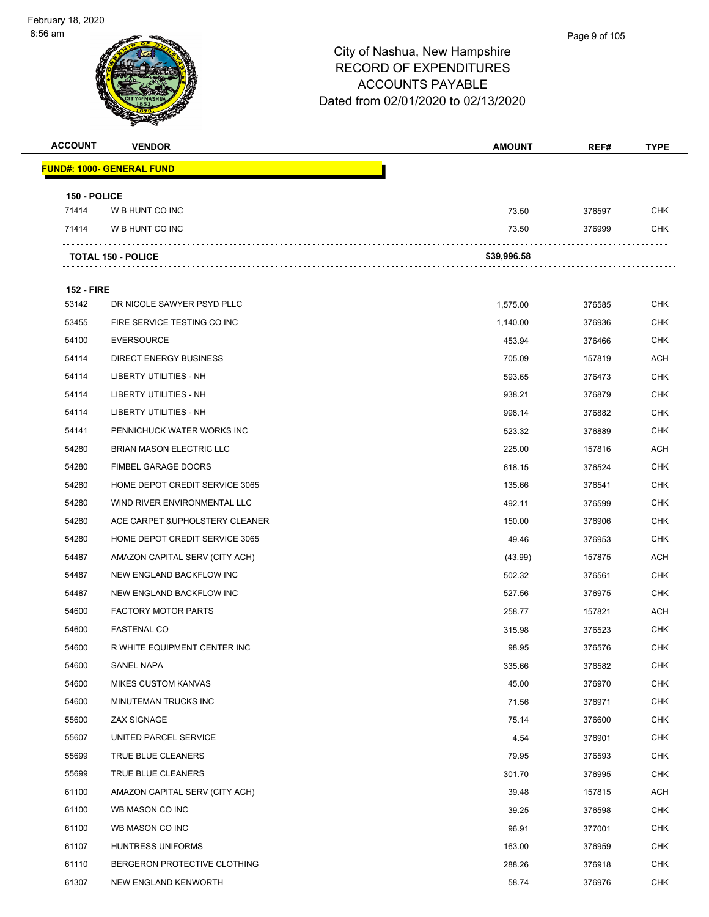#### Page 9 of 105

| <b>ACCOUNT</b>    | <b>VENDOR</b>                    | <b>AMOUNT</b> | REF#   | <b>TYPE</b> |
|-------------------|----------------------------------|---------------|--------|-------------|
|                   | <b>FUND#: 1000- GENERAL FUND</b> |               |        |             |
| 150 - POLICE      |                                  |               |        |             |
| 71414             | W B HUNT CO INC                  | 73.50         | 376597 | <b>CHK</b>  |
| 71414             | W B HUNT CO INC                  | 73.50         | 376999 | <b>CHK</b>  |
|                   | <b>TOTAL 150 - POLICE</b>        | \$39,996.58   |        |             |
| <b>152 - FIRE</b> |                                  |               |        |             |
| 53142             | DR NICOLE SAWYER PSYD PLLC       | 1,575.00      | 376585 | <b>CHK</b>  |
| 53455             | FIRE SERVICE TESTING CO INC      | 1,140.00      | 376936 | <b>CHK</b>  |
| 54100             | <b>EVERSOURCE</b>                | 453.94        | 376466 | <b>CHK</b>  |
| 54114             | <b>DIRECT ENERGY BUSINESS</b>    | 705.09        | 157819 | ACH         |
| 54114             | LIBERTY UTILITIES - NH           | 593.65        | 376473 | <b>CHK</b>  |
| 54114             | LIBERTY UTILITIES - NH           | 938.21        | 376879 | <b>CHK</b>  |
| 54114             | LIBERTY UTILITIES - NH           | 998.14        | 376882 | <b>CHK</b>  |
| 54141             | PENNICHUCK WATER WORKS INC       | 523.32        | 376889 | <b>CHK</b>  |
| 54280             | <b>BRIAN MASON ELECTRIC LLC</b>  | 225.00        | 157816 | <b>ACH</b>  |
| 54280             | <b>FIMBEL GARAGE DOORS</b>       | 618.15        | 376524 | <b>CHK</b>  |
| 54280             | HOME DEPOT CREDIT SERVICE 3065   | 135.66        | 376541 | <b>CHK</b>  |
| 54280             | WIND RIVER ENVIRONMENTAL LLC     | 492.11        | 376599 | <b>CHK</b>  |
| 54280             | ACE CARPET & UPHOLSTERY CLEANER  | 150.00        | 376906 | <b>CHK</b>  |
| 54280             | HOME DEPOT CREDIT SERVICE 3065   | 49.46         | 376953 | <b>CHK</b>  |
| 54487             | AMAZON CAPITAL SERV (CITY ACH)   | (43.99)       | 157875 | <b>ACH</b>  |
| 54487             | NEW ENGLAND BACKFLOW INC         | 502.32        | 376561 | <b>CHK</b>  |
| 54487             | NEW ENGLAND BACKFLOW INC         | 527.56        | 376975 | <b>CHK</b>  |
| 54600             | <b>FACTORY MOTOR PARTS</b>       | 258.77        | 157821 | ACH         |
| 54600             | <b>FASTENAL CO</b>               | 315.98        | 376523 | <b>CHK</b>  |
| 54600             | R WHITE EQUIPMENT CENTER INC     | 98.95         | 376576 | <b>CHK</b>  |
| 54600             | SANEL NAPA                       | 335.66        | 376582 | <b>CHK</b>  |
| 54600             | <b>MIKES CUSTOM KANVAS</b>       | 45.00         | 376970 | <b>CHK</b>  |
| 54600             | MINUTEMAN TRUCKS INC             | 71.56         | 376971 | <b>CHK</b>  |
| 55600             | ZAX SIGNAGE                      | 75.14         | 376600 | <b>CHK</b>  |
| 55607             | UNITED PARCEL SERVICE            | 4.54          | 376901 | <b>CHK</b>  |
| 55699             | TRUE BLUE CLEANERS               | 79.95         | 376593 | CHK         |
| 55699             | TRUE BLUE CLEANERS               | 301.70        | 376995 | <b>CHK</b>  |
| 61100             | AMAZON CAPITAL SERV (CITY ACH)   | 39.48         | 157815 | <b>ACH</b>  |
| 61100             | WB MASON CO INC                  | 39.25         | 376598 | <b>CHK</b>  |
| 61100             | WB MASON CO INC                  | 96.91         | 377001 | <b>CHK</b>  |
| 61107             | HUNTRESS UNIFORMS                | 163.00        | 376959 | CHK         |
| 61110             | BERGERON PROTECTIVE CLOTHING     | 288.26        | 376918 | <b>CHK</b>  |
| 61307             | NEW ENGLAND KENWORTH             | 58.74         | 376976 | <b>CHK</b>  |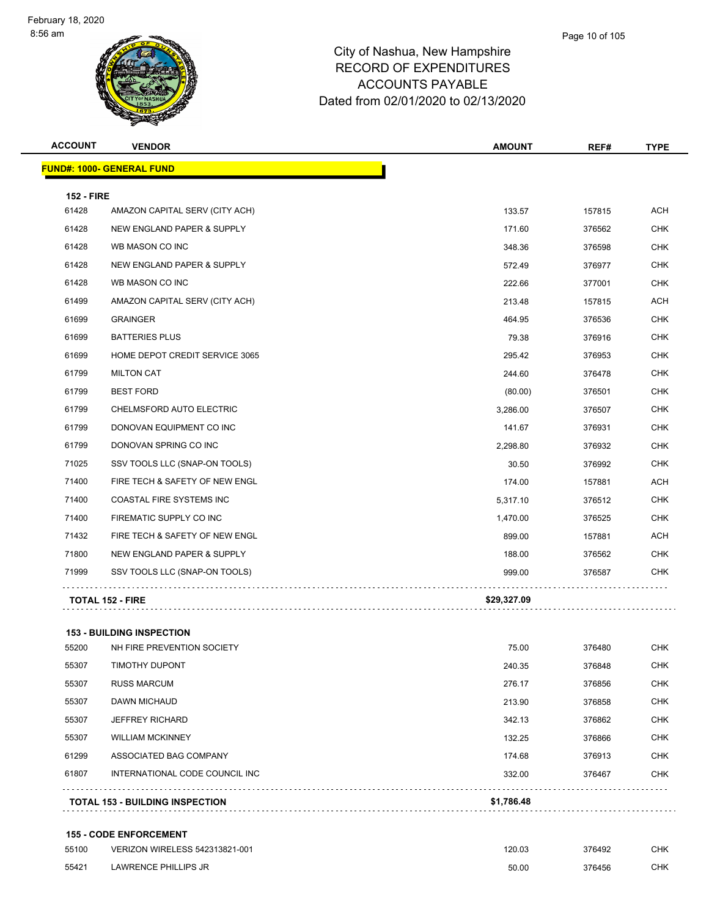| <b>ACCOUNT</b>    | <b>VENDOR</b>                    | <b>AMOUNT</b> | REF#   | <b>TYPE</b> |
|-------------------|----------------------------------|---------------|--------|-------------|
|                   | <b>FUND#: 1000- GENERAL FUND</b> |               |        |             |
| <b>152 - FIRE</b> |                                  |               |        |             |
| 61428             | AMAZON CAPITAL SERV (CITY ACH)   | 133.57        | 157815 | <b>ACH</b>  |
| 61428             | NEW ENGLAND PAPER & SUPPLY       | 171.60        | 376562 | <b>CHK</b>  |
| 61428             | WB MASON CO INC                  | 348.36        | 376598 | <b>CHK</b>  |
| 61428             | NEW ENGLAND PAPER & SUPPLY       | 572.49        | 376977 | <b>CHK</b>  |
| 61428             | WB MASON CO INC                  | 222.66        | 377001 | <b>CHK</b>  |
| 61499             | AMAZON CAPITAL SERV (CITY ACH)   | 213.48        | 157815 | <b>ACH</b>  |
| 61699             | <b>GRAINGER</b>                  | 464.95        | 376536 | <b>CHK</b>  |
| 61699             | <b>BATTERIES PLUS</b>            | 79.38         | 376916 | <b>CHK</b>  |
| 61699             | HOME DEPOT CREDIT SERVICE 3065   | 295.42        | 376953 | <b>CHK</b>  |
| 61799             | <b>MILTON CAT</b>                | 244.60        | 376478 | <b>CHK</b>  |
| 61799             | <b>BEST FORD</b>                 | (80.00)       | 376501 | <b>CHK</b>  |
| 61799             | CHELMSFORD AUTO ELECTRIC         | 3,286.00      | 376507 | <b>CHK</b>  |
| 61799             | DONOVAN EQUIPMENT CO INC         | 141.67        | 376931 | <b>CHK</b>  |
| 61799             | DONOVAN SPRING CO INC            | 2,298.80      | 376932 | <b>CHK</b>  |
| 71025             | SSV TOOLS LLC (SNAP-ON TOOLS)    | 30.50         | 376992 | <b>CHK</b>  |
| 71400             | FIRE TECH & SAFETY OF NEW ENGL   | 174.00        | 157881 | <b>ACH</b>  |
| 71400             | COASTAL FIRE SYSTEMS INC         | 5,317.10      | 376512 | <b>CHK</b>  |
| 71400             | FIREMATIC SUPPLY CO INC          | 1,470.00      | 376525 | <b>CHK</b>  |
| 71432             | FIRE TECH & SAFETY OF NEW ENGL   | 899.00        | 157881 | <b>ACH</b>  |
| 71800             | NEW ENGLAND PAPER & SUPPLY       | 188.00        | 376562 | <b>CHK</b>  |
| 71999             | SSV TOOLS LLC (SNAP-ON TOOLS)    | 999.00        | 376587 | <b>CHK</b>  |
|                   | <b>TOTAL 152 - FIRE</b>          | \$29,327.09   |        |             |
|                   | <b>153 - BUILDING INSPECTION</b> |               |        |             |
| 55200             | NH FIRE PREVENTION SOCIETY       | 75.00         | 376480 | <b>CHK</b>  |
| 55307             | TIMOTHY DUPONT                   | 240.35        | 376848 | <b>CHK</b>  |
| 55307             | <b>RUSS MARCUM</b>               | 276.17        | 376856 | CHK         |
| 55307             | <b>DAWN MICHAUD</b>              | 213.90        | 376858 | <b>CHK</b>  |
| 55307             | <b>JEFFREY RICHARD</b>           | 342.13        | 376862 | <b>CHK</b>  |
| 55307             | <b>WILLIAM MCKINNEY</b>          | 132.25        | 376866 | <b>CHK</b>  |
| 61299             | ASSOCIATED BAG COMPANY           | 174.68        | 376913 | <b>CHK</b>  |

**TOTAL 153 - BUILDING INSPECTION \$1,786.48**

#### **155 - CODE ENFORCEMENT**

| 55100 | VERIZON WIRELESS 542313821-001 | 120.03 | 376492 | CHK |
|-------|--------------------------------|--------|--------|-----|
| 55421 | LAWRENCE PHILLIPS JR           | 50.00  | 376456 | CHK |

INTERNATIONAL CODE COUNCIL INC 332.00 376467 CHK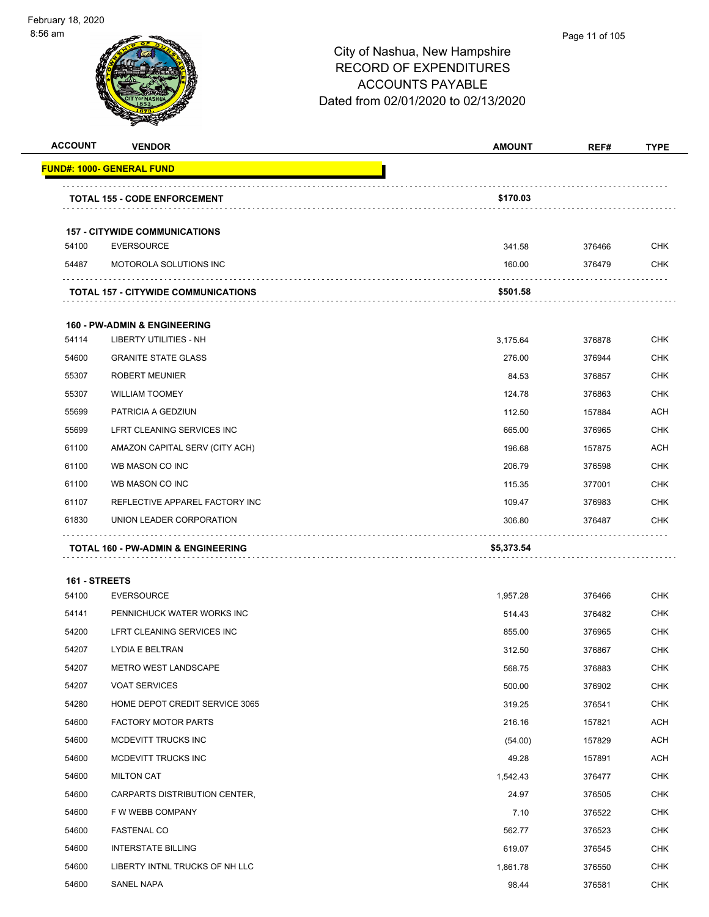#### Page 11 of 105

| <b>ACCOUNT</b>         | <b>VENDOR</b>                                             | <b>AMOUNT</b> | REF#   | <b>TYPE</b> |
|------------------------|-----------------------------------------------------------|---------------|--------|-------------|
|                        | <b>FUND#: 1000- GENERAL FUND</b>                          |               |        |             |
|                        | <b>TOTAL 155 - CODE ENFORCEMENT</b>                       | \$170.03      |        |             |
|                        |                                                           |               |        |             |
| 54100                  | <b>157 - CITYWIDE COMMUNICATIONS</b><br><b>EVERSOURCE</b> | 341.58        | 376466 | <b>CHK</b>  |
| 54487                  | MOTOROLA SOLUTIONS INC                                    | 160.00        | 376479 | <b>CHK</b>  |
|                        |                                                           |               |        |             |
|                        | <b>TOTAL 157 - CITYWIDE COMMUNICATIONS</b>                | \$501.58      |        |             |
|                        | <b>160 - PW-ADMIN &amp; ENGINEERING</b>                   |               |        |             |
| 54114                  | LIBERTY UTILITIES - NH                                    | 3,175.64      | 376878 | <b>CHK</b>  |
| 54600                  | <b>GRANITE STATE GLASS</b>                                | 276.00        | 376944 | CHK         |
| 55307                  | <b>ROBERT MEUNIER</b>                                     | 84.53         | 376857 | <b>CHK</b>  |
| 55307                  | <b>WILLIAM TOOMEY</b>                                     | 124.78        | 376863 | <b>CHK</b>  |
| 55699                  | PATRICIA A GEDZIUN                                        | 112.50        | 157884 | <b>ACH</b>  |
| 55699                  | LFRT CLEANING SERVICES INC                                | 665.00        | 376965 | <b>CHK</b>  |
| 61100                  | AMAZON CAPITAL SERV (CITY ACH)                            | 196.68        | 157875 | ACH         |
| 61100                  | WB MASON CO INC                                           | 206.79        | 376598 | <b>CHK</b>  |
| 61100                  | WB MASON CO INC                                           | 115.35        | 377001 | <b>CHK</b>  |
| 61107                  | REFLECTIVE APPAREL FACTORY INC                            | 109.47        | 376983 | <b>CHK</b>  |
| 61830                  | UNION LEADER CORPORATION                                  | 306.80        | 376487 | <b>CHK</b>  |
|                        | TOTAL 160 - PW-ADMIN & ENGINEERING                        | \$5,373.54    |        |             |
|                        |                                                           |               |        |             |
| 161 - STREETS<br>54100 | <b>EVERSOURCE</b>                                         | 1,957.28      | 376466 | CHK         |
| 54141                  | PENNICHUCK WATER WORKS INC                                | 514.43        | 376482 | <b>CHK</b>  |
| 54200                  |                                                           |               |        |             |
|                        | LFRT CLEANING SERVICES INC                                | 855.00        | 376965 | CHK         |
| 54207                  | LYDIA E BELTRAN                                           | 312.50        | 376867 | <b>CHK</b>  |
| 54207                  | <b>METRO WEST LANDSCAPE</b>                               | 568.75        | 376883 | <b>CHK</b>  |
| 54207                  | <b>VOAT SERVICES</b>                                      | 500.00        | 376902 | <b>CHK</b>  |
| 54280                  | HOME DEPOT CREDIT SERVICE 3065                            | 319.25        | 376541 | <b>CHK</b>  |
| 54600                  | <b>FACTORY MOTOR PARTS</b>                                | 216.16        | 157821 | ACH         |
| 54600                  | MCDEVITT TRUCKS INC                                       | (54.00)       | 157829 | ACH         |
| 54600                  | MCDEVITT TRUCKS INC                                       | 49.28         | 157891 | ACH         |
| 54600                  | <b>MILTON CAT</b>                                         | 1,542.43      | 376477 | <b>CHK</b>  |
| 54600                  | CARPARTS DISTRIBUTION CENTER,                             | 24.97         | 376505 | <b>CHK</b>  |
| 54600                  | F W WEBB COMPANY                                          | 7.10          | 376522 | <b>CHK</b>  |
| 54600                  | <b>FASTENAL CO</b>                                        | 562.77        | 376523 | <b>CHK</b>  |
| 54600                  | <b>INTERSTATE BILLING</b>                                 | 619.07        | 376545 | <b>CHK</b>  |
| 54600                  | LIBERTY INTNL TRUCKS OF NH LLC                            | 1,861.78      | 376550 | <b>CHK</b>  |
| 54600                  | SANEL NAPA                                                | 98.44         | 376581 | <b>CHK</b>  |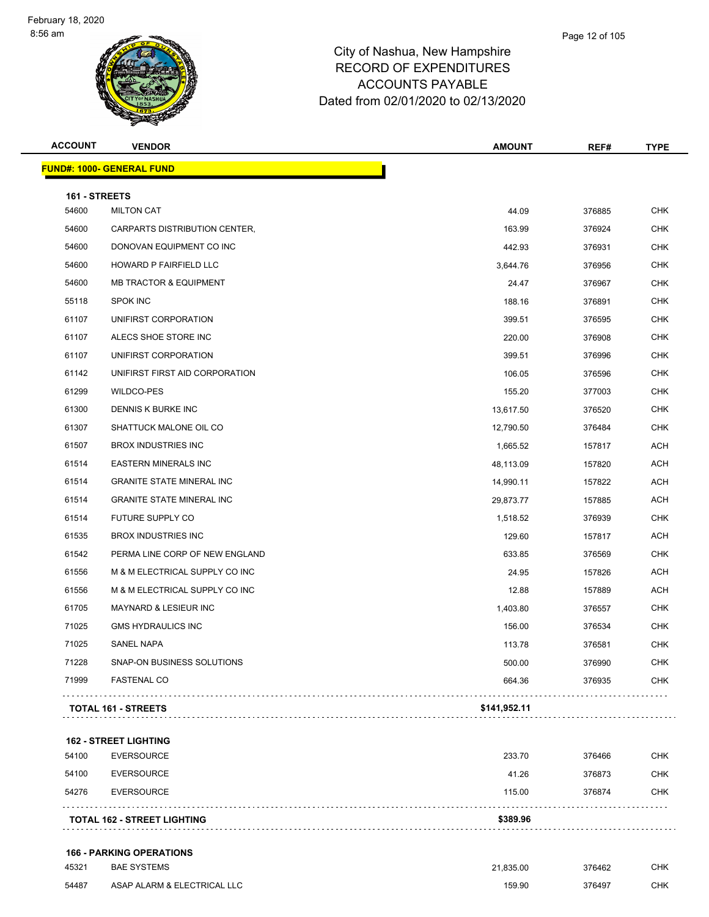| <b>ACCOUNT</b> | <b>VENDOR</b>                     | <b>AMOUNT</b> | REF#   | <b>TYPE</b> |
|----------------|-----------------------------------|---------------|--------|-------------|
|                | <b>FUND#: 1000- GENERAL FUND</b>  |               |        |             |
| 161 - STREETS  |                                   |               |        |             |
| 54600          | <b>MILTON CAT</b>                 | 44.09         | 376885 | <b>CHK</b>  |
| 54600          | CARPARTS DISTRIBUTION CENTER,     | 163.99        | 376924 | <b>CHK</b>  |
| 54600          | DONOVAN EQUIPMENT CO INC          | 442.93        | 376931 | <b>CHK</b>  |
| 54600          | HOWARD P FAIRFIELD LLC            | 3,644.76      | 376956 | <b>CHK</b>  |
| 54600          | <b>MB TRACTOR &amp; EQUIPMENT</b> | 24.47         | 376967 | <b>CHK</b>  |
| 55118          | <b>SPOK INC</b>                   | 188.16        | 376891 | <b>CHK</b>  |
| 61107          | UNIFIRST CORPORATION              | 399.51        | 376595 | <b>CHK</b>  |
| 61107          | ALECS SHOE STORE INC              | 220.00        | 376908 | <b>CHK</b>  |
| 61107          | UNIFIRST CORPORATION              | 399.51        | 376996 | <b>CHK</b>  |
| 61142          | UNIFIRST FIRST AID CORPORATION    | 106.05        | 376596 | <b>CHK</b>  |
| 61299          | WILDCO-PES                        | 155.20        | 377003 | <b>CHK</b>  |
| 61300          | DENNIS K BURKE INC                | 13,617.50     | 376520 | <b>CHK</b>  |
| 61307          | SHATTUCK MALONE OIL CO            | 12,790.50     | 376484 | <b>CHK</b>  |
| 61507          | <b>BROX INDUSTRIES INC</b>        | 1,665.52      | 157817 | <b>ACH</b>  |
| 61514          | <b>EASTERN MINERALS INC</b>       | 48,113.09     | 157820 | <b>ACH</b>  |
| 61514          | <b>GRANITE STATE MINERAL INC</b>  | 14,990.11     | 157822 | <b>ACH</b>  |
| 61514          | <b>GRANITE STATE MINERAL INC</b>  | 29,873.77     | 157885 | <b>ACH</b>  |
| 61514          | FUTURE SUPPLY CO                  | 1,518.52      | 376939 | <b>CHK</b>  |
| 61535          | <b>BROX INDUSTRIES INC</b>        | 129.60        | 157817 | <b>ACH</b>  |
| 61542          | PERMA LINE CORP OF NEW ENGLAND    | 633.85        | 376569 | <b>CHK</b>  |
| 61556          | M & M ELECTRICAL SUPPLY CO INC    | 24.95         | 157826 | <b>ACH</b>  |
| 61556          | M & M ELECTRICAL SUPPLY CO INC    | 12.88         | 157889 | <b>ACH</b>  |
| 61705          | <b>MAYNARD &amp; LESIEUR INC</b>  | 1,403.80      | 376557 | <b>CHK</b>  |
| 71025          | <b>GMS HYDRAULICS INC</b>         | 156.00        | 376534 | <b>CHK</b>  |
| 71025          | SANEL NAPA                        | 113.78        | 376581 | <b>CHK</b>  |
| 71228          | SNAP-ON BUSINESS SOLUTIONS        | 500.00        | 376990 | <b>CHK</b>  |
| 71999          | <b>FASTENAL CO</b>                | 664.36        | 376935 | <b>CHK</b>  |
|                | <b>TOTAL 161 - STREETS</b>        | \$141,952.11  |        |             |
|                |                                   |               |        |             |

**162 - STREET LIGHTING**

|       | <b>TOTAL 162 - STREET LIGHTING</b> | \$389.96 |        |            |
|-------|------------------------------------|----------|--------|------------|
| 54276 | <b>EVERSOURCE</b>                  | 115.00   | 376874 | <b>CHK</b> |
| 54100 | EVERSOURCE                         | 41.26    | 376873 | <b>CHK</b> |
| 54100 | <b>EVERSOURCE</b>                  | 233.70   | 376466 | <b>CHK</b> |

#### **166 - PARKING OPERATIONS**

| 45321 | <b>BAE SYSTEMS</b>          | 21.835.00 | 376462 | СНК |
|-------|-----------------------------|-----------|--------|-----|
| 54487 | ASAP ALARM & ELECTRICAL LLC | 159.90    | 376497 | СНК |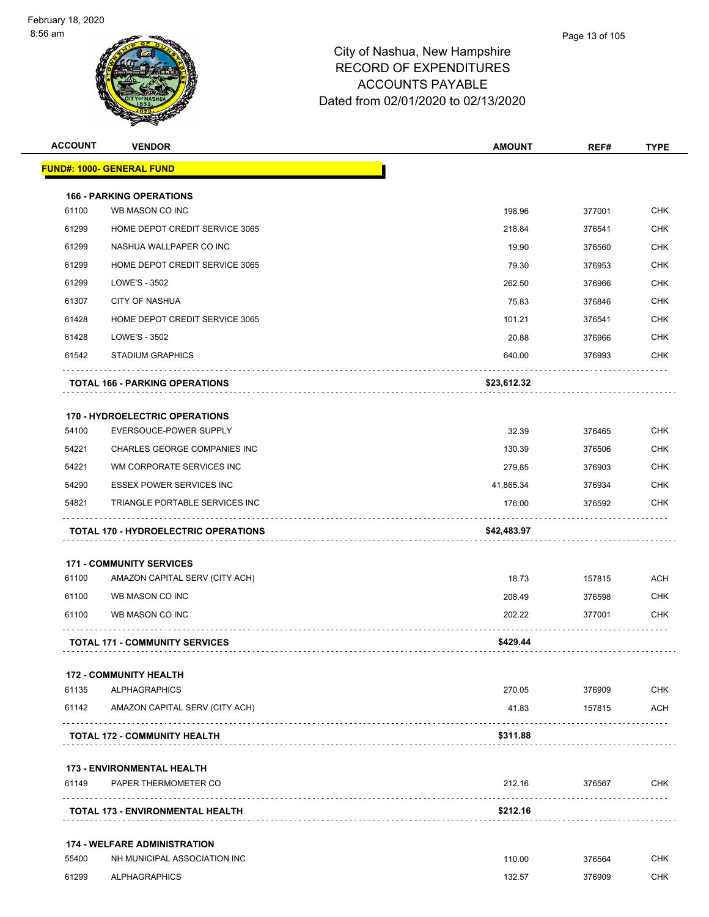| <b>ACCOUNT</b> | <b>VENDOR</b>                               | <b>AMOUNT</b> | REF#   | <b>TYPE</b> |
|----------------|---------------------------------------------|---------------|--------|-------------|
|                | <u> FUND#: 1000- GENERAL FUND</u>           |               |        |             |
|                | <b>166 - PARKING OPERATIONS</b>             |               |        |             |
| 61100          | WB MASON CO INC                             | 198.96        | 377001 | <b>CHK</b>  |
| 61299          | HOME DEPOT CREDIT SERVICE 3065              | 218.84        | 376541 | <b>CHK</b>  |
| 61299          | NASHUA WALLPAPER CO INC                     | 19.90         | 376560 | <b>CHK</b>  |
| 61299          | HOME DEPOT CREDIT SERVICE 3065              | 79.30         | 376953 | <b>CHK</b>  |
| 61299          | LOWE'S - 3502                               | 262.50        | 376966 | <b>CHK</b>  |
| 61307          | <b>CITY OF NASHUA</b>                       | 75.83         | 376846 | <b>CHK</b>  |
| 61428          | HOME DEPOT CREDIT SERVICE 3065              | 101.21        | 376541 | <b>CHK</b>  |
| 61428          | LOWE'S - 3502                               | 20.88         | 376966 | <b>CHK</b>  |
| 61542          | <b>STADIUM GRAPHICS</b>                     | 640.00        | 376993 | <b>CHK</b>  |
|                | <b>TOTAL 166 - PARKING OPERATIONS</b>       | \$23,612.32   |        |             |
|                | <b>170 - HYDROELECTRIC OPERATIONS</b>       |               |        |             |
| 54100          | <b>EVERSOUCE-POWER SUPPLY</b>               | 32.39         | 376465 | <b>CHK</b>  |
| 54221          | CHARLES GEORGE COMPANIES INC                | 130.39        | 376506 | <b>CHK</b>  |
| 54221          | WM CORPORATE SERVICES INC                   | 279.85        | 376903 | <b>CHK</b>  |
| 54290          | <b>ESSEX POWER SERVICES INC</b>             | 41,865.34     | 376934 | <b>CHK</b>  |
| 54821          | TRIANGLE PORTABLE SERVICES INC              | 176.00        | 376592 | <b>CHK</b>  |
|                | <b>TOTAL 170 - HYDROELECTRIC OPERATIONS</b> | \$42,483.97   |        |             |
|                | <b>171 - COMMUNITY SERVICES</b>             |               |        |             |
| 61100          | AMAZON CAPITAL SERV (CITY ACH)              | 18.73         | 157815 | <b>ACH</b>  |
| 61100          | WB MASON CO INC                             | 208.49        | 376598 | <b>CHK</b>  |
| 61100          | WB MASON CO INC                             | 202.22        | 377001 | <b>CHK</b>  |
|                | <b>TOTAL 171 - COMMUNITY SERVICES</b>       | \$429.44      |        |             |
|                | <b>172 - COMMUNITY HEALTH</b>               |               |        |             |
| 61135          | <b>ALPHAGRAPHICS</b>                        | 270.05        | 376909 | <b>CHK</b>  |
| 61142          | AMAZON CAPITAL SERV (CITY ACH)              | 41.83         | 157815 | ACH<br>.    |
|                | <b>TOTAL 172 - COMMUNITY HEALTH</b>         | \$311.88      |        |             |
|                | <b>173 - ENVIRONMENTAL HEALTH</b>           |               |        |             |
| 61149          | PAPER THERMOMETER CO                        | 212.16        | 376567 | <b>CHK</b>  |
|                | TOTAL 173 - ENVIRONMENTAL HEALTH            | \$212.16      |        |             |
|                | <b>174 - WELFARE ADMINISTRATION</b>         |               |        |             |
| 55400          | NH MUNICIPAL ASSOCIATION INC                | 110.00        | 376564 | CHK         |
| 61299          | <b>ALPHAGRAPHICS</b>                        | 132.57        | 376909 | <b>CHK</b>  |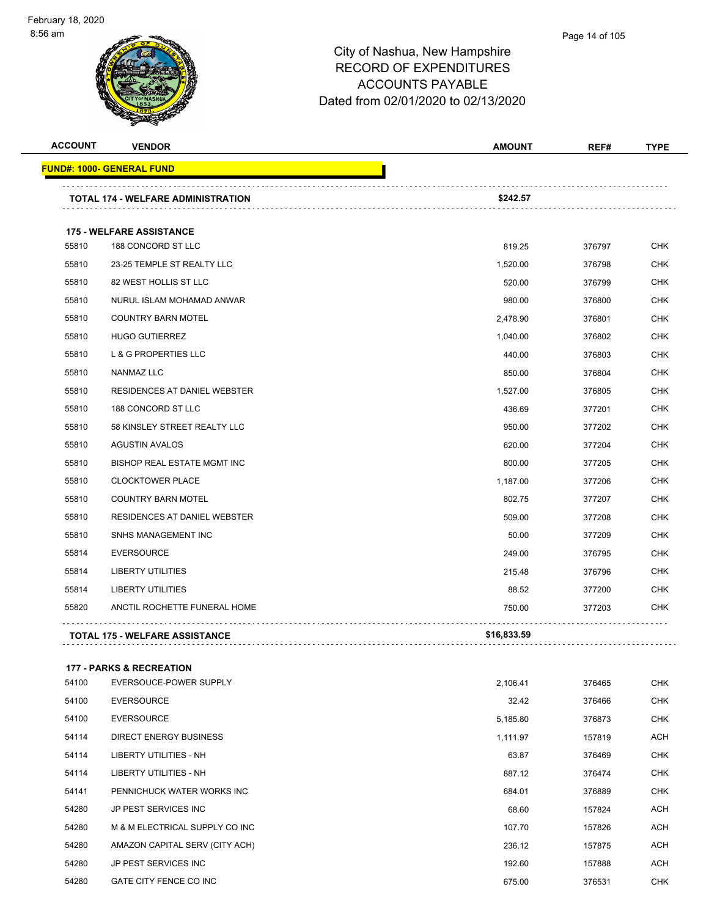| <b>ACCOUNT</b> | <b>VENDOR</b>                             | <b>AMOUNT</b> | REF#   | <b>TYPE</b> |
|----------------|-------------------------------------------|---------------|--------|-------------|
|                | <u> FUND#: 1000- GENERAL FUND</u>         |               |        |             |
|                | <b>TOTAL 174 - WELFARE ADMINISTRATION</b> | \$242.57      |        |             |
|                | <b>175 - WELFARE ASSISTANCE</b>           |               |        |             |
| 55810          | 188 CONCORD ST LLC                        | 819.25        | 376797 | CHK         |
| 55810          | 23-25 TEMPLE ST REALTY LLC                | 1,520.00      | 376798 | <b>CHK</b>  |
| 55810          | 82 WEST HOLLIS ST LLC                     | 520.00        | 376799 | <b>CHK</b>  |
| 55810          | NURUL ISLAM MOHAMAD ANWAR                 | 980.00        | 376800 | <b>CHK</b>  |
| 55810          | <b>COUNTRY BARN MOTEL</b>                 | 2,478.90      | 376801 | <b>CHK</b>  |
| 55810          | <b>HUGO GUTIERREZ</b>                     | 1,040.00      | 376802 | CHK         |
| 55810          | L & G PROPERTIES LLC                      | 440.00        | 376803 | <b>CHK</b>  |
| 55810          | NANMAZ LLC                                | 850.00        | 376804 | CHK         |
| 55810          | RESIDENCES AT DANIEL WEBSTER              | 1.527.00      | 376805 | <b>CHK</b>  |
| 55810          | 188 CONCORD ST LLC                        | 436.69        | 377201 | <b>CHK</b>  |
| 55810          | 58 KINSLEY STREET REALTY LLC              | 950.00        | 377202 | CHK         |
| 55810          | <b>AGUSTIN AVALOS</b>                     | 620.00        | 377204 | <b>CHK</b>  |
| 55810          | BISHOP REAL ESTATE MGMT INC               | 800.00        | 377205 | CHK         |
| 55810          | <b>CLOCKTOWER PLACE</b>                   | 1,187.00      | 377206 | <b>CHK</b>  |
| 55810          | <b>COUNTRY BARN MOTEL</b>                 | 802.75        | 377207 | CHK         |
| 55810          | RESIDENCES AT DANIEL WEBSTER              | 509.00        | 377208 | CHK         |
| 55810          | SNHS MANAGEMENT INC                       | 50.00         | 377209 | <b>CHK</b>  |
| 55814          | <b>EVERSOURCE</b>                         | 249.00        | 376795 | CHK         |
| 55814          | <b>LIBERTY UTILITIES</b>                  | 215.48        | 376796 | CHK         |
| 55814          | <b>LIBERTY UTILITIES</b>                  | 88.52         | 377200 | CHK         |
| 55820          | ANCTIL ROCHETTE FUNERAL HOME              | 750.00        | 377203 | CHK         |
|                | <b>TOTAL 175 - WELFARE ASSISTANCE</b>     | \$16,833.59   |        |             |
|                | <b>177 - PARKS &amp; RECREATION</b>       |               |        |             |
| 54100          | EVERSOUCE-POWER SUPPLY                    | 2,106.41      | 376465 | <b>CHK</b>  |
| 54100          | <b>EVERSOURCE</b>                         | 32.42         | 376466 | <b>CHK</b>  |
| 54100          | <b>EVERSOURCE</b>                         | 5,185.80      | 376873 | <b>CHK</b>  |
| 54114          | <b>DIRECT ENERGY BUSINESS</b>             | 1,111.97      | 157819 | ACH         |
| 54114          | LIBERTY UTILITIES - NH                    | 63.87         | 376469 | CHK         |
| 54114          | LIBERTY UTILITIES - NH                    | 887.12        | 376474 | <b>CHK</b>  |
| 54141          | PENNICHUCK WATER WORKS INC                | 684.01        | 376889 | <b>CHK</b>  |
| 54280          | JP PEST SERVICES INC                      | 68.60         | 157824 | ACH         |
| 54280          | M & M ELECTRICAL SUPPLY CO INC            | 107.70        | 157826 | ACH         |
| 54280          | AMAZON CAPITAL SERV (CITY ACH)            | 236.12        | 157875 | ACH         |
| 54280          | JP PEST SERVICES INC                      | 192.60        | 157888 | ACH         |
| 54280          | GATE CITY FENCE CO INC                    | 675.00        | 376531 | <b>CHK</b>  |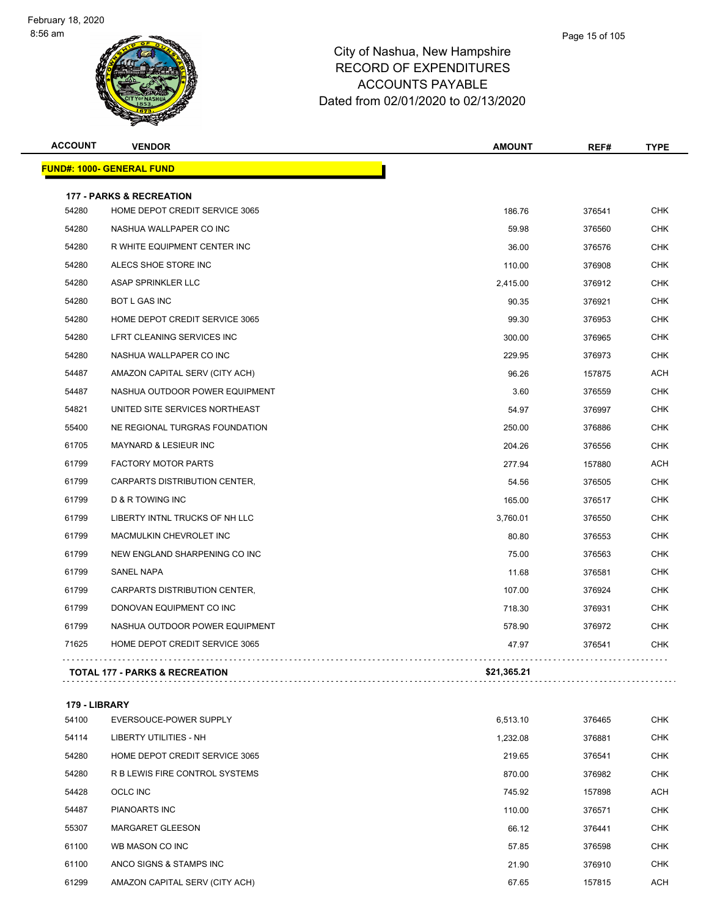| <b>ACCOUNT</b> | <b>VENDOR</b>                                                         | <b>AMOUNT</b> | REF#   | <b>TYPE</b> |
|----------------|-----------------------------------------------------------------------|---------------|--------|-------------|
|                | <u> FUND#: 1000- GENERAL FUND</u>                                     |               |        |             |
|                |                                                                       |               |        |             |
| 54280          | <b>177 - PARKS &amp; RECREATION</b><br>HOME DEPOT CREDIT SERVICE 3065 | 186.76        | 376541 | <b>CHK</b>  |
| 54280          | NASHUA WALLPAPER CO INC                                               | 59.98         | 376560 | <b>CHK</b>  |
| 54280          | R WHITE EQUIPMENT CENTER INC                                          | 36.00         | 376576 | <b>CHK</b>  |
| 54280          | ALECS SHOE STORE INC                                                  | 110.00        | 376908 | <b>CHK</b>  |
| 54280          | ASAP SPRINKLER LLC                                                    | 2,415.00      | 376912 | <b>CHK</b>  |
| 54280          | <b>BOT L GAS INC</b>                                                  | 90.35         | 376921 | <b>CHK</b>  |
| 54280          | HOME DEPOT CREDIT SERVICE 3065                                        |               |        | <b>CHK</b>  |
|                |                                                                       | 99.30         | 376953 |             |
| 54280<br>54280 | LFRT CLEANING SERVICES INC<br>NASHUA WALLPAPER CO INC                 | 300.00        | 376965 | <b>CHK</b>  |
|                |                                                                       | 229.95        | 376973 | <b>CHK</b>  |
| 54487          | AMAZON CAPITAL SERV (CITY ACH)                                        | 96.26         | 157875 | <b>ACH</b>  |
| 54487          | NASHUA OUTDOOR POWER EQUIPMENT                                        | 3.60          | 376559 | <b>CHK</b>  |
| 54821          | UNITED SITE SERVICES NORTHEAST                                        | 54.97         | 376997 | <b>CHK</b>  |
| 55400          | NE REGIONAL TURGRAS FOUNDATION                                        | 250.00        | 376886 | <b>CHK</b>  |
| 61705          | MAYNARD & LESIEUR INC                                                 | 204.26        | 376556 | <b>CHK</b>  |
| 61799          | <b>FACTORY MOTOR PARTS</b>                                            | 277.94        | 157880 | <b>ACH</b>  |
| 61799          | CARPARTS DISTRIBUTION CENTER,                                         | 54.56         | 376505 | <b>CHK</b>  |
| 61799          | <b>D &amp; R TOWING INC</b>                                           | 165.00        | 376517 | <b>CHK</b>  |
| 61799          | LIBERTY INTNL TRUCKS OF NH LLC                                        | 3,760.01      | 376550 | <b>CHK</b>  |
| 61799          | MACMULKIN CHEVROLET INC                                               | 80.80         | 376553 | <b>CHK</b>  |
| 61799          | NEW ENGLAND SHARPENING CO INC                                         | 75.00         | 376563 | <b>CHK</b>  |
| 61799          | <b>SANEL NAPA</b>                                                     | 11.68         | 376581 | <b>CHK</b>  |
| 61799          | CARPARTS DISTRIBUTION CENTER,                                         | 107.00        | 376924 | <b>CHK</b>  |
| 61799          | DONOVAN EQUIPMENT CO INC                                              | 718.30        | 376931 | <b>CHK</b>  |
| 61799          | NASHUA OUTDOOR POWER EQUIPMENT                                        | 578.90        | 376972 | <b>CHK</b>  |
| 71625          | HOME DEPOT CREDIT SERVICE 3065                                        | 47.97         | 376541 | <b>CHK</b>  |
|                | <b>TOTAL 177 - PARKS &amp; RECREATION</b>                             | \$21,365.21   |        |             |
|                |                                                                       |               |        |             |
|                | 179 - LIBRARY                                                         |               |        |             |
| 54100          | <b>EVERSOUCE-POWER SUPPLY</b>                                         | 6,513.10      | 376465 | <b>CHK</b>  |

| 54100 | EVERSOUCE-POWER SUPPLY         | 6,513.10 | 376465 | UHK        |
|-------|--------------------------------|----------|--------|------------|
| 54114 | LIBERTY UTILITIES - NH         | 1,232.08 | 376881 | CHK        |
| 54280 | HOME DEPOT CREDIT SERVICE 3065 | 219.65   | 376541 | <b>CHK</b> |
| 54280 | R B LEWIS FIRE CONTROL SYSTEMS | 870.00   | 376982 | <b>CHK</b> |
| 54428 | OCLC INC                       | 745.92   | 157898 | <b>ACH</b> |
| 54487 | <b>PIANOARTS INC</b>           | 110.00   | 376571 | <b>CHK</b> |
| 55307 | <b>MARGARET GLEESON</b>        | 66.12    | 376441 | CHK        |
| 61100 | WB MASON CO INC                | 57.85    | 376598 | CHK        |
| 61100 | ANCO SIGNS & STAMPS INC        | 21.90    | 376910 | <b>CHK</b> |
| 61299 | AMAZON CAPITAL SERV (CITY ACH) | 67.65    | 157815 | <b>ACH</b> |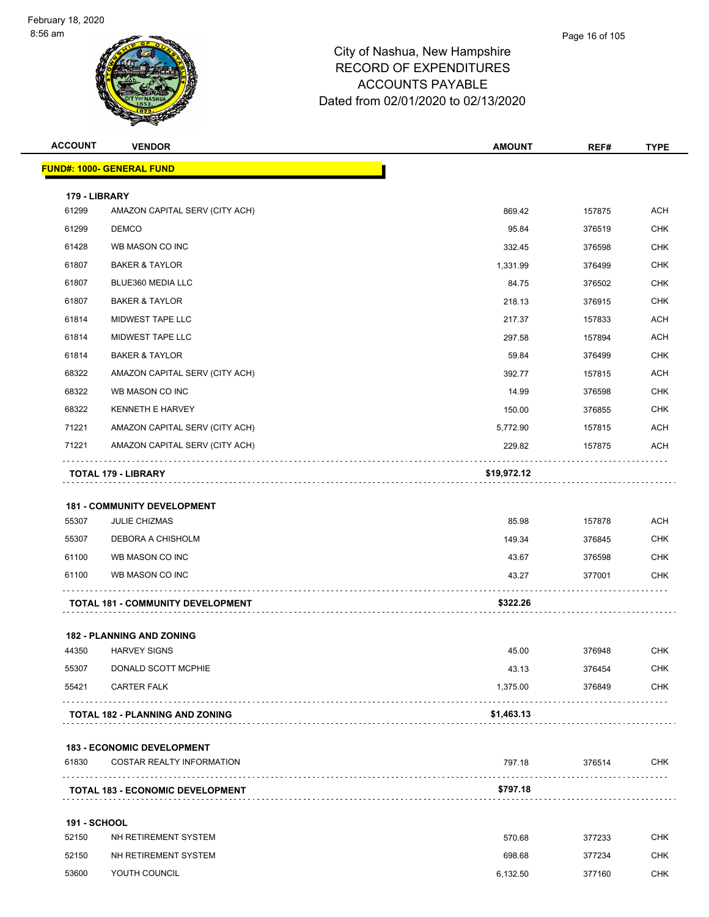| <b>ACCOUNT</b>      | <b>VENDOR</b>                                                         | <b>AMOUNT</b> | REF#   | <b>TYPE</b> |
|---------------------|-----------------------------------------------------------------------|---------------|--------|-------------|
|                     | <b>FUND#: 1000- GENERAL FUND</b>                                      |               |        |             |
| 179 - LIBRARY       |                                                                       |               |        |             |
| 61299               | AMAZON CAPITAL SERV (CITY ACH)                                        | 869.42        | 157875 | <b>ACH</b>  |
| 61299               | <b>DEMCO</b>                                                          | 95.84         | 376519 | <b>CHK</b>  |
| 61428               | WB MASON CO INC                                                       | 332.45        | 376598 | <b>CHK</b>  |
| 61807               | <b>BAKER &amp; TAYLOR</b>                                             | 1,331.99      | 376499 | <b>CHK</b>  |
| 61807               | BLUE360 MEDIA LLC                                                     | 84.75         | 376502 | <b>CHK</b>  |
| 61807               | <b>BAKER &amp; TAYLOR</b>                                             | 218.13        | 376915 | <b>CHK</b>  |
| 61814               | MIDWEST TAPE LLC                                                      | 217.37        | 157833 | ACH         |
| 61814               | MIDWEST TAPE LLC                                                      | 297.58        | 157894 | <b>ACH</b>  |
| 61814               | <b>BAKER &amp; TAYLOR</b>                                             | 59.84         | 376499 | <b>CHK</b>  |
| 68322               | AMAZON CAPITAL SERV (CITY ACH)                                        | 392.77        | 157815 | <b>ACH</b>  |
| 68322               | WB MASON CO INC                                                       | 14.99         | 376598 | <b>CHK</b>  |
| 68322               | <b>KENNETH E HARVEY</b>                                               | 150.00        | 376855 | <b>CHK</b>  |
| 71221               | AMAZON CAPITAL SERV (CITY ACH)                                        | 5,772.90      | 157815 | ACH         |
| 71221               | AMAZON CAPITAL SERV (CITY ACH)                                        | 229.82        | 157875 | <b>ACH</b>  |
|                     | <b>TOTAL 179 - LIBRARY</b>                                            | \$19,972.12   |        |             |
|                     |                                                                       |               |        |             |
| 55307               | <b>181 - COMMUNITY DEVELOPMENT</b><br><b>JULIE CHIZMAS</b>            | 85.98         | 157878 | ACH         |
| 55307               | DEBORA A CHISHOLM                                                     | 149.34        | 376845 | <b>CHK</b>  |
| 61100               | WB MASON CO INC                                                       | 43.67         | 376598 | <b>CHK</b>  |
| 61100               | WB MASON CO INC                                                       | 43.27         | 377001 | <b>CHK</b>  |
|                     |                                                                       |               |        |             |
|                     | <b>TOTAL 181 - COMMUNITY DEVELOPMENT</b>                              | \$322.26      |        |             |
|                     | <b>182 - PLANNING AND ZONING</b>                                      |               |        |             |
| 44350               | <b>HARVEY SIGNS</b>                                                   | 45.00         | 376948 | <b>CHK</b>  |
| 55307               | DONALD SCOTT MCPHIE                                                   | 43.13         | 376454 | <b>CHK</b>  |
| 55421               | <b>CARTER FALK</b>                                                    | 1,375.00      | 376849 | <b>CHK</b>  |
|                     | .<br>TOTAL 182 - PLANNING AND ZONING                                  | \$1,463.13    |        |             |
|                     |                                                                       |               |        |             |
| 61830               | <b>183 - ECONOMIC DEVELOPMENT</b><br><b>COSTAR REALTY INFORMATION</b> | 797.18        | 376514 | <b>CHK</b>  |
|                     |                                                                       |               |        |             |
|                     | <b>TOTAL 183 - ECONOMIC DEVELOPMENT</b>                               | \$797.18      |        |             |
| <b>191 - SCHOOL</b> |                                                                       |               |        |             |
| 52150               | NH RETIREMENT SYSTEM                                                  | 570.68        | 377233 | <b>CHK</b>  |
| 52150               | NH RETIREMENT SYSTEM                                                  | 698.68        | 377234 | <b>CHK</b>  |
| 53600               | YOUTH COUNCIL                                                         | 6,132.50      | 377160 | <b>CHK</b>  |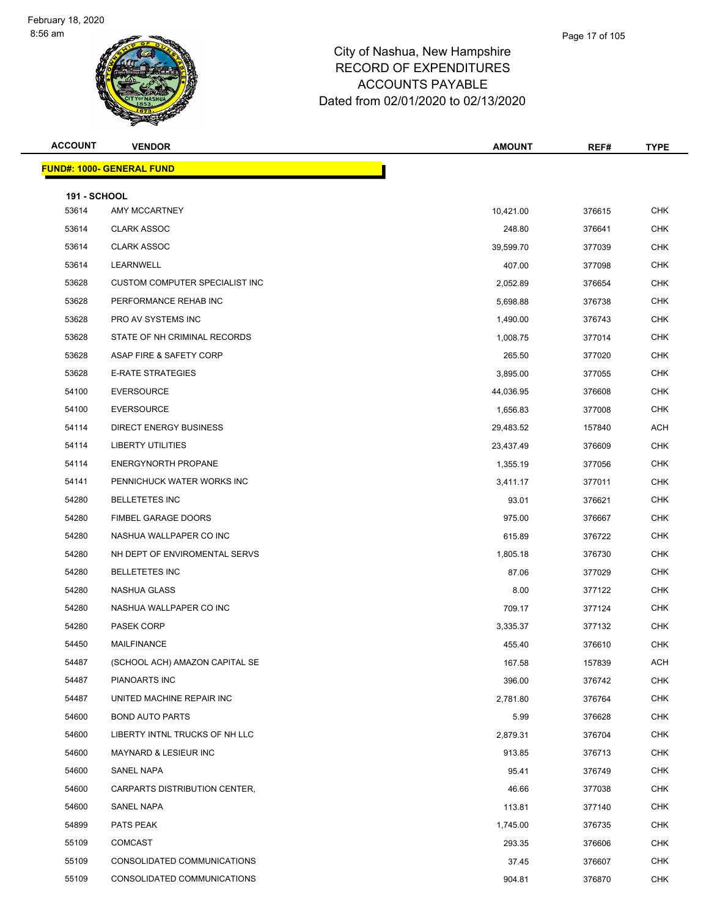| <b>ACCOUNT</b>      | <b>VENDOR</b>                    | <b>AMOUNT</b> | REF#   | <b>TYPE</b> |
|---------------------|----------------------------------|---------------|--------|-------------|
|                     | <b>FUND#: 1000- GENERAL FUND</b> |               |        |             |
| <b>191 - SCHOOL</b> |                                  |               |        |             |
| 53614               | AMY MCCARTNEY                    | 10,421.00     | 376615 | <b>CHK</b>  |
| 53614               | <b>CLARK ASSOC</b>               | 248.80        | 376641 | CHK         |
| 53614               | <b>CLARK ASSOC</b>               | 39,599.70     | 377039 | <b>CHK</b>  |
| 53614               | LEARNWELL                        | 407.00        | 377098 | <b>CHK</b>  |
| 53628               | CUSTOM COMPUTER SPECIALIST INC   | 2,052.89      | 376654 | <b>CHK</b>  |
| 53628               | PERFORMANCE REHAB INC            | 5,698.88      | 376738 | <b>CHK</b>  |
| 53628               | PRO AV SYSTEMS INC               | 1,490.00      | 376743 | <b>CHK</b>  |
| 53628               | STATE OF NH CRIMINAL RECORDS     | 1,008.75      | 377014 | <b>CHK</b>  |
| 53628               | ASAP FIRE & SAFETY CORP          | 265.50        | 377020 | <b>CHK</b>  |
| 53628               | <b>E-RATE STRATEGIES</b>         | 3,895.00      | 377055 | CHK         |
| 54100               | <b>EVERSOURCE</b>                | 44,036.95     | 376608 | CHK         |
| 54100               | <b>EVERSOURCE</b>                | 1,656.83      | 377008 | CHK         |
| 54114               | <b>DIRECT ENERGY BUSINESS</b>    | 29,483.52     | 157840 | <b>ACH</b>  |
| 54114               | LIBERTY UTILITIES                | 23,437.49     | 376609 | <b>CHK</b>  |
| 54114               | <b>ENERGYNORTH PROPANE</b>       | 1,355.19      | 377056 | CHK         |
| 54141               | PENNICHUCK WATER WORKS INC       | 3,411.17      | 377011 | <b>CHK</b>  |
| 54280               | <b>BELLETETES INC</b>            | 93.01         | 376621 | <b>CHK</b>  |
| 54280               | FIMBEL GARAGE DOORS              | 975.00        | 376667 | <b>CHK</b>  |
| 54280               | NASHUA WALLPAPER CO INC          | 615.89        | 376722 | <b>CHK</b>  |
| 54280               | NH DEPT OF ENVIROMENTAL SERVS    | 1,805.18      | 376730 | <b>CHK</b>  |
| 54280               | <b>BELLETETES INC</b>            | 87.06         | 377029 | <b>CHK</b>  |
| 54280               | <b>NASHUA GLASS</b>              | 8.00          | 377122 | CHK         |
| 54280               | NASHUA WALLPAPER CO INC          | 709.17        | 377124 | CHK         |
| 54280               | <b>PASEK CORP</b>                | 3,335.37      | 377132 | CHK         |
| 54450               | <b>MAILFINANCE</b>               | 455.40        | 376610 | <b>CHK</b>  |
| 54487               | (SCHOOL ACH) AMAZON CAPITAL SE   | 167.58        | 157839 | <b>ACH</b>  |
| 54487               | <b>PIANOARTS INC</b>             | 396.00        | 376742 | <b>CHK</b>  |
| 54487               | UNITED MACHINE REPAIR INC        | 2,781.80      | 376764 | CHK         |
| 54600               | <b>BOND AUTO PARTS</b>           | 5.99          | 376628 | <b>CHK</b>  |
| 54600               | LIBERTY INTNL TRUCKS OF NH LLC   | 2,879.31      | 376704 | <b>CHK</b>  |
| 54600               | <b>MAYNARD &amp; LESIEUR INC</b> | 913.85        | 376713 | CHK         |
| 54600               | <b>SANEL NAPA</b>                | 95.41         | 376749 | CHK         |
| 54600               | CARPARTS DISTRIBUTION CENTER,    | 46.66         | 377038 | CHK         |
| 54600               | SANEL NAPA                       | 113.81        | 377140 | <b>CHK</b>  |
| 54899               | PATS PEAK                        | 1,745.00      | 376735 | <b>CHK</b>  |
| 55109               | COMCAST                          | 293.35        | 376606 | CHK         |
| 55109               | CONSOLIDATED COMMUNICATIONS      | 37.45         | 376607 | CHK         |
| 55109               | CONSOLIDATED COMMUNICATIONS      | 904.81        | 376870 | CHK         |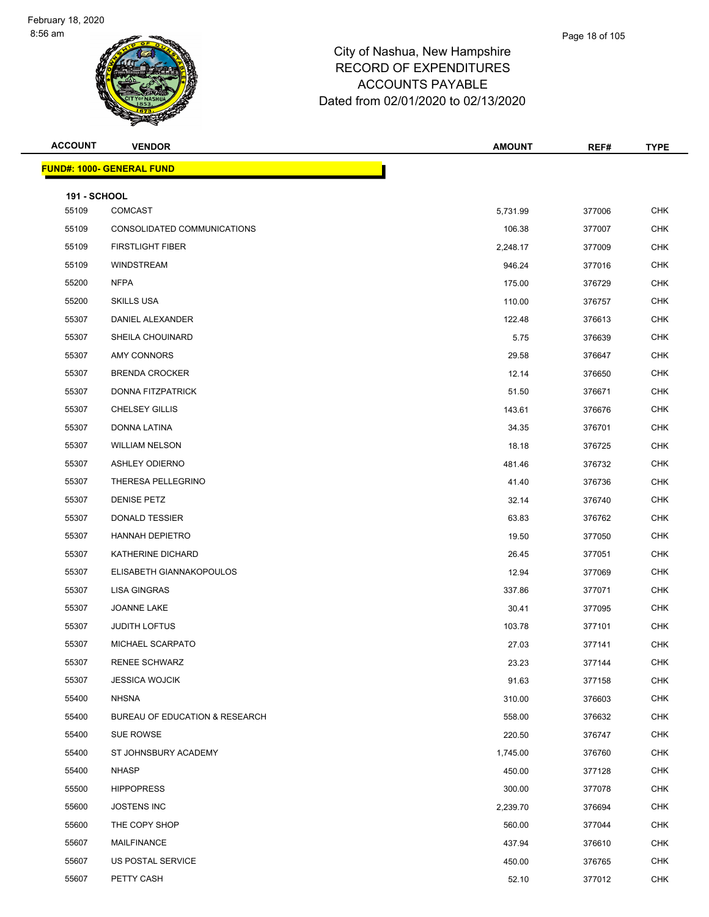| <b>ACCOUNT</b>               | <b>VENDOR</b>                     | AMOUNT   | REF#   | <b>TYPE</b> |
|------------------------------|-----------------------------------|----------|--------|-------------|
|                              | <u> FUND#: 1000- GENERAL FUND</u> |          |        |             |
|                              |                                   |          |        |             |
| <b>191 - SCHOOL</b><br>55109 | <b>COMCAST</b>                    | 5,731.99 | 377006 | <b>CHK</b>  |
| 55109                        | CONSOLIDATED COMMUNICATIONS       | 106.38   | 377007 | <b>CHK</b>  |
| 55109                        | <b>FIRSTLIGHT FIBER</b>           | 2,248.17 | 377009 | <b>CHK</b>  |
| 55109                        | WINDSTREAM                        | 946.24   | 377016 | <b>CHK</b>  |
| 55200                        | <b>NFPA</b>                       | 175.00   | 376729 | <b>CHK</b>  |
| 55200                        | <b>SKILLS USA</b>                 | 110.00   | 376757 | CHK         |
| 55307                        | DANIEL ALEXANDER                  | 122.48   | 376613 | <b>CHK</b>  |
| 55307                        | SHEILA CHOUINARD                  | 5.75     | 376639 | <b>CHK</b>  |
| 55307                        | AMY CONNORS                       | 29.58    | 376647 | <b>CHK</b>  |
| 55307                        | <b>BRENDA CROCKER</b>             | 12.14    | 376650 | <b>CHK</b>  |
| 55307                        | DONNA FITZPATRICK                 | 51.50    | 376671 | <b>CHK</b>  |
| 55307                        | <b>CHELSEY GILLIS</b>             | 143.61   | 376676 | <b>CHK</b>  |
| 55307                        | DONNA LATINA                      | 34.35    | 376701 | <b>CHK</b>  |
| 55307                        | <b>WILLIAM NELSON</b>             | 18.18    | 376725 | <b>CHK</b>  |
| 55307                        | <b>ASHLEY ODIERNO</b>             | 481.46   | 376732 | <b>CHK</b>  |
| 55307                        | THERESA PELLEGRINO                | 41.40    | 376736 | CHK         |
| 55307                        | <b>DENISE PETZ</b>                | 32.14    | 376740 | <b>CHK</b>  |
| 55307                        | <b>DONALD TESSIER</b>             | 63.83    | 376762 | <b>CHK</b>  |
| 55307                        | <b>HANNAH DEPIETRO</b>            | 19.50    | 377050 | <b>CHK</b>  |
| 55307                        | KATHERINE DICHARD                 | 26.45    | 377051 | <b>CHK</b>  |
| 55307                        | ELISABETH GIANNAKOPOULOS          | 12.94    | 377069 | <b>CHK</b>  |
| 55307                        | <b>LISA GINGRAS</b>               | 337.86   | 377071 | <b>CHK</b>  |
| 55307                        | JOANNE LAKE                       | 30.41    | 377095 | CHK         |
| 55307                        | <b>JUDITH LOFTUS</b>              | 103.78   | 377101 | <b>CHK</b>  |
| 55307                        | MICHAEL SCARPATO                  | 27.03    | 377141 | <b>CHK</b>  |
| 55307                        | <b>RENEE SCHWARZ</b>              | 23.23    | 377144 | <b>CHK</b>  |
| 55307                        | <b>JESSICA WOJCIK</b>             | 91.63    | 377158 | <b>CHK</b>  |
| 55400                        | <b>NHSNA</b>                      | 310.00   | 376603 | <b>CHK</b>  |
| 55400                        | BUREAU OF EDUCATION & RESEARCH    | 558.00   | 376632 | <b>CHK</b>  |
| 55400                        | <b>SUE ROWSE</b>                  | 220.50   | 376747 | <b>CHK</b>  |
| 55400                        | ST JOHNSBURY ACADEMY              | 1,745.00 | 376760 | <b>CHK</b>  |
| 55400                        | <b>NHASP</b>                      | 450.00   | 377128 | <b>CHK</b>  |
| 55500                        | <b>HIPPOPRESS</b>                 | 300.00   | 377078 | <b>CHK</b>  |
| 55600                        | <b>JOSTENS INC</b>                | 2,239.70 | 376694 | <b>CHK</b>  |
| 55600                        | THE COPY SHOP                     | 560.00   | 377044 | <b>CHK</b>  |
| 55607                        | <b>MAILFINANCE</b>                | 437.94   | 376610 | <b>CHK</b>  |
| 55607                        | US POSTAL SERVICE                 | 450.00   | 376765 | <b>CHK</b>  |
| 55607                        | PETTY CASH                        | 52.10    | 377012 | <b>CHK</b>  |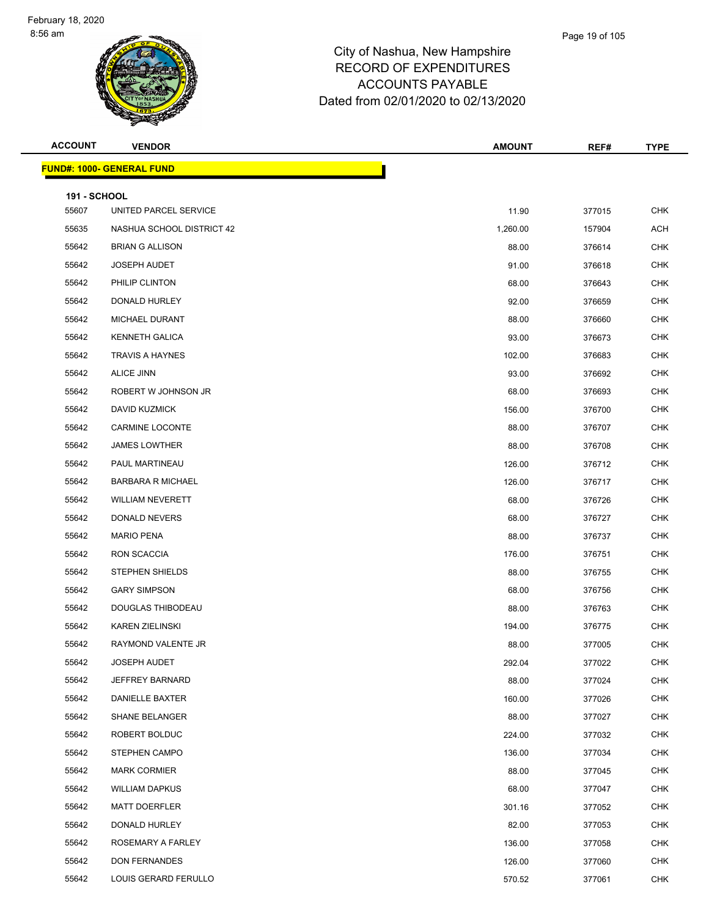#### Page 19 of 105

| <b>ACCOUNT</b>      | <b>VENDOR</b>                    | <b>AMOUNT</b> | REF#   | <b>TYPE</b> |
|---------------------|----------------------------------|---------------|--------|-------------|
|                     | <b>FUND#: 1000- GENERAL FUND</b> |               |        |             |
| <b>191 - SCHOOL</b> |                                  |               |        |             |
| 55607               | UNITED PARCEL SERVICE            | 11.90         | 377015 | <b>CHK</b>  |
| 55635               | NASHUA SCHOOL DISTRICT 42        | 1,260.00      | 157904 | <b>ACH</b>  |
| 55642               | <b>BRIAN G ALLISON</b>           | 88.00         | 376614 | <b>CHK</b>  |
| 55642               | <b>JOSEPH AUDET</b>              | 91.00         | 376618 | <b>CHK</b>  |
| 55642               | PHILIP CLINTON                   | 68.00         | 376643 | <b>CHK</b>  |
| 55642               | DONALD HURLEY                    | 92.00         | 376659 | <b>CHK</b>  |
| 55642               | MICHAEL DURANT                   | 88.00         | 376660 | <b>CHK</b>  |
| 55642               | <b>KENNETH GALICA</b>            | 93.00         | 376673 | <b>CHK</b>  |
| 55642               | <b>TRAVIS A HAYNES</b>           | 102.00        | 376683 | <b>CHK</b>  |
| 55642               | ALICE JINN                       | 93.00         | 376692 | <b>CHK</b>  |
| 55642               | ROBERT W JOHNSON JR              | 68.00         | 376693 | <b>CHK</b>  |
| 55642               | <b>DAVID KUZMICK</b>             | 156.00        | 376700 | <b>CHK</b>  |
| 55642               | <b>CARMINE LOCONTE</b>           | 88.00         | 376707 | <b>CHK</b>  |
| 55642               | <b>JAMES LOWTHER</b>             | 88.00         | 376708 | <b>CHK</b>  |
| 55642               | PAUL MARTINEAU                   | 126.00        | 376712 | <b>CHK</b>  |
| 55642               | <b>BARBARA R MICHAEL</b>         | 126.00        | 376717 | <b>CHK</b>  |
| 55642               | <b>WILLIAM NEVERETT</b>          | 68.00         | 376726 | <b>CHK</b>  |
| 55642               | DONALD NEVERS                    | 68.00         | 376727 | <b>CHK</b>  |
| 55642               | <b>MARIO PENA</b>                | 88.00         | 376737 | <b>CHK</b>  |
| 55642               | RON SCACCIA                      | 176.00        | 376751 | <b>CHK</b>  |
| 55642               | STEPHEN SHIELDS                  | 88.00         | 376755 | <b>CHK</b>  |
| 55642               | <b>GARY SIMPSON</b>              | 68.00         | 376756 | <b>CHK</b>  |
| 55642               | DOUGLAS THIBODEAU                | 88.00         | 376763 | <b>CHK</b>  |
| 55642               | <b>KAREN ZIELINSKI</b>           | 194.00        | 376775 | <b>CHK</b>  |
| 55642               | RAYMOND VALENTE JR               | 88.00         | 377005 | <b>CHK</b>  |
| 55642               | <b>JOSEPH AUDET</b>              | 292.04        | 377022 | CHK         |
| 55642               | <b>JEFFREY BARNARD</b>           | 88.00         | 377024 | <b>CHK</b>  |
| 55642               | <b>DANIELLE BAXTER</b>           | 160.00        | 377026 | <b>CHK</b>  |
| 55642               | <b>SHANE BELANGER</b>            | 88.00         | 377027 | <b>CHK</b>  |
| 55642               | ROBERT BOLDUC                    | 224.00        | 377032 | <b>CHK</b>  |
| 55642               | <b>STEPHEN CAMPO</b>             | 136.00        | 377034 | <b>CHK</b>  |
| 55642               | <b>MARK CORMIER</b>              | 88.00         | 377045 | <b>CHK</b>  |
| 55642               | <b>WILLIAM DAPKUS</b>            | 68.00         | 377047 | <b>CHK</b>  |
| 55642               | <b>MATT DOERFLER</b>             | 301.16        | 377052 | <b>CHK</b>  |
| 55642               | DONALD HURLEY                    | 82.00         | 377053 | <b>CHK</b>  |
| 55642               | ROSEMARY A FARLEY                | 136.00        | 377058 | <b>CHK</b>  |
| 55642               | DON FERNANDES                    | 126.00        | 377060 | <b>CHK</b>  |
| 55642               | LOUIS GERARD FERULLO             | 570.52        | 377061 | CHK         |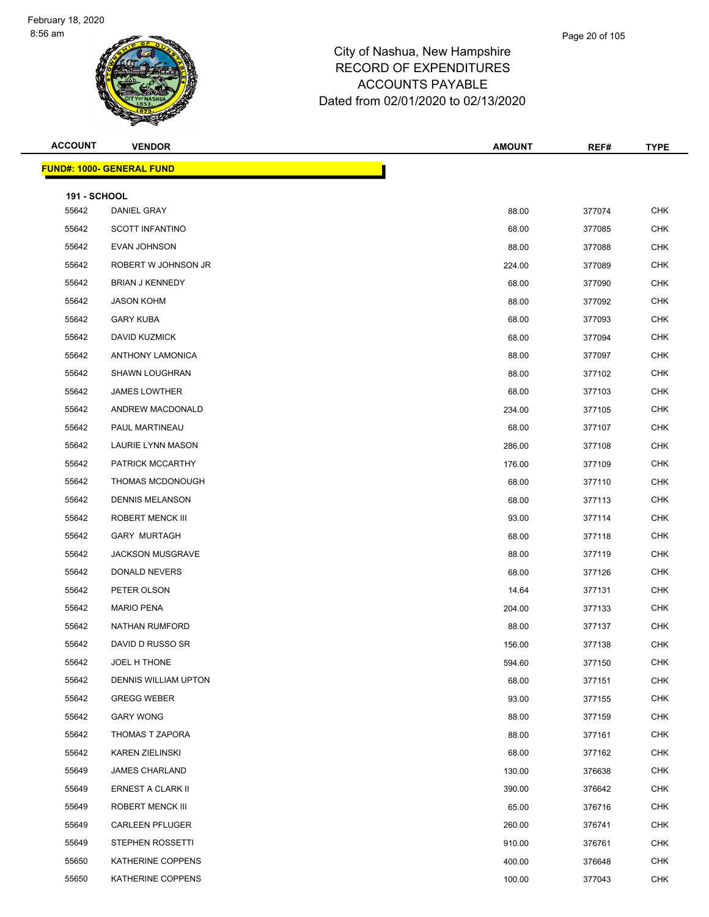#### Page 20 of 105

| <b>ACCOUNT</b>      | <b>VENDOR</b>                    | <b>AMOUNT</b> | REF#   | <b>TYPE</b> |
|---------------------|----------------------------------|---------------|--------|-------------|
|                     | <b>FUND#: 1000- GENERAL FUND</b> |               |        |             |
| <b>191 - SCHOOL</b> |                                  |               |        |             |
| 55642               | DANIEL GRAY                      | 88.00         | 377074 | <b>CHK</b>  |
| 55642               | <b>SCOTT INFANTINO</b>           | 68.00         | 377085 | <b>CHK</b>  |
| 55642               | <b>EVAN JOHNSON</b>              | 88.00         | 377088 | <b>CHK</b>  |
| 55642               | ROBERT W JOHNSON JR              | 224.00        | 377089 | <b>CHK</b>  |
| 55642               | <b>BRIAN J KENNEDY</b>           | 68.00         | 377090 | <b>CHK</b>  |
| 55642               | <b>JASON KOHM</b>                | 88.00         | 377092 | <b>CHK</b>  |
| 55642               | <b>GARY KUBA</b>                 | 68.00         | 377093 | <b>CHK</b>  |
| 55642               | DAVID KUZMICK                    | 68.00         | 377094 | <b>CHK</b>  |
| 55642               | <b>ANTHONY LAMONICA</b>          | 88.00         | 377097 | <b>CHK</b>  |
| 55642               | <b>SHAWN LOUGHRAN</b>            | 88.00         | 377102 | <b>CHK</b>  |
| 55642               | <b>JAMES LOWTHER</b>             | 68.00         | 377103 | <b>CHK</b>  |
| 55642               | ANDREW MACDONALD                 | 234.00        | 377105 | <b>CHK</b>  |
| 55642               | PAUL MARTINEAU                   | 68.00         | 377107 | <b>CHK</b>  |
| 55642               | LAURIE LYNN MASON                | 286.00        | 377108 | <b>CHK</b>  |
| 55642               | PATRICK MCCARTHY                 | 176.00        | 377109 | <b>CHK</b>  |
| 55642               | THOMAS MCDONOUGH                 | 68.00         | 377110 | <b>CHK</b>  |
| 55642               | <b>DENNIS MELANSON</b>           | 68.00         | 377113 | <b>CHK</b>  |
| 55642               | ROBERT MENCK III                 | 93.00         | 377114 | <b>CHK</b>  |
| 55642               | <b>GARY MURTAGH</b>              | 68.00         | 377118 | <b>CHK</b>  |
| 55642               | <b>JACKSON MUSGRAVE</b>          | 88.00         | 377119 | <b>CHK</b>  |
| 55642               | DONALD NEVERS                    | 68.00         | 377126 | <b>CHK</b>  |
| 55642               | PETER OLSON                      | 14.64         | 377131 | <b>CHK</b>  |
| 55642               | <b>MARIO PENA</b>                | 204.00        | 377133 | CHK         |
| 55642               | <b>NATHAN RUMFORD</b>            | 88.00         | 377137 | <b>CHK</b>  |
| 55642               | DAVID D RUSSO SR                 | 156.00        | 377138 | <b>CHK</b>  |
| 55642               | JOEL H THONE                     | 594.60        | 377150 | <b>CHK</b>  |
| 55642               | <b>DENNIS WILLIAM UPTON</b>      | 68.00         | 377151 | <b>CHK</b>  |
| 55642               | <b>GREGG WEBER</b>               | 93.00         | 377155 | <b>CHK</b>  |
| 55642               | <b>GARY WONG</b>                 | 88.00         | 377159 | <b>CHK</b>  |
| 55642               | THOMAS T ZAPORA                  | 88.00         | 377161 | <b>CHK</b>  |
| 55642               | <b>KAREN ZIELINSKI</b>           | 68.00         | 377162 | <b>CHK</b>  |
| 55649               | <b>JAMES CHARLAND</b>            | 130.00        | 376638 | <b>CHK</b>  |
| 55649               | ERNEST A CLARK II                | 390.00        | 376642 | <b>CHK</b>  |
| 55649               | ROBERT MENCK III                 | 65.00         | 376716 | <b>CHK</b>  |
| 55649               | <b>CARLEEN PFLUGER</b>           | 260.00        | 376741 | <b>CHK</b>  |
| 55649               | <b>STEPHEN ROSSETTI</b>          | 910.00        | 376761 | <b>CHK</b>  |
| 55650               | KATHERINE COPPENS                | 400.00        | 376648 | <b>CHK</b>  |
| 55650               | KATHERINE COPPENS                | 100.00        | 377043 | <b>CHK</b>  |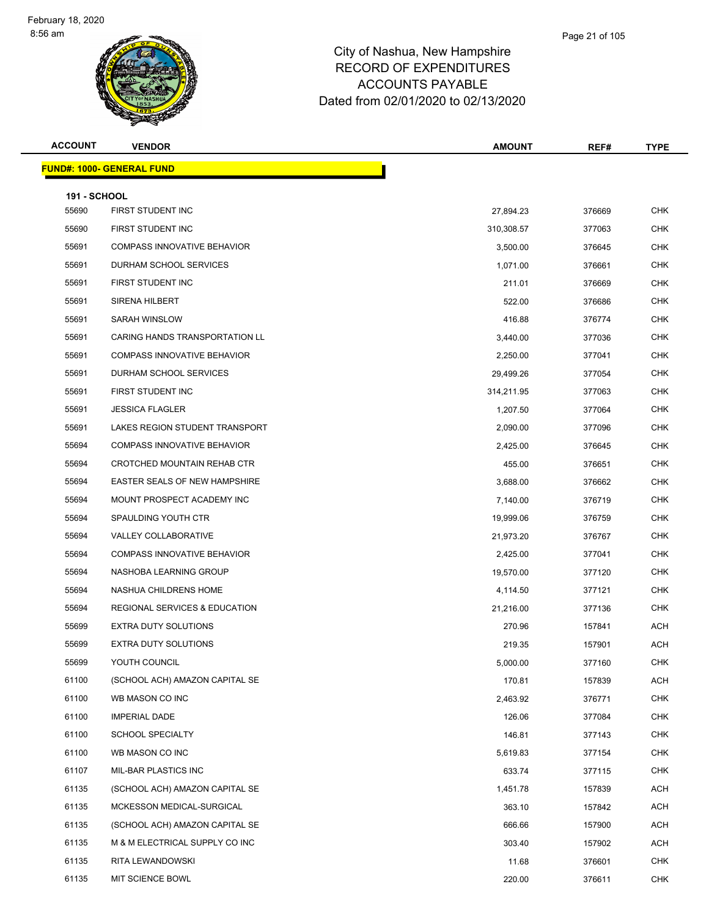Page 21 of 105

| <b>ACCOUNT</b>               | <b>VENDOR</b>                            | <b>AMOUNT</b> | REF#   | <b>TYPE</b> |
|------------------------------|------------------------------------------|---------------|--------|-------------|
|                              | <u> FUND#: 1000- GENERAL FUND</u>        |               |        |             |
|                              |                                          |               |        |             |
| <b>191 - SCHOOL</b><br>55690 | FIRST STUDENT INC                        | 27,894.23     | 376669 | <b>CHK</b>  |
| 55690                        | FIRST STUDENT INC                        | 310,308.57    | 377063 | CHK         |
| 55691                        | <b>COMPASS INNOVATIVE BEHAVIOR</b>       | 3,500.00      | 376645 | <b>CHK</b>  |
| 55691                        | DURHAM SCHOOL SERVICES                   | 1,071.00      | 376661 | CHK         |
| 55691                        | FIRST STUDENT INC                        | 211.01        | 376669 | <b>CHK</b>  |
| 55691                        | <b>SIRENA HILBERT</b>                    | 522.00        | 376686 | <b>CHK</b>  |
| 55691                        | SARAH WINSLOW                            | 416.88        | 376774 | CHK         |
| 55691                        | CARING HANDS TRANSPORTATION LL           | 3,440.00      | 377036 | <b>CHK</b>  |
| 55691                        | <b>COMPASS INNOVATIVE BEHAVIOR</b>       | 2,250.00      | 377041 | <b>CHK</b>  |
| 55691                        | DURHAM SCHOOL SERVICES                   | 29,499.26     | 377054 | <b>CHK</b>  |
| 55691                        | FIRST STUDENT INC                        | 314,211.95    | 377063 | CHK         |
| 55691                        | <b>JESSICA FLAGLER</b>                   | 1,207.50      | 377064 | CHK         |
| 55691                        | LAKES REGION STUDENT TRANSPORT           | 2,090.00      | 377096 | <b>CHK</b>  |
| 55694                        | <b>COMPASS INNOVATIVE BEHAVIOR</b>       | 2,425.00      | 376645 | CHK         |
| 55694                        | CROTCHED MOUNTAIN REHAB CTR              | 455.00        | 376651 | <b>CHK</b>  |
| 55694                        | EASTER SEALS OF NEW HAMPSHIRE            | 3,688.00      | 376662 | <b>CHK</b>  |
| 55694                        | MOUNT PROSPECT ACADEMY INC               | 7,140.00      | 376719 | CHK         |
| 55694                        | <b>SPAULDING YOUTH CTR</b>               | 19,999.06     | 376759 | <b>CHK</b>  |
| 55694                        | VALLEY COLLABORATIVE                     | 21,973.20     | 376767 | CHK         |
| 55694                        | <b>COMPASS INNOVATIVE BEHAVIOR</b>       | 2,425.00      | 377041 | CHK         |
| 55694                        | NASHOBA LEARNING GROUP                   | 19,570.00     | 377120 | <b>CHK</b>  |
| 55694                        | NASHUA CHILDRENS HOME                    | 4,114.50      | 377121 | CHK         |
| 55694                        | <b>REGIONAL SERVICES &amp; EDUCATION</b> | 21,216.00     | 377136 | <b>CHK</b>  |
| 55699                        | EXTRA DUTY SOLUTIONS                     | 270.96        | 157841 | ACH         |
| 55699                        | <b>EXTRA DUTY SOLUTIONS</b>              | 219.35        | 157901 | ACH         |
| 55699                        | YOUTH COUNCIL                            | 5,000.00      | 377160 | <b>CHK</b>  |
| 61100                        | (SCHOOL ACH) AMAZON CAPITAL SE           | 170.81        | 157839 | ACH         |
| 61100                        | WB MASON CO INC                          | 2,463.92      | 376771 | <b>CHK</b>  |
| 61100                        | <b>IMPERIAL DADE</b>                     | 126.06        | 377084 | <b>CHK</b>  |
| 61100                        | <b>SCHOOL SPECIALTY</b>                  | 146.81        | 377143 | <b>CHK</b>  |
| 61100                        | WB MASON CO INC                          | 5,619.83      | 377154 | <b>CHK</b>  |
| 61107                        | MIL-BAR PLASTICS INC                     | 633.74        | 377115 | CHK         |
| 61135                        | (SCHOOL ACH) AMAZON CAPITAL SE           | 1,451.78      | 157839 | <b>ACH</b>  |
| 61135                        | MCKESSON MEDICAL-SURGICAL                | 363.10        | 157842 | <b>ACH</b>  |
| 61135                        | (SCHOOL ACH) AMAZON CAPITAL SE           | 666.66        | 157900 | <b>ACH</b>  |
| 61135                        | M & M ELECTRICAL SUPPLY CO INC           | 303.40        | 157902 | <b>ACH</b>  |
| 61135                        | RITA LEWANDOWSKI                         | 11.68         | 376601 | <b>CHK</b>  |
| 61135                        | MIT SCIENCE BOWL                         | 220.00        | 376611 | <b>CHK</b>  |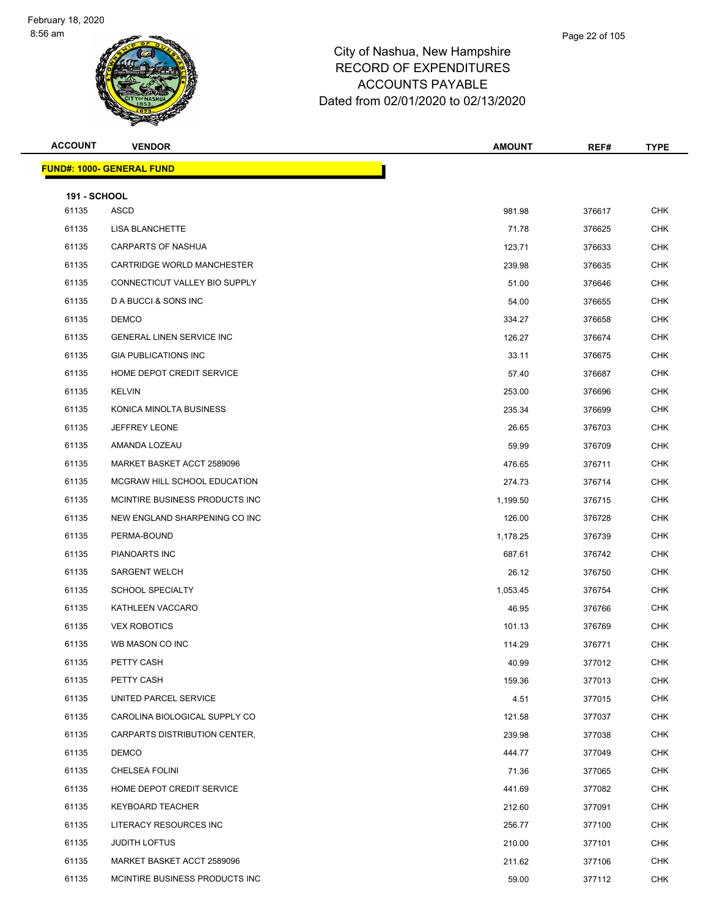| <b>ACCOUNT</b>      | <b>VENDOR</b>                    | <b>AMOUNT</b> | REF#   | <b>TYPE</b> |
|---------------------|----------------------------------|---------------|--------|-------------|
|                     | <b>FUND#: 1000- GENERAL FUND</b> |               |        |             |
| <b>191 - SCHOOL</b> |                                  |               |        |             |
| 61135               | ASCD                             | 981.98        | 376617 | <b>CHK</b>  |
| 61135               | LISA BLANCHETTE                  | 71.78         | 376625 | <b>CHK</b>  |
| 61135               | <b>CARPARTS OF NASHUA</b>        | 123.71        | 376633 | <b>CHK</b>  |
| 61135               | CARTRIDGE WORLD MANCHESTER       | 239.98        | 376635 | <b>CHK</b>  |
| 61135               | CONNECTICUT VALLEY BIO SUPPLY    | 51.00         | 376646 | <b>CHK</b>  |
| 61135               | D A BUCCI & SONS INC             | 54.00         | 376655 | <b>CHK</b>  |
| 61135               | <b>DEMCO</b>                     | 334.27        | 376658 | CHK         |
| 61135               | <b>GENERAL LINEN SERVICE INC</b> | 126.27        | 376674 | <b>CHK</b>  |
| 61135               | <b>GIA PUBLICATIONS INC</b>      | 33.11         | 376675 | <b>CHK</b>  |
| 61135               | HOME DEPOT CREDIT SERVICE        | 57.40         | 376687 | CHK         |
| 61135               | KELVIN                           | 253.00        | 376696 | <b>CHK</b>  |
| 61135               | KONICA MINOLTA BUSINESS          | 235.34        | 376699 | CHK         |
| 61135               | <b>JEFFREY LEONE</b>             | 26.65         | 376703 | <b>CHK</b>  |
| 61135               | AMANDA LOZEAU                    | 59.99         | 376709 | <b>CHK</b>  |
| 61135               | MARKET BASKET ACCT 2589096       | 476.65        | 376711 | CHK         |
| 61135               | MCGRAW HILL SCHOOL EDUCATION     | 274.73        | 376714 | <b>CHK</b>  |
| 61135               | MCINTIRE BUSINESS PRODUCTS INC   | 1,199.50      | 376715 | <b>CHK</b>  |
| 61135               | NEW ENGLAND SHARPENING CO INC    | 126.00        | 376728 | <b>CHK</b>  |
| 61135               | PERMA-BOUND                      | 1,178.25      | 376739 | <b>CHK</b>  |
| 61135               | PIANOARTS INC                    | 687.61        | 376742 | CHK         |
| 61135               | <b>SARGENT WELCH</b>             | 26.12         | 376750 | <b>CHK</b>  |
| 61135               | <b>SCHOOL SPECIALTY</b>          | 1,053.45      | 376754 | CHK         |
| 61135               | KATHLEEN VACCARO                 | 46.95         | 376766 | CHK         |
| 61135               | <b>VEX ROBOTICS</b>              | 101.13        | 376769 | <b>CHK</b>  |
| 61135               | WB MASON CO INC                  | 114.29        | 376771 | <b>CHK</b>  |
| 61135               | PETTY CASH                       | 40.99         | 377012 | <b>CHK</b>  |
| 61135               | PETTY CASH                       | 159.36        | 377013 | <b>CHK</b>  |
| 61135               | UNITED PARCEL SERVICE            | 4.51          | 377015 | <b>CHK</b>  |
| 61135               | CAROLINA BIOLOGICAL SUPPLY CO    | 121.58        | 377037 | <b>CHK</b>  |
| 61135               | CARPARTS DISTRIBUTION CENTER,    | 239.98        | 377038 | <b>CHK</b>  |
| 61135               | <b>DEMCO</b>                     | 444.77        | 377049 | <b>CHK</b>  |
| 61135               | CHELSEA FOLINI                   | 71.36         | 377065 | CHK         |
| 61135               | HOME DEPOT CREDIT SERVICE        | 441.69        | 377082 | <b>CHK</b>  |
| 61135               | <b>KEYBOARD TEACHER</b>          | 212.60        | 377091 | <b>CHK</b>  |
| 61135               | LITERACY RESOURCES INC           | 256.77        | 377100 | CHK         |
| 61135               | <b>JUDITH LOFTUS</b>             | 210.00        | 377101 | <b>CHK</b>  |
| 61135               | MARKET BASKET ACCT 2589096       | 211.62        | 377106 | CHK         |
| 61135               | MCINTIRE BUSINESS PRODUCTS INC   | 59.00         | 377112 | <b>CHK</b>  |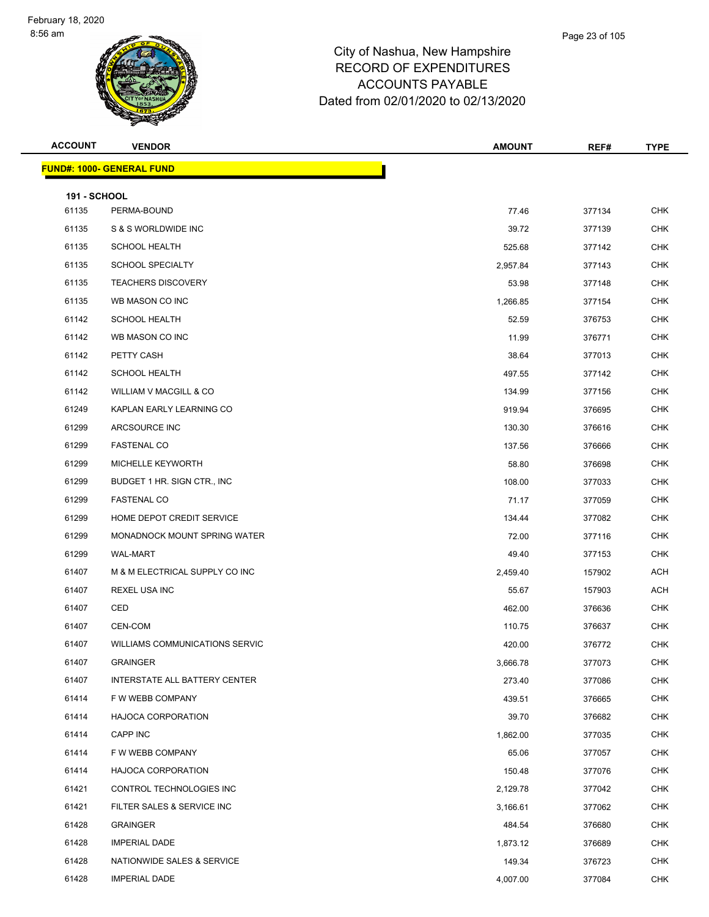#### City of Nashua, New Hampshire RECORD OF EXPENDITU ACCOUNTS PAYABLE Date

|                | <u> IND#: 1000- GENERAL FUND</u> |                                     |      |             |
|----------------|----------------------------------|-------------------------------------|------|-------------|
|                |                                  |                                     |      |             |
| <b>ACCOUNT</b> | <b>VENDOR</b>                    | <b>AMOUNT</b>                       | REF# | <b>TYPE</b> |
|                |                                  |                                     |      |             |
|                |                                  | Dated from 02/01/2020 to 02/13/2020 |      |             |
|                |                                  | <b>ACCOUNTS PAYABLE</b>             |      |             |
|                |                                  | RECORD OF EXPENDITURES              |      |             |

|                     | <b>FUND#: 1000- GENERAL FUND</b>     |          |        |            |
|---------------------|--------------------------------------|----------|--------|------------|
| <b>191 - SCHOOL</b> |                                      |          |        |            |
| 61135               | PERMA-BOUND                          | 77.46    | 377134 | <b>CHK</b> |
| 61135               | S & S WORLDWIDE INC                  | 39.72    | 377139 | <b>CHK</b> |
| 61135               | <b>SCHOOL HEALTH</b>                 | 525.68   | 377142 | CHK        |
| 61135               | <b>SCHOOL SPECIALTY</b>              | 2,957.84 | 377143 | <b>CHK</b> |
| 61135               | <b>TEACHERS DISCOVERY</b>            | 53.98    | 377148 | <b>CHK</b> |
| 61135               | WB MASON CO INC                      | 1,266.85 | 377154 | <b>CHK</b> |
| 61142               | <b>SCHOOL HEALTH</b>                 | 52.59    | 376753 | <b>CHK</b> |
| 61142               | WB MASON CO INC                      | 11.99    | 376771 | <b>CHK</b> |
| 61142               | PETTY CASH                           | 38.64    | 377013 | <b>CHK</b> |
| 61142               | <b>SCHOOL HEALTH</b>                 | 497.55   | 377142 | CHK        |
| 61142               | WILLIAM V MACGILL & CO               | 134.99   | 377156 | <b>CHK</b> |
| 61249               | KAPLAN EARLY LEARNING CO             | 919.94   | 376695 | <b>CHK</b> |
| 61299               | ARCSOURCE INC                        | 130.30   | 376616 | CHK        |
| 61299               | <b>FASTENAL CO</b>                   | 137.56   | 376666 | <b>CHK</b> |
| 61299               | MICHELLE KEYWORTH                    | 58.80    | 376698 | <b>CHK</b> |
| 61299               | BUDGET 1 HR. SIGN CTR., INC.         | 108.00   | 377033 | <b>CHK</b> |
| 61299               | <b>FASTENAL CO</b>                   | 71.17    | 377059 | <b>CHK</b> |
| 61299               | HOME DEPOT CREDIT SERVICE            | 134.44   | 377082 | <b>CHK</b> |
| 61299               | MONADNOCK MOUNT SPRING WATER         | 72.00    | 377116 | <b>CHK</b> |
| 61299               | WAL-MART                             | 49.40    | 377153 | CHK        |
| 61407               | M & M ELECTRICAL SUPPLY CO INC       | 2,459.40 | 157902 | ACH        |
| 61407               | <b>REXEL USA INC</b>                 | 55.67    | 157903 | ACH        |
| 61407               | CED                                  | 462.00   | 376636 | CHK        |
| 61407               | CEN-COM                              | 110.75   | 376637 | <b>CHK</b> |
| 61407               | WILLIAMS COMMUNICATIONS SERVIC       | 420.00   | 376772 | <b>CHK</b> |
| 61407               | <b>GRAINGER</b>                      | 3,666.78 | 377073 | <b>CHK</b> |
| 61407               | <b>INTERSTATE ALL BATTERY CENTER</b> | 273.40   | 377086 | <b>CHK</b> |
| 61414               | F W WEBB COMPANY                     | 439.51   | 376665 | <b>CHK</b> |
| 61414               | <b>HAJOCA CORPORATION</b>            | 39.70    | 376682 | <b>CHK</b> |
| 61414               | CAPP INC                             | 1,862.00 | 377035 | <b>CHK</b> |
| 61414               | F W WEBB COMPANY                     | 65.06    | 377057 | <b>CHK</b> |
| 61414               | <b>HAJOCA CORPORATION</b>            | 150.48   | 377076 | <b>CHK</b> |
| 61421               | CONTROL TECHNOLOGIES INC             | 2,129.78 | 377042 | <b>CHK</b> |
| 61421               | FILTER SALES & SERVICE INC           | 3,166.61 | 377062 | <b>CHK</b> |
| 61428               | <b>GRAINGER</b>                      | 484.54   | 376680 | <b>CHK</b> |
| 61428               | <b>IMPERIAL DADE</b>                 | 1,873.12 | 376689 | <b>CHK</b> |
| 61428               | NATIONWIDE SALES & SERVICE           | 149.34   | 376723 | <b>CHK</b> |
| 61428               | <b>IMPERIAL DADE</b>                 | 4,007.00 | 377084 | <b>CHK</b> |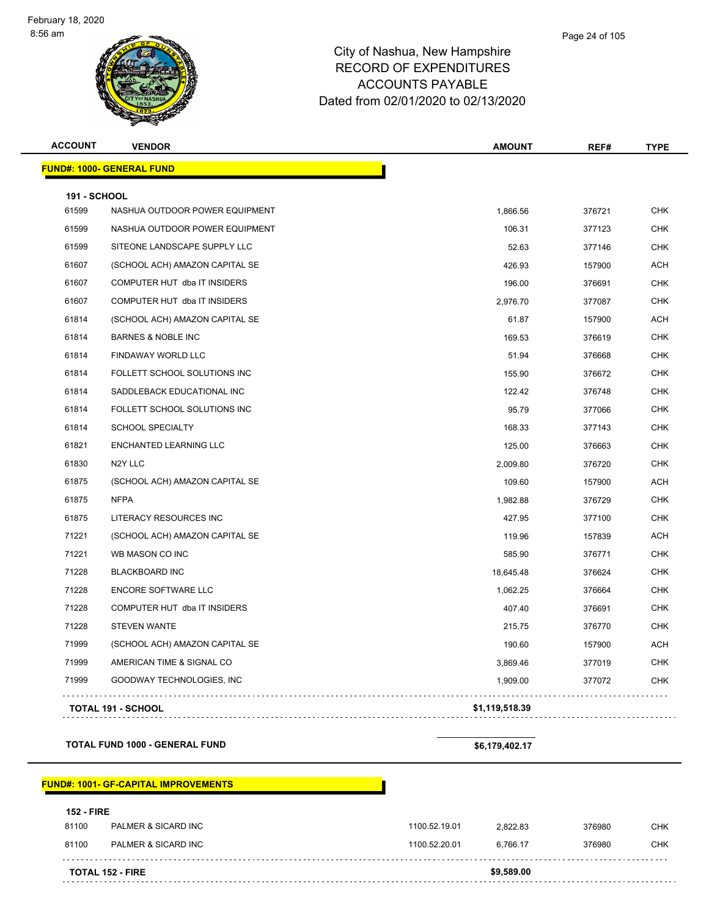| <b>ACCOUNT</b>      | <b>VENDOR</b>                    | <b>AMOUNT</b>  | REF#   | <b>TYPE</b> |
|---------------------|----------------------------------|----------------|--------|-------------|
|                     | <b>FUND#: 1000- GENERAL FUND</b> |                |        |             |
| <b>191 - SCHOOL</b> |                                  |                |        |             |
| 61599               | NASHUA OUTDOOR POWER EQUIPMENT   | 1,866.56       | 376721 | <b>CHK</b>  |
| 61599               | NASHUA OUTDOOR POWER EQUIPMENT   | 106.31         | 377123 | <b>CHK</b>  |
| 61599               | SITEONE LANDSCAPE SUPPLY LLC     | 52.63          | 377146 | <b>CHK</b>  |
| 61607               | (SCHOOL ACH) AMAZON CAPITAL SE   | 426.93         | 157900 | <b>ACH</b>  |
| 61607               | COMPUTER HUT dba IT INSIDERS     | 196.00         | 376691 | <b>CHK</b>  |
| 61607               | COMPUTER HUT dba IT INSIDERS     | 2,976.70       | 377087 | <b>CHK</b>  |
| 61814               | (SCHOOL ACH) AMAZON CAPITAL SE   | 61.87          | 157900 | <b>ACH</b>  |
| 61814               | <b>BARNES &amp; NOBLE INC</b>    | 169.53         | 376619 | <b>CHK</b>  |
| 61814               | FINDAWAY WORLD LLC               | 51.94          | 376668 | <b>CHK</b>  |
| 61814               | FOLLETT SCHOOL SOLUTIONS INC     | 155.90         | 376672 | <b>CHK</b>  |
| 61814               | SADDLEBACK EDUCATIONAL INC       | 122.42         | 376748 | <b>CHK</b>  |
| 61814               | FOLLETT SCHOOL SOLUTIONS INC     | 95.79          | 377066 | <b>CHK</b>  |
| 61814               | <b>SCHOOL SPECIALTY</b>          | 168.33         | 377143 | <b>CHK</b>  |
| 61821               | ENCHANTED LEARNING LLC           | 125.00         | 376663 | <b>CHK</b>  |
| 61830               | N <sub>2</sub> Y LLC             | 2,009.80       | 376720 | <b>CHK</b>  |
| 61875               | (SCHOOL ACH) AMAZON CAPITAL SE   | 109.60         | 157900 | <b>ACH</b>  |
| 61875               | <b>NFPA</b>                      | 1,982.88       | 376729 | <b>CHK</b>  |
| 61875               | LITERACY RESOURCES INC           | 427.95         | 377100 | <b>CHK</b>  |
| 71221               | (SCHOOL ACH) AMAZON CAPITAL SE   | 119.96         | 157839 | <b>ACH</b>  |
| 71221               | WB MASON CO INC                  | 585.90         | 376771 | <b>CHK</b>  |
| 71228               | <b>BLACKBOARD INC</b>            | 18,645.48      | 376624 | <b>CHK</b>  |
| 71228               | ENCORE SOFTWARE LLC              | 1,062.25       | 376664 | <b>CHK</b>  |
| 71228               | COMPUTER HUT dba IT INSIDERS     | 407.40         | 376691 | <b>CHK</b>  |
| 71228               | <b>STEVEN WANTE</b>              | 215.75         | 376770 | <b>CHK</b>  |
| 71999               | (SCHOOL ACH) AMAZON CAPITAL SE   | 190.60         | 157900 | <b>ACH</b>  |
| 71999               | AMERICAN TIME & SIGNAL CO        | 3,869.46       | 377019 | <b>CHK</b>  |
| 71999               | GOODWAY TECHNOLOGIES, INC        | 1,909.00       | 377072 | <b>CHK</b>  |
|                     | <b>TOTAL 191 - SCHOOL</b>        | \$1,119,518.39 |        |             |

**TOTAL FUND 1000 - GENERAL FUND \$6,179,402.17** 

**FUND#: 1001- GF-CAPITAL IMPROVEMENTS**

| <b>TOTAL 152 - FIRE</b> |                   |                     |               | \$9,589.00 |        |            |
|-------------------------|-------------------|---------------------|---------------|------------|--------|------------|
|                         | 81100             | PALMER & SICARD INC | 1100.52.20.01 | 6.766.17   | 376980 | <b>CHK</b> |
|                         | 81100             | PALMER & SICARD INC | 1100.52.19.01 | 2.822.83   | 376980 | <b>CHK</b> |
|                         | <b>152 - FIRE</b> |                     |               |            |        |            |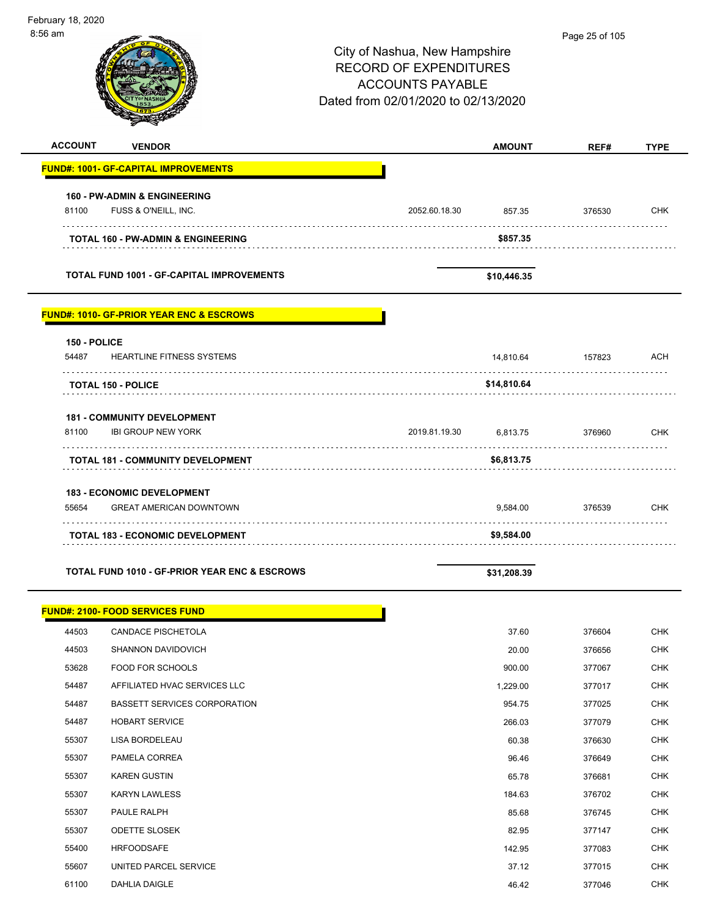| $8:56$ am             |                                                          |                                                                                           |               | Page 25 of 105 |             |
|-----------------------|----------------------------------------------------------|-------------------------------------------------------------------------------------------|---------------|----------------|-------------|
|                       |                                                          | City of Nashua, New Hampshire<br><b>RECORD OF EXPENDITURES</b><br><b>ACCOUNTS PAYABLE</b> |               |                |             |
|                       |                                                          | Dated from 02/01/2020 to 02/13/2020                                                       |               |                |             |
| <b>ACCOUNT</b>        | <b>VENDOR</b>                                            |                                                                                           | <b>AMOUNT</b> | REF#           | <b>TYPE</b> |
|                       | <b>FUND#: 1001- GF-CAPITAL IMPROVEMENTS</b>              |                                                                                           |               |                |             |
|                       | <b>160 - PW-ADMIN &amp; ENGINEERING</b>                  |                                                                                           |               |                |             |
| 81100                 | FUSS & O'NEILL, INC.                                     | 2052.60.18.30                                                                             | 857.35        | 376530         | <b>CHK</b>  |
|                       | TOTAL 160 - PW-ADMIN & ENGINEERING                       |                                                                                           | \$857.35      |                |             |
|                       | <b>TOTAL FUND 1001 - GF-CAPITAL IMPROVEMENTS</b>         |                                                                                           | \$10,446.35   |                |             |
|                       | <b>FUND#: 1010- GF-PRIOR YEAR ENC &amp; ESCROWS</b>      |                                                                                           |               |                |             |
| 150 - POLICE<br>54487 | <b>HEARTLINE FITNESS SYSTEMS</b>                         |                                                                                           | 14,810.64     | 157823         | <b>ACH</b>  |
|                       | <b>TOTAL 150 - POLICE</b>                                |                                                                                           | \$14,810.64   |                |             |
|                       | <b>181 - COMMUNITY DEVELOPMENT</b>                       |                                                                                           |               |                |             |
| 81100                 | <b>IBI GROUP NEW YORK</b>                                | 2019.81.19.30                                                                             | 6,813.75      | 376960         | <b>CHK</b>  |
|                       | <b>TOTAL 181 - COMMUNITY DEVELOPMENT</b>                 |                                                                                           | \$6,813.75    |                |             |
|                       | 183 - ECONOMIC DEVELOPMENT                               |                                                                                           |               |                |             |
| 55654                 | <b>GREAT AMERICAN DOWNTOWN</b>                           |                                                                                           | 9,584.00      | 376539         | <b>CHK</b>  |
|                       | <b>TOTAL 183 - ECONOMIC DEVELOPMENT</b>                  |                                                                                           | \$9,584.00    |                |             |
|                       | <b>TOTAL FUND 1010 - GF-PRIOR YEAR ENC &amp; ESCROWS</b> |                                                                                           | \$31,208.39   |                |             |
|                       | <u> FUND#: 2100- FOOD SERVICES FUND</u>                  |                                                                                           |               |                |             |
| 44503                 | <b>CANDACE PISCHETOLA</b>                                |                                                                                           | 37.60         | 376604         | <b>CHK</b>  |
| 44503                 | <b>SHANNON DAVIDOVICH</b>                                |                                                                                           | 20.00         | 376656         | <b>CHK</b>  |
| 53628                 | FOOD FOR SCHOOLS                                         |                                                                                           | 900.00        | 377067         | <b>CHK</b>  |
| 54487                 | AFFILIATED HVAC SERVICES LLC                             |                                                                                           | 1,229.00      | 377017         | <b>CHK</b>  |
| 54487                 | <b>BASSETT SERVICES CORPORATION</b>                      |                                                                                           | 954.75        | 377025         | <b>CHK</b>  |
| 54487                 | <b>HOBART SERVICE</b>                                    |                                                                                           | 266.03        | 377079         | <b>CHK</b>  |
| 55307                 | LISA BORDELEAU                                           |                                                                                           | 60.38         | 376630         | <b>CHK</b>  |
| 55307                 | PAMELA CORREA                                            |                                                                                           | 96.46         | 376649         | <b>CHK</b>  |
| 55307                 | <b>KAREN GUSTIN</b>                                      |                                                                                           | 65.78         | 376681         | <b>CHK</b>  |

55307 KARYN LAWLESS CHR NATURE SERVES AND THE SERVES OF THE STREET STREET AND THE STREET STREET STREET STREET STREET STREET STREET STREET STREET STREET STREET STREET STREET STREET STREET STREET STREET STREET STREET STREET 55307 PAULE RALPH 85.68 376745 CHK 55307 ODETTE SLOSEK 82.95 377147 CHK 55400 HRFOODSAFE 2012 142.95 377083 CHK 55607 UNITED PARCEL SERVICE **37.12** 37.12 377015 CHK 61100 DAHLIA DAIGLE 46.42 377046 CHK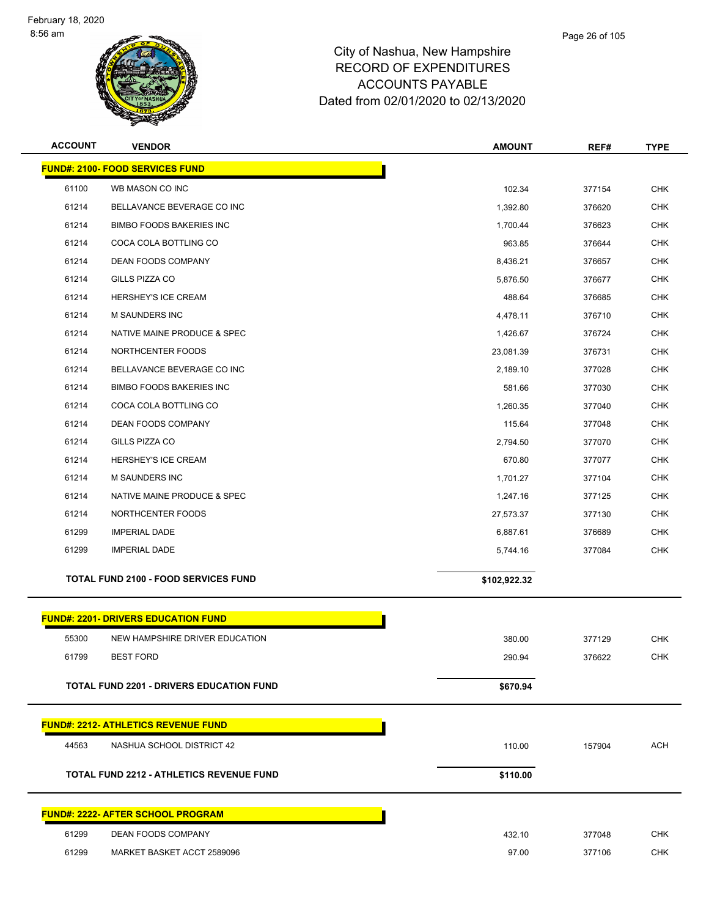

| <b>ACCOUNT</b> | <b>VENDOR</b>                                   | <b>AMOUNT</b> | REF#   | <b>TYPE</b> |
|----------------|-------------------------------------------------|---------------|--------|-------------|
|                | <b>FUND#: 2100- FOOD SERVICES FUND</b>          |               |        |             |
| 61100          | WB MASON CO INC                                 | 102.34        | 377154 | <b>CHK</b>  |
| 61214          | BELLAVANCE BEVERAGE CO INC                      | 1,392.80      | 376620 | <b>CHK</b>  |
| 61214          | <b>BIMBO FOODS BAKERIES INC</b>                 | 1,700.44      | 376623 | <b>CHK</b>  |
| 61214          | COCA COLA BOTTLING CO                           | 963.85        | 376644 | <b>CHK</b>  |
| 61214          | <b>DEAN FOODS COMPANY</b>                       | 8,436.21      | 376657 | <b>CHK</b>  |
| 61214          | GILLS PIZZA CO                                  | 5,876.50      | 376677 | <b>CHK</b>  |
| 61214          | <b>HERSHEY'S ICE CREAM</b>                      | 488.64        | 376685 | <b>CHK</b>  |
| 61214          | M SAUNDERS INC                                  | 4,478.11      | 376710 | <b>CHK</b>  |
| 61214          | NATIVE MAINE PRODUCE & SPEC                     | 1,426.67      | 376724 | <b>CHK</b>  |
| 61214          | NORTHCENTER FOODS                               | 23,081.39     | 376731 | <b>CHK</b>  |
| 61214          | BELLAVANCE BEVERAGE CO INC                      | 2,189.10      | 377028 | <b>CHK</b>  |
| 61214          | <b>BIMBO FOODS BAKERIES INC</b>                 | 581.66        | 377030 | <b>CHK</b>  |
| 61214          | COCA COLA BOTTLING CO                           | 1,260.35      | 377040 | <b>CHK</b>  |
| 61214          | DEAN FOODS COMPANY                              | 115.64        | 377048 | <b>CHK</b>  |
| 61214          | GILLS PIZZA CO                                  | 2,794.50      | 377070 | <b>CHK</b>  |
| 61214          | HERSHEY'S ICE CREAM                             | 670.80        | 377077 | <b>CHK</b>  |
| 61214          | <b>M SAUNDERS INC</b>                           | 1,701.27      | 377104 | <b>CHK</b>  |
| 61214          | NATIVE MAINE PRODUCE & SPEC                     | 1,247.16      | 377125 | <b>CHK</b>  |
| 61214          | NORTHCENTER FOODS                               | 27,573.37     | 377130 | <b>CHK</b>  |
| 61299          | <b>IMPERIAL DADE</b>                            | 6,887.61      | 376689 | <b>CHK</b>  |
| 61299          | <b>IMPERIAL DADE</b>                            | 5,744.16      | 377084 | <b>CHK</b>  |
|                | <b>TOTAL FUND 2100 - FOOD SERVICES FUND</b>     | \$102,922.32  |        |             |
|                | <b>FUND#: 2201- DRIVERS EDUCATION FUND</b>      |               |        |             |
| 55300          | NEW HAMPSHIRE DRIVER EDUCATION                  | 380.00        | 377129 | <b>CHK</b>  |
| 61799          | <b>BEST FORD</b>                                | 290.94        | 376622 | <b>CHK</b>  |
|                | <b>TOTAL FUND 2201 - DRIVERS EDUCATION FUND</b> | \$670.94      |        |             |
|                |                                                 |               |        |             |
|                | <b>FUND#: 2212- ATHLETICS REVENUE FUND</b>      |               |        |             |
| 44563          | NASHUA SCHOOL DISTRICT 42                       | 110.00        | 157904 | <b>ACH</b>  |
|                | <b>TOTAL FUND 2212 - ATHLETICS REVENUE FUND</b> | \$110.00      |        |             |
|                | <u> FUND#: 2222- AFTER SCHOOL PROGRAM</u>       |               |        |             |
| 61299          | DEAN FOODS COMPANY                              | 432.10        | 377048 | <b>CHK</b>  |
| 61299          | MARKET BASKET ACCT 2589096                      | 97.00         | 377106 | CHK         |
|                |                                                 |               |        |             |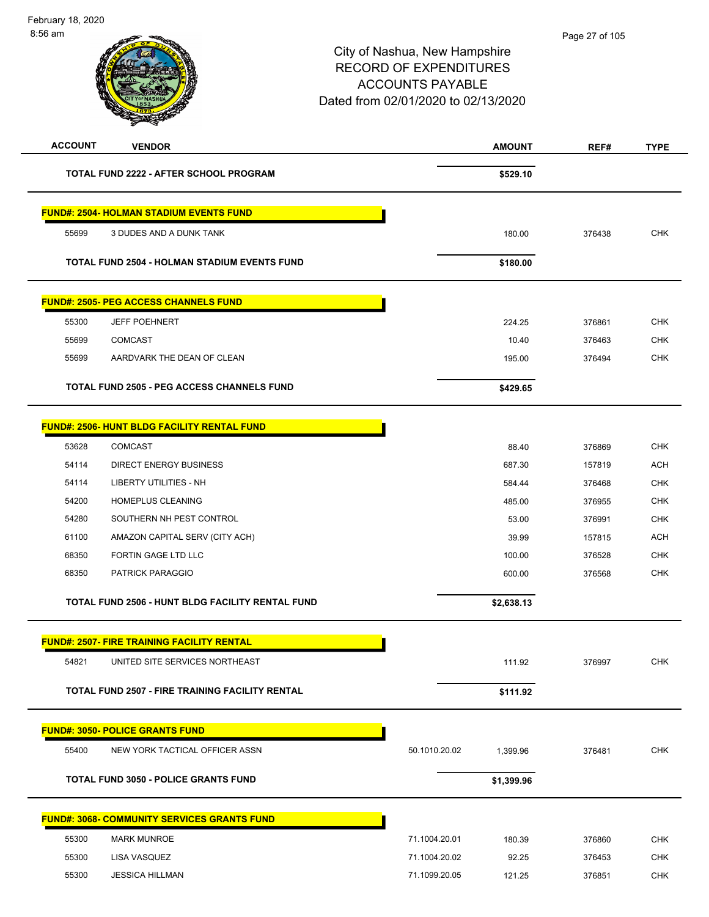| <b>ACCOUNT</b> | <b>VENDOR</b>                                          |               | <b>AMOUNT</b> | REF#   | <b>TYPE</b> |
|----------------|--------------------------------------------------------|---------------|---------------|--------|-------------|
|                | TOTAL FUND 2222 - AFTER SCHOOL PROGRAM                 |               | \$529.10      |        |             |
|                | <b>FUND#: 2504- HOLMAN STADIUM EVENTS FUND</b>         |               |               |        |             |
| 55699          | 3 DUDES AND A DUNK TANK                                |               | 180.00        | 376438 | <b>CHK</b>  |
|                | <b>TOTAL FUND 2504 - HOLMAN STADIUM EVENTS FUND</b>    |               | \$180.00      |        |             |
|                | <b>FUND#: 2505- PEG ACCESS CHANNELS FUND</b>           |               |               |        |             |
| 55300          | <b>JEFF POEHNERT</b>                                   |               | 224.25        | 376861 | <b>CHK</b>  |
| 55699          | <b>COMCAST</b>                                         |               | 10.40         | 376463 | <b>CHK</b>  |
| 55699          | AARDVARK THE DEAN OF CLEAN                             |               | 195.00        | 376494 | <b>CHK</b>  |
|                | <b>TOTAL FUND 2505 - PEG ACCESS CHANNELS FUND</b>      |               | \$429.65      |        |             |
|                | <b>FUND#: 2506- HUNT BLDG FACILITY RENTAL FUND</b>     |               |               |        |             |
| 53628          | <b>COMCAST</b>                                         |               | 88.40         | 376869 | <b>CHK</b>  |
| 54114          | <b>DIRECT ENERGY BUSINESS</b>                          |               | 687.30        | 157819 | <b>ACH</b>  |
| 54114          | <b>LIBERTY UTILITIES - NH</b>                          |               | 584.44        | 376468 | <b>CHK</b>  |
| 54200          | HOMEPLUS CLEANING                                      |               | 485.00        | 376955 | <b>CHK</b>  |
| 54280          | SOUTHERN NH PEST CONTROL                               |               | 53.00         | 376991 | <b>CHK</b>  |
| 61100          | AMAZON CAPITAL SERV (CITY ACH)                         |               | 39.99         | 157815 | <b>ACH</b>  |
| 68350          | FORTIN GAGE LTD LLC                                    |               | 100.00        | 376528 | <b>CHK</b>  |
| 68350          | PATRICK PARAGGIO                                       |               | 600.00        | 376568 | <b>CHK</b>  |
|                | TOTAL FUND 2506 - HUNT BLDG FACILITY RENTAL FUND       |               | \$2,638.13    |        |             |
|                | <b>FUND#: 2507- FIRE TRAINING FACILITY RENTAL</b>      |               |               |        |             |
| 54821          | UNITED SITE SERVICES NORTHEAST                         |               | 111.92        | 376997 | CHK         |
|                |                                                        |               |               |        |             |
|                | <b>TOTAL FUND 2507 - FIRE TRAINING FACILITY RENTAL</b> |               | \$111.92      |        |             |
|                | <b>FUND#: 3050- POLICE GRANTS FUND</b>                 |               |               |        |             |
| 55400          | NEW YORK TACTICAL OFFICER ASSN                         | 50.1010.20.02 | 1,399.96      | 376481 | <b>CHK</b>  |
|                | <b>TOTAL FUND 3050 - POLICE GRANTS FUND</b>            |               | \$1,399.96    |        |             |
|                | <b>FUND#: 3068- COMMUNITY SERVICES GRANTS FUND</b>     |               |               |        |             |
| 55300          | <b>MARK MUNROE</b>                                     | 71.1004.20.01 | 180.39        | 376860 | <b>CHK</b>  |
| 55300          | LISA VASQUEZ                                           | 71.1004.20.02 | 92.25         | 376453 | <b>CHK</b>  |
| 55300          | <b>JESSICA HILLMAN</b>                                 | 71.1099.20.05 | 121.25        | 376851 | <b>CHK</b>  |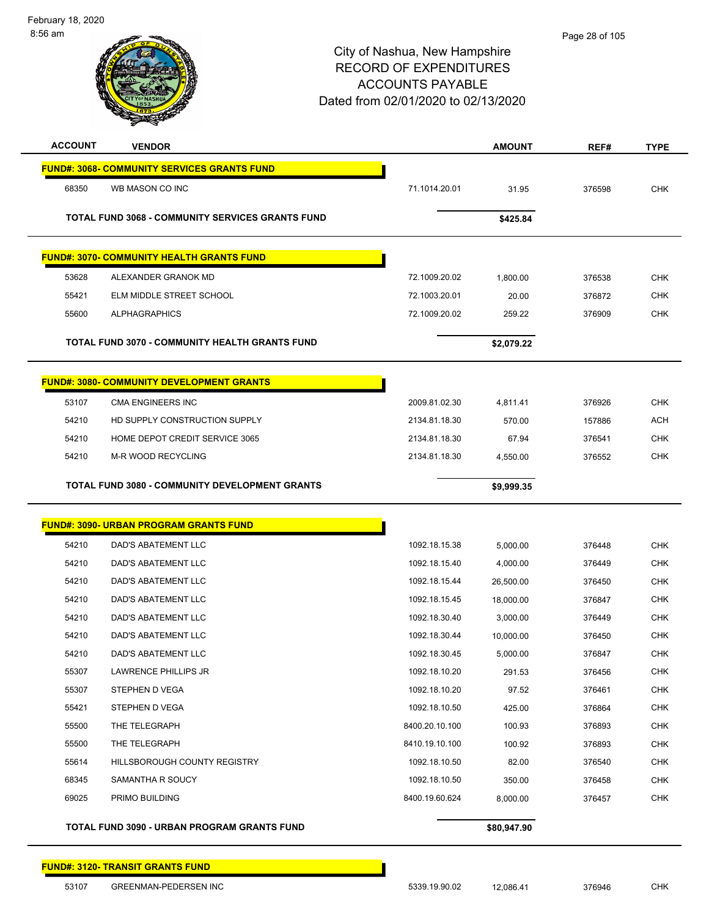| <b>ACCOUNT</b> | <b>VENDOR</b>                                           |                | <b>AMOUNT</b> | REF#   | <b>TYPE</b> |
|----------------|---------------------------------------------------------|----------------|---------------|--------|-------------|
|                | <b>FUND#: 3068- COMMUNITY SERVICES GRANTS FUND</b>      |                |               |        |             |
| 68350          | WB MASON CO INC                                         | 71.1014.20.01  | 31.95         | 376598 | <b>CHK</b>  |
|                | <b>TOTAL FUND 3068 - COMMUNITY SERVICES GRANTS FUND</b> |                | \$425.84      |        |             |
|                | <b>FUND#: 3070- COMMUNITY HEALTH GRANTS FUND</b>        |                |               |        |             |
| 53628          | ALEXANDER GRANOK MD                                     | 72.1009.20.02  | 1,800.00      | 376538 | <b>CHK</b>  |
| 55421          | ELM MIDDLE STREET SCHOOL                                | 72.1003.20.01  | 20.00         | 376872 | <b>CHK</b>  |
| 55600          | <b>ALPHAGRAPHICS</b>                                    | 72.1009.20.02  | 259.22        | 376909 | <b>CHK</b>  |
|                | <b>TOTAL FUND 3070 - COMMUNITY HEALTH GRANTS FUND</b>   |                | \$2,079.22    |        |             |
|                | <b>FUND#: 3080- COMMUNITY DEVELOPMENT GRANTS</b>        |                |               |        |             |
| 53107          | CMA ENGINEERS INC                                       | 2009.81.02.30  | 4,811.41      | 376926 | <b>CHK</b>  |
| 54210          | HD SUPPLY CONSTRUCTION SUPPLY                           | 2134.81.18.30  | 570.00        | 157886 | <b>ACH</b>  |
| 54210          | HOME DEPOT CREDIT SERVICE 3065                          | 2134.81.18.30  | 67.94         | 376541 | <b>CHK</b>  |
| 54210          | <b>M-R WOOD RECYCLING</b>                               | 2134.81.18.30  | 4,550.00      | 376552 | <b>CHK</b>  |
|                | <b>TOTAL FUND 3080 - COMMUNITY DEVELOPMENT GRANTS</b>   |                | \$9,999.35    |        |             |
|                | <b>FUND#: 3090- URBAN PROGRAM GRANTS FUND</b>           |                |               |        |             |
| 54210          | DAD'S ABATEMENT LLC                                     | 1092.18.15.38  | 5,000.00      | 376448 | <b>CHK</b>  |
| 54210          | DAD'S ABATEMENT LLC                                     | 1092.18.15.40  | 4,000.00      | 376449 | <b>CHK</b>  |
| 54210          | DAD'S ABATEMENT LLC                                     | 1092.18.15.44  | 26,500.00     | 376450 | <b>CHK</b>  |
| 54210          | DAD'S ABATEMENT LLC                                     | 1092.18.15.45  | 18,000.00     | 376847 | <b>CHK</b>  |
| 54210          | DAD'S ABATEMENT LLC                                     | 1092.18.30.40  | 3,000.00      | 376449 | <b>CHK</b>  |
| 54210          | <b>DAD'S ABATEMENT LLC</b>                              | 1092.18.30.44  | 10,000.00     | 376450 | <b>CHK</b>  |
| 54210          | <b>DAD'S ABATEMENT LLC</b>                              | 1092.18.30.45  | 5.000.00      | 376847 | <b>CHK</b>  |
| 55307          | LAWRENCE PHILLIPS JR                                    | 1092.18.10.20  | 291.53        | 376456 | <b>CHK</b>  |
| 55307          | STEPHEN D VEGA                                          | 1092.18.10.20  | 97.52         | 376461 | <b>CHK</b>  |
| 55421          | STEPHEN D VEGA                                          | 1092.18.10.50  | 425.00        | 376864 | <b>CHK</b>  |
| 55500          | THE TELEGRAPH                                           | 8400.20.10.100 | 100.93        | 376893 | <b>CHK</b>  |
| 55500          | THE TELEGRAPH                                           | 8410.19.10.100 | 100.92        | 376893 | <b>CHK</b>  |
| 55614          | HILLSBOROUGH COUNTY REGISTRY                            | 1092.18.10.50  | 82.00         | 376540 | <b>CHK</b>  |
| 68345          | SAMANTHA R SOUCY                                        | 1092.18.10.50  | 350.00        | 376458 | <b>CHK</b>  |
| 69025          | PRIMO BUILDING                                          | 8400.19.60.624 | 8,000.00      | 376457 | <b>CHK</b>  |
|                | TOTAL FUND 3090 - URBAN PROGRAM GRANTS FUND             |                | \$80,947.90   |        |             |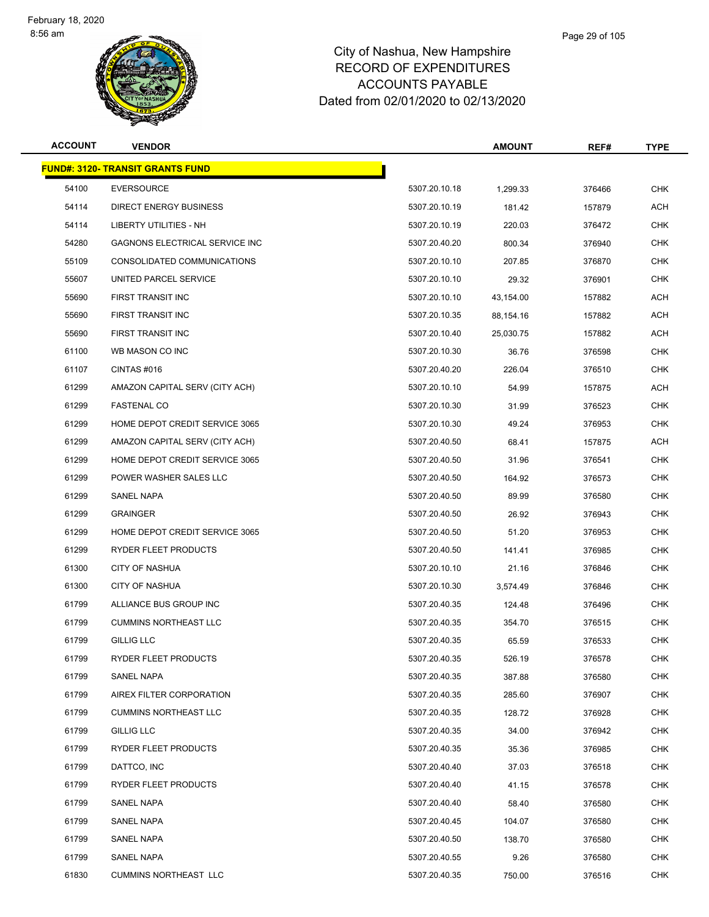

#### Page 29 of 105

| <b>ACCOUNT</b> | <b>VENDOR</b>                           |               | <b>AMOUNT</b> | REF#   | TYPE       |
|----------------|-----------------------------------------|---------------|---------------|--------|------------|
|                | <b>FUND#: 3120- TRANSIT GRANTS FUND</b> |               |               |        |            |
| 54100          | <b>EVERSOURCE</b>                       | 5307.20.10.18 | 1,299.33      | 376466 | <b>CHK</b> |
| 54114          | <b>DIRECT ENERGY BUSINESS</b>           | 5307.20.10.19 | 181.42        | 157879 | ACH        |
| 54114          | LIBERTY UTILITIES - NH                  | 5307.20.10.19 | 220.03        | 376472 | <b>CHK</b> |
| 54280          | GAGNONS ELECTRICAL SERVICE INC          | 5307.20.40.20 | 800.34        | 376940 | <b>CHK</b> |
| 55109          | CONSOLIDATED COMMUNICATIONS             | 5307.20.10.10 | 207.85        | 376870 | <b>CHK</b> |
| 55607          | UNITED PARCEL SERVICE                   | 5307.20.10.10 | 29.32         | 376901 | <b>CHK</b> |
| 55690          | <b>FIRST TRANSIT INC</b>                | 5307.20.10.10 | 43,154.00     | 157882 | <b>ACH</b> |
| 55690          | FIRST TRANSIT INC                       | 5307.20.10.35 | 88,154.16     | 157882 | ACH        |
| 55690          | FIRST TRANSIT INC                       | 5307.20.10.40 | 25,030.75     | 157882 | <b>ACH</b> |
| 61100          | WB MASON CO INC                         | 5307.20.10.30 | 36.76         | 376598 | <b>CHK</b> |
| 61107          | CINTAS#016                              | 5307.20.40.20 | 226.04        | 376510 | <b>CHK</b> |
| 61299          | AMAZON CAPITAL SERV (CITY ACH)          | 5307.20.10.10 | 54.99         | 157875 | ACH        |
| 61299          | <b>FASTENAL CO</b>                      | 5307.20.10.30 | 31.99         | 376523 | <b>CHK</b> |
| 61299          | HOME DEPOT CREDIT SERVICE 3065          | 5307.20.10.30 | 49.24         | 376953 | <b>CHK</b> |
| 61299          | AMAZON CAPITAL SERV (CITY ACH)          | 5307.20.40.50 | 68.41         | 157875 | <b>ACH</b> |
| 61299          | HOME DEPOT CREDIT SERVICE 3065          | 5307.20.40.50 | 31.96         | 376541 | <b>CHK</b> |
| 61299          | POWER WASHER SALES LLC                  | 5307.20.40.50 | 164.92        | 376573 | <b>CHK</b> |
| 61299          | SANEL NAPA                              | 5307.20.40.50 | 89.99         | 376580 | <b>CHK</b> |
| 61299          | <b>GRAINGER</b>                         | 5307.20.40.50 | 26.92         | 376943 | <b>CHK</b> |
| 61299          | HOME DEPOT CREDIT SERVICE 3065          | 5307.20.40.50 | 51.20         | 376953 | <b>CHK</b> |
| 61299          | RYDER FLEET PRODUCTS                    | 5307.20.40.50 | 141.41        | 376985 | <b>CHK</b> |
| 61300          | <b>CITY OF NASHUA</b>                   | 5307.20.10.10 | 21.16         | 376846 | <b>CHK</b> |
| 61300          | <b>CITY OF NASHUA</b>                   | 5307.20.10.30 | 3,574.49      | 376846 | <b>CHK</b> |
| 61799          | ALLIANCE BUS GROUP INC                  | 5307.20.40.35 | 124.48        | 376496 | <b>CHK</b> |
| 61799          | <b>CUMMINS NORTHEAST LLC</b>            | 5307.20.40.35 | 354.70        | 376515 | <b>CHK</b> |
| 61799          | <b>GILLIG LLC</b>                       | 5307.20.40.35 | 65.59         | 376533 | <b>CHK</b> |
| 61799          | RYDER FLEET PRODUCTS                    | 5307.20.40.35 | 526.19        | 376578 | CHK        |
| 61799          | SANEL NAPA                              | 5307.20.40.35 | 387.88        | 376580 | <b>CHK</b> |
| 61799          | AIREX FILTER CORPORATION                | 5307.20.40.35 | 285.60        | 376907 | <b>CHK</b> |
| 61799          | <b>CUMMINS NORTHEAST LLC</b>            | 5307.20.40.35 | 128.72        | 376928 | <b>CHK</b> |
| 61799          | <b>GILLIG LLC</b>                       | 5307.20.40.35 | 34.00         | 376942 | <b>CHK</b> |
| 61799          | RYDER FLEET PRODUCTS                    | 5307.20.40.35 | 35.36         | 376985 | <b>CHK</b> |
| 61799          | DATTCO, INC                             | 5307.20.40.40 | 37.03         | 376518 | <b>CHK</b> |
| 61799          | RYDER FLEET PRODUCTS                    | 5307.20.40.40 | 41.15         | 376578 | <b>CHK</b> |
| 61799          | SANEL NAPA                              | 5307.20.40.40 | 58.40         | 376580 | <b>CHK</b> |
| 61799          | SANEL NAPA                              | 5307.20.40.45 | 104.07        | 376580 | <b>CHK</b> |
| 61799          | SANEL NAPA                              | 5307.20.40.50 | 138.70        | 376580 | <b>CHK</b> |
| 61799          | SANEL NAPA                              | 5307.20.40.55 | 9.26          | 376580 | <b>CHK</b> |
| 61830          | <b>CUMMINS NORTHEAST LLC</b>            | 5307.20.40.35 | 750.00        | 376516 | <b>CHK</b> |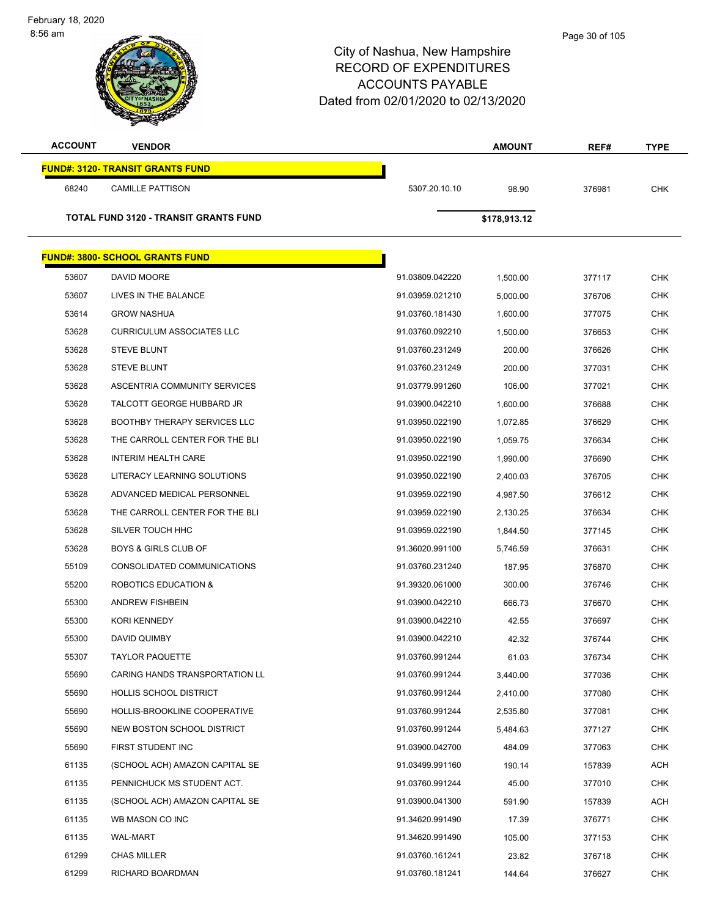| <b>ACCOUNT</b> | <b>VENDOR</b>                           |                 | <b>AMOUNT</b> | REF#   | <b>TYPE</b> |
|----------------|-----------------------------------------|-----------------|---------------|--------|-------------|
|                | <b>FUND#: 3120- TRANSIT GRANTS FUND</b> |                 |               |        |             |
| 68240          | <b>CAMILLE PATTISON</b>                 | 5307.20.10.10   | 98.90         | 376981 | <b>CHK</b>  |
|                |                                         |                 |               |        |             |
|                | TOTAL FUND 3120 - TRANSIT GRANTS FUND   |                 | \$178,913.12  |        |             |
|                | <b>FUND#: 3800- SCHOOL GRANTS FUND</b>  |                 |               |        |             |
| 53607          | DAVID MOORE                             | 91.03809.042220 | 1,500.00      | 377117 | <b>CHK</b>  |
| 53607          | LIVES IN THE BALANCE                    | 91.03959.021210 | 5,000.00      | 376706 | <b>CHK</b>  |
| 53614          | <b>GROW NASHUA</b>                      | 91.03760.181430 | 1,600.00      | 377075 | <b>CHK</b>  |
| 53628          | <b>CURRICULUM ASSOCIATES LLC</b>        | 91.03760.092210 | 1,500.00      | 376653 | <b>CHK</b>  |
| 53628          | <b>STEVE BLUNT</b>                      | 91.03760.231249 | 200.00        | 376626 | <b>CHK</b>  |
| 53628          | <b>STEVE BLUNT</b>                      | 91.03760.231249 | 200.00        | 377031 | <b>CHK</b>  |
| 53628          | ASCENTRIA COMMUNITY SERVICES            | 91.03779.991260 | 106.00        | 377021 | <b>CHK</b>  |
| 53628          | TALCOTT GEORGE HUBBARD JR               | 91.03900.042210 | 1.600.00      | 376688 | <b>CHK</b>  |
| 53628          | <b>BOOTHBY THERAPY SERVICES LLC</b>     | 91.03950.022190 | 1,072.85      | 376629 | <b>CHK</b>  |
| 53628          | THE CARROLL CENTER FOR THE BLI          | 91.03950.022190 | 1,059.75      | 376634 | <b>CHK</b>  |
| 53628          | <b>INTERIM HEALTH CARE</b>              | 91.03950.022190 | 1,990.00      | 376690 | <b>CHK</b>  |
| 53628          | LITERACY LEARNING SOLUTIONS             | 91.03950.022190 | 2,400.03      | 376705 | <b>CHK</b>  |
| 53628          | ADVANCED MEDICAL PERSONNEL              | 91.03959.022190 | 4,987.50      | 376612 | <b>CHK</b>  |
| 53628          | THE CARROLL CENTER FOR THE BLI          | 91.03959.022190 | 2,130.25      | 376634 | <b>CHK</b>  |
| 53628          | SILVER TOUCH HHC                        | 91.03959.022190 | 1,844.50      | 377145 | <b>CHK</b>  |
| 53628          | <b>BOYS &amp; GIRLS CLUB OF</b>         | 91.36020.991100 | 5,746.59      | 376631 | <b>CHK</b>  |
| 55109          | CONSOLIDATED COMMUNICATIONS             | 91.03760.231240 | 187.95        | 376870 | <b>CHK</b>  |
| 55200          | ROBOTICS EDUCATION &                    | 91.39320.061000 | 300.00        | 376746 | <b>CHK</b>  |
| 55300          | <b>ANDREW FISHBEIN</b>                  | 91.03900.042210 | 666.73        | 376670 | <b>CHK</b>  |
| 55300          | <b>KORI KENNEDY</b>                     | 91.03900.042210 | 42.55         | 376697 | <b>CHK</b>  |
| 55300          | DAVID QUIMBY                            | 91.03900.042210 | 42.32         | 376744 | <b>CHK</b>  |
| 55307          | TAYLOR PAQUETTE                         | 91.03760.991244 | 61.03         | 376734 | CHK         |
| 55690          | CARING HANDS TRANSPORTATION LL          | 91.03760.991244 | 3,440.00      | 377036 | <b>CHK</b>  |
| 55690          | <b>HOLLIS SCHOOL DISTRICT</b>           | 91.03760.991244 | 2,410.00      | 377080 | <b>CHK</b>  |
| 55690          | HOLLIS-BROOKLINE COOPERATIVE            | 91.03760.991244 | 2,535.80      | 377081 | <b>CHK</b>  |
| 55690          | NEW BOSTON SCHOOL DISTRICT              | 91.03760.991244 | 5,484.63      | 377127 | <b>CHK</b>  |
| 55690          | FIRST STUDENT INC                       | 91.03900.042700 | 484.09        | 377063 | <b>CHK</b>  |
| 61135          | (SCHOOL ACH) AMAZON CAPITAL SE          | 91.03499.991160 | 190.14        | 157839 | <b>ACH</b>  |
| 61135          | PENNICHUCK MS STUDENT ACT.              | 91.03760.991244 | 45.00         | 377010 | <b>CHK</b>  |
| 61135          | (SCHOOL ACH) AMAZON CAPITAL SE          | 91.03900.041300 | 591.90        | 157839 | <b>ACH</b>  |
| 61135          | WB MASON CO INC                         | 91.34620.991490 | 17.39         | 376771 | <b>CHK</b>  |
| 61135          | <b>WAL-MART</b>                         | 91.34620.991490 | 105.00        | 377153 | <b>CHK</b>  |
| 61299          | <b>CHAS MILLER</b>                      | 91.03760.161241 | 23.82         | 376718 | <b>CHK</b>  |
| 61299          | RICHARD BOARDMAN                        | 91.03760.181241 | 144.64        | 376627 | <b>CHK</b>  |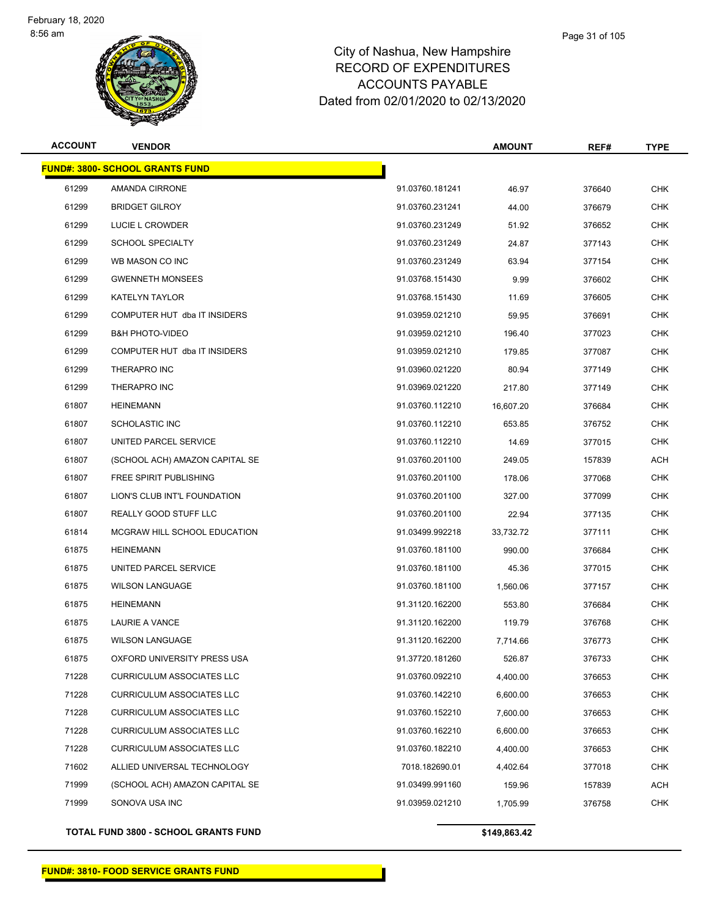

#### Page 31 of 105

# City of Nashua, New Hampshire RECORD OF EXPENDITURES ACCOUNTS PAYABLE Dated from 02/01/2020 to 02/13/2020

| <b>ACCOUNT</b> | <b>VENDOR</b>                          |                 | <b>AMOUNT</b> | REF#   | <b>TYPE</b> |
|----------------|----------------------------------------|-----------------|---------------|--------|-------------|
|                | <b>FUND#: 3800- SCHOOL GRANTS FUND</b> |                 |               |        |             |
| 61299          | AMANDA CIRRONE                         | 91.03760.181241 | 46.97         | 376640 | <b>CHK</b>  |
| 61299          | <b>BRIDGET GILROY</b>                  | 91.03760.231241 | 44.00         | 376679 | <b>CHK</b>  |
| 61299          | LUCIE L CROWDER                        | 91.03760.231249 | 51.92         | 376652 | <b>CHK</b>  |
| 61299          | <b>SCHOOL SPECIALTY</b>                | 91.03760.231249 | 24.87         | 377143 | <b>CHK</b>  |
| 61299          | WB MASON CO INC                        | 91.03760.231249 | 63.94         | 377154 | <b>CHK</b>  |
| 61299          | <b>GWENNETH MONSEES</b>                | 91.03768.151430 | 9.99          | 376602 | <b>CHK</b>  |
| 61299          | <b>KATELYN TAYLOR</b>                  | 91.03768.151430 | 11.69         | 376605 | <b>CHK</b>  |
| 61299          | COMPUTER HUT dba IT INSIDERS           | 91.03959.021210 | 59.95         | 376691 | <b>CHK</b>  |
| 61299          | <b>B&amp;H PHOTO-VIDEO</b>             | 91.03959.021210 | 196.40        | 377023 | <b>CHK</b>  |
| 61299          | COMPUTER HUT dba IT INSIDERS           | 91.03959.021210 | 179.85        | 377087 | <b>CHK</b>  |
| 61299          | THERAPRO INC                           | 91.03960.021220 | 80.94         | 377149 | <b>CHK</b>  |
| 61299          | THERAPRO INC                           | 91.03969.021220 | 217.80        | 377149 | <b>CHK</b>  |
| 61807          | <b>HEINEMANN</b>                       | 91.03760.112210 | 16,607.20     | 376684 | <b>CHK</b>  |
| 61807          | <b>SCHOLASTIC INC</b>                  | 91.03760.112210 | 653.85        | 376752 | <b>CHK</b>  |
| 61807          | UNITED PARCEL SERVICE                  | 91.03760.112210 | 14.69         | 377015 | <b>CHK</b>  |
| 61807          | (SCHOOL ACH) AMAZON CAPITAL SE         | 91.03760.201100 | 249.05        | 157839 | <b>ACH</b>  |
| 61807          | FREE SPIRIT PUBLISHING                 | 91.03760.201100 | 178.06        | 377068 | <b>CHK</b>  |
| 61807          | LION'S CLUB INT'L FOUNDATION           | 91.03760.201100 | 327.00        | 377099 | <b>CHK</b>  |
| 61807          | REALLY GOOD STUFF LLC                  | 91.03760.201100 | 22.94         | 377135 | <b>CHK</b>  |
| 61814          | MCGRAW HILL SCHOOL EDUCATION           | 91.03499.992218 | 33,732.72     | 377111 | <b>CHK</b>  |
| 61875          | <b>HEINEMANN</b>                       | 91.03760.181100 | 990.00        | 376684 | <b>CHK</b>  |
| 61875          | UNITED PARCEL SERVICE                  | 91.03760.181100 | 45.36         | 377015 | <b>CHK</b>  |
| 61875          | <b>WILSON LANGUAGE</b>                 | 91.03760.181100 | 1,560.06      | 377157 | <b>CHK</b>  |
| 61875          | <b>HEINEMANN</b>                       | 91.31120.162200 | 553.80        | 376684 | <b>CHK</b>  |
| 61875          | <b>LAURIE A VANCE</b>                  | 91.31120.162200 | 119.79        | 376768 | <b>CHK</b>  |
| 61875          | <b>WILSON LANGUAGE</b>                 | 91.31120.162200 | 7,714.66      | 376773 | <b>CHK</b>  |
| 61875          | OXFORD UNIVERSITY PRESS USA            | 91.37720.181260 | 526.87        | 376733 | <b>CHK</b>  |
| 71228          | <b>CURRICULUM ASSOCIATES LLC</b>       | 91.03760.092210 | 4,400.00      | 376653 | <b>CHK</b>  |
| 71228          | <b>CURRICULUM ASSOCIATES LLC</b>       | 91.03760.142210 | 6,600.00      | 376653 | <b>CHK</b>  |
| 71228          | <b>CURRICULUM ASSOCIATES LLC</b>       | 91.03760.152210 | 7,600.00      | 376653 | <b>CHK</b>  |
| 71228          | <b>CURRICULUM ASSOCIATES LLC</b>       | 91.03760.162210 | 6,600.00      | 376653 | <b>CHK</b>  |
| 71228          | <b>CURRICULUM ASSOCIATES LLC</b>       | 91.03760.182210 | 4,400.00      | 376653 | <b>CHK</b>  |
| 71602          | ALLIED UNIVERSAL TECHNOLOGY            | 7018.182690.01  | 4,402.64      | 377018 | <b>CHK</b>  |
| 71999          | (SCHOOL ACH) AMAZON CAPITAL SE         | 91.03499.991160 | 159.96        | 157839 | <b>ACH</b>  |
| 71999          | SONOVA USA INC                         | 91.03959.021210 | 1,705.99      | 376758 | <b>CHK</b>  |
|                |                                        |                 |               |        |             |

**TOTAL FUND 3800 - SCHOOL GRANTS FUND \$149,863.42**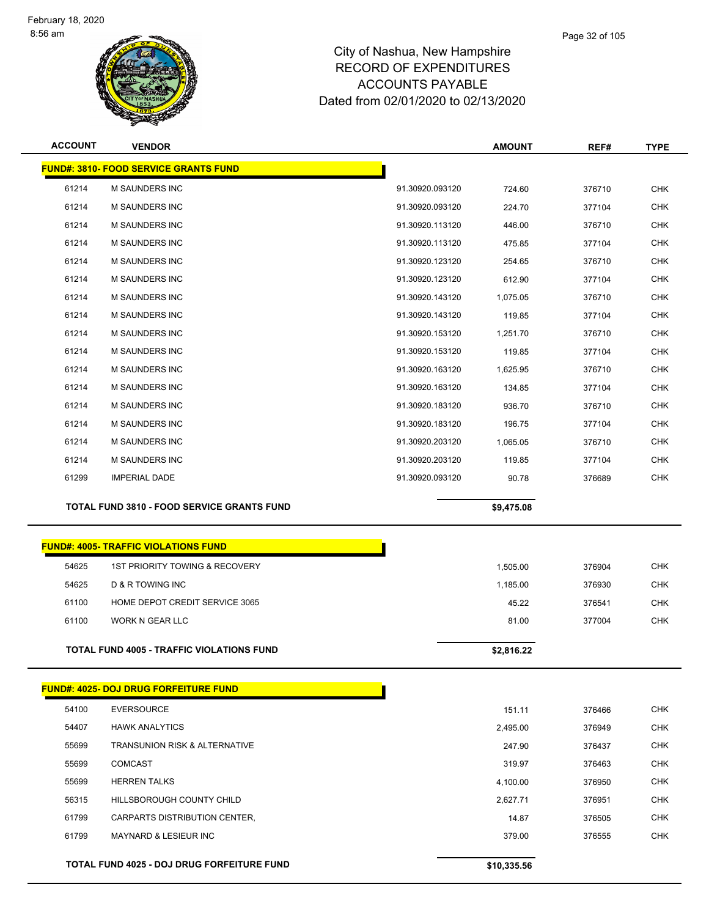

| <b>ACCOUNT</b> | <b>VENDOR</b>                                     |                 | <b>AMOUNT</b> | REF#   | <b>TYPE</b> |
|----------------|---------------------------------------------------|-----------------|---------------|--------|-------------|
|                | <b>FUND#: 3810- FOOD SERVICE GRANTS FUND</b>      |                 |               |        |             |
| 61214          | <b>M SAUNDERS INC</b>                             | 91.30920.093120 | 724.60        | 376710 | <b>CHK</b>  |
| 61214          | <b>M SAUNDERS INC</b>                             | 91.30920.093120 | 224.70        | 377104 | <b>CHK</b>  |
| 61214          | <b>M SAUNDERS INC</b>                             | 91.30920.113120 | 446.00        | 376710 | <b>CHK</b>  |
| 61214          | <b>M SAUNDERS INC</b>                             | 91.30920.113120 | 475.85        | 377104 | <b>CHK</b>  |
| 61214          | <b>M SAUNDERS INC</b>                             | 91.30920.123120 | 254.65        | 376710 | <b>CHK</b>  |
| 61214          | M SAUNDERS INC                                    | 91.30920.123120 | 612.90        | 377104 | <b>CHK</b>  |
| 61214          | <b>M SAUNDERS INC</b>                             | 91.30920.143120 | 1,075.05      | 376710 | <b>CHK</b>  |
| 61214          | <b>M SAUNDERS INC</b>                             | 91.30920.143120 | 119.85        | 377104 | <b>CHK</b>  |
| 61214          | <b>M SAUNDERS INC</b>                             | 91.30920.153120 | 1,251.70      | 376710 | <b>CHK</b>  |
| 61214          | <b>M SAUNDERS INC</b>                             | 91.30920.153120 | 119.85        | 377104 | <b>CHK</b>  |
| 61214          | <b>M SAUNDERS INC</b>                             | 91.30920.163120 | 1,625.95      | 376710 | <b>CHK</b>  |
| 61214          | <b>M SAUNDERS INC</b>                             | 91.30920.163120 | 134.85        | 377104 | <b>CHK</b>  |
| 61214          | M SAUNDERS INC                                    | 91.30920.183120 | 936.70        | 376710 | <b>CHK</b>  |
| 61214          | <b>M SAUNDERS INC</b>                             | 91.30920.183120 | 196.75        | 377104 | <b>CHK</b>  |
| 61214          | <b>M SAUNDERS INC</b>                             | 91.30920.203120 | 1,065.05      | 376710 | <b>CHK</b>  |
| 61214          | <b>M SAUNDERS INC</b>                             | 91.30920.203120 | 119.85        | 377104 | <b>CHK</b>  |
| 61299          | <b>IMPERIAL DADE</b>                              | 91.30920.093120 | 90.78         | 376689 | <b>CHK</b>  |
|                | <b>TOTAL FUND 3810 - FOOD SERVICE GRANTS FUND</b> |                 | \$9,475.08    |        |             |

|       | <b>FUND#: 4005- TRAFFIC VIOLATIONS FUND</b>      |            |        |            |
|-------|--------------------------------------------------|------------|--------|------------|
| 54625 | 1ST PRIORITY TOWING & RECOVERY                   | 1,505.00   | 376904 | <b>CHK</b> |
| 54625 | <b>D &amp; R TOWING INC</b>                      | 1,185.00   | 376930 | <b>CHK</b> |
| 61100 | HOME DEPOT CREDIT SERVICE 3065                   | 45.22      | 376541 | <b>CHK</b> |
| 61100 | WORK N GEAR LLC                                  | 81.00      | 377004 | <b>CHK</b> |
|       | <b>TOTAL FUND 4005 - TRAFFIC VIOLATIONS FUND</b> | \$2,816.22 |        |            |

|       | <b>FUND#: 4025- DOJ DRUG FORFEITURE FUND</b>      |             |        |            |
|-------|---------------------------------------------------|-------------|--------|------------|
| 54100 | <b>EVERSOURCE</b>                                 | 151.11      | 376466 | <b>CHK</b> |
| 54407 | <b>HAWK ANALYTICS</b>                             | 2,495.00    | 376949 | <b>CHK</b> |
| 55699 | <b>TRANSUNION RISK &amp; ALTERNATIVE</b>          | 247.90      | 376437 | <b>CHK</b> |
| 55699 | <b>COMCAST</b>                                    | 319.97      | 376463 | <b>CHK</b> |
| 55699 | <b>HERREN TALKS</b>                               | 4,100.00    | 376950 | <b>CHK</b> |
| 56315 | HILLSBOROUGH COUNTY CHILD                         | 2,627.71    | 376951 | <b>CHK</b> |
| 61799 | CARPARTS DISTRIBUTION CENTER,                     | 14.87       | 376505 | <b>CHK</b> |
| 61799 | <b>MAYNARD &amp; LESIEUR INC.</b>                 | 379.00      | 376555 | <b>CHK</b> |
|       |                                                   |             |        |            |
|       | <b>TOTAL FUND 4025 - DOJ DRUG FORFEITURE FUND</b> | \$10,335.56 |        |            |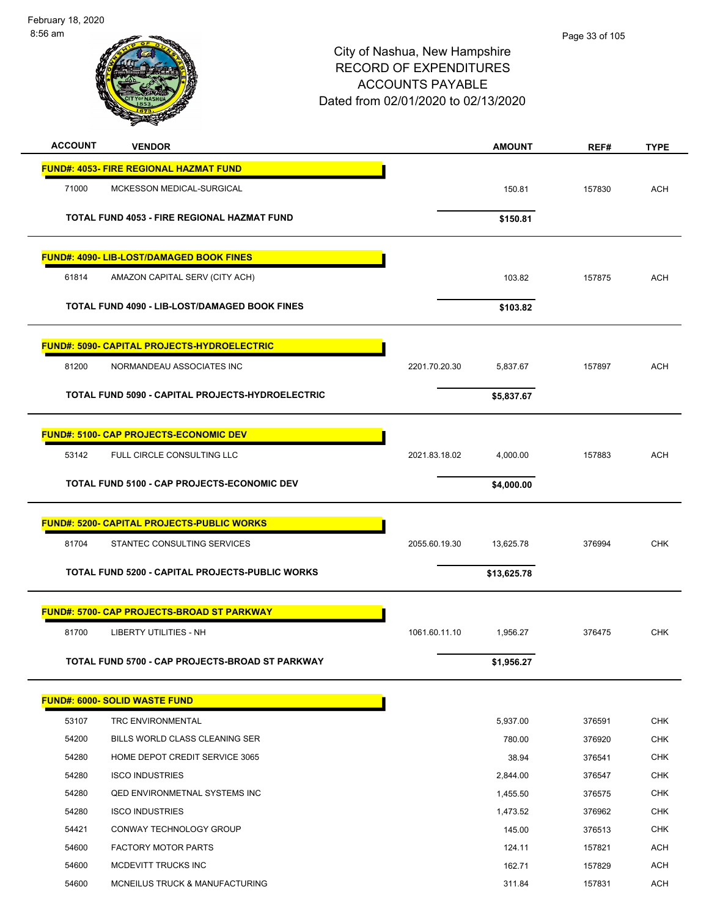February 18, 2020 8:56 am

# City of Nashua, New Hampshire RECORD OF EXPENDITURES ACCOUNTS PAYABLE Dated from 02/01/2020 to 02/13/2020

Page 33 of 105

| <b>ACCOUNT</b> | <b>VENDOR</b>                                      |               | <b>AMOUNT</b> | REF#   | <b>TYPE</b> |
|----------------|----------------------------------------------------|---------------|---------------|--------|-------------|
|                | <b>FUND#: 4053- FIRE REGIONAL HAZMAT FUND</b>      |               |               |        |             |
| 71000          | MCKESSON MEDICAL-SURGICAL                          |               | 150.81        | 157830 | <b>ACH</b>  |
|                | TOTAL FUND 4053 - FIRE REGIONAL HAZMAT FUND        |               |               |        |             |
|                |                                                    |               | \$150.81      |        |             |
|                | <b>FUND#: 4090- LIB-LOST/DAMAGED BOOK FINES</b>    |               |               |        |             |
| 61814          | AMAZON CAPITAL SERV (CITY ACH)                     |               | 103.82        | 157875 | <b>ACH</b>  |
|                | TOTAL FUND 4090 - LIB-LOST/DAMAGED BOOK FINES      |               | \$103.82      |        |             |
|                |                                                    |               |               |        |             |
|                | <b>FUND#: 5090- CAPITAL PROJECTS-HYDROELECTRIC</b> |               |               |        |             |
| 81200          | NORMANDEAU ASSOCIATES INC                          | 2201.70.20.30 | 5,837.67      | 157897 | <b>ACH</b>  |
|                |                                                    |               |               |        |             |
|                | TOTAL FUND 5090 - CAPITAL PROJECTS-HYDROELECTRIC   |               | \$5,837.67    |        |             |
|                | <b>FUND#: 5100- CAP PROJECTS-ECONOMIC DEV</b>      |               |               |        |             |
| 53142          | FULL CIRCLE CONSULTING LLC                         | 2021.83.18.02 | 4,000.00      | 157883 | <b>ACH</b>  |
|                |                                                    |               |               |        |             |
|                | TOTAL FUND 5100 - CAP PROJECTS-ECONOMIC DEV        |               | \$4,000.00    |        |             |
|                | <b>FUND#: 5200- CAPITAL PROJECTS-PUBLIC WORKS</b>  |               |               |        |             |
| 81704          | STANTEC CONSULTING SERVICES                        | 2055.60.19.30 |               |        | <b>CHK</b>  |
|                |                                                    |               | 13,625.78     | 376994 |             |
|                | TOTAL FUND 5200 - CAPITAL PROJECTS-PUBLIC WORKS    |               | \$13,625.78   |        |             |
|                | <b>FUND#: 5700- CAP PROJECTS-BROAD ST PARKWAY</b>  |               |               |        |             |
| 81700          | <b>LIBERTY UTILITIES - NH</b>                      | 1061.60.11.10 | 1,956.27      | 376475 | <b>CHK</b>  |
|                |                                                    |               |               |        |             |
|                | TOTAL FUND 5700 - CAP PROJECTS-BROAD ST PARKWAY    |               | \$1,956.27    |        |             |
|                | <b>FUND#: 6000- SOLID WASTE FUND</b>               |               |               |        |             |
| 53107          | <b>TRC ENVIRONMENTAL</b>                           |               | 5,937.00      | 376591 | <b>CHK</b>  |
| 54200          | BILLS WORLD CLASS CLEANING SER                     |               | 780.00        | 376920 | <b>CHK</b>  |
| 54280          | HOME DEPOT CREDIT SERVICE 3065                     |               | 38.94         | 376541 | <b>CHK</b>  |
| 54280          | <b>ISCO INDUSTRIES</b>                             |               | 2,844.00      | 376547 | <b>CHK</b>  |
| 54280          | <b>QED ENVIRONMETNAL SYSTEMS INC</b>               |               | 1,455.50      | 376575 | <b>CHK</b>  |
| 54280          | <b>ISCO INDUSTRIES</b>                             |               | 1,473.52      | 376962 | <b>CHK</b>  |
| 54421          | CONWAY TECHNOLOGY GROUP                            |               | 145.00        | 376513 | CHK         |
| 54600          | <b>FACTORY MOTOR PARTS</b>                         |               | 124.11        | 157821 | <b>ACH</b>  |
| 54600          | MCDEVITT TRUCKS INC                                |               | 162.71        | 157829 | ACH         |
| 54600          | MCNEILUS TRUCK & MANUFACTURING                     |               | 311.84        | 157831 | ACH         |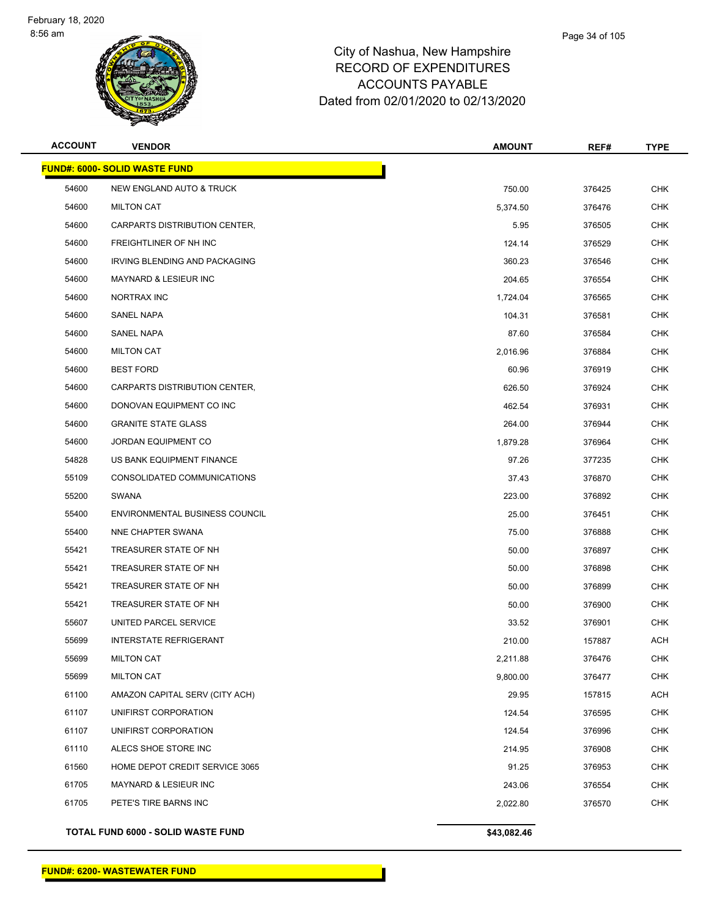

| <b>ACCOUNT</b> | <b>VENDOR</b>                         | <b>AMOUNT</b> | REF#   | <b>TYPE</b> |
|----------------|---------------------------------------|---------------|--------|-------------|
|                | <b>FUND#: 6000- SOLID WASTE FUND</b>  |               |        |             |
| 54600          | NEW ENGLAND AUTO & TRUCK              | 750.00        | 376425 | <b>CHK</b>  |
| 54600          | <b>MILTON CAT</b>                     | 5,374.50      | 376476 | <b>CHK</b>  |
| 54600          | CARPARTS DISTRIBUTION CENTER,         | 5.95          | 376505 | CHK         |
| 54600          | FREIGHTLINER OF NH INC                | 124.14        | 376529 | <b>CHK</b>  |
| 54600          | IRVING BLENDING AND PACKAGING         | 360.23        | 376546 | <b>CHK</b>  |
| 54600          | MAYNARD & LESIEUR INC                 | 204.65        | 376554 | CHK         |
| 54600          | NORTRAX INC                           | 1,724.04      | 376565 | <b>CHK</b>  |
| 54600          | SANEL NAPA                            | 104.31        | 376581 | CHK         |
| 54600          | <b>SANEL NAPA</b>                     | 87.60         | 376584 | CHK         |
| 54600          | <b>MILTON CAT</b>                     | 2,016.96      | 376884 | <b>CHK</b>  |
| 54600          | <b>BEST FORD</b>                      | 60.96         | 376919 | CHK         |
| 54600          | CARPARTS DISTRIBUTION CENTER,         | 626.50        | 376924 | <b>CHK</b>  |
| 54600          | DONOVAN EQUIPMENT CO INC              | 462.54        | 376931 | CHK         |
| 54600          | <b>GRANITE STATE GLASS</b>            | 264.00        | 376944 | <b>CHK</b>  |
| 54600          | <b>JORDAN EQUIPMENT CO</b>            | 1,879.28      | 376964 | <b>CHK</b>  |
| 54828          | US BANK EQUIPMENT FINANCE             | 97.26         | 377235 | CHK         |
| 55109          | CONSOLIDATED COMMUNICATIONS           | 37.43         | 376870 | <b>CHK</b>  |
| 55200          | SWANA                                 | 223.00        | 376892 | CHK         |
| 55400          | <b>ENVIRONMENTAL BUSINESS COUNCIL</b> | 25.00         | 376451 | CHK         |
| 55400          | NNE CHAPTER SWANA                     | 75.00         | 376888 | <b>CHK</b>  |
| 55421          | TREASURER STATE OF NH                 | 50.00         | 376897 | CHK         |
| 55421          | TREASURER STATE OF NH                 | 50.00         | 376898 | <b>CHK</b>  |
| 55421          | TREASURER STATE OF NH                 | 50.00         | 376899 | CHK         |
| 55421          | TREASURER STATE OF NH                 | 50.00         | 376900 | <b>CHK</b>  |
| 55607          | UNITED PARCEL SERVICE                 | 33.52         | 376901 | CHK         |
| 55699          | <b>INTERSTATE REFRIGERANT</b>         | 210.00        | 157887 | ACH         |
| 55699          | <b>MILTON CAT</b>                     | 2,211.88      | 376476 | <b>CHK</b>  |
| 55699          | <b>MILTON CAT</b>                     | 9,800.00      | 376477 | <b>CHK</b>  |
| 61100          | AMAZON CAPITAL SERV (CITY ACH)        | 29.95         | 157815 | ACH         |
| 61107          | UNIFIRST CORPORATION                  | 124.54        | 376595 | <b>CHK</b>  |
| 61107          | UNIFIRST CORPORATION                  | 124.54        | 376996 | <b>CHK</b>  |
| 61110          | ALECS SHOE STORE INC                  | 214.95        | 376908 | <b>CHK</b>  |
| 61560          | HOME DEPOT CREDIT SERVICE 3065        | 91.25         | 376953 | <b>CHK</b>  |
| 61705          | MAYNARD & LESIEUR INC                 | 243.06        | 376554 | <b>CHK</b>  |
| 61705          | PETE'S TIRE BARNS INC                 | 2,022.80      | 376570 | <b>CHK</b>  |
|                |                                       |               |        |             |

**TOTAL FUND 6000 - SOLID WASTE FUND \$43,082.46**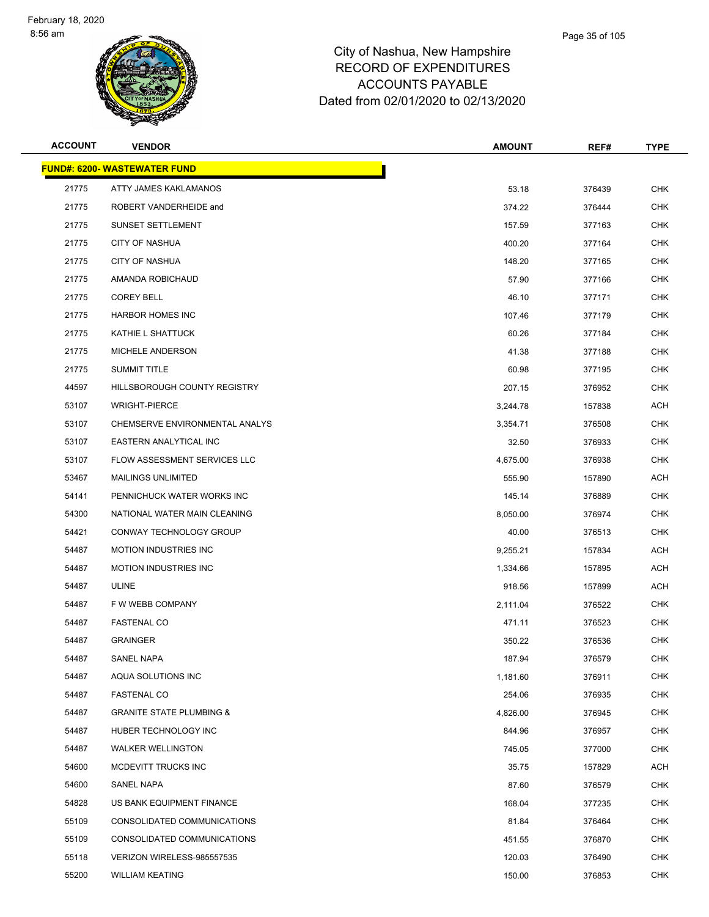

| <b>ACCOUNT</b> | <b>VENDOR</b>                       | <b>AMOUNT</b> | REF#   | <b>TYPE</b> |
|----------------|-------------------------------------|---------------|--------|-------------|
|                | <b>FUND#: 6200- WASTEWATER FUND</b> |               |        |             |
| 21775          | ATTY JAMES KAKLAMANOS               | 53.18         | 376439 | <b>CHK</b>  |
| 21775          | ROBERT VANDERHEIDE and              | 374.22        | 376444 | <b>CHK</b>  |
| 21775          | SUNSET SETTLEMENT                   | 157.59        | 377163 | <b>CHK</b>  |
| 21775          | <b>CITY OF NASHUA</b>               | 400.20        | 377164 | <b>CHK</b>  |
| 21775          | <b>CITY OF NASHUA</b>               | 148.20        | 377165 | <b>CHK</b>  |
| 21775          | AMANDA ROBICHAUD                    | 57.90         | 377166 | <b>CHK</b>  |
| 21775          | <b>COREY BELL</b>                   | 46.10         | 377171 | <b>CHK</b>  |
| 21775          | <b>HARBOR HOMES INC</b>             | 107.46        | 377179 | <b>CHK</b>  |
| 21775          | KATHIE L SHATTUCK                   | 60.26         | 377184 | <b>CHK</b>  |
| 21775          | MICHELE ANDERSON                    | 41.38         | 377188 | <b>CHK</b>  |
| 21775          | <b>SUMMIT TITLE</b>                 | 60.98         | 377195 | CHK         |
| 44597          | HILLSBOROUGH COUNTY REGISTRY        | 207.15        | 376952 | <b>CHK</b>  |
| 53107          | <b>WRIGHT-PIERCE</b>                | 3,244.78      | 157838 | <b>ACH</b>  |
| 53107          | CHEMSERVE ENVIRONMENTAL ANALYS      | 3,354.71      | 376508 | <b>CHK</b>  |
| 53107          | EASTERN ANALYTICAL INC              | 32.50         | 376933 | <b>CHK</b>  |
| 53107          | FLOW ASSESSMENT SERVICES LLC        | 4,675.00      | 376938 | <b>CHK</b>  |
| 53467          | <b>MAILINGS UNLIMITED</b>           | 555.90        | 157890 | <b>ACH</b>  |
| 54141          | PENNICHUCK WATER WORKS INC          | 145.14        | 376889 | <b>CHK</b>  |
| 54300          | NATIONAL WATER MAIN CLEANING        | 8,050.00      | 376974 | <b>CHK</b>  |
| 54421          | CONWAY TECHNOLOGY GROUP             | 40.00         | 376513 | <b>CHK</b>  |
| 54487          | <b>MOTION INDUSTRIES INC</b>        | 9,255.21      | 157834 | <b>ACH</b>  |
| 54487          | <b>MOTION INDUSTRIES INC</b>        | 1,334.66      | 157895 | <b>ACH</b>  |
| 54487          | <b>ULINE</b>                        | 918.56        | 157899 | <b>ACH</b>  |
| 54487          | F W WEBB COMPANY                    | 2,111.04      | 376522 | <b>CHK</b>  |
| 54487          | <b>FASTENAL CO</b>                  | 471.11        | 376523 | <b>CHK</b>  |
| 54487          | <b>GRAINGER</b>                     | 350.22        | 376536 | CHK         |
| 54487          | SANEL NAPA                          | 187.94        | 376579 | <b>CHK</b>  |
| 54487          | AQUA SOLUTIONS INC                  | 1,181.60      | 376911 | <b>CHK</b>  |
| 54487          | <b>FASTENAL CO</b>                  | 254.06        | 376935 | <b>CHK</b>  |
| 54487          | <b>GRANITE STATE PLUMBING &amp;</b> | 4,826.00      | 376945 | <b>CHK</b>  |
| 54487          | HUBER TECHNOLOGY INC                | 844.96        | 376957 | CHK         |
| 54487          | <b>WALKER WELLINGTON</b>            | 745.05        | 377000 | <b>CHK</b>  |
| 54600          | MCDEVITT TRUCKS INC                 | 35.75         | 157829 | <b>ACH</b>  |
| 54600          | SANEL NAPA                          | 87.60         | 376579 | <b>CHK</b>  |
| 54828          | US BANK EQUIPMENT FINANCE           | 168.04        | 377235 | <b>CHK</b>  |
| 55109          | CONSOLIDATED COMMUNICATIONS         | 81.84         | 376464 | <b>CHK</b>  |
| 55109          | CONSOLIDATED COMMUNICATIONS         | 451.55        | 376870 | <b>CHK</b>  |
| 55118          | VERIZON WIRELESS-985557535          | 120.03        | 376490 | <b>CHK</b>  |
| 55200          | <b>WILLIAM KEATING</b>              | 150.00        | 376853 | <b>CHK</b>  |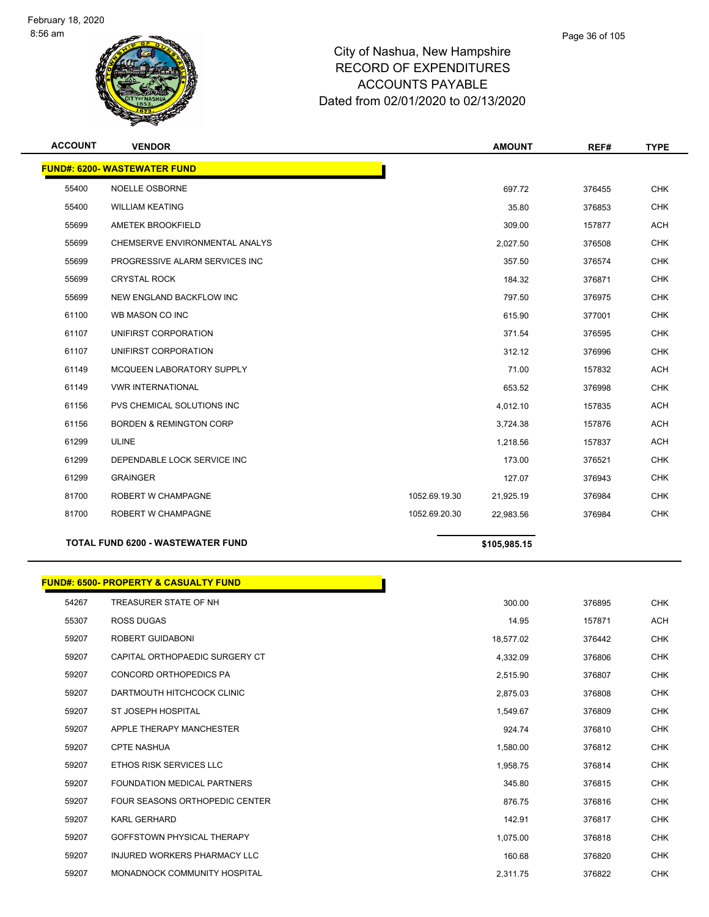

| <b>ACCOUNT</b> | <b>VENDOR</b>                       |               | <b>AMOUNT</b> | REF#   | <b>TYPE</b> |
|----------------|-------------------------------------|---------------|---------------|--------|-------------|
|                | <b>FUND#: 6200- WASTEWATER FUND</b> |               |               |        |             |
| 55400          | <b>NOELLE OSBORNE</b>               |               | 697.72        | 376455 | <b>CHK</b>  |
| 55400          | <b>WILLIAM KEATING</b>              |               | 35.80         | 376853 | <b>CHK</b>  |
| 55699          | AMETEK BROOKFIELD                   |               | 309.00        | 157877 | <b>ACH</b>  |
| 55699          | CHEMSERVE ENVIRONMENTAL ANALYS      |               | 2,027.50      | 376508 | <b>CHK</b>  |
| 55699          | PROGRESSIVE ALARM SERVICES INC      |               | 357.50        | 376574 | <b>CHK</b>  |
| 55699          | <b>CRYSTAL ROCK</b>                 |               | 184.32        | 376871 | <b>CHK</b>  |
| 55699          | NEW ENGLAND BACKFLOW INC            |               | 797.50        | 376975 | <b>CHK</b>  |
| 61100          | WB MASON CO INC                     |               | 615.90        | 377001 | <b>CHK</b>  |
| 61107          | UNIFIRST CORPORATION                |               | 371.54        | 376595 | <b>CHK</b>  |
| 61107          | UNIFIRST CORPORATION                |               | 312.12        | 376996 | <b>CHK</b>  |
| 61149          | MCQUEEN LABORATORY SUPPLY           |               | 71.00         | 157832 | ACH         |
| 61149          | <b>VWR INTERNATIONAL</b>            |               | 653.52        | 376998 | <b>CHK</b>  |
| 61156          | PVS CHEMICAL SOLUTIONS INC          |               | 4,012.10      | 157835 | <b>ACH</b>  |
| 61156          | <b>BORDEN &amp; REMINGTON CORP</b>  |               | 3,724.38      | 157876 | <b>ACH</b>  |
| 61299          | <b>ULINE</b>                        |               | 1,218.56      | 157837 | <b>ACH</b>  |
| 61299          | DEPENDABLE LOCK SERVICE INC         |               | 173.00        | 376521 | <b>CHK</b>  |
| 61299          | <b>GRAINGER</b>                     |               | 127.07        | 376943 | <b>CHK</b>  |
| 81700          | ROBERT W CHAMPAGNE                  | 1052.69.19.30 | 21,925.19     | 376984 | <b>CHK</b>  |
| 81700          | ROBERT W CHAMPAGNE                  | 1052.69.20.30 | 22,983.56     | 376984 | <b>CHK</b>  |
|                |                                     |               |               |        |             |

**TOTAL FUND 6200 - WASTEWATER FUND \$105,985.15** 

|       | <b>FUND#: 6500- PROPERTY &amp; CASUALTY FUND</b> |           |        |            |
|-------|--------------------------------------------------|-----------|--------|------------|
| 54267 | TREASURER STATE OF NH                            | 300.00    | 376895 | <b>CHK</b> |
| 55307 | <b>ROSS DUGAS</b>                                | 14.95     | 157871 | <b>ACH</b> |
| 59207 | ROBERT GUIDABONI                                 | 18,577.02 | 376442 | <b>CHK</b> |
| 59207 | CAPITAL ORTHOPAEDIC SURGERY CT                   | 4,332.09  | 376806 | <b>CHK</b> |
| 59207 | CONCORD ORTHOPEDICS PA                           | 2,515.90  | 376807 | <b>CHK</b> |
| 59207 | DARTMOUTH HITCHCOCK CLINIC                       | 2,875.03  | 376808 | <b>CHK</b> |
| 59207 | ST JOSEPH HOSPITAL                               | 1,549.67  | 376809 | <b>CHK</b> |
| 59207 | APPLE THERAPY MANCHESTER                         | 924.74    | 376810 | <b>CHK</b> |
| 59207 | <b>CPTE NASHUA</b>                               | 1,580.00  | 376812 | <b>CHK</b> |
| 59207 | ETHOS RISK SERVICES LLC                          | 1,958.75  | 376814 | <b>CHK</b> |
| 59207 | <b>FOUNDATION MEDICAL PARTNERS</b>               | 345.80    | 376815 | <b>CHK</b> |
| 59207 | <b>FOUR SEASONS ORTHOPEDIC CENTER</b>            | 876.75    | 376816 | <b>CHK</b> |
| 59207 | <b>KARL GERHARD</b>                              | 142.91    | 376817 | <b>CHK</b> |
| 59207 | GOFFSTOWN PHYSICAL THERAPY                       | 1,075.00  | 376818 | <b>CHK</b> |
| 59207 | <b>INJURED WORKERS PHARMACY LLC</b>              | 160.68    | 376820 | <b>CHK</b> |
| 59207 | MONADNOCK COMMUNITY HOSPITAL                     | 2,311.75  | 376822 | <b>CHK</b> |
|       |                                                  |           |        |            |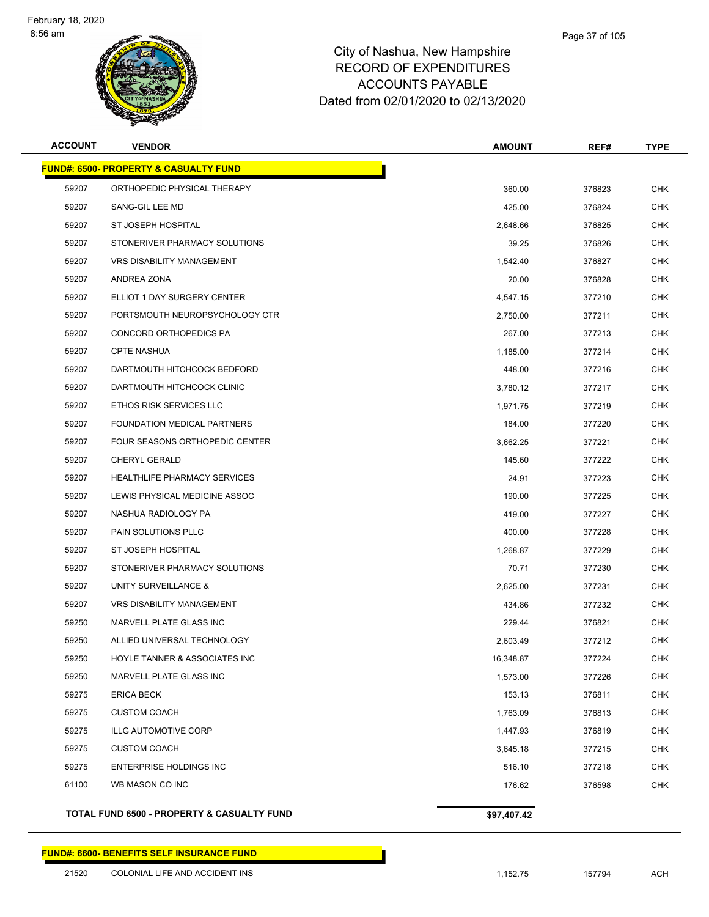

### City of Nashua, New Hampshire RECORD OF EXPENDITURES ACCOUNTS PAYABLE Dated from 02/01/2020 to 02/13/2020

| <b>ACCOUNT</b> | <b>VENDOR</b>                                    | <b>AMOUNT</b> | REF#   | <b>TYPE</b> |
|----------------|--------------------------------------------------|---------------|--------|-------------|
|                | <b>FUND#: 6500- PROPERTY &amp; CASUALTY FUND</b> |               |        |             |
| 59207          | ORTHOPEDIC PHYSICAL THERAPY                      | 360.00        | 376823 | <b>CHK</b>  |
| 59207          | SANG-GIL LEE MD                                  | 425.00        | 376824 | <b>CHK</b>  |
| 59207          | ST JOSEPH HOSPITAL                               | 2,648.66      | 376825 | CHK         |
| 59207          | STONERIVER PHARMACY SOLUTIONS                    | 39.25         | 376826 | CHK         |
| 59207          | <b>VRS DISABILITY MANAGEMENT</b>                 | 1,542.40      | 376827 | <b>CHK</b>  |
| 59207          | ANDREA ZONA                                      | 20.00         | 376828 | CHK         |
| 59207          | ELLIOT 1 DAY SURGERY CENTER                      | 4,547.15      | 377210 | <b>CHK</b>  |
| 59207          | PORTSMOUTH NEUROPSYCHOLOGY CTR                   | 2,750.00      | 377211 | CHK         |
| 59207          | CONCORD ORTHOPEDICS PA                           | 267.00        | 377213 | CHK         |
| 59207          | <b>CPTE NASHUA</b>                               | 1,185.00      | 377214 | CHK         |
| 59207          | DARTMOUTH HITCHCOCK BEDFORD                      | 448.00        | 377216 | CHK         |
| 59207          | DARTMOUTH HITCHCOCK CLINIC                       | 3,780.12      | 377217 | <b>CHK</b>  |
| 59207          | ETHOS RISK SERVICES LLC                          | 1,971.75      | 377219 | CHK         |
| 59207          | FOUNDATION MEDICAL PARTNERS                      | 184.00        | 377220 | <b>CHK</b>  |
| 59207          | FOUR SEASONS ORTHOPEDIC CENTER                   | 3,662.25      | 377221 | CHK         |
| 59207          | CHERYL GERALD                                    | 145.60        | 377222 | CHK         |
| 59207          | <b>HEALTHLIFE PHARMACY SERVICES</b>              | 24.91         | 377223 | <b>CHK</b>  |
| 59207          | LEWIS PHYSICAL MEDICINE ASSOC                    | 190.00        | 377225 | CHK         |
| 59207          | NASHUA RADIOLOGY PA                              | 419.00        | 377227 | CHK         |
| 59207          | PAIN SOLUTIONS PLLC                              | 400.00        | 377228 | <b>CHK</b>  |
| 59207          | ST JOSEPH HOSPITAL                               | 1,268.87      | 377229 | CHK         |
| 59207          | STONERIVER PHARMACY SOLUTIONS                    | 70.71         | 377230 | <b>CHK</b>  |
| 59207          | UNITY SURVEILLANCE &                             | 2,625.00      | 377231 | CHK         |
| 59207          | VRS DISABILITY MANAGEMENT                        | 434.86        | 377232 | <b>CHK</b>  |
| 59250          | MARVELL PLATE GLASS INC                          | 229.44        | 376821 | CHK         |
| 59250          | ALLIED UNIVERSAL TECHNOLOGY                      | 2.603.49      | 377212 | CHK         |
| 59250          | HOYLE TANNER & ASSOCIATES INC                    | 16,348.87     | 377224 | <b>CHK</b>  |
| 59250          | MARVELL PLATE GLASS INC                          | 1,573.00      | 377226 | <b>CHK</b>  |
| 59275          | <b>ERICA BECK</b>                                | 153.13        | 376811 | <b>CHK</b>  |
| 59275          | <b>CUSTOM COACH</b>                              | 1,763.09      | 376813 | <b>CHK</b>  |
| 59275          | <b>ILLG AUTOMOTIVE CORP</b>                      | 1,447.93      | 376819 | <b>CHK</b>  |
| 59275          | <b>CUSTOM COACH</b>                              | 3,645.18      | 377215 | <b>CHK</b>  |
| 59275          | ENTERPRISE HOLDINGS INC                          | 516.10        | 377218 | <b>CHK</b>  |
| 61100          | WB MASON CO INC                                  | 176.62        | 376598 | <b>CHK</b>  |
|                |                                                  |               |        |             |

TOTAL FUND 6500 - PROPERTY & CASUALTY FUND<br>\$97,407.42

#### **FUND#: 6600- BENEFITS SELF INSURANCE FUND**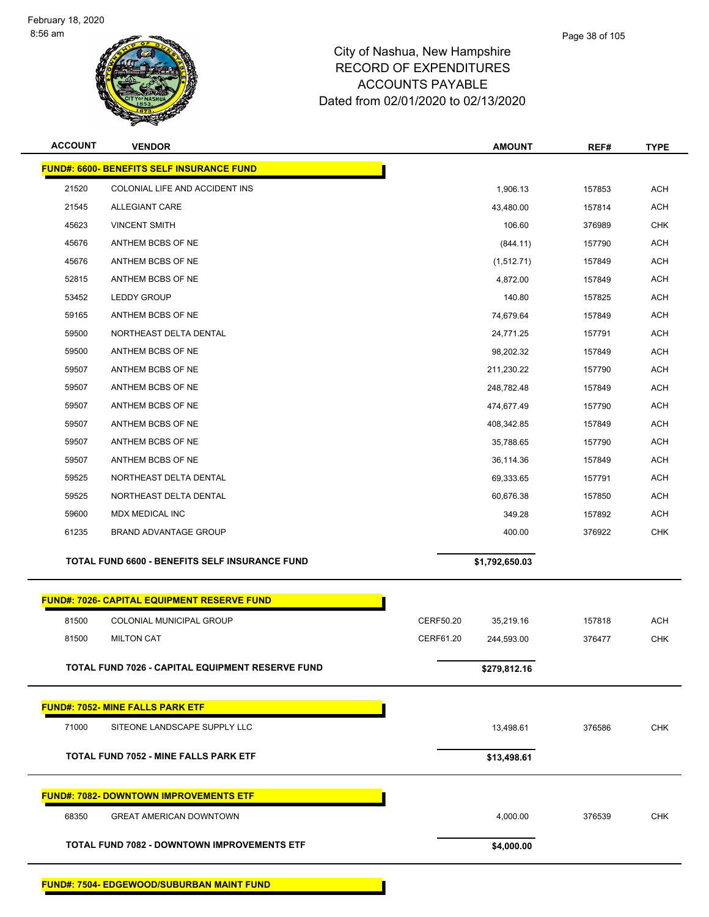

| <b>ACCOUNT</b> | <b>VENDOR</b>                                      |           | <b>AMOUNT</b>  | REF#   | <b>TYPE</b> |
|----------------|----------------------------------------------------|-----------|----------------|--------|-------------|
|                | <b>FUND#: 6600- BENEFITS SELF INSURANCE FUND</b>   |           |                |        |             |
| 21520          | COLONIAL LIFE AND ACCIDENT INS                     |           | 1,906.13       | 157853 | <b>ACH</b>  |
| 21545          | ALLEGIANT CARE                                     |           | 43,480.00      | 157814 | <b>ACH</b>  |
| 45623          | <b>VINCENT SMITH</b>                               |           | 106.60         | 376989 | <b>CHK</b>  |
| 45676          | ANTHEM BCBS OF NE                                  |           | (844.11)       | 157790 | <b>ACH</b>  |
| 45676          | ANTHEM BCBS OF NE                                  |           | (1,512.71)     | 157849 | <b>ACH</b>  |
| 52815          | ANTHEM BCBS OF NE                                  |           | 4,872.00       | 157849 | <b>ACH</b>  |
| 53452          | <b>LEDDY GROUP</b>                                 |           | 140.80         | 157825 | <b>ACH</b>  |
| 59165          | ANTHEM BCBS OF NE                                  |           | 74,679.64      | 157849 | <b>ACH</b>  |
| 59500          | NORTHEAST DELTA DENTAL                             |           | 24,771.25      | 157791 | <b>ACH</b>  |
| 59500          | ANTHEM BCBS OF NE                                  |           | 98,202.32      | 157849 | <b>ACH</b>  |
| 59507          | ANTHEM BCBS OF NE                                  |           | 211,230.22     | 157790 | <b>ACH</b>  |
| 59507          | ANTHEM BCBS OF NE                                  |           | 248,782.48     | 157849 | <b>ACH</b>  |
| 59507          | ANTHEM BCBS OF NE                                  |           | 474,677.49     | 157790 | <b>ACH</b>  |
| 59507          | ANTHEM BCBS OF NE                                  |           | 408,342.85     | 157849 | <b>ACH</b>  |
| 59507          | ANTHEM BCBS OF NE                                  |           | 35,788.65      | 157790 | <b>ACH</b>  |
| 59507          | ANTHEM BCBS OF NE                                  |           | 36,114.36      | 157849 | <b>ACH</b>  |
| 59525          | NORTHEAST DELTA DENTAL                             |           | 69,333.65      | 157791 | <b>ACH</b>  |
| 59525          | NORTHEAST DELTA DENTAL                             |           | 60,676.38      | 157850 | <b>ACH</b>  |
| 59600          | <b>MDX MEDICAL INC</b>                             |           | 349.28         | 157892 | <b>ACH</b>  |
| 61235          | BRAND ADVANTAGE GROUP                              |           | 400.00         | 376922 | <b>CHK</b>  |
|                | TOTAL FUND 6600 - BENEFITS SELF INSURANCE FUND     |           | \$1,792,650.03 |        |             |
|                | <b>FUND#: 7026- CAPITAL EQUIPMENT RESERVE FUND</b> |           |                |        |             |
| 81500          | COLONIAL MUNICIPAL GROUP                           | CERF50.20 | 35,219.16      | 157818 | <b>ACH</b>  |
| 81500          | <b>MILTON CAT</b>                                  | CERF61.20 | 244,593.00     | 376477 | <b>CHK</b>  |
|                | TOTAL FUND 7026 - CAPITAL EQUIPMENT RESERVE FUND   |           | \$279,812.16   |        |             |
|                | <b>FUND#: 7052- MINE FALLS PARK ETF</b>            |           |                |        |             |
| 71000          | SITEONE LANDSCAPE SUPPLY LLC                       |           | 13,498.61      | 376586 | <b>CHK</b>  |
|                | <b>TOTAL FUND 7052 - MINE FALLS PARK ETF</b>       |           |                |        |             |
|                |                                                    |           | \$13,498.61    |        |             |
|                | <b>FUND#: 7082- DOWNTOWN IMPROVEMENTS ETF</b>      |           |                |        |             |
| 68350          | <b>GREAT AMERICAN DOWNTOWN</b>                     |           | 4,000.00       | 376539 | CHK         |
|                | TOTAL FUND 7082 - DOWNTOWN IMPROVEMENTS ETF        |           | \$4,000.00     |        |             |
|                | <b>FUND#: 7504- EDGEWOOD/SUBURBAN MAINT FUND</b>   |           |                |        |             |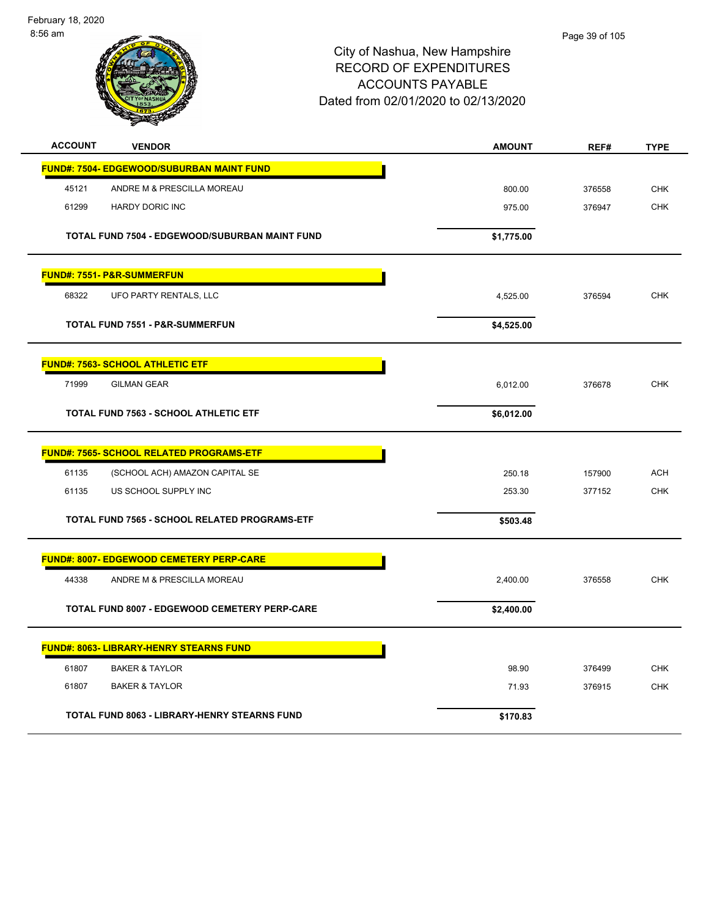February 18, 2020 8:56 am



| <b>ACCOUNT</b><br><b>VENDOR</b>                       | <b>AMOUNT</b> | REF#   | <b>TYPE</b> |
|-------------------------------------------------------|---------------|--------|-------------|
| FUND#: 7504- EDGEWOOD/SUBURBAN MAINT FUND             |               |        |             |
| ANDRE M & PRESCILLA MOREAU<br>45121                   | 800.00        | 376558 | <b>CHK</b>  |
| 61299<br><b>HARDY DORIC INC</b>                       | 975.00        | 376947 | <b>CHK</b>  |
| <b>TOTAL FUND 7504 - EDGEWOOD/SUBURBAN MAINT FUND</b> | \$1,775.00    |        |             |
| <b>FUND#: 7551- P&amp;R-SUMMERFUN</b>                 |               |        |             |
| 68322<br>UFO PARTY RENTALS, LLC                       | 4,525.00      | 376594 | <b>CHK</b>  |
| <b>TOTAL FUND 7551 - P&amp;R-SUMMERFUN</b>            | \$4,525.00    |        |             |
| <b>FUND#: 7563- SCHOOL ATHLETIC ETF</b>               |               |        |             |
| 71999<br><b>GILMAN GEAR</b>                           | 6,012.00      | 376678 | <b>CHK</b>  |
| <b>TOTAL FUND 7563 - SCHOOL ATHLETIC ETF</b>          | \$6,012.00    |        |             |
| <b>FUND#: 7565- SCHOOL RELATED PROGRAMS-ETF</b>       |               |        |             |
| 61135<br>(SCHOOL ACH) AMAZON CAPITAL SE               | 250.18        | 157900 | <b>ACH</b>  |
| 61135<br>US SCHOOL SUPPLY INC                         | 253.30        | 377152 | <b>CHK</b>  |
| <b>TOTAL FUND 7565 - SCHOOL RELATED PROGRAMS-ETF</b>  | \$503.48      |        |             |
| <b>FUND#: 8007- EDGEWOOD CEMETERY PERP-CARE</b>       |               |        |             |
| 44338<br>ANDRE M & PRESCILLA MOREAU                   | 2,400.00      | 376558 | <b>CHK</b>  |
| TOTAL FUND 8007 - EDGEWOOD CEMETERY PERP-CARE         | \$2,400.00    |        |             |
| <b>FUND#: 8063- LIBRARY-HENRY STEARNS FUND</b>        |               |        |             |
| 61807<br><b>BAKER &amp; TAYLOR</b>                    | 98.90         | 376499 | <b>CHK</b>  |
| 61807<br><b>BAKER &amp; TAYLOR</b>                    | 71.93         | 376915 | <b>CHK</b>  |
| <b>TOTAL FUND 8063 - LIBRARY-HENRY STEARNS FUND</b>   | \$170.83      |        |             |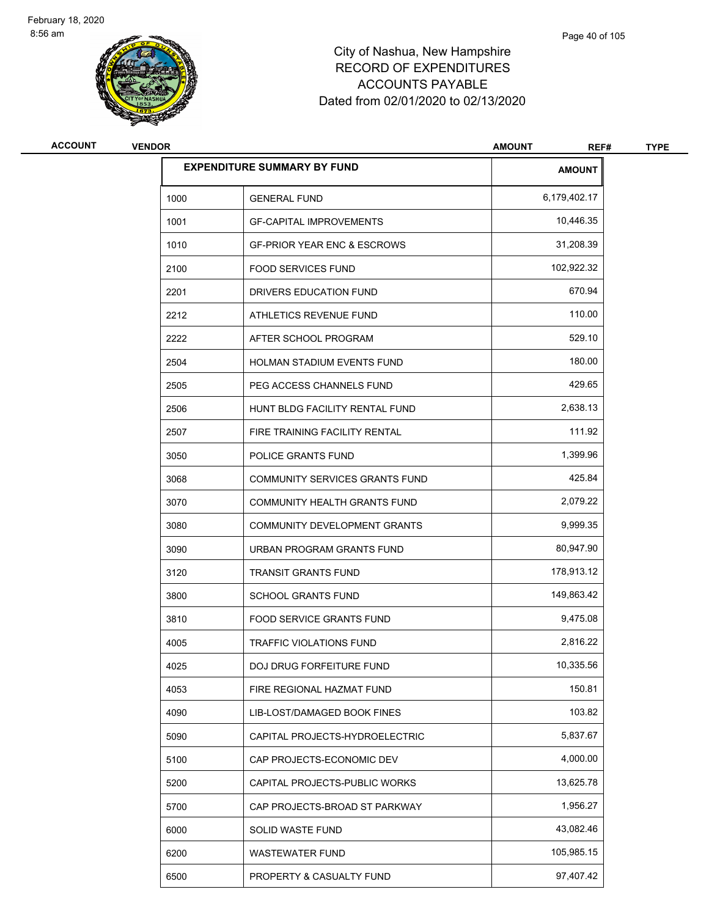

| <b>ACCOUNT</b> | <b>VENDOR</b> |                                        | <b>AMOUNT</b><br>REF# | <b>TYPE</b> |
|----------------|---------------|----------------------------------------|-----------------------|-------------|
|                |               | <b>EXPENDITURE SUMMARY BY FUND</b>     | <b>AMOUNT</b>         |             |
|                | 1000          | <b>GENERAL FUND</b>                    | 6,179,402.17          |             |
|                | 1001          | <b>GF-CAPITAL IMPROVEMENTS</b>         | 10,446.35             |             |
|                | 1010          | <b>GF-PRIOR YEAR ENC &amp; ESCROWS</b> | 31,208.39             |             |
|                | 2100          | <b>FOOD SERVICES FUND</b>              | 102,922.32            |             |
|                | 2201          | DRIVERS EDUCATION FUND                 | 670.94                |             |
|                | 2212          | ATHLETICS REVENUE FUND                 | 110.00                |             |
|                | 2222          | AFTER SCHOOL PROGRAM                   | 529.10                |             |
|                | 2504          | HOLMAN STADIUM EVENTS FUND             | 180.00                |             |
|                | 2505          | PEG ACCESS CHANNELS FUND               | 429.65                |             |
|                | 2506          | HUNT BLDG FACILITY RENTAL FUND         | 2,638.13              |             |
|                | 2507          | FIRE TRAINING FACILITY RENTAL          | 111.92                |             |
|                | 3050          | POLICE GRANTS FUND                     | 1,399.96              |             |
|                | 3068          | COMMUNITY SERVICES GRANTS FUND         | 425.84                |             |
|                | 3070          | COMMUNITY HEALTH GRANTS FUND           | 2,079.22              |             |
|                | 3080          | COMMUNITY DEVELOPMENT GRANTS           | 9,999.35              |             |
|                | 3090          | URBAN PROGRAM GRANTS FUND              | 80,947.90             |             |
|                | 3120          | <b>TRANSIT GRANTS FUND</b>             | 178,913.12            |             |
|                | 3800          | <b>SCHOOL GRANTS FUND</b>              | 149,863.42            |             |
|                | 3810          | <b>FOOD SERVICE GRANTS FUND</b>        | 9,475.08              |             |
|                | 4005          | <b>TRAFFIC VIOLATIONS FUND</b>         | 2,816.22              |             |
|                | 4025          | DOJ DRUG FORFEITURE FUND               | 10,335.56             |             |
|                | 4053          | FIRE REGIONAL HAZMAT FUND              | 150.81                |             |
|                | 4090          | LIB-LOST/DAMAGED BOOK FINES            | 103.82                |             |
|                | 5090          | CAPITAL PROJECTS-HYDROELECTRIC         | 5,837.67              |             |
|                | 5100          | CAP PROJECTS-ECONOMIC DEV              | 4,000.00              |             |
|                | 5200          | CAPITAL PROJECTS-PUBLIC WORKS          | 13,625.78             |             |
|                | 5700          | CAP PROJECTS-BROAD ST PARKWAY          | 1,956.27              |             |
|                | 6000          | SOLID WASTE FUND                       | 43,082.46             |             |
|                | 6200          | <b>WASTEWATER FUND</b>                 | 105,985.15            |             |
|                | 6500          | PROPERTY & CASUALTY FUND               | 97,407.42             |             |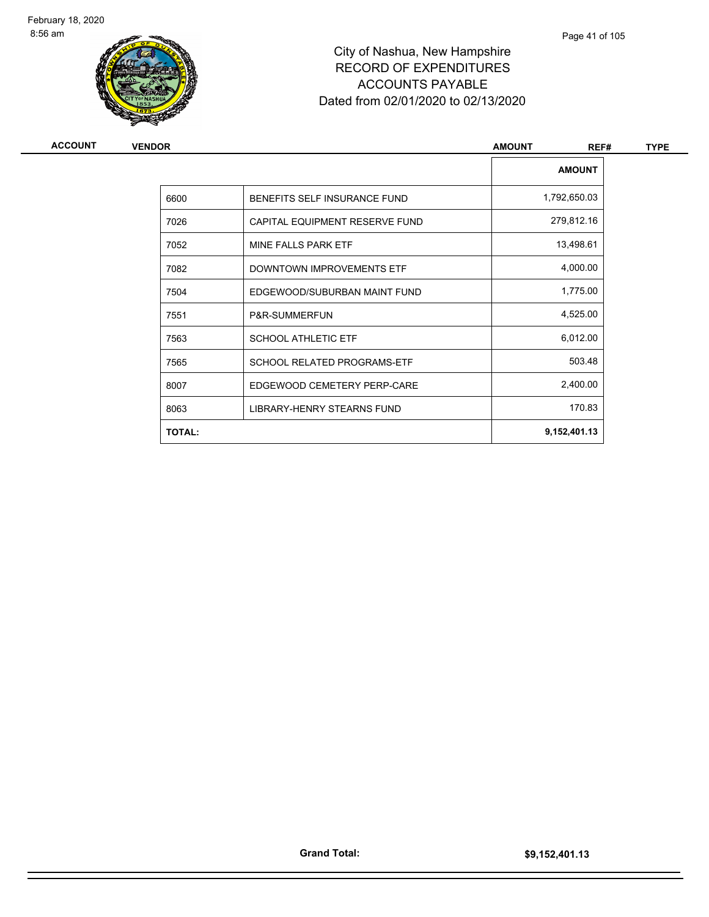

| ACCOUNT | <b>VENDOR</b> |                                | <b>AMOUNT</b><br>REF# | <b>TYPE</b> |
|---------|---------------|--------------------------------|-----------------------|-------------|
|         |               |                                | <b>AMOUNT</b>         |             |
|         | 6600          | BENEFITS SELF INSURANCE FUND   | 1,792,650.03          |             |
|         | 7026          | CAPITAL EQUIPMENT RESERVE FUND | 279,812.16            |             |
|         | 7052          | MINE FALLS PARK ETF            | 13,498.61             |             |
|         | 7082          | DOWNTOWN IMPROVEMENTS ETF      | 4,000.00              |             |
|         | 7504          | EDGEWOOD/SUBURBAN MAINT FUND   | 1,775.00              |             |
|         | 7551          | P&R-SUMMERFUN                  | 4,525.00              |             |
|         | 7563          | <b>SCHOOL ATHLETIC ETF</b>     | 6,012.00              |             |
|         | 7565          | SCHOOL RELATED PROGRAMS-ETF    | 503.48                |             |
|         | 8007          | EDGEWOOD CEMETERY PERP-CARE    | 2,400.00              |             |
|         | 8063          | LIBRARY-HENRY STEARNS FUND     | 170.83                |             |
|         | <b>TOTAL:</b> |                                | 9,152,401.13          |             |
|         |               |                                |                       |             |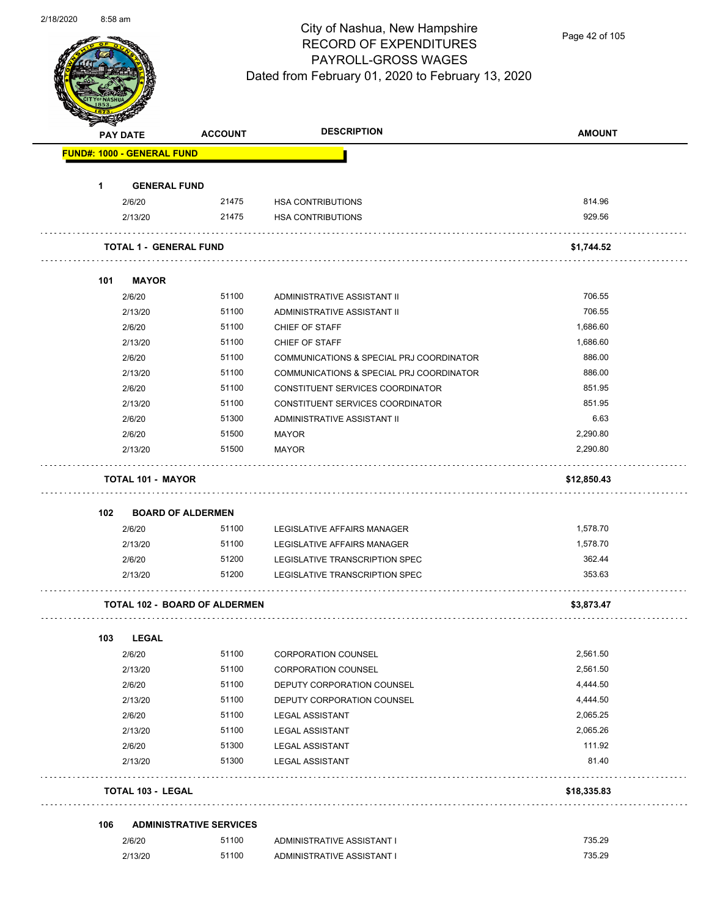

Page 42 of 105

|     | <b>PAY DATE</b>                      | <b>ACCOUNT</b>                          | <b>DESCRIPTION</b>                                               | <b>AMOUNT</b> |
|-----|--------------------------------------|-----------------------------------------|------------------------------------------------------------------|---------------|
|     | <b>FUND#: 1000 - GENERAL FUND</b>    |                                         |                                                                  |               |
| 1.  | <b>GENERAL FUND</b>                  |                                         |                                                                  |               |
|     | 2/6/20                               | 21475                                   | <b>HSA CONTRIBUTIONS</b>                                         | 814.96        |
|     | 2/13/20                              | 21475                                   | <b>HSA CONTRIBUTIONS</b>                                         | 929.56        |
|     |                                      |                                         |                                                                  |               |
|     | <b>TOTAL 1 - GENERAL FUND</b>        |                                         |                                                                  | \$1,744.52    |
| 101 | <b>MAYOR</b>                         |                                         |                                                                  |               |
|     | 2/6/20                               | 51100                                   | ADMINISTRATIVE ASSISTANT II                                      | 706.55        |
|     | 2/13/20                              | 51100                                   | ADMINISTRATIVE ASSISTANT II                                      | 706.55        |
|     | 2/6/20                               | 51100                                   | CHIEF OF STAFF                                                   | 1,686.60      |
|     | 2/13/20                              | 51100                                   | CHIEF OF STAFF                                                   | 1,686.60      |
|     | 2/6/20                               | 51100                                   | COMMUNICATIONS & SPECIAL PRJ COORDINATOR                         | 886.00        |
|     | 2/13/20                              | 51100                                   | COMMUNICATIONS & SPECIAL PRJ COORDINATOR                         | 886.00        |
|     | 2/6/20                               | 51100                                   | CONSTITUENT SERVICES COORDINATOR                                 | 851.95        |
|     | 2/13/20                              | 51100                                   | CONSTITUENT SERVICES COORDINATOR                                 | 851.95        |
|     | 2/6/20                               | 51300                                   | ADMINISTRATIVE ASSISTANT II                                      | 6.63          |
|     | 2/6/20                               | 51500                                   | <b>MAYOR</b>                                                     | 2,290.80      |
|     | 2/13/20                              | 51500                                   | <b>MAYOR</b>                                                     | 2,290.80      |
|     | <b>TOTAL 101 - MAYOR</b>             |                                         |                                                                  | \$12,850.43   |
|     |                                      |                                         |                                                                  |               |
| 102 | <b>BOARD OF ALDERMEN</b><br>2/6/20   | 51100                                   |                                                                  | 1,578.70      |
|     | 2/13/20                              | 51100                                   | LEGISLATIVE AFFAIRS MANAGER<br>LEGISLATIVE AFFAIRS MANAGER       | 1,578.70      |
|     |                                      | 51200                                   |                                                                  | 362.44        |
|     | 2/6/20<br>2/13/20                    | 51200                                   | LEGISLATIVE TRANSCRIPTION SPEC<br>LEGISLATIVE TRANSCRIPTION SPEC | 353.63        |
|     |                                      |                                         |                                                                  |               |
|     | <b>TOTAL 102 - BOARD OF ALDERMEN</b> |                                         |                                                                  | \$3,873.47    |
| 103 | <b>LEGAL</b>                         |                                         |                                                                  |               |
|     | 2/6/20                               | 51100                                   | <b>CORPORATION COUNSEL</b>                                       | 2,561.50      |
|     | 2/13/20                              | 51100                                   | <b>CORPORATION COUNSEL</b>                                       | 2,561.50      |
|     | 2/6/20                               | 51100                                   | DEPUTY CORPORATION COUNSEL                                       | 4,444.50      |
|     | 2/13/20                              | 51100                                   | DEPUTY CORPORATION COUNSEL                                       | 4,444.50      |
|     | 2/6/20                               | 51100                                   | <b>LEGAL ASSISTANT</b>                                           | 2,065.25      |
|     | 2/13/20                              | 51100                                   | <b>LEGAL ASSISTANT</b>                                           | 2,065.26      |
|     | 2/6/20                               | 51300                                   | <b>LEGAL ASSISTANT</b>                                           | 111.92        |
|     | 2/13/20                              | 51300                                   | <b>LEGAL ASSISTANT</b>                                           | 81.40         |
|     | <b>TOTAL 103 - LEGAL</b>             |                                         |                                                                  | \$18,335.83   |
|     |                                      |                                         |                                                                  |               |
| 106 |                                      | <b>ADMINISTRATIVE SERVICES</b><br>51100 |                                                                  | 735.29        |
|     | 2/6/20                               |                                         | ADMINISTRATIVE ASSISTANT I                                       |               |
|     | 2/13/20                              | 51100                                   | ADMINISTRATIVE ASSISTANT I                                       | 735.29        |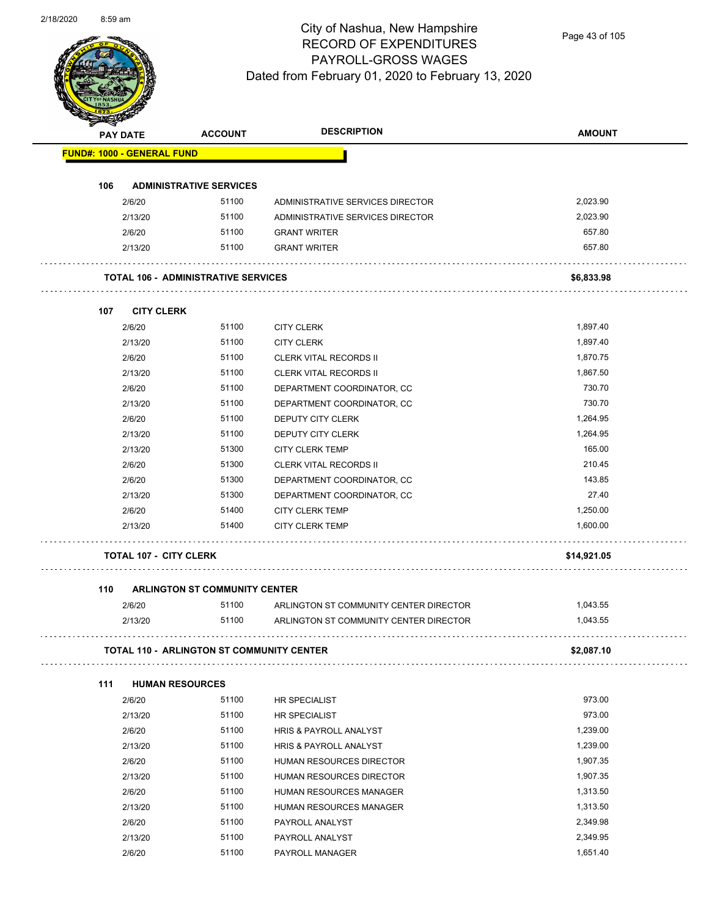

Page 43 of 105

| <b>PAY DATE</b>                   | <b>ACCOUNT</b>                                   | <b>DESCRIPTION</b>                     | <b>AMOUNT</b> |
|-----------------------------------|--------------------------------------------------|----------------------------------------|---------------|
| <b>FUND#: 1000 - GENERAL FUND</b> |                                                  |                                        |               |
| 106                               | <b>ADMINISTRATIVE SERVICES</b>                   |                                        |               |
| 2/6/20                            | 51100                                            | ADMINISTRATIVE SERVICES DIRECTOR       | 2,023.90      |
| 2/13/20                           | 51100                                            | ADMINISTRATIVE SERVICES DIRECTOR       | 2,023.90      |
| 2/6/20                            | 51100                                            | <b>GRANT WRITER</b>                    | 657.80        |
| 2/13/20                           | 51100                                            | <b>GRANT WRITER</b>                    | 657.80        |
|                                   | <b>TOTAL 106 - ADMINISTRATIVE SERVICES</b>       |                                        | \$6,833.98    |
| 107                               | <b>CITY CLERK</b>                                |                                        |               |
| 2/6/20                            | 51100                                            | <b>CITY CLERK</b>                      | 1,897.40      |
| 2/13/20                           | 51100                                            | <b>CITY CLERK</b>                      | 1,897.40      |
| 2/6/20                            | 51100                                            | <b>CLERK VITAL RECORDS II</b>          | 1,870.75      |
| 2/13/20                           | 51100                                            | <b>CLERK VITAL RECORDS II</b>          | 1,867.50      |
| 2/6/20                            | 51100                                            | DEPARTMENT COORDINATOR, CC             | 730.70        |
| 2/13/20                           | 51100                                            | DEPARTMENT COORDINATOR, CC             | 730.70        |
| 2/6/20                            | 51100                                            | DEPUTY CITY CLERK                      | 1,264.95      |
| 2/13/20                           | 51100                                            | DEPUTY CITY CLERK                      | 1,264.95      |
| 2/13/20                           | 51300                                            | <b>CITY CLERK TEMP</b>                 | 165.00        |
| 2/6/20                            | 51300                                            | <b>CLERK VITAL RECORDS II</b>          | 210.45        |
| 2/6/20                            | 51300                                            | DEPARTMENT COORDINATOR, CC             | 143.85        |
| 2/13/20                           | 51300                                            | DEPARTMENT COORDINATOR, CC             | 27.40         |
| 2/6/20                            | 51400                                            | <b>CITY CLERK TEMP</b>                 | 1,250.00      |
| 2/13/20                           | 51400                                            | <b>CITY CLERK TEMP</b>                 | 1,600.00      |
|                                   | <b>TOTAL 107 - CITY CLERK</b>                    |                                        | \$14,921.05   |
| 110                               | <b>ARLINGTON ST COMMUNITY CENTER</b>             |                                        |               |
| 2/6/20                            | 51100                                            | ARLINGTON ST COMMUNITY CENTER DIRECTOR | 1,043.55      |
| 2/13/20                           | 51100                                            | ARLINGTON ST COMMUNITY CENTER DIRECTOR | 1,043.55      |
|                                   | <b>TOTAL 110 - ARLINGTON ST COMMUNITY CENTER</b> |                                        | \$2,087.10    |
| 111                               | <b>HUMAN RESOURCES</b>                           |                                        |               |
| 2/6/20                            | 51100                                            | HR SPECIALIST                          | 973.00        |
| 2/13/20                           | 51100                                            | <b>HR SPECIALIST</b>                   | 973.00        |
| 2/6/20                            | 51100                                            | HRIS & PAYROLL ANALYST                 | 1,239.00      |
| 2/13/20                           | 51100                                            | HRIS & PAYROLL ANALYST                 | 1,239.00      |
| 2/6/20                            | 51100                                            | HUMAN RESOURCES DIRECTOR               | 1,907.35      |
| 2/13/20                           | 51100                                            | HUMAN RESOURCES DIRECTOR               | 1,907.35      |
| 2/6/20                            | 51100                                            | HUMAN RESOURCES MANAGER                | 1,313.50      |
| 2/13/20                           | 51100                                            | HUMAN RESOURCES MANAGER                | 1,313.50      |
| 2/6/20                            | 51100                                            | PAYROLL ANALYST                        | 2,349.98      |
|                                   | 51100                                            | PAYROLL ANALYST                        | 2,349.95      |
| 2/13/20                           |                                                  |                                        |               |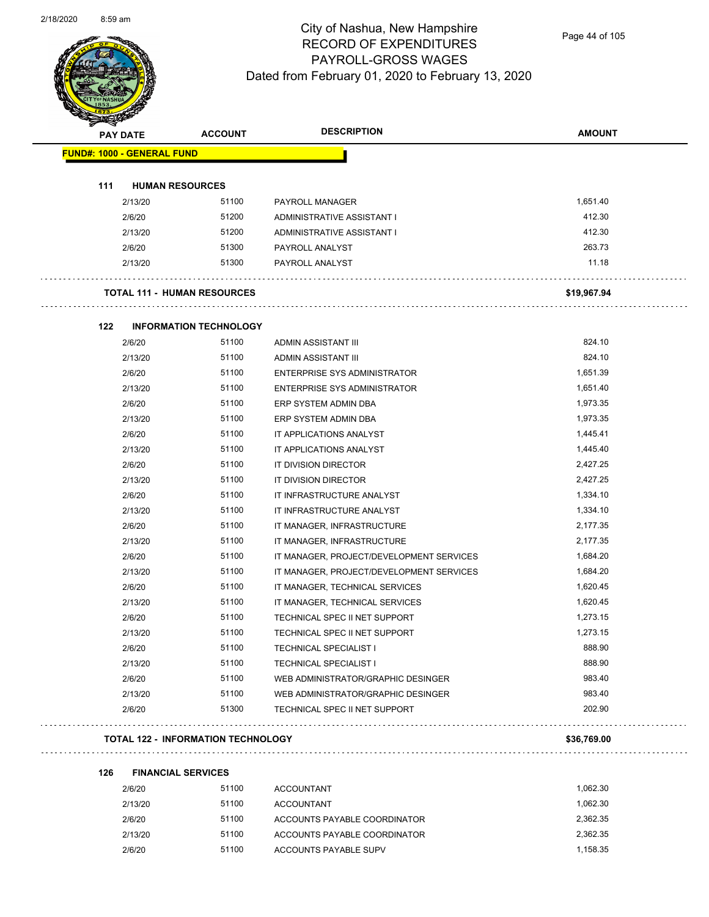

Page 44 of 105

| <b>PAY DATE</b>                   | <b>ACCOUNT</b>                            | <b>DESCRIPTION</b>                       | <b>AMOUNT</b> |
|-----------------------------------|-------------------------------------------|------------------------------------------|---------------|
| <b>FUND#: 1000 - GENERAL FUND</b> |                                           |                                          |               |
| 111                               | <b>HUMAN RESOURCES</b>                    |                                          |               |
| 2/13/20                           | 51100                                     | PAYROLL MANAGER                          | 1,651.40      |
| 2/6/20                            | 51200                                     | ADMINISTRATIVE ASSISTANT I               | 412.30        |
| 2/13/20                           | 51200                                     | ADMINISTRATIVE ASSISTANT I               | 412.30        |
| 2/6/20                            | 51300                                     | PAYROLL ANALYST                          | 263.73        |
| 2/13/20                           | 51300                                     | PAYROLL ANALYST                          | 11.18         |
|                                   | <b>TOTAL 111 - HUMAN RESOURCES</b>        |                                          | \$19,967.94   |
| 122                               | <b>INFORMATION TECHNOLOGY</b>             |                                          |               |
| 2/6/20                            | 51100                                     | ADMIN ASSISTANT III                      | 824.10        |
| 2/13/20                           | 51100                                     | ADMIN ASSISTANT III                      | 824.10        |
| 2/6/20                            | 51100                                     | ENTERPRISE SYS ADMINISTRATOR             | 1,651.39      |
| 2/13/20                           | 51100                                     | <b>ENTERPRISE SYS ADMINISTRATOR</b>      | 1,651.40      |
| 2/6/20                            | 51100                                     | ERP SYSTEM ADMIN DBA                     | 1,973.35      |
| 2/13/20                           | 51100                                     | ERP SYSTEM ADMIN DBA                     | 1,973.35      |
| 2/6/20                            | 51100                                     | IT APPLICATIONS ANALYST                  | 1,445.41      |
| 2/13/20                           | 51100                                     | IT APPLICATIONS ANALYST                  | 1,445.40      |
| 2/6/20                            | 51100                                     | IT DIVISION DIRECTOR                     | 2,427.25      |
| 2/13/20                           | 51100                                     | IT DIVISION DIRECTOR                     | 2,427.25      |
| 2/6/20                            | 51100                                     | IT INFRASTRUCTURE ANALYST                | 1,334.10      |
| 2/13/20                           | 51100                                     | IT INFRASTRUCTURE ANALYST                | 1,334.10      |
| 2/6/20                            | 51100                                     | IT MANAGER, INFRASTRUCTURE               | 2,177.35      |
| 2/13/20                           | 51100                                     | IT MANAGER, INFRASTRUCTURE               | 2,177.35      |
| 2/6/20                            | 51100                                     | IT MANAGER, PROJECT/DEVELOPMENT SERVICES | 1,684.20      |
| 2/13/20                           | 51100                                     | IT MANAGER, PROJECT/DEVELOPMENT SERVICES | 1,684.20      |
| 2/6/20                            | 51100                                     | IT MANAGER, TECHNICAL SERVICES           | 1,620.45      |
| 2/13/20                           | 51100                                     | IT MANAGER, TECHNICAL SERVICES           | 1,620.45      |
| 2/6/20                            | 51100                                     | TECHNICAL SPEC II NET SUPPORT            | 1,273.15      |
| 2/13/20                           | 51100                                     | TECHNICAL SPEC II NET SUPPORT            | 1,273.15      |
| 2/6/20                            | 51100                                     | <b>TECHNICAL SPECIALIST I</b>            | 888.90        |
| 2/13/20                           | 51100                                     | <b>TECHNICAL SPECIALIST I</b>            | 888.90        |
| 2/6/20                            | 51100                                     | WEB ADMINISTRATOR/GRAPHIC DESINGER       | 983.40        |
| 2/13/20                           | 51100                                     | WEB ADMINISTRATOR/GRAPHIC DESINGER       | 983.40        |
| 2/6/20                            | 51300                                     | TECHNICAL SPEC II NET SUPPORT            | 202.90        |
|                                   | <b>TOTAL 122 - INFORMATION TECHNOLOGY</b> |                                          | \$36,769.00   |

| 126 | <b>FINANCIAL SERVICES</b> |       |                              |          |
|-----|---------------------------|-------|------------------------------|----------|
|     | 2/6/20                    | 51100 | <b>ACCOUNTANT</b>            | 1.062.30 |
|     | 2/13/20                   | 51100 | <b>ACCOUNTANT</b>            | 1.062.30 |
|     | 2/6/20                    | 51100 | ACCOUNTS PAYABLE COORDINATOR | 2.362.35 |
|     | 2/13/20                   | 51100 | ACCOUNTS PAYABLE COORDINATOR | 2.362.35 |
|     | 2/6/20                    | 51100 | ACCOUNTS PAYABLE SUPV        | 1.158.35 |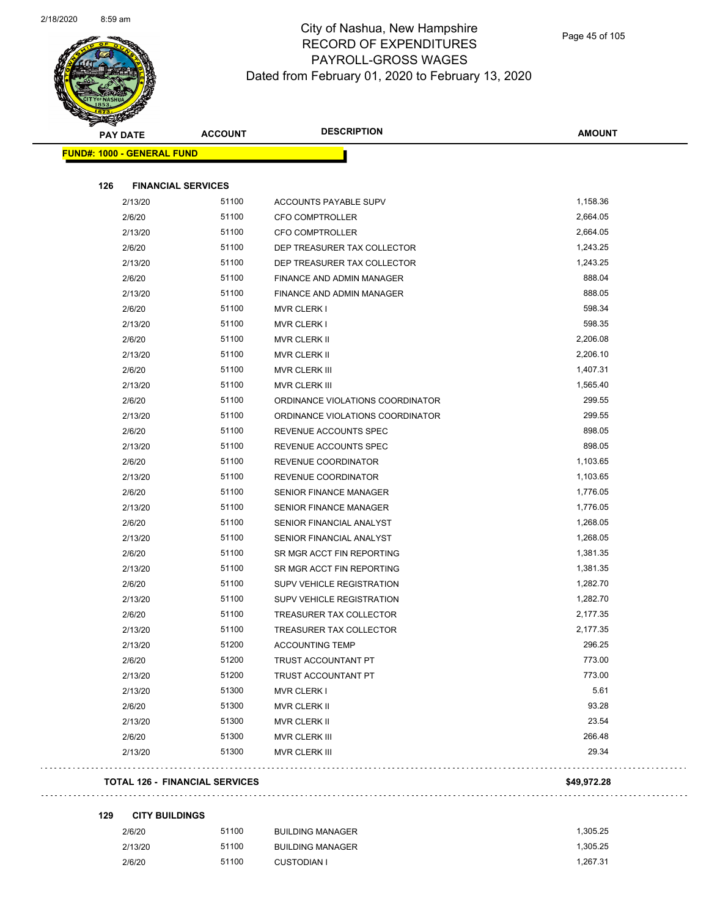

|     | <b>PAY DATE</b>                   | <b>ACCOUNT</b>                        | <b>DESCRIPTION</b>               | <b>AMOUNT</b>    |
|-----|-----------------------------------|---------------------------------------|----------------------------------|------------------|
|     | <b>FUND#: 1000 - GENERAL FUND</b> |                                       |                                  |                  |
|     |                                   |                                       |                                  |                  |
| 126 | 2/13/20                           | <b>FINANCIAL SERVICES</b><br>51100    | ACCOUNTS PAYABLE SUPV            | 1,158.36         |
|     | 2/6/20                            | 51100                                 | <b>CFO COMPTROLLER</b>           | 2,664.05         |
|     | 2/13/20                           | 51100                                 | <b>CFO COMPTROLLER</b>           | 2,664.05         |
|     | 2/6/20                            | 51100                                 | DEP TREASURER TAX COLLECTOR      | 1,243.25         |
|     | 2/13/20                           | 51100                                 | DEP TREASURER TAX COLLECTOR      | 1,243.25         |
|     | 2/6/20                            | 51100                                 | FINANCE AND ADMIN MANAGER        | 888.04           |
|     | 2/13/20                           | 51100                                 | FINANCE AND ADMIN MANAGER        | 888.05           |
|     | 2/6/20                            | 51100                                 |                                  | 598.34           |
|     |                                   | 51100                                 | <b>MVR CLERK I</b>               | 598.35           |
|     | 2/13/20                           | 51100                                 | MVR CLERK I                      | 2,206.08         |
|     | 2/6/20                            | 51100                                 | MVR CLERK II                     | 2,206.10         |
|     | 2/13/20                           | 51100                                 | MVR CLERK II                     | 1,407.31         |
|     | 2/6/20                            |                                       | <b>MVR CLERK III</b>             |                  |
|     | 2/13/20                           | 51100                                 | MVR CLERK III                    | 1,565.40         |
|     | 2/6/20                            | 51100                                 | ORDINANCE VIOLATIONS COORDINATOR | 299.55<br>299.55 |
|     | 2/13/20                           | 51100                                 | ORDINANCE VIOLATIONS COORDINATOR |                  |
|     | 2/6/20                            | 51100                                 | REVENUE ACCOUNTS SPEC            | 898.05           |
|     | 2/13/20                           | 51100                                 | REVENUE ACCOUNTS SPEC            | 898.05           |
|     | 2/6/20                            | 51100                                 | REVENUE COORDINATOR              | 1,103.65         |
|     | 2/13/20                           | 51100                                 | REVENUE COORDINATOR              | 1,103.65         |
|     | 2/6/20                            | 51100                                 | <b>SENIOR FINANCE MANAGER</b>    | 1,776.05         |
|     | 2/13/20                           | 51100                                 | <b>SENIOR FINANCE MANAGER</b>    | 1,776.05         |
|     | 2/6/20                            | 51100                                 | SENIOR FINANCIAL ANALYST         | 1,268.05         |
|     | 2/13/20                           | 51100                                 | SENIOR FINANCIAL ANALYST         | 1,268.05         |
|     | 2/6/20                            | 51100                                 | SR MGR ACCT FIN REPORTING        | 1,381.35         |
|     | 2/13/20                           | 51100                                 | SR MGR ACCT FIN REPORTING        | 1,381.35         |
|     | 2/6/20                            | 51100                                 | SUPV VEHICLE REGISTRATION        | 1,282.70         |
|     | 2/13/20                           | 51100                                 | SUPV VEHICLE REGISTRATION        | 1,282.70         |
|     | 2/6/20                            | 51100                                 | TREASURER TAX COLLECTOR          | 2,177.35         |
|     | 2/13/20                           | 51100                                 | TREASURER TAX COLLECTOR          | 2,177.35         |
|     | 2/13/20                           | 51200                                 | <b>ACCOUNTING TEMP</b>           | 296.25           |
|     | 2/6/20                            | 51200                                 | TRUST ACCOUNTANT PT              | 773.00           |
|     | 2/13/20                           | 51200                                 | <b>TRUST ACCOUNTANT PT</b>       | 773.00           |
|     | 2/13/20                           | 51300                                 | MVR CLERK I                      | 5.61             |
|     | 2/6/20                            | 51300                                 | MVR CLERK II                     | 93.28            |
|     | 2/13/20                           | 51300                                 | MVR CLERK II                     | 23.54            |
|     | 2/6/20                            | 51300                                 | MVR CLERK III                    | 266.48           |
|     | 2/13/20                           | 51300                                 | MVR CLERK III                    | 29.34            |
|     |                                   | <b>TOTAL 126 - FINANCIAL SERVICES</b> |                                  | \$49,972.28      |

```
129 CITY BUILDINGS
```
 $\bar{z}$  ,  $\bar{z}$  ,

| 2/6/20  | 51100 | BUILDING MANAGER | 1.305.25 |
|---------|-------|------------------|----------|
| 2/13/20 | 51100 | BUILDING MANAGER | 1.305.25 |
| 2/6/20  | 51100 | CUSTODIAN I      | 1.267.31 |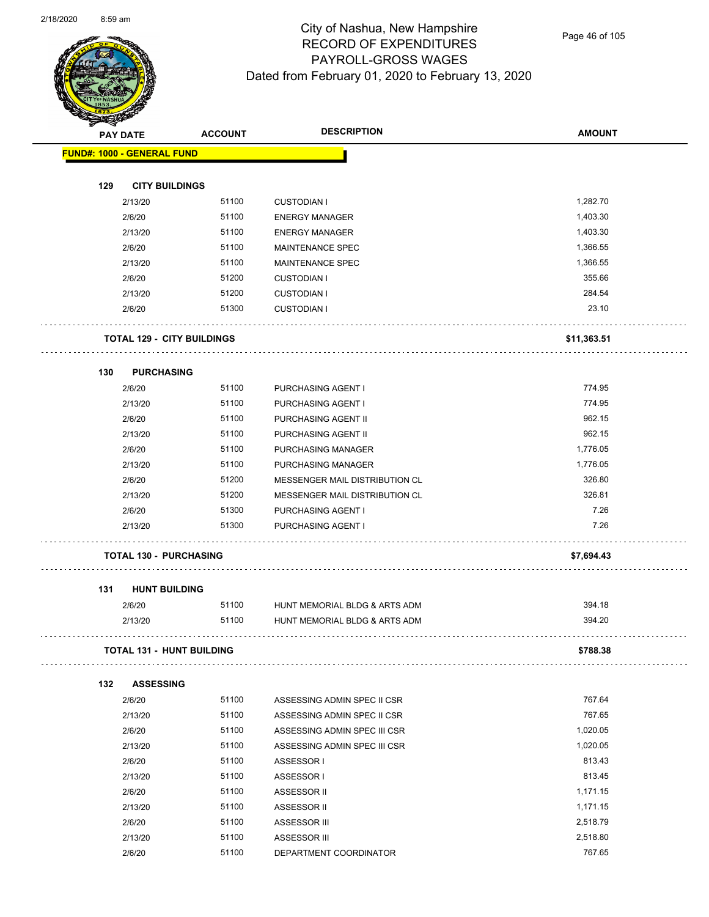

Page 46 of 105

| <b>A</b> | <b>PAY DATE</b>                   | <b>ACCOUNT</b> | <b>DESCRIPTION</b>                       | <b>AMOUNT</b>        |
|----------|-----------------------------------|----------------|------------------------------------------|----------------------|
|          | <b>FUND#: 1000 - GENERAL FUND</b> |                |                                          |                      |
|          | <b>CITY BUILDINGS</b>             |                |                                          |                      |
| 129      | 2/13/20                           | 51100          | <b>CUSTODIAN I</b>                       | 1,282.70             |
|          | 2/6/20                            | 51100          | <b>ENERGY MANAGER</b>                    | 1,403.30             |
|          | 2/13/20                           | 51100          |                                          | 1,403.30             |
|          |                                   |                | <b>ENERGY MANAGER</b>                    |                      |
|          | 2/6/20                            | 51100<br>51100 | MAINTENANCE SPEC                         | 1,366.55<br>1,366.55 |
|          | 2/13/20                           | 51200          | MAINTENANCE SPEC                         | 355.66               |
|          | 2/6/20<br>2/13/20                 | 51200          | <b>CUSTODIAN I</b><br><b>CUSTODIAN I</b> | 284.54               |
|          | 2/6/20                            | 51300          | <b>CUSTODIAN I</b>                       | 23.10                |
|          | <b>TOTAL 129 - CITY BUILDINGS</b> |                |                                          | \$11,363.51          |
| 130      | <b>PURCHASING</b>                 |                |                                          |                      |
|          | 2/6/20                            | 51100          | PURCHASING AGENT I                       | 774.95               |
|          | 2/13/20                           | 51100          | PURCHASING AGENT I                       | 774.95               |
|          | 2/6/20                            | 51100          | PURCHASING AGENT II                      | 962.15               |
|          | 2/13/20                           | 51100          | PURCHASING AGENT II                      | 962.15               |
|          | 2/6/20                            | 51100          | PURCHASING MANAGER                       | 1,776.05             |
|          | 2/13/20                           | 51100          | PURCHASING MANAGER                       | 1,776.05             |
|          | 2/6/20                            | 51200          | MESSENGER MAIL DISTRIBUTION CL           | 326.80               |
|          | 2/13/20                           | 51200          | MESSENGER MAIL DISTRIBUTION CL           | 326.81               |
|          | 2/6/20                            | 51300          | PURCHASING AGENT I                       | 7.26                 |
|          | 2/13/20                           | 51300          | PURCHASING AGENT I                       | 7.26                 |
|          | <b>TOTAL 130 - PURCHASING</b>     |                |                                          | \$7,694.43           |
| 131      | <b>HUNT BUILDING</b>              |                |                                          |                      |
|          | 2/6/20                            | 51100          | HUNT MEMORIAL BLDG & ARTS ADM            | 394.18               |
|          | 2/13/20                           | 51100          | HUNT MEMORIAL BLDG & ARTS ADM            | 394.20               |
|          | <b>TOTAL 131 - HUNT BUILDING</b>  |                |                                          | \$788.38             |
| 132      | <b>ASSESSING</b>                  |                |                                          |                      |
|          | 2/6/20                            | 51100          | ASSESSING ADMIN SPEC II CSR              | 767.64               |
|          | 2/13/20                           | 51100          | ASSESSING ADMIN SPEC II CSR              | 767.65               |
|          | 2/6/20                            | 51100          | ASSESSING ADMIN SPEC III CSR             | 1,020.05             |
|          | 2/13/20                           | 51100          | ASSESSING ADMIN SPEC III CSR             | 1,020.05             |
|          | 2/6/20                            | 51100          | ASSESSOR I                               | 813.43               |
|          | 2/13/20                           | 51100          | ASSESSOR I                               | 813.45               |
|          | 2/6/20                            | 51100          | ASSESSOR II                              | 1,171.15             |
|          | 2/13/20                           | 51100          | ASSESSOR II                              | 1,171.15             |
|          | 2/6/20                            | 51100          | ASSESSOR III                             | 2,518.79             |
|          | 2/13/20                           | 51100          | ASSESSOR III                             | 2,518.80             |
|          | 2/6/20                            | 51100          | DEPARTMENT COORDINATOR                   | 767.65               |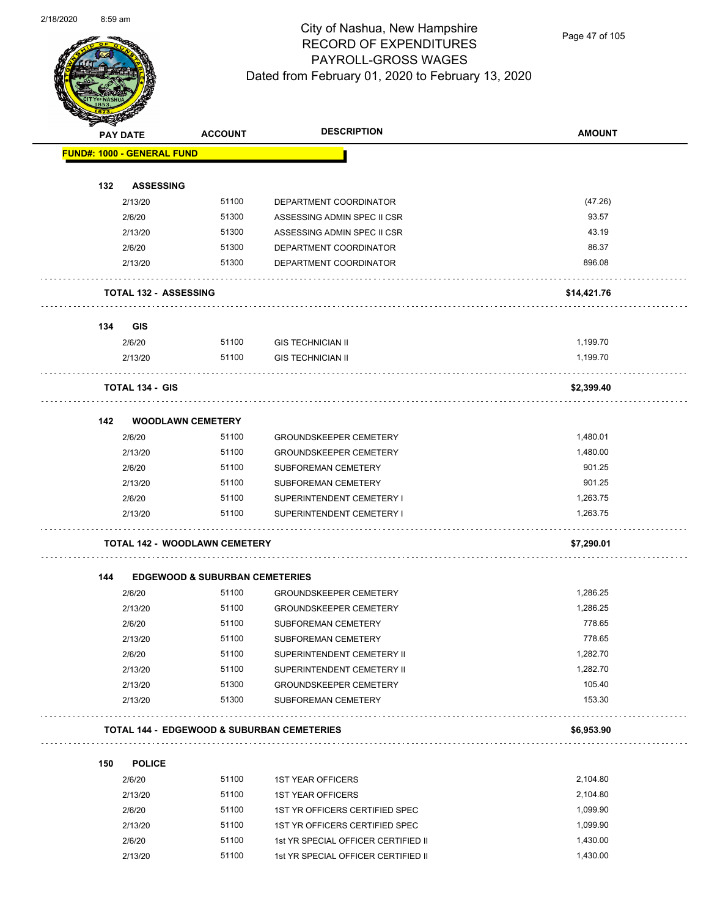

Page 47 of 105

| $\mathscr{D} \rightrightarrows$ | <b>PAY DATE</b>                   | <b>ACCOUNT</b>                            | <b>DESCRIPTION</b>                                    | <b>AMOUNT</b> |
|---------------------------------|-----------------------------------|-------------------------------------------|-------------------------------------------------------|---------------|
|                                 | <b>FUND#: 1000 - GENERAL FUND</b> |                                           |                                                       |               |
|                                 |                                   |                                           |                                                       |               |
| 132                             | <b>ASSESSING</b>                  | 51100                                     |                                                       | (47.26)       |
|                                 | 2/13/20<br>2/6/20                 | 51300                                     | DEPARTMENT COORDINATOR<br>ASSESSING ADMIN SPEC II CSR | 93.57         |
|                                 | 2/13/20                           | 51300                                     | ASSESSING ADMIN SPEC II CSR                           | 43.19         |
|                                 | 2/6/20                            | 51300                                     | DEPARTMENT COORDINATOR                                | 86.37         |
|                                 | 2/13/20                           | 51300                                     | DEPARTMENT COORDINATOR                                | 896.08        |
|                                 |                                   |                                           |                                                       |               |
|                                 | <b>TOTAL 132 - ASSESSING</b>      |                                           |                                                       | \$14,421.76   |
| 134                             | <b>GIS</b>                        |                                           |                                                       |               |
|                                 | 2/6/20                            | 51100                                     | <b>GIS TECHNICIAN II</b>                              | 1,199.70      |
|                                 | 2/13/20                           | 51100                                     | <b>GIS TECHNICIAN II</b>                              | 1,199.70      |
|                                 | <b>TOTAL 134 - GIS</b>            |                                           |                                                       | \$2,399.40    |
|                                 |                                   |                                           |                                                       |               |
| 142                             |                                   | <b>WOODLAWN CEMETERY</b>                  |                                                       |               |
|                                 | 2/6/20                            | 51100                                     | <b>GROUNDSKEEPER CEMETERY</b>                         | 1,480.01      |
|                                 | 2/13/20                           | 51100                                     | <b>GROUNDSKEEPER CEMETERY</b>                         | 1,480.00      |
|                                 | 2/6/20                            | 51100                                     | SUBFOREMAN CEMETERY                                   | 901.25        |
|                                 | 2/13/20                           | 51100                                     | SUBFOREMAN CEMETERY                                   | 901.25        |
|                                 | 2/6/20                            | 51100                                     | SUPERINTENDENT CEMETERY I                             | 1,263.75      |
|                                 | 2/13/20                           | 51100                                     | SUPERINTENDENT CEMETERY I                             | 1,263.75      |
|                                 |                                   | <b>TOTAL 142 - WOODLAWN CEMETERY</b>      |                                                       | \$7,290.01    |
| 144                             |                                   | <b>EDGEWOOD &amp; SUBURBAN CEMETERIES</b> |                                                       |               |
|                                 | 2/6/20                            | 51100                                     | <b>GROUNDSKEEPER CEMETERY</b>                         | 1,286.25      |
|                                 | 2/13/20                           | 51100                                     | <b>GROUNDSKEEPER CEMETERY</b>                         | 1,286.25      |
|                                 | 2/6/20                            | 51100                                     | SUBFOREMAN CEMETERY                                   | 778.65        |
|                                 | 2/13/20                           | 51100                                     | SUBFOREMAN CEMETERY                                   | 778.65        |
|                                 | 2/6/20                            | 51100                                     | SUPERINTENDENT CEMETERY II                            | 1,282.70      |
|                                 | 2/13/20                           | 51100                                     | SUPERINTENDENT CEMETERY II                            | 1,282.70      |
|                                 | 2/13/20                           | 51300                                     | <b>GROUNDSKEEPER CEMETERY</b>                         | 105.40        |
|                                 | 2/13/20                           | 51300                                     | SUBFOREMAN CEMETERY                                   | 153.30        |
|                                 |                                   |                                           | <b>TOTAL 144 - EDGEWOOD &amp; SUBURBAN CEMETERIES</b> | \$6,953.90    |
| 150                             | <b>POLICE</b>                     |                                           |                                                       |               |
|                                 | 2/6/20                            | 51100                                     | <b>1ST YEAR OFFICERS</b>                              | 2,104.80      |
|                                 | 2/13/20                           | 51100                                     | <b>1ST YEAR OFFICERS</b>                              | 2,104.80      |
|                                 | 2/6/20                            | 51100                                     | 1ST YR OFFICERS CERTIFIED SPEC                        | 1,099.90      |
|                                 | 2/13/20                           | 51100                                     | 1ST YR OFFICERS CERTIFIED SPEC                        | 1,099.90      |

2/6/20 51100 1st YR SPECIAL OFFICER CERTIFIED II 1,430.00 2/13/20 51100 1st YR SPECIAL OFFICER CERTIFIED II 1,430.00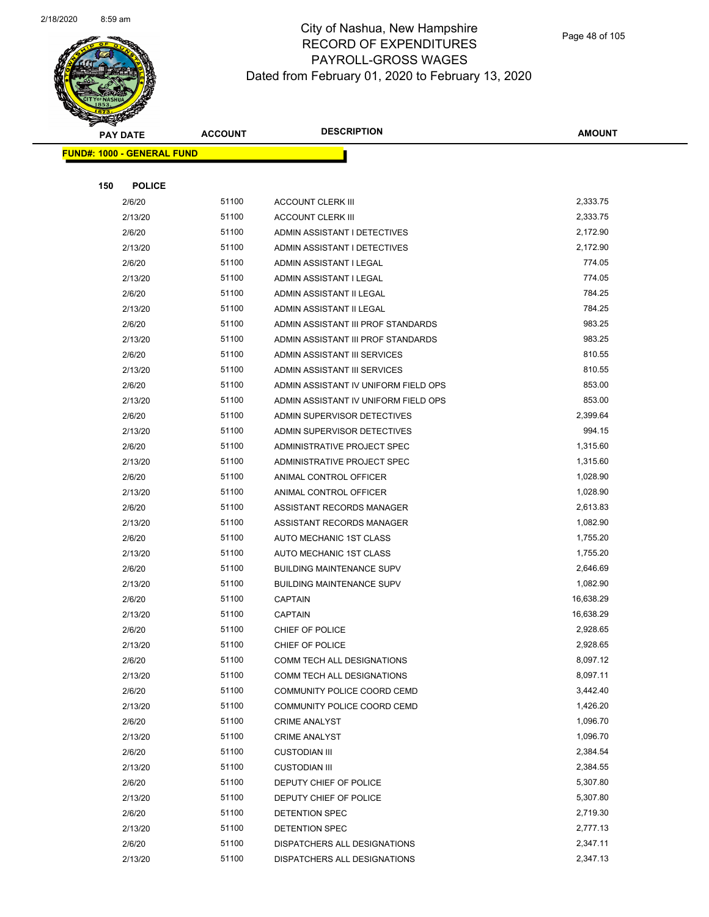

Page 48 of 105

|     | <b>PAY DATE</b>                   | <b>ACCOUNT</b> | <b>DESCRIPTION</b>                             | <b>AMOUNT</b>        |
|-----|-----------------------------------|----------------|------------------------------------------------|----------------------|
|     | <b>FUND#: 1000 - GENERAL FUND</b> |                |                                                |                      |
|     |                                   |                |                                                |                      |
| 150 | <b>POLICE</b>                     |                |                                                |                      |
|     | 2/6/20                            | 51100          | <b>ACCOUNT CLERK III</b>                       | 2,333.75             |
|     | 2/13/20                           | 51100          | <b>ACCOUNT CLERK III</b>                       | 2,333.75             |
|     | 2/6/20                            | 51100          | ADMIN ASSISTANT I DETECTIVES                   | 2,172.90             |
|     | 2/13/20                           | 51100          | ADMIN ASSISTANT I DETECTIVES                   | 2,172.90             |
|     | 2/6/20                            | 51100          | ADMIN ASSISTANT I LEGAL                        | 774.05               |
|     | 2/13/20                           | 51100          | ADMIN ASSISTANT I LEGAL                        | 774.05               |
|     | 2/6/20                            | 51100          | ADMIN ASSISTANT II LEGAL                       | 784.25               |
|     | 2/13/20                           | 51100          | ADMIN ASSISTANT II LEGAL                       | 784.25               |
|     | 2/6/20                            | 51100          | ADMIN ASSISTANT III PROF STANDARDS             | 983.25               |
|     | 2/13/20                           | 51100          | ADMIN ASSISTANT III PROF STANDARDS             | 983.25               |
|     | 2/6/20                            | 51100          | ADMIN ASSISTANT III SERVICES                   | 810.55               |
|     | 2/13/20                           | 51100          | ADMIN ASSISTANT III SERVICES                   | 810.55               |
|     | 2/6/20                            | 51100          | ADMIN ASSISTANT IV UNIFORM FIELD OPS           | 853.00               |
|     | 2/13/20                           | 51100          | ADMIN ASSISTANT IV UNIFORM FIELD OPS           | 853.00               |
|     | 2/6/20                            | 51100          | ADMIN SUPERVISOR DETECTIVES                    | 2,399.64             |
|     | 2/13/20                           | 51100          | ADMIN SUPERVISOR DETECTIVES                    | 994.15               |
|     | 2/6/20                            | 51100          | ADMINISTRATIVE PROJECT SPEC                    | 1,315.60             |
|     | 2/13/20                           | 51100          | ADMINISTRATIVE PROJECT SPEC                    | 1,315.60             |
|     | 2/6/20                            | 51100          | ANIMAL CONTROL OFFICER                         | 1,028.90             |
|     | 2/13/20                           | 51100          | ANIMAL CONTROL OFFICER                         | 1,028.90             |
|     | 2/6/20                            | 51100          | ASSISTANT RECORDS MANAGER                      | 2,613.83             |
|     | 2/13/20                           | 51100          | ASSISTANT RECORDS MANAGER                      | 1,082.90             |
|     | 2/6/20                            | 51100          | AUTO MECHANIC 1ST CLASS                        | 1,755.20             |
|     | 2/13/20                           | 51100          | AUTO MECHANIC 1ST CLASS                        | 1,755.20             |
|     | 2/6/20                            | 51100          | <b>BUILDING MAINTENANCE SUPV</b>               | 2,646.69             |
|     | 2/13/20                           | 51100          | <b>BUILDING MAINTENANCE SUPV</b>               | 1,082.90             |
|     | 2/6/20                            | 51100          | <b>CAPTAIN</b>                                 | 16,638.29            |
|     | 2/13/20                           | 51100          | <b>CAPTAIN</b>                                 | 16,638.29            |
|     | 2/6/20                            | 51100          | CHIEF OF POLICE                                | 2,928.65             |
|     | 2/13/20                           | 51100          | CHIEF OF POLICE                                | 2,928.65             |
|     | 2/6/20                            | 51100          | COMM TECH ALL DESIGNATIONS                     | 8,097.12             |
|     | 2/13/20                           | 51100          | COMM TECH ALL DESIGNATIONS                     | 8,097.11             |
|     | 2/6/20                            | 51100          | COMMUNITY POLICE COORD CEMD                    | 3,442.40             |
|     | 2/13/20                           | 51100          | COMMUNITY POLICE COORD CEMD                    | 1,426.20<br>1,096.70 |
|     | 2/6/20                            | 51100<br>51100 | <b>CRIME ANALYST</b>                           | 1,096.70             |
|     | 2/13/20<br>2/6/20                 | 51100          | <b>CRIME ANALYST</b><br><b>CUSTODIAN III</b>   | 2,384.54             |
|     |                                   | 51100          |                                                | 2,384.55             |
|     | 2/13/20<br>2/6/20                 | 51100          | <b>CUSTODIAN III</b><br>DEPUTY CHIEF OF POLICE | 5,307.80             |
|     | 2/13/20                           | 51100          | DEPUTY CHIEF OF POLICE                         | 5,307.80             |
|     | 2/6/20                            | 51100          | DETENTION SPEC                                 | 2,719.30             |
|     | 2/13/20                           | 51100          | DETENTION SPEC                                 | 2,777.13             |
|     | 2/6/20                            | 51100          | DISPATCHERS ALL DESIGNATIONS                   | 2,347.11             |
|     | 2/13/20                           | 51100          | DISPATCHERS ALL DESIGNATIONS                   | 2,347.13             |
|     |                                   |                |                                                |                      |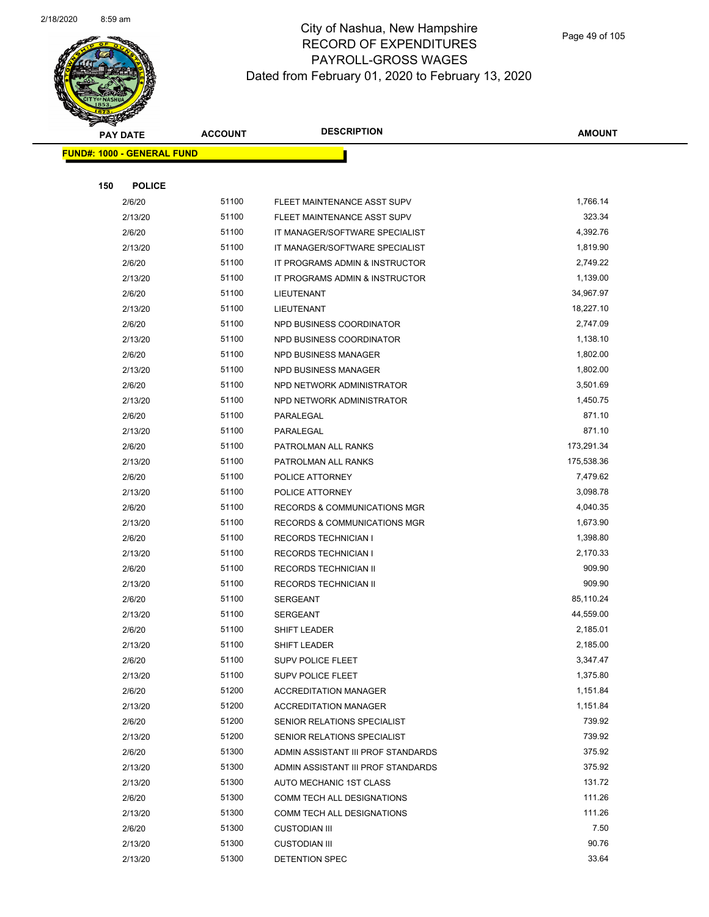

|     | <b>PAY DATE</b>                   | <b>ACCOUNT</b> | <b>DESCRIPTION</b>                      | <b>AMOUNT</b> |
|-----|-----------------------------------|----------------|-----------------------------------------|---------------|
|     | <b>FUND#: 1000 - GENERAL FUND</b> |                |                                         |               |
|     |                                   |                |                                         |               |
| 150 | <b>POLICE</b>                     |                |                                         |               |
|     | 2/6/20                            | 51100          | FLEET MAINTENANCE ASST SUPV             | 1,766.14      |
|     | 2/13/20                           | 51100          | FLEET MAINTENANCE ASST SUPV             | 323.34        |
|     | 2/6/20                            | 51100          | IT MANAGER/SOFTWARE SPECIALIST          | 4,392.76      |
|     | 2/13/20                           | 51100          | IT MANAGER/SOFTWARE SPECIALIST          | 1,819.90      |
|     | 2/6/20                            | 51100          | IT PROGRAMS ADMIN & INSTRUCTOR          | 2,749.22      |
|     | 2/13/20                           | 51100          | IT PROGRAMS ADMIN & INSTRUCTOR          | 1,139.00      |
|     | 2/6/20                            | 51100          | LIEUTENANT                              | 34,967.97     |
|     | 2/13/20                           | 51100          | LIEUTENANT                              | 18,227.10     |
|     | 2/6/20                            | 51100          | NPD BUSINESS COORDINATOR                | 2,747.09      |
|     | 2/13/20                           | 51100          | NPD BUSINESS COORDINATOR                | 1,138.10      |
|     | 2/6/20                            | 51100          | NPD BUSINESS MANAGER                    | 1,802.00      |
|     | 2/13/20                           | 51100          | NPD BUSINESS MANAGER                    | 1,802.00      |
|     | 2/6/20                            | 51100          | NPD NETWORK ADMINISTRATOR               | 3,501.69      |
|     | 2/13/20                           | 51100          | NPD NETWORK ADMINISTRATOR               | 1,450.75      |
|     | 2/6/20                            | 51100          | PARALEGAL                               | 871.10        |
|     | 2/13/20                           | 51100          | PARALEGAL                               | 871.10        |
|     | 2/6/20                            | 51100          | PATROLMAN ALL RANKS                     | 173,291.34    |
|     | 2/13/20                           | 51100          | PATROLMAN ALL RANKS                     | 175,538.36    |
|     | 2/6/20                            | 51100          | POLICE ATTORNEY                         | 7,479.62      |
|     | 2/13/20                           | 51100          | POLICE ATTORNEY                         | 3,098.78      |
|     | 2/6/20                            | 51100          | <b>RECORDS &amp; COMMUNICATIONS MGR</b> | 4,040.35      |
|     | 2/13/20                           | 51100          | <b>RECORDS &amp; COMMUNICATIONS MGR</b> | 1,673.90      |
|     | 2/6/20                            | 51100          | <b>RECORDS TECHNICIAN I</b>             | 1,398.80      |
|     | 2/13/20                           | 51100          | <b>RECORDS TECHNICIAN I</b>             | 2,170.33      |
|     | 2/6/20                            | 51100          | RECORDS TECHNICIAN II                   | 909.90        |
|     | 2/13/20                           | 51100          | RECORDS TECHNICIAN II                   | 909.90        |
|     | 2/6/20                            | 51100          | <b>SERGEANT</b>                         | 85,110.24     |
|     | 2/13/20                           | 51100          | <b>SERGEANT</b>                         | 44,559.00     |
|     | 2/6/20                            | 51100          | SHIFT LEADER                            | 2,185.01      |
|     | 2/13/20                           | 51100          | <b>SHIFT LEADER</b>                     | 2,185.00      |
|     | 2/6/20                            | 51100          | <b>SUPV POLICE FLEET</b>                | 3,347.47      |
|     | 2/13/20                           | 51100          | <b>SUPV POLICE FLEET</b>                | 1,375.80      |
|     | 2/6/20                            | 51200          | <b>ACCREDITATION MANAGER</b>            | 1,151.84      |
|     | 2/13/20                           | 51200          | <b>ACCREDITATION MANAGER</b>            | 1,151.84      |
|     | 2/6/20                            | 51200          | SENIOR RELATIONS SPECIALIST             | 739.92        |
|     | 2/13/20                           | 51200          | SENIOR RELATIONS SPECIALIST             | 739.92        |
|     | 2/6/20                            | 51300          | ADMIN ASSISTANT III PROF STANDARDS      | 375.92        |
|     | 2/13/20                           | 51300          | ADMIN ASSISTANT III PROF STANDARDS      | 375.92        |
|     | 2/13/20                           | 51300          | AUTO MECHANIC 1ST CLASS                 | 131.72        |
|     | 2/6/20                            | 51300          | COMM TECH ALL DESIGNATIONS              | 111.26        |
|     | 2/13/20                           | 51300          | COMM TECH ALL DESIGNATIONS              | 111.26        |
|     | 2/6/20                            | 51300          | <b>CUSTODIAN III</b>                    | 7.50          |
|     | 2/13/20                           | 51300          | <b>CUSTODIAN III</b>                    | 90.76         |
|     | 2/13/20                           | 51300          | DETENTION SPEC                          | 33.64         |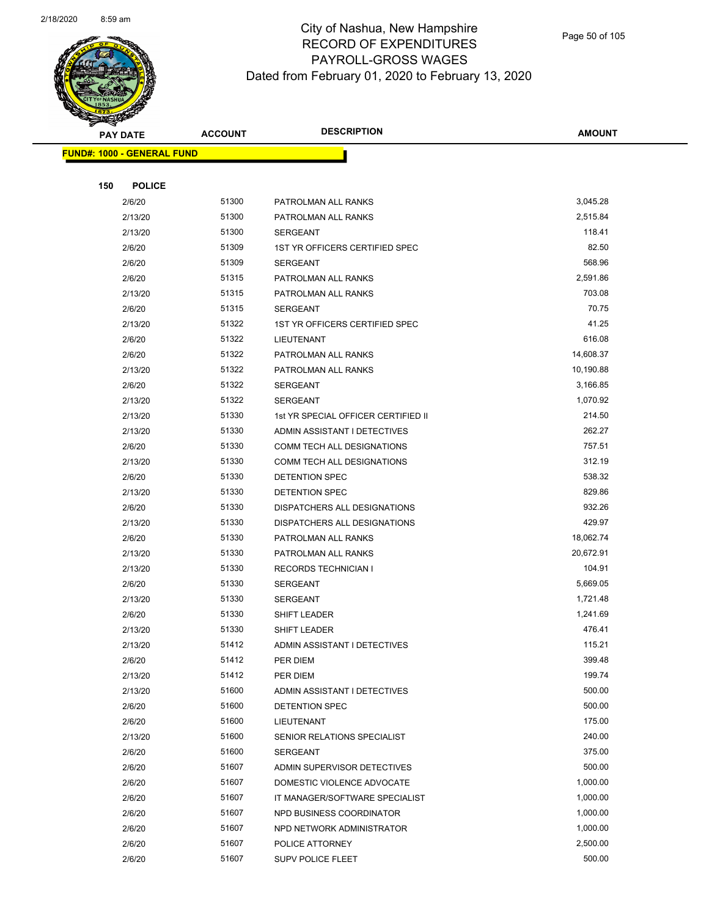

Page 50 of 105

| <b>PAY DATE</b>                   | <b>ACCOUNT</b> | <b>DESCRIPTION</b>                   | <b>AMOUNT</b>        |
|-----------------------------------|----------------|--------------------------------------|----------------------|
| <b>FUND#: 1000 - GENERAL FUND</b> |                |                                      |                      |
|                                   |                |                                      |                      |
| 150<br><b>POLICE</b>              |                |                                      |                      |
| 2/6/20                            | 51300          | PATROLMAN ALL RANKS                  | 3,045.28             |
| 2/13/20                           | 51300          | PATROLMAN ALL RANKS                  | 2,515.84             |
| 2/13/20                           | 51300          | <b>SERGEANT</b>                      | 118.41               |
| 2/6/20                            | 51309          | 1ST YR OFFICERS CERTIFIED SPEC       | 82.50                |
| 2/6/20                            | 51309          | <b>SERGEANT</b>                      | 568.96               |
| 2/6/20                            | 51315          | PATROLMAN ALL RANKS                  | 2,591.86             |
| 2/13/20                           | 51315          | PATROLMAN ALL RANKS                  | 703.08               |
| 2/6/20                            | 51315          | <b>SERGEANT</b>                      | 70.75                |
| 2/13/20                           | 51322          | 1ST YR OFFICERS CERTIFIED SPEC       | 41.25                |
| 2/6/20                            | 51322          | LIEUTENANT                           | 616.08               |
| 2/6/20                            | 51322          | PATROLMAN ALL RANKS                  | 14,608.37            |
| 2/13/20                           | 51322          | PATROLMAN ALL RANKS                  | 10,190.88            |
| 2/6/20                            | 51322          | <b>SERGEANT</b>                      | 3,166.85             |
| 2/13/20                           | 51322          | <b>SERGEANT</b>                      | 1,070.92             |
| 2/13/20                           | 51330          | 1st YR SPECIAL OFFICER CERTIFIED II  | 214.50               |
| 2/13/20                           | 51330          | ADMIN ASSISTANT I DETECTIVES         | 262.27               |
| 2/6/20                            | 51330          | COMM TECH ALL DESIGNATIONS           | 757.51               |
| 2/13/20                           | 51330          | COMM TECH ALL DESIGNATIONS           | 312.19               |
| 2/6/20                            | 51330          | DETENTION SPEC                       | 538.32               |
| 2/13/20                           | 51330          | DETENTION SPEC                       | 829.86               |
| 2/6/20                            | 51330          | DISPATCHERS ALL DESIGNATIONS         | 932.26               |
| 2/13/20                           | 51330          | DISPATCHERS ALL DESIGNATIONS         | 429.97               |
| 2/6/20                            | 51330          | PATROLMAN ALL RANKS                  | 18,062.74            |
| 2/13/20                           | 51330          | PATROLMAN ALL RANKS                  | 20,672.91            |
| 2/13/20                           | 51330          | <b>RECORDS TECHNICIAN I</b>          | 104.91               |
| 2/6/20                            | 51330          | <b>SERGEANT</b>                      | 5,669.05             |
| 2/13/20                           | 51330          | <b>SERGEANT</b>                      | 1,721.48             |
| 2/6/20                            | 51330          | <b>SHIFT LEADER</b>                  | 1,241.69             |
| 2/13/20                           | 51330          | <b>SHIFT LEADER</b>                  | 476.41               |
| 2/13/20                           | 51412          | ADMIN ASSISTANT I DETECTIVES         | 115.21               |
| 2/6/20                            | 51412          | PER DIEM                             | 399.48               |
| 2/13/20                           | 51412          | PER DIEM                             | 199.74               |
| 2/13/20                           | 51600          | ADMIN ASSISTANT I DETECTIVES         | 500.00               |
| 2/6/20                            | 51600          | DETENTION SPEC                       | 500.00               |
| 2/6/20                            | 51600          | LIEUTENANT                           | 175.00               |
| 2/13/20                           | 51600          | SENIOR RELATIONS SPECIALIST          | 240.00               |
| 2/6/20                            | 51600          | <b>SERGEANT</b>                      | 375.00               |
| 2/6/20                            | 51607          | ADMIN SUPERVISOR DETECTIVES          | 500.00               |
| 2/6/20                            | 51607          | DOMESTIC VIOLENCE ADVOCATE           | 1,000.00             |
| 2/6/20                            | 51607<br>51607 | IT MANAGER/SOFTWARE SPECIALIST       | 1,000.00             |
| 2/6/20                            | 51607          | NPD BUSINESS COORDINATOR             | 1,000.00<br>1,000.00 |
| 2/6/20<br>2/6/20                  | 51607          | NPD NETWORK ADMINISTRATOR            | 2,500.00             |
| 2/6/20                            | 51607          | POLICE ATTORNEY<br>SUPV POLICE FLEET | 500.00               |
|                                   |                |                                      |                      |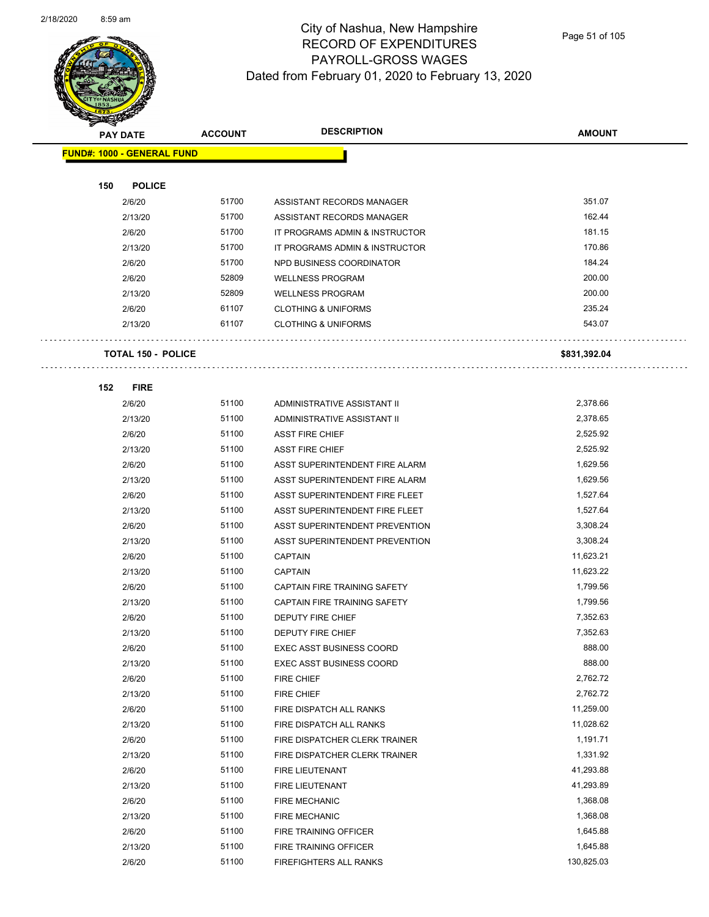

Page 51 of 105

| <b>PAY DATE</b> |                                   | <b>ACCOUNT</b> | <b>DESCRIPTION</b>              | <b>AMOUNT</b> |
|-----------------|-----------------------------------|----------------|---------------------------------|---------------|
|                 | <b>FUND#: 1000 - GENERAL FUND</b> |                |                                 |               |
|                 |                                   |                |                                 |               |
| 150             | <b>POLICE</b>                     |                |                                 |               |
|                 | 2/6/20                            | 51700          | ASSISTANT RECORDS MANAGER       | 351.07        |
|                 | 2/13/20                           | 51700          | ASSISTANT RECORDS MANAGER       | 162.44        |
|                 | 2/6/20                            | 51700          | IT PROGRAMS ADMIN & INSTRUCTOR  | 181.15        |
|                 | 2/13/20                           | 51700          | IT PROGRAMS ADMIN & INSTRUCTOR  | 170.86        |
|                 | 2/6/20                            | 51700          | NPD BUSINESS COORDINATOR        | 184.24        |
|                 | 2/6/20                            | 52809          | <b>WELLNESS PROGRAM</b>         | 200.00        |
|                 | 2/13/20                           | 52809          | <b>WELLNESS PROGRAM</b>         | 200.00        |
|                 | 2/6/20                            | 61107          | <b>CLOTHING &amp; UNIFORMS</b>  | 235.24        |
|                 | 2/13/20                           | 61107          | <b>CLOTHING &amp; UNIFORMS</b>  | 543.07        |
|                 | <b>TOTAL 150 - POLICE</b>         |                |                                 | \$831,392.04  |
| 152             | <b>FIRE</b>                       |                |                                 |               |
|                 | 2/6/20                            | 51100          | ADMINISTRATIVE ASSISTANT II     | 2,378.66      |
|                 | 2/13/20                           | 51100          | ADMINISTRATIVE ASSISTANT II     | 2,378.65      |
|                 | 2/6/20                            | 51100          | <b>ASST FIRE CHIEF</b>          | 2,525.92      |
|                 | 2/13/20                           | 51100          | <b>ASST FIRE CHIEF</b>          | 2,525.92      |
|                 | 2/6/20                            | 51100          | ASST SUPERINTENDENT FIRE ALARM  | 1,629.56      |
|                 | 2/13/20                           | 51100          | ASST SUPERINTENDENT FIRE ALARM  | 1,629.56      |
|                 | 2/6/20                            | 51100          | ASST SUPERINTENDENT FIRE FLEET  | 1,527.64      |
|                 | 2/13/20                           | 51100          | ASST SUPERINTENDENT FIRE FLEET  | 1,527.64      |
|                 | 2/6/20                            | 51100          | ASST SUPERINTENDENT PREVENTION  | 3,308.24      |
|                 | 2/13/20                           | 51100          | ASST SUPERINTENDENT PREVENTION  | 3,308.24      |
|                 | 2/6/20                            | 51100          | <b>CAPTAIN</b>                  | 11,623.21     |
|                 | 2/13/20                           | 51100          | <b>CAPTAIN</b>                  | 11,623.22     |
|                 | 2/6/20                            | 51100          | CAPTAIN FIRE TRAINING SAFETY    | 1,799.56      |
|                 | 2/13/20                           | 51100          | CAPTAIN FIRE TRAINING SAFETY    | 1,799.56      |
|                 | 2/6/20                            | 51100          | <b>DEPUTY FIRE CHIEF</b>        | 7,352.63      |
|                 | 2/13/20                           | 51100          | DEPUTY FIRE CHIEF               | 7,352.63      |
|                 | 2/6/20                            | 51100          | EXEC ASST BUSINESS COORD        | 888.00        |
|                 | 2/13/20                           | 51100          | <b>EXEC ASST BUSINESS COORD</b> | 888.00        |
|                 | 2/6/20                            | 51100          | FIRE CHIEF                      | 2,762.72      |
|                 | 2/13/20                           | 51100          | FIRE CHIEF                      | 2,762.72      |
|                 | 2/6/20                            | 51100          | FIRE DISPATCH ALL RANKS         | 11,259.00     |
|                 | 2/13/20                           | 51100          | FIRE DISPATCH ALL RANKS         | 11,028.62     |
|                 | 2/6/20                            | 51100          | FIRE DISPATCHER CLERK TRAINER   | 1,191.71      |
|                 | 2/13/20                           | 51100          | FIRE DISPATCHER CLERK TRAINER   | 1,331.92      |
|                 | 2/6/20                            | 51100          | FIRE LIEUTENANT                 | 41,293.88     |
|                 | 2/13/20                           | 51100          | FIRE LIEUTENANT                 | 41,293.89     |
|                 | 2/6/20                            | 51100          | <b>FIRE MECHANIC</b>            | 1,368.08      |
|                 | 2/13/20                           | 51100          | <b>FIRE MECHANIC</b>            | 1,368.08      |
|                 | 2/6/20                            | 51100          | FIRE TRAINING OFFICER           | 1,645.88      |
|                 | 2/13/20                           | 51100          | FIRE TRAINING OFFICER           | 1,645.88      |
|                 | 2/6/20                            | 51100          | FIREFIGHTERS ALL RANKS          | 130,825.03    |
|                 |                                   |                |                                 |               |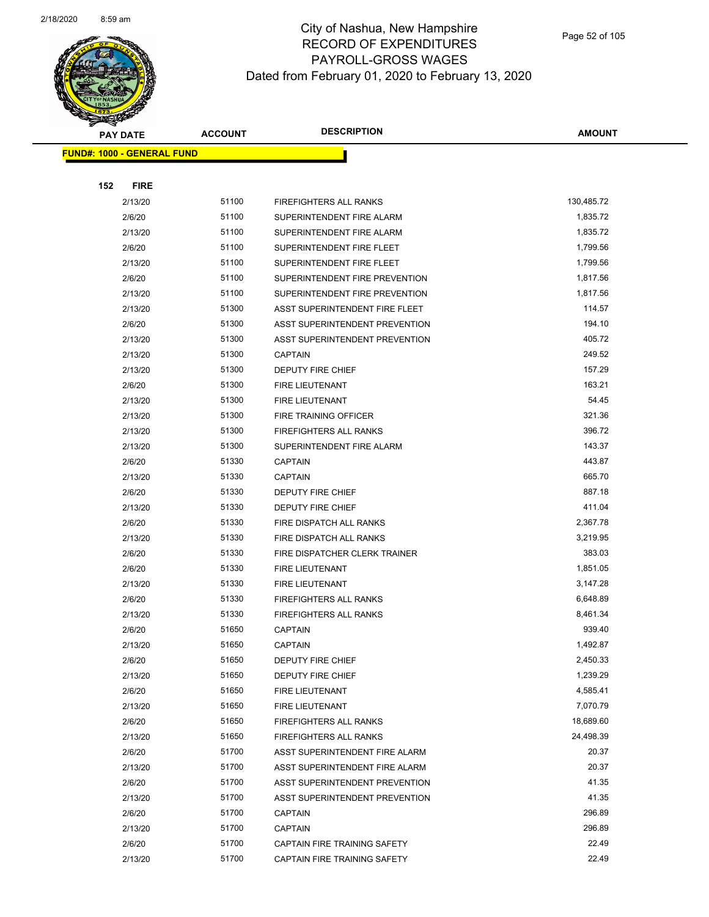

Page 52 of 105

| <b>PAY DATE</b> |                                   | <b>ACCOUNT</b> | <b>DESCRIPTION</b>             | <b>AMOUNT</b>   |  |
|-----------------|-----------------------------------|----------------|--------------------------------|-----------------|--|
|                 | <b>FUND#: 1000 - GENERAL FUND</b> |                |                                |                 |  |
|                 |                                   |                |                                |                 |  |
| 152             | <b>FIRE</b>                       |                |                                |                 |  |
|                 | 2/13/20                           | 51100          | FIREFIGHTERS ALL RANKS         | 130,485.72      |  |
|                 | 2/6/20                            | 51100          | SUPERINTENDENT FIRE ALARM      | 1,835.72        |  |
|                 | 2/13/20                           | 51100          | SUPERINTENDENT FIRE ALARM      | 1,835.72        |  |
|                 | 2/6/20                            | 51100          | SUPERINTENDENT FIRE FLEET      | 1,799.56        |  |
|                 | 2/13/20                           | 51100          | SUPERINTENDENT FIRE FLEET      | 1,799.56        |  |
|                 | 2/6/20                            | 51100          | SUPERINTENDENT FIRE PREVENTION | 1,817.56        |  |
|                 | 2/13/20                           | 51100          | SUPERINTENDENT FIRE PREVENTION | 1,817.56        |  |
|                 | 2/13/20                           | 51300          | ASST SUPERINTENDENT FIRE FLEET | 114.57          |  |
|                 | 2/6/20                            | 51300          | ASST SUPERINTENDENT PREVENTION | 194.10          |  |
|                 | 2/13/20                           | 51300          | ASST SUPERINTENDENT PREVENTION | 405.72          |  |
|                 | 2/13/20                           | 51300          | <b>CAPTAIN</b>                 | 249.52          |  |
|                 | 2/13/20                           | 51300          | DEPUTY FIRE CHIEF              | 157.29          |  |
|                 | 2/6/20                            | 51300          | <b>FIRE LIEUTENANT</b>         | 163.21          |  |
|                 | 2/13/20                           | 51300          | FIRE LIEUTENANT                | 54.45           |  |
|                 | 2/13/20                           | 51300          | FIRE TRAINING OFFICER          | 321.36          |  |
|                 | 2/13/20                           | 51300          | FIREFIGHTERS ALL RANKS         | 396.72          |  |
|                 | 2/13/20                           | 51300          | SUPERINTENDENT FIRE ALARM      | 143.37          |  |
|                 | 2/6/20                            | 51330          | <b>CAPTAIN</b>                 | 443.87          |  |
|                 | 2/13/20                           | 51330          | <b>CAPTAIN</b>                 | 665.70          |  |
|                 | 2/6/20                            | 51330          | DEPUTY FIRE CHIEF              | 887.18          |  |
|                 | 2/13/20                           | 51330          | DEPUTY FIRE CHIEF              | 411.04          |  |
|                 | 2/6/20                            | 51330          | FIRE DISPATCH ALL RANKS        | 2,367.78        |  |
|                 | 2/13/20                           | 51330          | FIRE DISPATCH ALL RANKS        | 3,219.95        |  |
|                 | 2/6/20                            | 51330          | FIRE DISPATCHER CLERK TRAINER  | 383.03          |  |
|                 | 2/6/20                            | 51330          | <b>FIRE LIEUTENANT</b>         | 1,851.05        |  |
|                 | 2/13/20                           | 51330          | FIRE LIEUTENANT                | 3,147.28        |  |
|                 | 2/6/20                            | 51330          | FIREFIGHTERS ALL RANKS         | 6,648.89        |  |
|                 | 2/13/20                           | 51330          | FIREFIGHTERS ALL RANKS         | 8,461.34        |  |
|                 | 2/6/20                            | 51650          | <b>CAPTAIN</b>                 | 939.40          |  |
|                 | 2/13/20                           | 51650          | <b>CAPTAIN</b>                 | 1,492.87        |  |
|                 | 2/6/20                            | 51650          | DEPUTY FIRE CHIEF              | 2,450.33        |  |
|                 | 2/13/20                           | 51650          | <b>DEPUTY FIRE CHIEF</b>       | 1,239.29        |  |
|                 | 2/6/20                            | 51650          | FIRE LIEUTENANT                | 4,585.41        |  |
|                 | 2/13/20                           | 51650          | FIRE LIEUTENANT                | 7,070.79        |  |
|                 | 2/6/20                            | 51650          | FIREFIGHTERS ALL RANKS         | 18,689.60       |  |
|                 | 2/13/20                           | 51650          | <b>FIREFIGHTERS ALL RANKS</b>  | 24,498.39       |  |
|                 | 2/6/20                            | 51700          | ASST SUPERINTENDENT FIRE ALARM | 20.37           |  |
|                 | 2/13/20                           | 51700          | ASST SUPERINTENDENT FIRE ALARM | 20.37           |  |
|                 | 2/6/20                            | 51700          | ASST SUPERINTENDENT PREVENTION | 41.35           |  |
|                 | 2/13/20                           | 51700<br>51700 | ASST SUPERINTENDENT PREVENTION | 41.35<br>296.89 |  |
|                 | 2/6/20                            | 51700          | <b>CAPTAIN</b>                 | 296.89          |  |
|                 | 2/13/20                           | 51700          | CAPTAIN                        | 22.49           |  |
|                 | 2/6/20                            | 51700          | CAPTAIN FIRE TRAINING SAFETY   | 22.49           |  |
|                 | 2/13/20                           |                | CAPTAIN FIRE TRAINING SAFETY   |                 |  |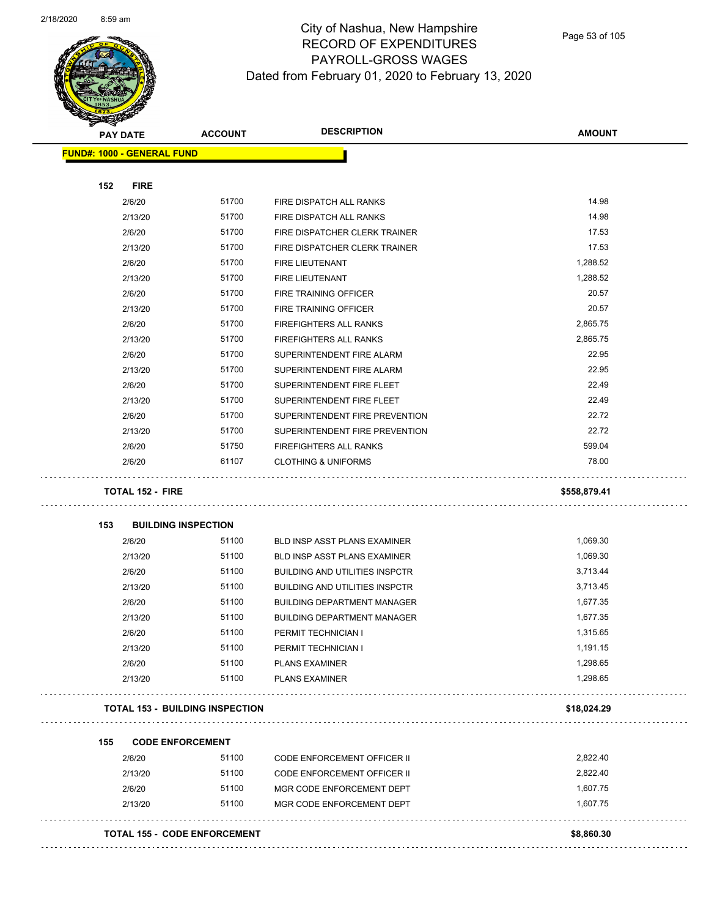

Page 53 of 105

| <b>PAY DATE</b>                   | <b>ACCOUNT</b>                         | <b>DESCRIPTION</b>                                 | <b>AMOUNT</b> |
|-----------------------------------|----------------------------------------|----------------------------------------------------|---------------|
| <b>FUND#: 1000 - GENERAL FUND</b> |                                        |                                                    |               |
|                                   |                                        |                                                    |               |
| 152<br><b>FIRE</b><br>2/6/20      | 51700                                  |                                                    | 14.98         |
| 2/13/20                           | 51700                                  | FIRE DISPATCH ALL RANKS<br>FIRE DISPATCH ALL RANKS | 14.98         |
| 2/6/20                            | 51700                                  | FIRE DISPATCHER CLERK TRAINER                      | 17.53         |
| 2/13/20                           | 51700                                  | FIRE DISPATCHER CLERK TRAINER                      | 17.53         |
| 2/6/20                            | 51700                                  | <b>FIRE LIEUTENANT</b>                             | 1,288.52      |
| 2/13/20                           | 51700                                  | <b>FIRE LIEUTENANT</b>                             | 1,288.52      |
| 2/6/20                            | 51700                                  | FIRE TRAINING OFFICER                              | 20.57         |
| 2/13/20                           | 51700                                  | FIRE TRAINING OFFICER                              | 20.57         |
| 2/6/20                            | 51700                                  | FIREFIGHTERS ALL RANKS                             | 2,865.75      |
| 2/13/20                           | 51700                                  | FIREFIGHTERS ALL RANKS                             | 2,865.75      |
| 2/6/20                            | 51700                                  | SUPERINTENDENT FIRE ALARM                          | 22.95         |
| 2/13/20                           | 51700                                  | SUPERINTENDENT FIRE ALARM                          | 22.95         |
| 2/6/20                            | 51700                                  | SUPERINTENDENT FIRE FLEET                          | 22.49         |
| 2/13/20                           | 51700                                  | SUPERINTENDENT FIRE FLEET                          | 22.49         |
| 2/6/20                            | 51700                                  | SUPERINTENDENT FIRE PREVENTION                     | 22.72         |
| 2/13/20                           | 51700                                  | SUPERINTENDENT FIRE PREVENTION                     | 22.72         |
| 2/6/20                            | 51750                                  | FIREFIGHTERS ALL RANKS                             | 599.04        |
| 2/6/20                            | 61107                                  | <b>CLOTHING &amp; UNIFORMS</b>                     | 78.00         |
| <b>TOTAL 152 - FIRE</b>           |                                        |                                                    | \$558,879.41  |
|                                   |                                        |                                                    |               |
| 153                               | <b>BUILDING INSPECTION</b>             |                                                    |               |
| 2/6/20                            | 51100                                  | BLD INSP ASST PLANS EXAMINER                       | 1,069.30      |
| 2/13/20                           | 51100                                  | BLD INSP ASST PLANS EXAMINER                       | 1,069.30      |
| 2/6/20                            | 51100                                  | <b>BUILDING AND UTILITIES INSPCTR</b>              | 3,713.44      |
| 2/13/20                           | 51100                                  | <b>BUILDING AND UTILITIES INSPCTR</b>              | 3,713.45      |
| 2/6/20                            | 51100                                  | <b>BUILDING DEPARTMENT MANAGER</b>                 | 1,677.35      |
| 2/13/20                           | 51100                                  | <b>BUILDING DEPARTMENT MANAGER</b>                 | 1,677.35      |
| 2/6/20                            | 51100                                  | PERMIT TECHNICIAN I                                | 1,315.65      |
| 2/13/20                           | 51100                                  | PERMIT TECHNICIAN I                                | 1,191.15      |
| 2/6/20                            | 51100                                  | <b>PLANS EXAMINER</b>                              | 1,298.65      |
| 2/13/20                           | 51100                                  | <b>PLANS EXAMINER</b>                              | 1,298.65      |
|                                   | <b>TOTAL 153 - BUILDING INSPECTION</b> |                                                    | \$18,024.29   |
| 155                               | <b>CODE ENFORCEMENT</b>                |                                                    |               |
| 2/6/20                            | 51100                                  | <b>CODE ENFORCEMENT OFFICER II</b>                 | 2,822.40      |
| 2/13/20                           | 51100                                  | <b>CODE ENFORCEMENT OFFICER II</b>                 | 2,822.40      |
| 2/6/20                            | 51100                                  | MGR CODE ENFORCEMENT DEPT                          | 1,607.75      |
| 2/13/20                           | 51100                                  | MGR CODE ENFORCEMENT DEPT                          | 1,607.75      |
|                                   |                                        |                                                    |               |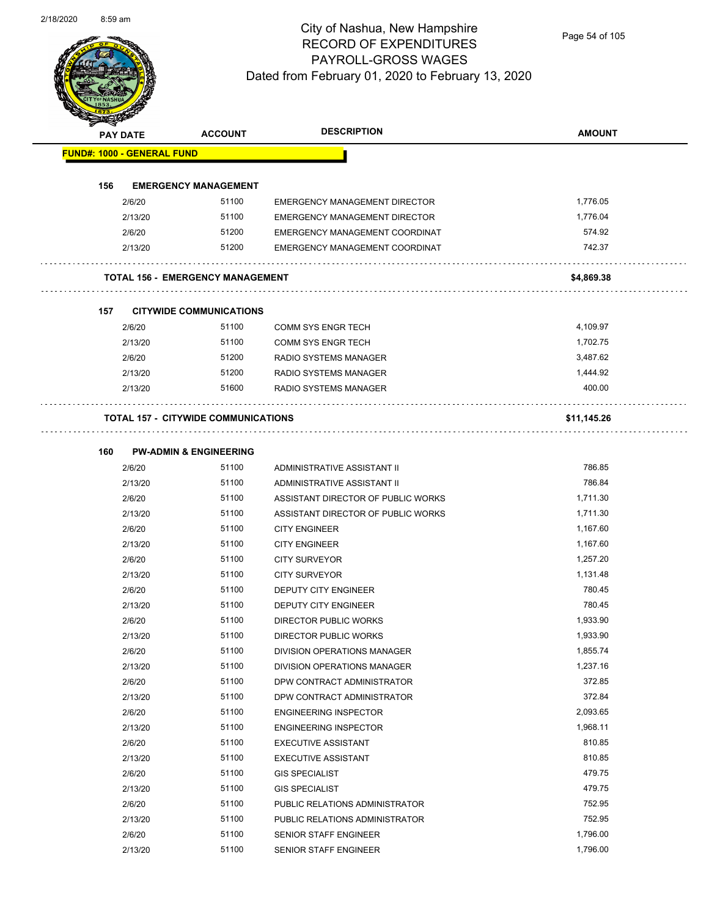

Page 54 of 105

| <b>Andrew</b> | <b>PAY DATE</b>                   | <b>ACCOUNT</b>                             | <b>DESCRIPTION</b>                   | <b>AMOUNT</b> |
|---------------|-----------------------------------|--------------------------------------------|--------------------------------------|---------------|
|               | <b>FUND#: 1000 - GENERAL FUND</b> |                                            |                                      |               |
|               |                                   |                                            |                                      |               |
| 156           |                                   | <b>EMERGENCY MANAGEMENT</b>                |                                      |               |
|               | 2/6/20                            | 51100                                      | <b>EMERGENCY MANAGEMENT DIRECTOR</b> | 1,776.05      |
|               | 2/13/20                           | 51100                                      | <b>EMERGENCY MANAGEMENT DIRECTOR</b> | 1,776.04      |
|               | 2/6/20                            | 51200                                      | EMERGENCY MANAGEMENT COORDINAT       | 574.92        |
|               | 2/13/20                           | 51200                                      | EMERGENCY MANAGEMENT COORDINAT       | 742.37        |
|               |                                   | <b>TOTAL 156 - EMERGENCY MANAGEMENT</b>    |                                      | \$4,869.38    |
| 157           |                                   | <b>CITYWIDE COMMUNICATIONS</b>             |                                      |               |
|               | 2/6/20                            | 51100                                      | <b>COMM SYS ENGR TECH</b>            | 4,109.97      |
|               | 2/13/20                           | 51100                                      | <b>COMM SYS ENGR TECH</b>            | 1,702.75      |
|               | 2/6/20                            | 51200                                      | RADIO SYSTEMS MANAGER                | 3,487.62      |
|               | 2/13/20                           | 51200                                      | RADIO SYSTEMS MANAGER                | 1,444.92      |
|               | 2/13/20                           | 51600                                      | RADIO SYSTEMS MANAGER                | 400.00        |
|               |                                   | <b>TOTAL 157 - CITYWIDE COMMUNICATIONS</b> |                                      | \$11,145.26   |
|               |                                   |                                            |                                      |               |
| 160           |                                   | <b>PW-ADMIN &amp; ENGINEERING</b>          |                                      |               |
|               | 2/6/20                            | 51100                                      | ADMINISTRATIVE ASSISTANT II          | 786.85        |
|               | 2/13/20                           | 51100                                      | ADMINISTRATIVE ASSISTANT II          | 786.84        |
|               | 2/6/20                            | 51100                                      | ASSISTANT DIRECTOR OF PUBLIC WORKS   | 1,711.30      |
|               | 2/13/20                           | 51100                                      | ASSISTANT DIRECTOR OF PUBLIC WORKS   | 1,711.30      |
|               | 2/6/20                            | 51100                                      | <b>CITY ENGINEER</b>                 | 1,167.60      |
|               | 2/13/20                           | 51100                                      | <b>CITY ENGINEER</b>                 | 1,167.60      |
|               | 2/6/20                            | 51100                                      | <b>CITY SURVEYOR</b>                 | 1,257.20      |
|               | 2/13/20                           | 51100                                      | <b>CITY SURVEYOR</b>                 | 1,131.48      |
|               | 2/6/20                            | 51100                                      | DEPUTY CITY ENGINEER                 | 780.45        |
|               | 2/13/20                           | 51100                                      | DEPUTY CITY ENGINEER                 | 780.45        |
|               | 2/6/20                            | 51100                                      | DIRECTOR PUBLIC WORKS                | 1,933.90      |
|               | 2/13/20                           | 51100                                      | DIRECTOR PUBLIC WORKS                | 1,933.90      |
|               | 2/6/20                            | 51100                                      | DIVISION OPERATIONS MANAGER          | 1,855.74      |
|               | 2/13/20                           | 51100                                      | DIVISION OPERATIONS MANAGER          | 1,237.16      |
|               | 2/6/20                            | 51100                                      | DPW CONTRACT ADMINISTRATOR           | 372.85        |
|               | 2/13/20                           | 51100                                      | DPW CONTRACT ADMINISTRATOR           | 372.84        |
|               | 2/6/20                            | 51100                                      | <b>ENGINEERING INSPECTOR</b>         | 2,093.65      |
|               | 2/13/20                           | 51100                                      | <b>ENGINEERING INSPECTOR</b>         | 1,968.11      |
|               | 2/6/20                            | 51100                                      | <b>EXECUTIVE ASSISTANT</b>           | 810.85        |
|               | 2/13/20                           | 51100                                      | <b>EXECUTIVE ASSISTANT</b>           | 810.85        |
|               | 2/6/20                            | 51100                                      | <b>GIS SPECIALIST</b>                | 479.75        |
|               | 2/13/20                           | 51100                                      | <b>GIS SPECIALIST</b>                | 479.75        |
|               | 2/6/20                            | 51100                                      | PUBLIC RELATIONS ADMINISTRATOR       | 752.95        |
|               | 2/13/20                           | 51100                                      | PUBLIC RELATIONS ADMINISTRATOR       | 752.95        |
|               | 2/6/20                            | 51100                                      | SENIOR STAFF ENGINEER                | 1,796.00      |
|               | 2/13/20                           | 51100                                      | SENIOR STAFF ENGINEER                | 1,796.00      |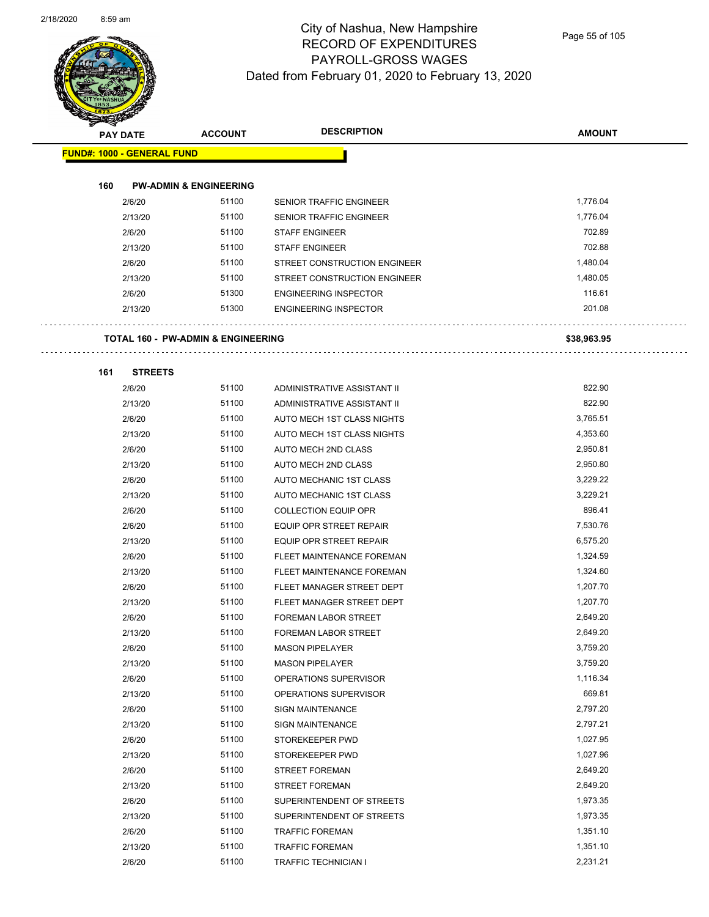

Page 55 of 105

| <b>PAY DATE</b>                   |                                               | <b>ACCOUNT</b> | <b>DESCRIPTION</b>             | <b>AMOUNT</b> |
|-----------------------------------|-----------------------------------------------|----------------|--------------------------------|---------------|
| <b>FUND#: 1000 - GENERAL FUND</b> |                                               |                |                                |               |
|                                   |                                               |                |                                |               |
| 160                               | <b>PW-ADMIN &amp; ENGINEERING</b>             |                |                                |               |
|                                   | 2/6/20                                        | 51100          | SENIOR TRAFFIC ENGINEER        | 1,776.04      |
|                                   | 2/13/20                                       | 51100          | SENIOR TRAFFIC ENGINEER        | 1,776.04      |
|                                   | 2/6/20                                        | 51100          | <b>STAFF ENGINEER</b>          | 702.89        |
|                                   | 2/13/20                                       | 51100          | <b>STAFF ENGINEER</b>          | 702.88        |
|                                   | 2/6/20                                        | 51100          | STREET CONSTRUCTION ENGINEER   | 1,480.04      |
|                                   | 2/13/20                                       | 51100          | STREET CONSTRUCTION ENGINEER   | 1,480.05      |
|                                   | 2/6/20                                        | 51300          | <b>ENGINEERING INSPECTOR</b>   | 116.61        |
|                                   | 2/13/20                                       | 51300          | <b>ENGINEERING INSPECTOR</b>   | 201.08        |
|                                   | <b>TOTAL 160 - PW-ADMIN &amp; ENGINEERING</b> |                |                                | \$38,963.95   |
|                                   |                                               |                |                                |               |
| 161                               | <b>STREETS</b><br>2/6/20                      | 51100          | ADMINISTRATIVE ASSISTANT II    | 822.90        |
|                                   | 2/13/20                                       | 51100          | ADMINISTRATIVE ASSISTANT II    | 822.90        |
|                                   |                                               | 51100          | AUTO MECH 1ST CLASS NIGHTS     | 3,765.51      |
|                                   | 2/6/20<br>2/13/20                             | 51100          | AUTO MECH 1ST CLASS NIGHTS     | 4,353.60      |
|                                   | 2/6/20                                        | 51100          | AUTO MECH 2ND CLASS            | 2,950.81      |
|                                   | 2/13/20                                       | 51100          | AUTO MECH 2ND CLASS            | 2,950.80      |
|                                   | 2/6/20                                        | 51100          | AUTO MECHANIC 1ST CLASS        | 3,229.22      |
|                                   | 2/13/20                                       | 51100          | AUTO MECHANIC 1ST CLASS        | 3,229.21      |
|                                   | 2/6/20                                        | 51100          | <b>COLLECTION EQUIP OPR</b>    | 896.41        |
|                                   | 2/6/20                                        | 51100          | EQUIP OPR STREET REPAIR        | 7,530.76      |
|                                   | 2/13/20                                       | 51100          | <b>EQUIP OPR STREET REPAIR</b> | 6,575.20      |
|                                   | 2/6/20                                        | 51100          | FLEET MAINTENANCE FOREMAN      | 1,324.59      |
|                                   | 2/13/20                                       | 51100          | FLEET MAINTENANCE FOREMAN      | 1,324.60      |
|                                   | 2/6/20                                        | 51100          | FLEET MANAGER STREET DEPT      | 1,207.70      |
|                                   | 2/13/20                                       | 51100          | FLEET MANAGER STREET DEPT      | 1,207.70      |
|                                   | 2/6/20                                        | 51100          | <b>FOREMAN LABOR STREET</b>    | 2,649.20      |
|                                   | 2/13/20                                       | 51100          | FOREMAN LABOR STREET           | 2,649.20      |
|                                   | 2/6/20                                        | 51100          | <b>MASON PIPELAYER</b>         | 3,759.20      |
|                                   | 2/13/20                                       | 51100          | <b>MASON PIPELAYER</b>         | 3,759.20      |
|                                   | 2/6/20                                        | 51100          | OPERATIONS SUPERVISOR          | 1,116.34      |
|                                   | 2/13/20                                       | 51100          | OPERATIONS SUPERVISOR          | 669.81        |
|                                   | 2/6/20                                        | 51100          | SIGN MAINTENANCE               | 2,797.20      |
|                                   | 2/13/20                                       | 51100          | <b>SIGN MAINTENANCE</b>        | 2,797.21      |
|                                   | 2/6/20                                        | 51100          | STOREKEEPER PWD                | 1,027.95      |
|                                   | 2/13/20                                       | 51100          | STOREKEEPER PWD                | 1,027.96      |
|                                   | 2/6/20                                        | 51100          | <b>STREET FOREMAN</b>          | 2,649.20      |
|                                   | 2/13/20                                       | 51100          | <b>STREET FOREMAN</b>          | 2,649.20      |
|                                   | 2/6/20                                        | 51100          | SUPERINTENDENT OF STREETS      | 1,973.35      |
|                                   | 2/13/20                                       | 51100          | SUPERINTENDENT OF STREETS      | 1,973.35      |
|                                   | 2/6/20                                        | 51100          | <b>TRAFFIC FOREMAN</b>         | 1,351.10      |

2/13/20 51100 TRAFFIC FOREMAN 1,351.10 2/6/20 51100 TRAFFIC TECHNICIAN I 2,231.21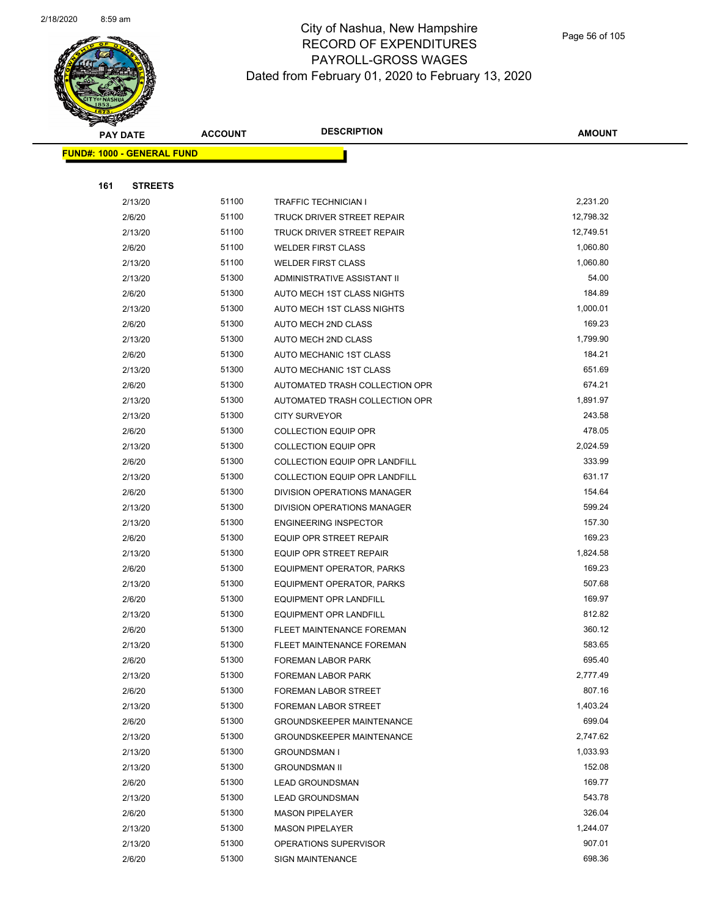

|     | <b>PAY DATE</b>                   | <b>ACCOUNT</b> | <b>DESCRIPTION</b>               | <b>AMOUNT</b> |
|-----|-----------------------------------|----------------|----------------------------------|---------------|
|     | <b>FUND#: 1000 - GENERAL FUND</b> |                |                                  |               |
|     |                                   |                |                                  |               |
| 161 | <b>STREETS</b>                    |                |                                  |               |
|     | 2/13/20                           | 51100          | <b>TRAFFIC TECHNICIAN I</b>      | 2,231.20      |
|     | 2/6/20                            | 51100          | TRUCK DRIVER STREET REPAIR       | 12,798.32     |
|     | 2/13/20                           | 51100          | TRUCK DRIVER STREET REPAIR       | 12,749.51     |
|     | 2/6/20                            | 51100          | <b>WELDER FIRST CLASS</b>        | 1,060.80      |
|     | 2/13/20                           | 51100          | <b>WELDER FIRST CLASS</b>        | 1,060.80      |
|     | 2/13/20                           | 51300          | ADMINISTRATIVE ASSISTANT II      | 54.00         |
|     | 2/6/20                            | 51300          | AUTO MECH 1ST CLASS NIGHTS       | 184.89        |
|     | 2/13/20                           | 51300          | AUTO MECH 1ST CLASS NIGHTS       | 1,000.01      |
|     | 2/6/20                            | 51300          | AUTO MECH 2ND CLASS              | 169.23        |
|     | 2/13/20                           | 51300          | AUTO MECH 2ND CLASS              | 1,799.90      |
|     | 2/6/20                            | 51300          | AUTO MECHANIC 1ST CLASS          | 184.21        |
|     | 2/13/20                           | 51300          | AUTO MECHANIC 1ST CLASS          | 651.69        |
|     | 2/6/20                            | 51300          | AUTOMATED TRASH COLLECTION OPR   | 674.21        |
|     | 2/13/20                           | 51300          | AUTOMATED TRASH COLLECTION OPR   | 1,891.97      |
|     | 2/13/20                           | 51300          | <b>CITY SURVEYOR</b>             | 243.58        |
|     | 2/6/20                            | 51300          | <b>COLLECTION EQUIP OPR</b>      | 478.05        |
|     | 2/13/20                           | 51300          | <b>COLLECTION EQUIP OPR</b>      | 2,024.59      |
|     | 2/6/20                            | 51300          | COLLECTION EQUIP OPR LANDFILL    | 333.99        |
|     | 2/13/20                           | 51300          | COLLECTION EQUIP OPR LANDFILL    | 631.17        |
|     | 2/6/20                            | 51300          | DIVISION OPERATIONS MANAGER      | 154.64        |
|     | 2/13/20                           | 51300          | DIVISION OPERATIONS MANAGER      | 599.24        |
|     | 2/13/20                           | 51300          | <b>ENGINEERING INSPECTOR</b>     | 157.30        |
|     | 2/6/20                            | 51300          | EQUIP OPR STREET REPAIR          | 169.23        |
|     | 2/13/20                           | 51300          | <b>EQUIP OPR STREET REPAIR</b>   | 1,824.58      |
|     | 2/6/20                            | 51300          | EQUIPMENT OPERATOR, PARKS        | 169.23        |
|     | 2/13/20                           | 51300          | <b>EQUIPMENT OPERATOR, PARKS</b> | 507.68        |
|     | 2/6/20                            | 51300          | EQUIPMENT OPR LANDFILL           | 169.97        |
|     | 2/13/20                           | 51300          | <b>EQUIPMENT OPR LANDFILL</b>    | 812.82        |
|     | 2/6/20                            | 51300          | FLEET MAINTENANCE FOREMAN        | 360.12        |
|     | 2/13/20                           | 51300          | FLEET MAINTENANCE FOREMAN        | 583.65        |
|     | 2/6/20                            | 51300          | FOREMAN LABOR PARK               | 695.40        |
|     | 2/13/20                           | 51300          | FOREMAN LABOR PARK               | 2,777.49      |
|     | 2/6/20                            | 51300          | FOREMAN LABOR STREET             | 807.16        |
|     | 2/13/20                           | 51300          | FOREMAN LABOR STREET             | 1,403.24      |
|     | 2/6/20                            | 51300          | <b>GROUNDSKEEPER MAINTENANCE</b> | 699.04        |
|     | 2/13/20                           | 51300          | <b>GROUNDSKEEPER MAINTENANCE</b> | 2,747.62      |
|     | 2/13/20                           | 51300          | <b>GROUNDSMAN I</b>              | 1,033.93      |
|     | 2/13/20                           | 51300          | <b>GROUNDSMAN II</b>             | 152.08        |
|     | 2/6/20                            | 51300          | <b>LEAD GROUNDSMAN</b>           | 169.77        |
|     | 2/13/20                           | 51300          | <b>LEAD GROUNDSMAN</b>           | 543.78        |
|     | 2/6/20                            | 51300          | <b>MASON PIPELAYER</b>           | 326.04        |
|     | 2/13/20                           | 51300          | <b>MASON PIPELAYER</b>           | 1,244.07      |
|     | 2/13/20                           | 51300          | OPERATIONS SUPERVISOR            | 907.01        |
|     | 2/6/20                            | 51300          | <b>SIGN MAINTENANCE</b>          | 698.36        |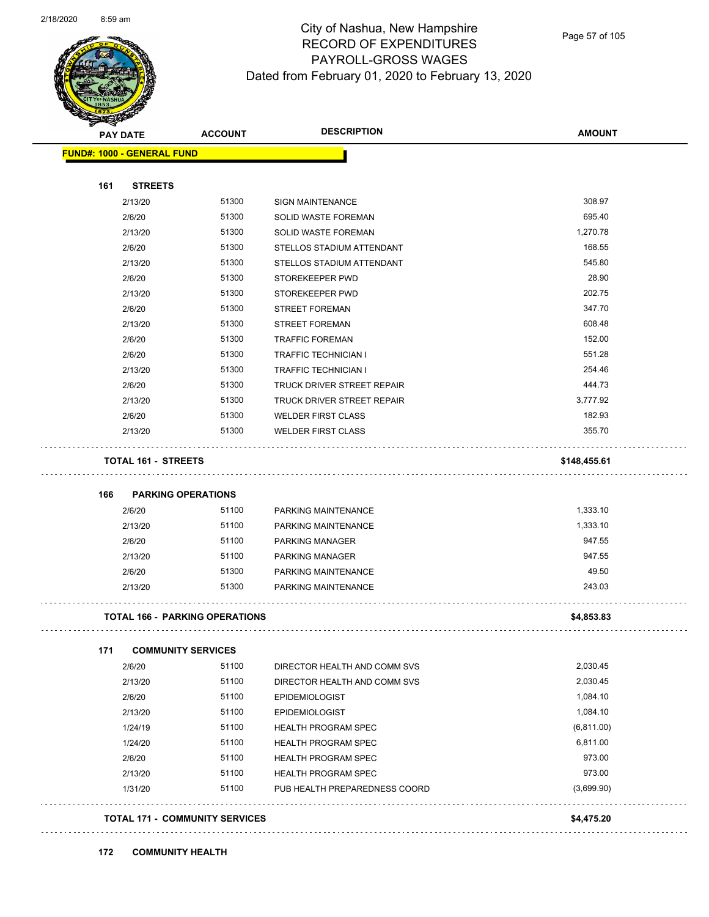

Page 57 of 105

| PAY DATE                          | <b>ACCOUNT</b>                        | <b>DESCRIPTION</b>            | <b>AMOUNT</b> |
|-----------------------------------|---------------------------------------|-------------------------------|---------------|
| <b>FUND#: 1000 - GENERAL FUND</b> |                                       |                               |               |
| 161<br><b>STREETS</b>             |                                       |                               |               |
| 2/13/20                           | 51300                                 | <b>SIGN MAINTENANCE</b>       | 308.97        |
| 2/6/20                            | 51300                                 | SOLID WASTE FOREMAN           | 695.40        |
| 2/13/20                           | 51300                                 | SOLID WASTE FOREMAN           | 1,270.78      |
| 2/6/20                            | 51300                                 | STELLOS STADIUM ATTENDANT     | 168.55        |
| 2/13/20                           | 51300                                 | STELLOS STADIUM ATTENDANT     | 545.80        |
| 2/6/20                            | 51300                                 | STOREKEEPER PWD               | 28.90         |
| 2/13/20                           | 51300                                 | STOREKEEPER PWD               | 202.75        |
| 2/6/20                            | 51300                                 | <b>STREET FOREMAN</b>         | 347.70        |
| 2/13/20                           | 51300                                 | <b>STREET FOREMAN</b>         | 608.48        |
| 2/6/20                            | 51300                                 | <b>TRAFFIC FOREMAN</b>        | 152.00        |
| 2/6/20                            | 51300                                 | <b>TRAFFIC TECHNICIAN I</b>   | 551.28        |
| 2/13/20                           | 51300                                 | TRAFFIC TECHNICIAN I          | 254.46        |
| 2/6/20                            | 51300                                 | TRUCK DRIVER STREET REPAIR    | 444.73        |
| 2/13/20                           | 51300                                 | TRUCK DRIVER STREET REPAIR    | 3,777.92      |
| 2/6/20                            | 51300                                 | <b>WELDER FIRST CLASS</b>     | 182.93        |
| 2/13/20                           | 51300                                 | <b>WELDER FIRST CLASS</b>     | 355.70        |
| <b>TOTAL 161 - STREETS</b>        |                                       |                               | \$148,455.61  |
| 166                               | <b>PARKING OPERATIONS</b>             |                               |               |
| 2/6/20                            | 51100                                 | PARKING MAINTENANCE           | 1,333.10      |
| 2/13/20                           | 51100                                 | PARKING MAINTENANCE           | 1,333.10      |
| 2/6/20                            | 51100                                 | <b>PARKING MANAGER</b>        | 947.55        |
| 2/13/20                           | 51100                                 | <b>PARKING MANAGER</b>        | 947.55        |
| 2/6/20                            | 51300                                 | PARKING MAINTENANCE           | 49.50         |
| 2/13/20                           | 51300                                 | PARKING MAINTENANCE           | 243.03        |
|                                   | <b>TOTAL 166 - PARKING OPERATIONS</b> |                               | \$4,853.83    |
| 171                               | <b>COMMUNITY SERVICES</b>             |                               |               |
| 2/6/20                            | 51100                                 | DIRECTOR HEALTH AND COMM SVS  | 2,030.45      |
| 2/13/20                           | 51100                                 | DIRECTOR HEALTH AND COMM SVS  | 2,030.45      |
| 2/6/20                            | 51100                                 | <b>EPIDEMIOLOGIST</b>         | 1,084.10      |
| 2/13/20                           | 51100                                 | <b>EPIDEMIOLOGIST</b>         | 1,084.10      |
| 1/24/19                           | 51100                                 | <b>HEALTH PROGRAM SPEC</b>    | (6,811.00)    |
| 1/24/20                           | 51100                                 | <b>HEALTH PROGRAM SPEC</b>    | 6,811.00      |
| 2/6/20                            | 51100                                 | <b>HEALTH PROGRAM SPEC</b>    | 973.00        |
| 2/13/20                           | 51100                                 | <b>HEALTH PROGRAM SPEC</b>    | 973.00        |
| 1/31/20                           | 51100                                 | PUB HEALTH PREPAREDNESS COORD | (3,699.90)    |
|                                   |                                       |                               |               |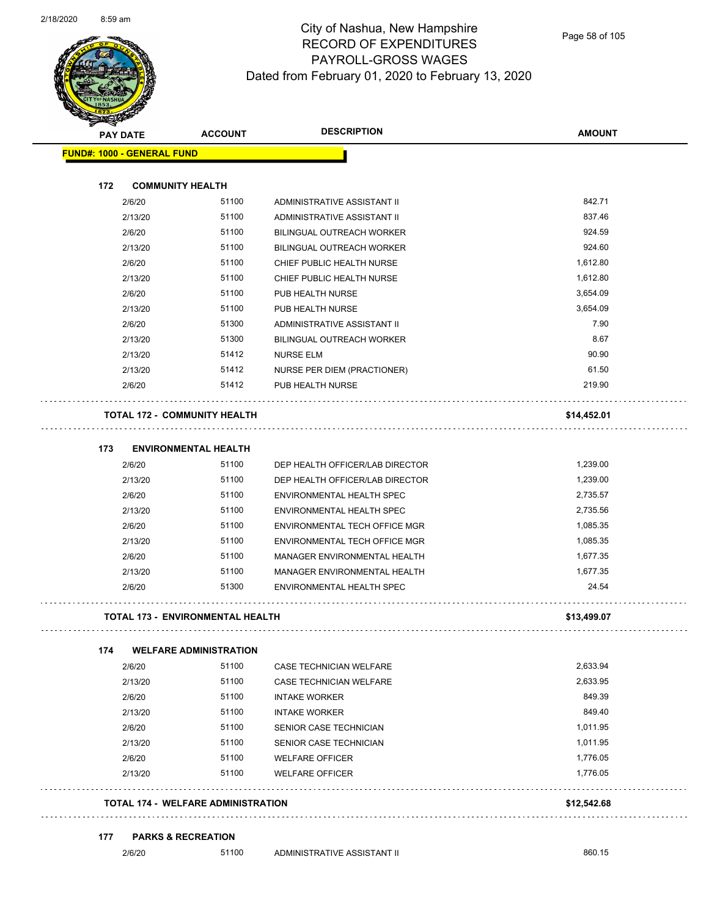

| <b>PAY DATE</b>                         | <b>ACCOUNT</b>                            | <b>DESCRIPTION</b>              | <b>AMOUNT</b> |
|-----------------------------------------|-------------------------------------------|---------------------------------|---------------|
| <b>FUND#: 1000 - GENERAL FUND</b>       |                                           |                                 |               |
| 172<br><b>COMMUNITY HEALTH</b>          |                                           |                                 |               |
| 2/6/20                                  | 51100                                     | ADMINISTRATIVE ASSISTANT II     | 842.71        |
| 2/13/20                                 | 51100                                     | ADMINISTRATIVE ASSISTANT II     | 837.46        |
| 2/6/20                                  | 51100                                     | BILINGUAL OUTREACH WORKER       | 924.59        |
| 2/13/20                                 | 51100                                     | BILINGUAL OUTREACH WORKER       | 924.60        |
| 2/6/20                                  | 51100                                     | CHIEF PUBLIC HEALTH NURSE       | 1,612.80      |
| 2/13/20                                 | 51100                                     | CHIEF PUBLIC HEALTH NURSE       | 1,612.80      |
| 2/6/20                                  | 51100                                     | PUB HEALTH NURSE                | 3,654.09      |
| 2/13/20                                 | 51100                                     | PUB HEALTH NURSE                | 3,654.09      |
| 2/6/20                                  | 51300                                     | ADMINISTRATIVE ASSISTANT II     | 7.90          |
| 2/13/20                                 | 51300                                     | BILINGUAL OUTREACH WORKER       | 8.67          |
| 2/13/20                                 | 51412                                     | <b>NURSE ELM</b>                | 90.90         |
| 2/13/20                                 | 51412                                     | NURSE PER DIEM (PRACTIONER)     | 61.50         |
| 2/6/20                                  | 51412                                     | PUB HEALTH NURSE                | 219.90        |
| <b>TOTAL 172 - COMMUNITY HEALTH</b>     |                                           |                                 | \$14,452.01   |
| 173                                     | <b>ENVIRONMENTAL HEALTH</b>               |                                 |               |
| 2/6/20                                  | 51100                                     | DEP HEALTH OFFICER/LAB DIRECTOR | 1,239.00      |
| 2/13/20                                 | 51100                                     | DEP HEALTH OFFICER/LAB DIRECTOR | 1,239.00      |
| 2/6/20                                  | 51100                                     | ENVIRONMENTAL HEALTH SPEC       | 2,735.57      |
| 2/13/20                                 | 51100                                     | ENVIRONMENTAL HEALTH SPEC       | 2,735.56      |
| 2/6/20                                  | 51100                                     | ENVIRONMENTAL TECH OFFICE MGR   | 1,085.35      |
| 2/13/20                                 | 51100                                     | ENVIRONMENTAL TECH OFFICE MGR   | 1,085.35      |
| 2/6/20                                  | 51100                                     | MANAGER ENVIRONMENTAL HEALTH    | 1,677.35      |
| 2/13/20                                 | 51100                                     | MANAGER ENVIRONMENTAL HEALTH    | 1,677.35      |
| 2/6/20                                  | 51300                                     | ENVIRONMENTAL HEALTH SPEC       | 24.54         |
| <b>TOTAL 173 - ENVIRONMENTAL HEALTH</b> |                                           |                                 | \$13,499.07   |
| 174                                     | <b>WELFARE ADMINISTRATION</b>             |                                 |               |
| 2/6/20                                  | 51100                                     | CASE TECHNICIAN WELFARE         | 2,633.94      |
| 2/13/20                                 | 51100                                     | CASE TECHNICIAN WELFARE         | 2,633.95      |
| 2/6/20                                  | 51100                                     | <b>INTAKE WORKER</b>            | 849.39        |
| 2/13/20                                 | 51100                                     | <b>INTAKE WORKER</b>            | 849.40        |
| 2/6/20                                  | 51100                                     | SENIOR CASE TECHNICIAN          | 1,011.95      |
| 2/13/20                                 | 51100                                     | SENIOR CASE TECHNICIAN          | 1,011.95      |
| 2/6/20                                  | 51100                                     | <b>WELFARE OFFICER</b>          | 1,776.05      |
| 2/13/20                                 | 51100                                     | <b>WELFARE OFFICER</b>          | 1,776.05      |
|                                         | <b>TOTAL 174 - WELFARE ADMINISTRATION</b> |                                 | \$12,542.68   |

2/6/20 51100 ADMINISTRATIVE ASSISTANT II 860.15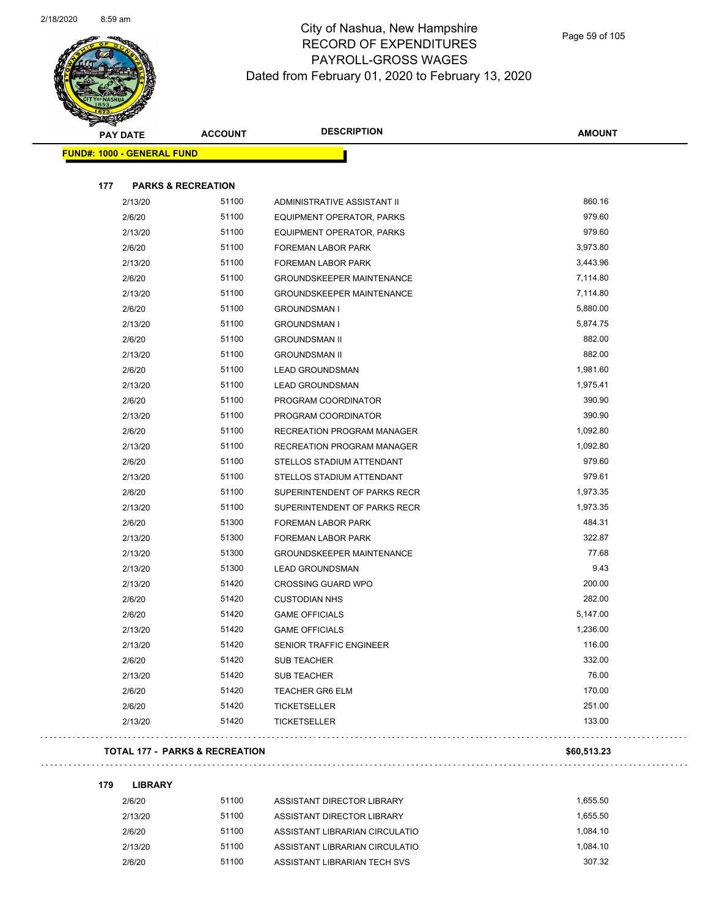

|     | <b>PAY DATE</b>                   | <b>ACCOUNT</b> | <b>DESCRIPTION</b>               | <b>AMOUNT</b> |
|-----|-----------------------------------|----------------|----------------------------------|---------------|
|     | <b>FUND#: 1000 - GENERAL FUND</b> |                |                                  |               |
|     |                                   |                |                                  |               |
| 177 | <b>PARKS &amp; RECREATION</b>     |                |                                  |               |
|     | 2/13/20                           | 51100          | ADMINISTRATIVE ASSISTANT II      | 860.16        |
|     | 2/6/20                            | 51100          | EQUIPMENT OPERATOR, PARKS        | 979.60        |
|     | 2/13/20                           | 51100          | EQUIPMENT OPERATOR, PARKS        | 979.60        |
|     | 2/6/20                            | 51100          | FOREMAN LABOR PARK               | 3,973.80      |
|     | 2/13/20                           | 51100          | FOREMAN LABOR PARK               | 3,443.96      |
|     | 2/6/20                            | 51100          | <b>GROUNDSKEEPER MAINTENANCE</b> | 7,114.80      |
|     | 2/13/20                           | 51100          | <b>GROUNDSKEEPER MAINTENANCE</b> | 7,114.80      |
|     | 2/6/20                            | 51100          | <b>GROUNDSMAN I</b>              | 5,880.00      |
|     | 2/13/20                           | 51100          | <b>GROUNDSMAN I</b>              | 5,874.75      |
|     | 2/6/20                            | 51100          | <b>GROUNDSMAN II</b>             | 882.00        |
|     | 2/13/20                           | 51100          | <b>GROUNDSMAN II</b>             | 882.00        |
|     | 2/6/20                            | 51100          | <b>LEAD GROUNDSMAN</b>           | 1,981.60      |
|     | 2/13/20                           | 51100          | <b>LEAD GROUNDSMAN</b>           | 1,975.41      |
|     | 2/6/20                            | 51100          | PROGRAM COORDINATOR              | 390.90        |
|     | 2/13/20                           | 51100          | PROGRAM COORDINATOR              | 390.90        |
|     | 2/6/20                            | 51100          | RECREATION PROGRAM MANAGER       | 1,092.80      |
|     | 2/13/20                           | 51100          | RECREATION PROGRAM MANAGER       | 1,092.80      |
|     | 2/6/20                            | 51100          | STELLOS STADIUM ATTENDANT        | 979.60        |
|     | 2/13/20                           | 51100          | STELLOS STADIUM ATTENDANT        | 979.61        |
|     | 2/6/20                            | 51100          | SUPERINTENDENT OF PARKS RECR     | 1,973.35      |
|     | 2/13/20                           | 51100          | SUPERINTENDENT OF PARKS RECR     | 1,973.35      |
|     | 2/6/20                            | 51300          | FOREMAN LABOR PARK               | 484.31        |
|     | 2/13/20                           | 51300          | FOREMAN LABOR PARK               | 322.87        |
|     | 2/13/20                           | 51300          | <b>GROUNDSKEEPER MAINTENANCE</b> | 77.68         |
|     | 2/13/20                           | 51300          | <b>LEAD GROUNDSMAN</b>           | 9.43          |
|     | 2/13/20                           | 51420          | <b>CROSSING GUARD WPO</b>        | 200.00        |
|     | 2/6/20                            | 51420          | <b>CUSTODIAN NHS</b>             | 282.00        |
|     | 2/6/20                            | 51420          | <b>GAME OFFICIALS</b>            | 5,147.00      |
|     | 2/13/20                           | 51420          | <b>GAME OFFICIALS</b>            | 1,236.00      |
|     | 2/13/20                           | 51420          | SENIOR TRAFFIC ENGINEER          | 116.00        |
|     | 2/6/20                            | 51420          | <b>SUB TEACHER</b>               | 332.00        |
|     | 2/13/20                           | 51420          | <b>SUB TEACHER</b>               | 76.00         |
|     | 2/6/20                            | 51420          | <b>TEACHER GR6 ELM</b>           | 170.00        |
|     | 2/6/20                            | 51420          | <b>TICKETSELLER</b>              | 251.00        |
|     | 2/13/20                           | 51420          | <b>TICKETSELLER</b>              | 133.00        |
|     |                                   |                |                                  |               |

#### **TOTAL 177 - PARKS & RECREATION \$60,513.23**

 $\mathbb{R}^{2}$ 

**179 LIBRARY** 2/6/20 51100 ASSISTANT DIRECTOR LIBRARY 1,655.50

2/13/20 51100 ASSISTANT DIRECTOR LIBRARY 1,655.50 2/6/20 51100 ASSISTANT LIBRARIAN CIRCULATIO 1,084.10 2/13/20 51100 ASSISTANT LIBRARIAN CIRCULATIO 1,084.10 2/6/20 51100 ASSISTANT LIBRARIAN TECH SVS 307.32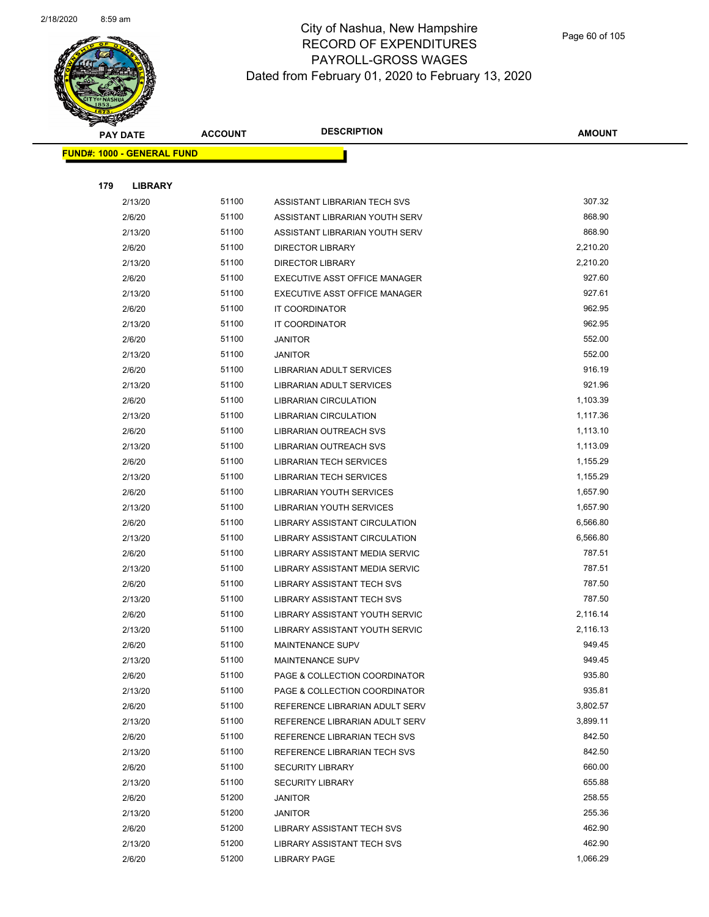

Page 60 of 105

| <b>PAY DATE</b> |                                   | <b>ACCOUNT</b> | <b>DESCRIPTION</b>                                             | <b>AMOUNT</b>    |
|-----------------|-----------------------------------|----------------|----------------------------------------------------------------|------------------|
|                 | <b>FUND#: 1000 - GENERAL FUND</b> |                |                                                                |                  |
|                 |                                   |                |                                                                |                  |
| 179             | <b>LIBRARY</b>                    |                |                                                                |                  |
|                 | 2/13/20                           | 51100          | ASSISTANT LIBRARIAN TECH SVS                                   | 307.32           |
|                 | 2/6/20                            | 51100          | ASSISTANT LIBRARIAN YOUTH SERV                                 | 868.90           |
|                 | 2/13/20                           | 51100          | ASSISTANT LIBRARIAN YOUTH SERV                                 | 868.90           |
|                 | 2/6/20                            | 51100          | <b>DIRECTOR LIBRARY</b>                                        | 2,210.20         |
|                 | 2/13/20                           | 51100          | <b>DIRECTOR LIBRARY</b>                                        | 2,210.20         |
|                 | 2/6/20                            | 51100          | EXECUTIVE ASST OFFICE MANAGER                                  | 927.60           |
|                 | 2/13/20                           | 51100          | EXECUTIVE ASST OFFICE MANAGER                                  | 927.61           |
|                 | 2/6/20                            | 51100          | IT COORDINATOR                                                 | 962.95           |
|                 | 2/13/20                           | 51100          | IT COORDINATOR                                                 | 962.95           |
|                 | 2/6/20                            | 51100          | <b>JANITOR</b>                                                 | 552.00           |
|                 | 2/13/20                           | 51100          | <b>JANITOR</b>                                                 | 552.00           |
|                 | 2/6/20                            | 51100          | LIBRARIAN ADULT SERVICES                                       | 916.19           |
|                 | 2/13/20                           | 51100          | LIBRARIAN ADULT SERVICES                                       | 921.96           |
|                 | 2/6/20                            | 51100          | <b>LIBRARIAN CIRCULATION</b>                                   | 1,103.39         |
|                 | 2/13/20                           | 51100          | <b>LIBRARIAN CIRCULATION</b>                                   | 1,117.36         |
|                 | 2/6/20                            | 51100          | LIBRARIAN OUTREACH SVS                                         | 1,113.10         |
|                 | 2/13/20                           | 51100          | <b>LIBRARIAN OUTREACH SVS</b>                                  | 1,113.09         |
|                 | 2/6/20                            | 51100          | <b>LIBRARIAN TECH SERVICES</b>                                 | 1,155.29         |
|                 | 2/13/20                           | 51100          | <b>LIBRARIAN TECH SERVICES</b>                                 | 1,155.29         |
|                 | 2/6/20                            | 51100          | LIBRARIAN YOUTH SERVICES                                       | 1,657.90         |
|                 | 2/13/20                           | 51100          | LIBRARIAN YOUTH SERVICES                                       | 1,657.90         |
|                 | 2/6/20                            | 51100          | LIBRARY ASSISTANT CIRCULATION                                  | 6,566.80         |
|                 | 2/13/20                           | 51100          | LIBRARY ASSISTANT CIRCULATION                                  | 6,566.80         |
|                 | 2/6/20                            | 51100          | LIBRARY ASSISTANT MEDIA SERVIC                                 | 787.51           |
|                 | 2/13/20                           | 51100          | LIBRARY ASSISTANT MEDIA SERVIC                                 | 787.51           |
|                 | 2/6/20                            | 51100          | <b>LIBRARY ASSISTANT TECH SVS</b>                              | 787.50           |
|                 | 2/13/20                           | 51100          | LIBRARY ASSISTANT TECH SVS                                     | 787.50           |
|                 | 2/6/20                            | 51100          | LIBRARY ASSISTANT YOUTH SERVIC                                 | 2,116.14         |
|                 | 2/13/20                           | 51100          | LIBRARY ASSISTANT YOUTH SERVIC                                 | 2,116.13         |
|                 | 2/6/20                            | 51100          | MAINTENANCE SUPV                                               | 949.45           |
|                 | 2/13/20                           | 51100          | MAINTENANCE SUPV                                               | 949.45<br>935.80 |
|                 | 2/6/20<br>2/13/20                 | 51100<br>51100 | PAGE & COLLECTION COORDINATOR<br>PAGE & COLLECTION COORDINATOR | 935.81           |
|                 | 2/6/20                            | 51100          | REFERENCE LIBRARIAN ADULT SERV                                 | 3,802.57         |
|                 | 2/13/20                           | 51100          | REFERENCE LIBRARIAN ADULT SERV                                 | 3,899.11         |
|                 | 2/6/20                            | 51100          | REFERENCE LIBRARIAN TECH SVS                                   | 842.50           |
|                 | 2/13/20                           | 51100          | REFERENCE LIBRARIAN TECH SVS                                   | 842.50           |
|                 | 2/6/20                            | 51100          | <b>SECURITY LIBRARY</b>                                        | 660.00           |
|                 | 2/13/20                           | 51100          | <b>SECURITY LIBRARY</b>                                        | 655.88           |
|                 | 2/6/20                            | 51200          | JANITOR                                                        | 258.55           |
|                 | 2/13/20                           | 51200          | JANITOR                                                        | 255.36           |
|                 | 2/6/20                            | 51200          | LIBRARY ASSISTANT TECH SVS                                     | 462.90           |
|                 | 2/13/20                           | 51200          | LIBRARY ASSISTANT TECH SVS                                     | 462.90           |
|                 | 2/6/20                            | 51200          | LIBRARY PAGE                                                   | 1,066.29         |
|                 |                                   |                |                                                                |                  |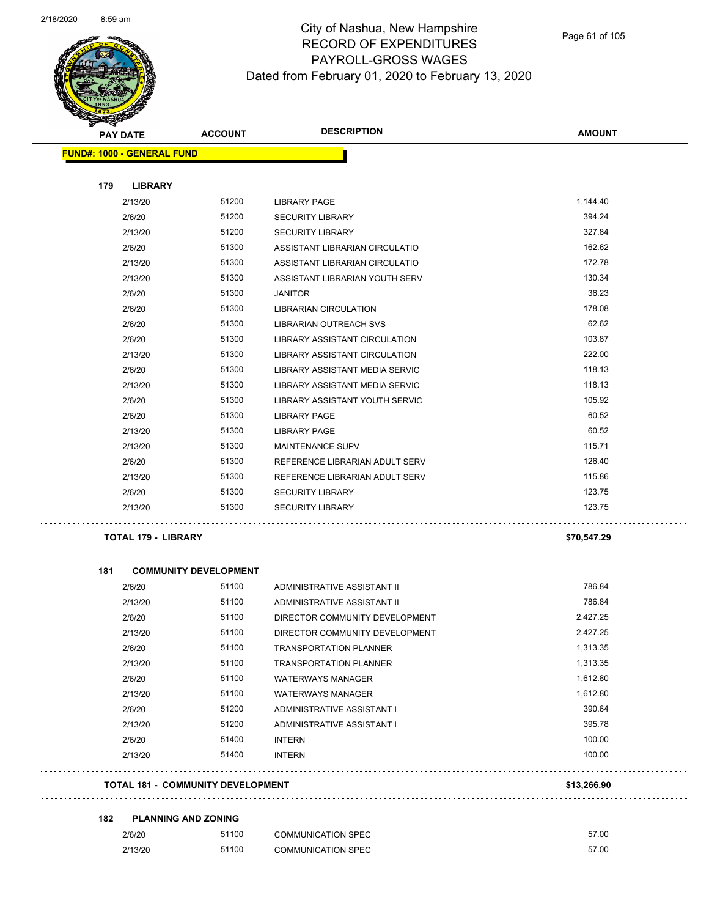$\sim$   $\sim$   $\sim$ 

 $\bar{z}$  is  $\bar{z}$ 



#### City of Nashua, New Hampshire RECORD OF EXPENDITURES PAYROLL-GROSS WAGES Dated from February 01, 2020 to February 13, 2020

|     | <b>PAY DATE</b>                   | <b>ACCOUNT</b>                        | <b>DESCRIPTION</b>                                               | <b>AMOUNT</b> |
|-----|-----------------------------------|---------------------------------------|------------------------------------------------------------------|---------------|
|     | <b>FUND#: 1000 - GENERAL FUND</b> |                                       |                                                                  |               |
| 179 | <b>LIBRARY</b>                    |                                       |                                                                  |               |
|     | 2/13/20                           | 51200                                 | <b>LIBRARY PAGE</b>                                              | 1,144.40      |
|     | 2/6/20                            | 51200                                 | <b>SECURITY LIBRARY</b>                                          | 394.24        |
|     | 2/13/20                           | 51200                                 | <b>SECURITY LIBRARY</b>                                          | 327.84        |
|     | 2/6/20                            | 51300                                 | ASSISTANT LIBRARIAN CIRCULATIO                                   | 162.62        |
|     | 2/13/20                           | 51300                                 | ASSISTANT LIBRARIAN CIRCULATIO                                   | 172.78        |
|     | 2/13/20                           | 51300                                 | ASSISTANT LIBRARIAN YOUTH SERV                                   | 130.34        |
|     | 2/6/20                            | 51300                                 | <b>JANITOR</b>                                                   | 36.23         |
|     | 2/6/20                            | 51300                                 | <b>LIBRARIAN CIRCULATION</b>                                     | 178.08        |
|     | 2/6/20                            | 51300                                 | <b>LIBRARIAN OUTREACH SVS</b>                                    | 62.62         |
|     | 2/6/20                            | 51300                                 | LIBRARY ASSISTANT CIRCULATION                                    | 103.87        |
|     | 2/13/20                           | 51300                                 | LIBRARY ASSISTANT CIRCULATION                                    | 222.00        |
|     | 2/6/20                            | 51300                                 | LIBRARY ASSISTANT MEDIA SERVIC                                   | 118.13        |
|     | 2/13/20                           | 51300                                 | LIBRARY ASSISTANT MEDIA SERVIC                                   | 118.13        |
|     | 2/6/20                            | 51300                                 | LIBRARY ASSISTANT YOUTH SERVIC                                   | 105.92        |
|     | 2/6/20                            | 51300                                 | <b>LIBRARY PAGE</b>                                              | 60.52         |
|     | 2/13/20                           | 51300                                 | <b>LIBRARY PAGE</b>                                              | 60.52         |
|     | 2/13/20                           | 51300                                 | MAINTENANCE SUPV                                                 | 115.71        |
|     | 2/6/20                            | 51300                                 | REFERENCE LIBRARIAN ADULT SERV                                   | 126.40        |
|     | 2/13/20                           | 51300                                 | REFERENCE LIBRARIAN ADULT SERV                                   | 115.86        |
|     | 2/6/20                            | 51300                                 | <b>SECURITY LIBRARY</b>                                          | 123.75        |
|     | 2/13/20                           | 51300                                 | <b>SECURITY LIBRARY</b>                                          | 123.75        |
|     | <b>TOTAL 179 - LIBRARY</b>        |                                       |                                                                  | \$70,547.29   |
|     |                                   |                                       |                                                                  |               |
| 181 | 2/6/20                            | <b>COMMUNITY DEVELOPMENT</b><br>51100 | ADMINISTRATIVE ASSISTANT II                                      | 786.84        |
|     | 2/13/20                           | 51100                                 | ADMINISTRATIVE ASSISTANT II                                      | 786.84        |
|     |                                   | 51100                                 |                                                                  | 2,427.25      |
|     | 2/6/20<br>2/13/20                 | 51100                                 | DIRECTOR COMMUNITY DEVELOPMENT<br>DIRECTOR COMMUNITY DEVELOPMENT | 2,427.25      |
|     | 2/6/20                            | 51100                                 | <b>TRANSPORTATION PLANNER</b>                                    | 1,313.35      |
|     | 2/13/20                           | 51100                                 |                                                                  | 1,313.35      |
|     | 2/6/20                            | 51100                                 | <b>TRANSPORTATION PLANNER</b><br><b>WATERWAYS MANAGER</b>        | 1,612.80      |
|     | 2/13/20                           | 51100                                 |                                                                  | 1,612.80      |
|     | 2/6/20                            | 51200                                 | <b>WATERWAYS MANAGER</b>                                         | 390.64        |
|     |                                   |                                       | ADMINISTRATIVE ASSISTANT I                                       |               |

**TOTAL 181 - COMMUNITY DEVELOPMENT \$13,266.90**

#### **182 PLANNING AND ZONING**

| 2/6/20  | 51100 | <b>COMMUNICATION SPEC</b> | 57.00 |
|---------|-------|---------------------------|-------|
| 2/13/20 | 51100 | <b>COMMUNICATION SPEC</b> | 57.00 |

2/13/20 51200 ADMINISTRATIVE ASSISTANT I 395.78 2/6/20 51400 INTERN 100.00 2/13/20 51400 INTERN 100.00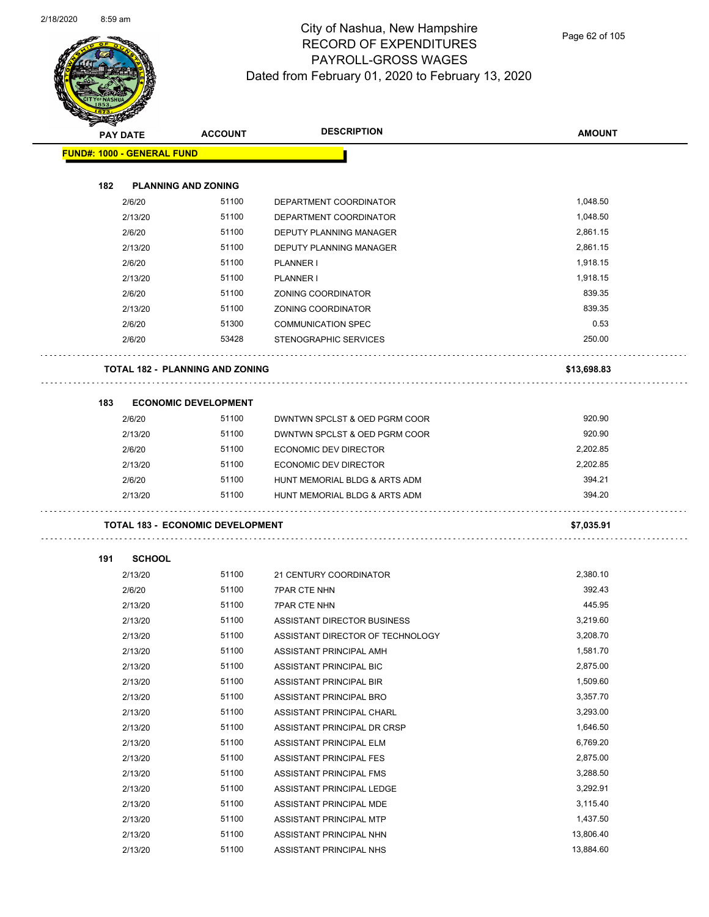

Page 62 of 105

|     | <b>PAY DATE</b>                   | <b>ACCOUNT</b>                          | <b>DESCRIPTION</b>               | <b>AMOUNT</b> |
|-----|-----------------------------------|-----------------------------------------|----------------------------------|---------------|
|     | <b>FUND#: 1000 - GENERAL FUND</b> |                                         |                                  |               |
|     |                                   |                                         |                                  |               |
| 182 |                                   | <b>PLANNING AND ZONING</b>              |                                  |               |
|     | 2/6/20                            | 51100                                   | DEPARTMENT COORDINATOR           | 1,048.50      |
|     | 2/13/20                           | 51100                                   | DEPARTMENT COORDINATOR           | 1,048.50      |
|     | 2/6/20                            | 51100                                   | DEPUTY PLANNING MANAGER          | 2,861.15      |
|     | 2/13/20                           | 51100                                   | <b>DEPUTY PLANNING MANAGER</b>   | 2,861.15      |
|     | 2/6/20                            | 51100                                   | PLANNER I                        | 1,918.15      |
|     | 2/13/20                           | 51100                                   | PLANNER I                        | 1,918.15      |
|     | 2/6/20                            | 51100                                   | ZONING COORDINATOR               | 839.35        |
|     | 2/13/20                           | 51100                                   | ZONING COORDINATOR               | 839.35        |
|     | 2/6/20                            | 51300                                   | <b>COMMUNICATION SPEC</b>        | 0.53          |
|     | 2/6/20                            | 53428                                   | STENOGRAPHIC SERVICES            | 250.00        |
|     |                                   | <b>TOTAL 182 - PLANNING AND ZONING</b>  |                                  | \$13,698.83   |
| 183 |                                   | <b>ECONOMIC DEVELOPMENT</b>             |                                  |               |
|     | 2/6/20                            | 51100                                   | DWNTWN SPCLST & OED PGRM COOR    | 920.90        |
|     | 2/13/20                           | 51100                                   | DWNTWN SPCLST & OED PGRM COOR    | 920.90        |
|     | 2/6/20                            | 51100                                   | ECONOMIC DEV DIRECTOR            | 2,202.85      |
|     | 2/13/20                           | 51100                                   | ECONOMIC DEV DIRECTOR            | 2,202.85      |
|     | 2/6/20                            | 51100                                   | HUNT MEMORIAL BLDG & ARTS ADM    | 394.21        |
|     | 2/13/20                           | 51100                                   | HUNT MEMORIAL BLDG & ARTS ADM    | 394.20        |
|     |                                   |                                         |                                  |               |
|     |                                   | <b>TOTAL 183 - ECONOMIC DEVELOPMENT</b> |                                  | \$7,035.91    |
| 191 | <b>SCHOOL</b>                     |                                         |                                  |               |
|     | 2/13/20                           | 51100                                   | 21 CENTURY COORDINATOR           | 2,380.10      |
|     | 2/6/20                            | 51100                                   | <b>7PAR CTE NHN</b>              | 392.43        |
|     | 2/13/20                           | 51100                                   | <b>7PAR CTE NHN</b>              | 445.95        |
|     | 2/13/20                           | 51100                                   | ASSISTANT DIRECTOR BUSINESS      | 3,219.60      |
|     | 2/13/20                           | 51100                                   | ASSISTANT DIRECTOR OF TECHNOLOGY | 3,208.70      |
|     | 2/13/20                           | 51100                                   | ASSISTANT PRINCIPAL AMH          | 1,581.70      |
|     | 2/13/20                           | 51100                                   | ASSISTANT PRINCIPAL BIC          | 2,875.00      |
|     | 2/13/20                           | 51100                                   | ASSISTANT PRINCIPAL BIR          | 1,509.60      |
|     | 2/13/20                           | 51100                                   | ASSISTANT PRINCIPAL BRO          | 3,357.70      |
|     | 2/13/20                           | 51100                                   | ASSISTANT PRINCIPAL CHARL        | 3,293.00      |
|     | 2/13/20                           | 51100                                   | ASSISTANT PRINCIPAL DR CRSP      | 1,646.50      |
|     | 2/13/20                           | 51100                                   | ASSISTANT PRINCIPAL ELM          | 6,769.20      |
|     | 2/13/20                           | 51100                                   | ASSISTANT PRINCIPAL FES          | 2,875.00      |
|     | 2/13/20                           | 51100                                   | ASSISTANT PRINCIPAL FMS          | 3,288.50      |
|     | 2/13/20                           | 51100                                   | ASSISTANT PRINCIPAL LEDGE        | 3,292.91      |
|     | 2/13/20                           | 51100                                   | ASSISTANT PRINCIPAL MDE          | 3,115.40      |
|     | 2/13/20                           | 51100                                   | ASSISTANT PRINCIPAL MTP          | 1,437.50      |
|     | 2/13/20                           | 51100                                   | ASSISTANT PRINCIPAL NHN          | 13,806.40     |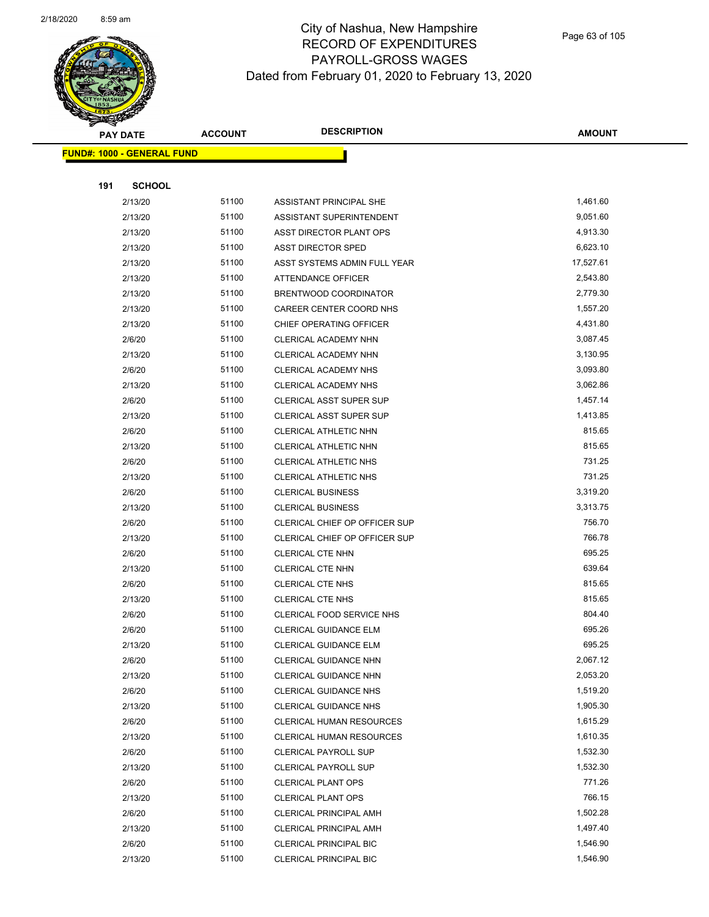

|     | <b>PAY DATE</b>                    | <b>ACCOUNT</b> | <b>DESCRIPTION</b>             | <b>AMOUNT</b> |
|-----|------------------------------------|----------------|--------------------------------|---------------|
|     | <u> FUND#: 1000 - GENERAL FUND</u> |                |                                |               |
|     |                                    |                |                                |               |
| 191 | <b>SCHOOL</b>                      |                |                                |               |
|     | 2/13/20                            | 51100          | ASSISTANT PRINCIPAL SHE        | 1,461.60      |
|     | 2/13/20                            | 51100          | ASSISTANT SUPERINTENDENT       | 9,051.60      |
|     | 2/13/20                            | 51100          | ASST DIRECTOR PLANT OPS        | 4,913.30      |
|     | 2/13/20                            | 51100          | <b>ASST DIRECTOR SPED</b>      | 6,623.10      |
|     | 2/13/20                            | 51100          | ASST SYSTEMS ADMIN FULL YEAR   | 17,527.61     |
|     | 2/13/20                            | 51100          | ATTENDANCE OFFICER             | 2,543.80      |
|     | 2/13/20                            | 51100          | BRENTWOOD COORDINATOR          | 2,779.30      |
|     | 2/13/20                            | 51100          | CAREER CENTER COORD NHS        | 1,557.20      |
|     | 2/13/20                            | 51100          | CHIEF OPERATING OFFICER        | 4,431.80      |
|     | 2/6/20                             | 51100          | CLERICAL ACADEMY NHN           | 3,087.45      |
|     | 2/13/20                            | 51100          | CLERICAL ACADEMY NHN           | 3,130.95      |
|     | 2/6/20                             | 51100          | CLERICAL ACADEMY NHS           | 3,093.80      |
|     | 2/13/20                            | 51100          | CLERICAL ACADEMY NHS           | 3,062.86      |
|     | 2/6/20                             | 51100          | CLERICAL ASST SUPER SUP        | 1,457.14      |
|     | 2/13/20                            | 51100          | <b>CLERICAL ASST SUPER SUP</b> | 1,413.85      |
|     | 2/6/20                             | 51100          | CLERICAL ATHLETIC NHN          | 815.65        |
|     | 2/13/20                            | 51100          | CLERICAL ATHLETIC NHN          | 815.65        |
|     | 2/6/20                             | 51100          | CLERICAL ATHLETIC NHS          | 731.25        |
|     | 2/13/20                            | 51100          | <b>CLERICAL ATHLETIC NHS</b>   | 731.25        |
|     | 2/6/20                             | 51100          | <b>CLERICAL BUSINESS</b>       | 3,319.20      |
|     | 2/13/20                            | 51100          | <b>CLERICAL BUSINESS</b>       | 3,313.75      |
|     | 2/6/20                             | 51100          | CLERICAL CHIEF OP OFFICER SUP  | 756.70        |
|     | 2/13/20                            | 51100          | CLERICAL CHIEF OP OFFICER SUP  | 766.78        |
|     | 2/6/20                             | 51100          | <b>CLERICAL CTE NHN</b>        | 695.25        |
|     | 2/13/20                            | 51100          | <b>CLERICAL CTE NHN</b>        | 639.64        |
|     | 2/6/20                             | 51100          | <b>CLERICAL CTE NHS</b>        | 815.65        |
|     | 2/13/20                            | 51100          | <b>CLERICAL CTE NHS</b>        | 815.65        |
|     | 2/6/20                             | 51100          | CLERICAL FOOD SERVICE NHS      | 804.40        |
|     | 2/6/20                             | 51100          | CLERICAL GUIDANCE ELM          | 695.26        |
|     | 2/13/20                            | 51100          | CLERICAL GUIDANCE ELM          | 695.25        |
|     | 2/6/20                             | 51100          | CLERICAL GUIDANCE NHN          | 2,067.12      |
|     | 2/13/20                            | 51100          | CLERICAL GUIDANCE NHN          | 2,053.20      |
|     | 2/6/20                             | 51100          | <b>CLERICAL GUIDANCE NHS</b>   | 1,519.20      |
|     | 2/13/20                            | 51100          | <b>CLERICAL GUIDANCE NHS</b>   | 1,905.30      |
|     | 2/6/20                             | 51100          | CLERICAL HUMAN RESOURCES       | 1,615.29      |
|     | 2/13/20                            | 51100          | CLERICAL HUMAN RESOURCES       | 1,610.35      |
|     | 2/6/20                             | 51100          | <b>CLERICAL PAYROLL SUP</b>    | 1,532.30      |
|     | 2/13/20                            | 51100          | CLERICAL PAYROLL SUP           | 1,532.30      |
|     | 2/6/20                             | 51100          | <b>CLERICAL PLANT OPS</b>      | 771.26        |
|     | 2/13/20                            | 51100          | <b>CLERICAL PLANT OPS</b>      | 766.15        |
|     | 2/6/20                             | 51100          | <b>CLERICAL PRINCIPAL AMH</b>  | 1,502.28      |
|     | 2/13/20                            | 51100          | <b>CLERICAL PRINCIPAL AMH</b>  | 1,497.40      |
|     | 2/6/20                             | 51100          | CLERICAL PRINCIPAL BIC         | 1,546.90      |
|     | 2/13/20                            | 51100          | CLERICAL PRINCIPAL BIC         | 1,546.90      |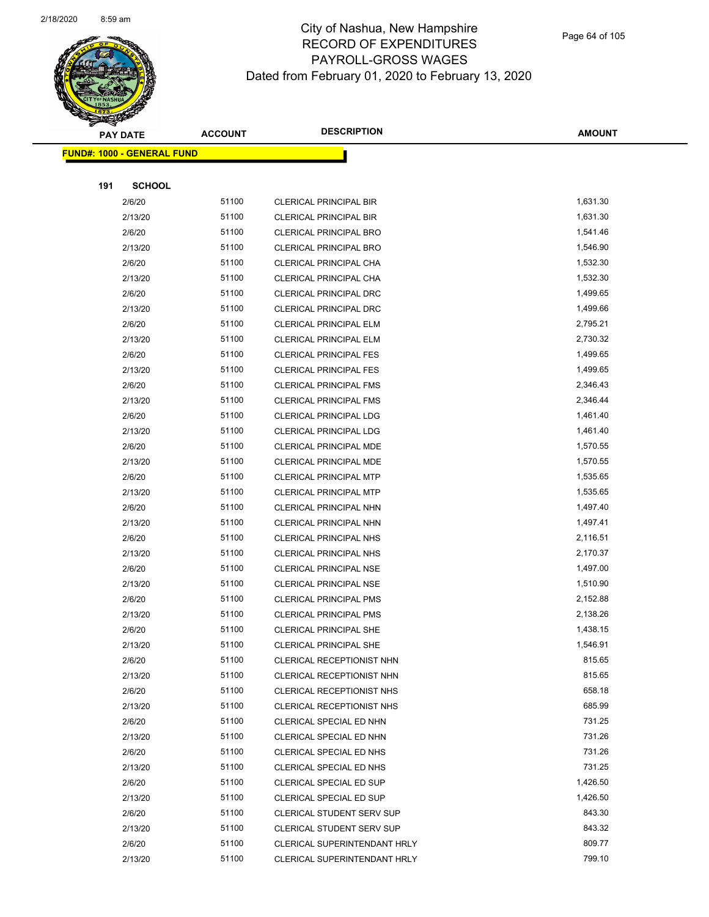

|     | <b>PAY DATE</b>                    | <b>ACCOUNT</b> | <b>DESCRIPTION</b>               | <b>AMOUNT</b> |
|-----|------------------------------------|----------------|----------------------------------|---------------|
|     | <u> FUND#: 1000 - GENERAL FUND</u> |                |                                  |               |
|     |                                    |                |                                  |               |
| 191 | <b>SCHOOL</b>                      |                |                                  |               |
|     | 2/6/20                             | 51100          | CLERICAL PRINCIPAL BIR           | 1,631.30      |
|     | 2/13/20                            | 51100          | <b>CLERICAL PRINCIPAL BIR</b>    | 1,631.30      |
|     | 2/6/20                             | 51100          | <b>CLERICAL PRINCIPAL BRO</b>    | 1,541.46      |
|     | 2/13/20                            | 51100          | <b>CLERICAL PRINCIPAL BRO</b>    | 1,546.90      |
|     | 2/6/20                             | 51100          | CLERICAL PRINCIPAL CHA           | 1,532.30      |
|     | 2/13/20                            | 51100          | CLERICAL PRINCIPAL CHA           | 1,532.30      |
|     | 2/6/20                             | 51100          | CLERICAL PRINCIPAL DRC           | 1,499.65      |
|     | 2/13/20                            | 51100          | CLERICAL PRINCIPAL DRC           | 1,499.66      |
|     | 2/6/20                             | 51100          | <b>CLERICAL PRINCIPAL ELM</b>    | 2,795.21      |
|     | 2/13/20                            | 51100          | <b>CLERICAL PRINCIPAL ELM</b>    | 2,730.32      |
|     | 2/6/20                             | 51100          | <b>CLERICAL PRINCIPAL FES</b>    | 1,499.65      |
|     | 2/13/20                            | 51100          | <b>CLERICAL PRINCIPAL FES</b>    | 1,499.65      |
|     | 2/6/20                             | 51100          | <b>CLERICAL PRINCIPAL FMS</b>    | 2,346.43      |
|     | 2/13/20                            | 51100          | <b>CLERICAL PRINCIPAL FMS</b>    | 2,346.44      |
|     | 2/6/20                             | 51100          | <b>CLERICAL PRINCIPAL LDG</b>    | 1,461.40      |
|     | 2/13/20                            | 51100          | <b>CLERICAL PRINCIPAL LDG</b>    | 1,461.40      |
|     | 2/6/20                             | 51100          | CLERICAL PRINCIPAL MDE           | 1,570.55      |
|     | 2/13/20                            | 51100          | CLERICAL PRINCIPAL MDE           | 1,570.55      |
|     | 2/6/20                             | 51100          | <b>CLERICAL PRINCIPAL MTP</b>    | 1,535.65      |
|     | 2/13/20                            | 51100          | <b>CLERICAL PRINCIPAL MTP</b>    | 1,535.65      |
|     | 2/6/20                             | 51100          | CLERICAL PRINCIPAL NHN           | 1,497.40      |
|     | 2/13/20                            | 51100          | CLERICAL PRINCIPAL NHN           | 1,497.41      |
|     | 2/6/20                             | 51100          | CLERICAL PRINCIPAL NHS           | 2,116.51      |
|     | 2/13/20                            | 51100          | CLERICAL PRINCIPAL NHS           | 2,170.37      |
|     | 2/6/20                             | 51100          | <b>CLERICAL PRINCIPAL NSE</b>    | 1,497.00      |
|     | 2/13/20                            | 51100          | <b>CLERICAL PRINCIPAL NSE</b>    | 1,510.90      |
|     | 2/6/20                             | 51100          | <b>CLERICAL PRINCIPAL PMS</b>    | 2,152.88      |
|     | 2/13/20                            | 51100          | <b>CLERICAL PRINCIPAL PMS</b>    | 2,138.26      |
|     | 2/6/20                             | 51100          | CLERICAL PRINCIPAL SHE           | 1,438.15      |
|     | 2/13/20                            | 51100          | CLERICAL PRINCIPAL SHE           | 1,546.91      |
|     | 2/6/20                             | 51100          | CLERICAL RECEPTIONIST NHN        | 815.65        |
|     | 2/13/20                            | 51100          | CLERICAL RECEPTIONIST NHN        | 815.65        |
|     | 2/6/20                             | 51100          | CLERICAL RECEPTIONIST NHS        | 658.18        |
|     | 2/13/20                            | 51100          | CLERICAL RECEPTIONIST NHS        | 685.99        |
|     | 2/6/20                             | 51100          | CLERICAL SPECIAL ED NHN          | 731.25        |
|     | 2/13/20                            | 51100          | CLERICAL SPECIAL ED NHN          | 731.26        |
|     | 2/6/20                             | 51100          | CLERICAL SPECIAL ED NHS          | 731.26        |
|     | 2/13/20                            | 51100          | CLERICAL SPECIAL ED NHS          | 731.25        |
|     | 2/6/20                             | 51100          | CLERICAL SPECIAL ED SUP          | 1,426.50      |
|     | 2/13/20                            | 51100          | CLERICAL SPECIAL ED SUP          | 1,426.50      |
|     | 2/6/20                             | 51100          | CLERICAL STUDENT SERV SUP        | 843.30        |
|     | 2/13/20                            | 51100          | <b>CLERICAL STUDENT SERV SUP</b> | 843.32        |
|     | 2/6/20                             | 51100          | CLERICAL SUPERINTENDANT HRLY     | 809.77        |
|     | 2/13/20                            | 51100          | CLERICAL SUPERINTENDANT HRLY     | 799.10        |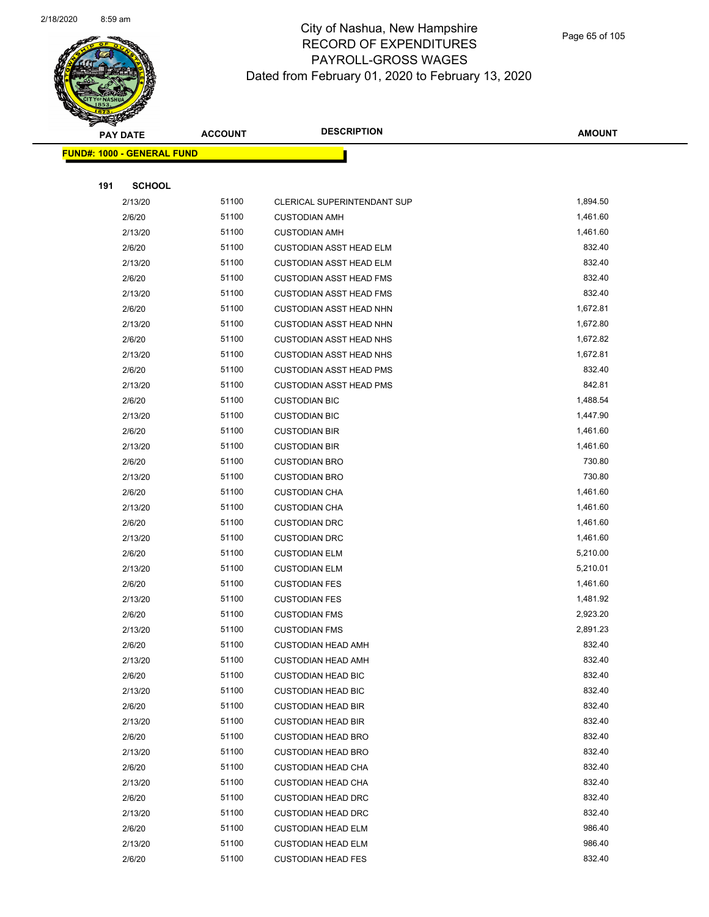

|     | <b>PAY DATE</b>                    | <b>ACCOUNT</b> | <b>DESCRIPTION</b>             | <b>AMOUNT</b> |
|-----|------------------------------------|----------------|--------------------------------|---------------|
|     | <u> FUND#: 1000 - GENERAL FUND</u> |                |                                |               |
|     |                                    |                |                                |               |
| 191 | <b>SCHOOL</b>                      |                |                                |               |
|     | 2/13/20                            | 51100          | CLERICAL SUPERINTENDANT SUP    | 1,894.50      |
|     | 2/6/20                             | 51100          | <b>CUSTODIAN AMH</b>           | 1,461.60      |
|     | 2/13/20                            | 51100          | <b>CUSTODIAN AMH</b>           | 1,461.60      |
|     | 2/6/20                             | 51100          | <b>CUSTODIAN ASST HEAD ELM</b> | 832.40        |
|     | 2/13/20                            | 51100          | <b>CUSTODIAN ASST HEAD ELM</b> | 832.40        |
|     | 2/6/20                             | 51100          | <b>CUSTODIAN ASST HEAD FMS</b> | 832.40        |
|     | 2/13/20                            | 51100          | <b>CUSTODIAN ASST HEAD FMS</b> | 832.40        |
|     | 2/6/20                             | 51100          | <b>CUSTODIAN ASST HEAD NHN</b> | 1,672.81      |
|     | 2/13/20                            | 51100          | <b>CUSTODIAN ASST HEAD NHN</b> | 1,672.80      |
|     | 2/6/20                             | 51100          | <b>CUSTODIAN ASST HEAD NHS</b> | 1,672.82      |
|     | 2/13/20                            | 51100          | <b>CUSTODIAN ASST HEAD NHS</b> | 1,672.81      |
|     | 2/6/20                             | 51100          | <b>CUSTODIAN ASST HEAD PMS</b> | 832.40        |
|     | 2/13/20                            | 51100          | <b>CUSTODIAN ASST HEAD PMS</b> | 842.81        |
|     | 2/6/20                             | 51100          | <b>CUSTODIAN BIC</b>           | 1,488.54      |
|     | 2/13/20                            | 51100          | <b>CUSTODIAN BIC</b>           | 1,447.90      |
|     | 2/6/20                             | 51100          | <b>CUSTODIAN BIR</b>           | 1,461.60      |
|     | 2/13/20                            | 51100          | <b>CUSTODIAN BIR</b>           | 1,461.60      |
|     | 2/6/20                             | 51100          | <b>CUSTODIAN BRO</b>           | 730.80        |
|     | 2/13/20                            | 51100          | <b>CUSTODIAN BRO</b>           | 730.80        |
|     | 2/6/20                             | 51100          | <b>CUSTODIAN CHA</b>           | 1,461.60      |
|     | 2/13/20                            | 51100          | <b>CUSTODIAN CHA</b>           | 1,461.60      |
|     | 2/6/20                             | 51100          | <b>CUSTODIAN DRC</b>           | 1,461.60      |
|     | 2/13/20                            | 51100          | <b>CUSTODIAN DRC</b>           | 1,461.60      |
|     | 2/6/20                             | 51100          | <b>CUSTODIAN ELM</b>           | 5,210.00      |
|     | 2/13/20                            | 51100          | <b>CUSTODIAN ELM</b>           | 5,210.01      |
|     | 2/6/20                             | 51100          | <b>CUSTODIAN FES</b>           | 1,461.60      |
|     | 2/13/20                            | 51100          | <b>CUSTODIAN FES</b>           | 1,481.92      |
|     | 2/6/20                             | 51100          | <b>CUSTODIAN FMS</b>           | 2,923.20      |
|     | 2/13/20                            | 51100          | <b>CUSTODIAN FMS</b>           | 2,891.23      |
|     | 2/6/20                             | 51100          | <b>CUSTODIAN HEAD AMH</b>      | 832.40        |
|     | 2/13/20                            | 51100          | <b>CUSTODIAN HEAD AMH</b>      | 832.40        |
|     | 2/6/20                             | 51100          | <b>CUSTODIAN HEAD BIC</b>      | 832.40        |
|     | 2/13/20                            | 51100          | <b>CUSTODIAN HEAD BIC</b>      | 832.40        |
|     | 2/6/20                             | 51100          | <b>CUSTODIAN HEAD BIR</b>      | 832.40        |
|     | 2/13/20                            | 51100          | <b>CUSTODIAN HEAD BIR</b>      | 832.40        |
|     | 2/6/20                             | 51100          | <b>CUSTODIAN HEAD BRO</b>      | 832.40        |
|     | 2/13/20                            | 51100          | <b>CUSTODIAN HEAD BRO</b>      | 832.40        |
|     | 2/6/20                             | 51100          | <b>CUSTODIAN HEAD CHA</b>      | 832.40        |
|     | 2/13/20                            | 51100          | <b>CUSTODIAN HEAD CHA</b>      | 832.40        |
|     | 2/6/20                             | 51100          | <b>CUSTODIAN HEAD DRC</b>      | 832.40        |
|     | 2/13/20                            | 51100          | <b>CUSTODIAN HEAD DRC</b>      | 832.40        |
|     | 2/6/20                             | 51100          | <b>CUSTODIAN HEAD ELM</b>      | 986.40        |
|     | 2/13/20                            | 51100          | <b>CUSTODIAN HEAD ELM</b>      | 986.40        |
|     | 2/6/20                             | 51100          | <b>CUSTODIAN HEAD FES</b>      | 832.40        |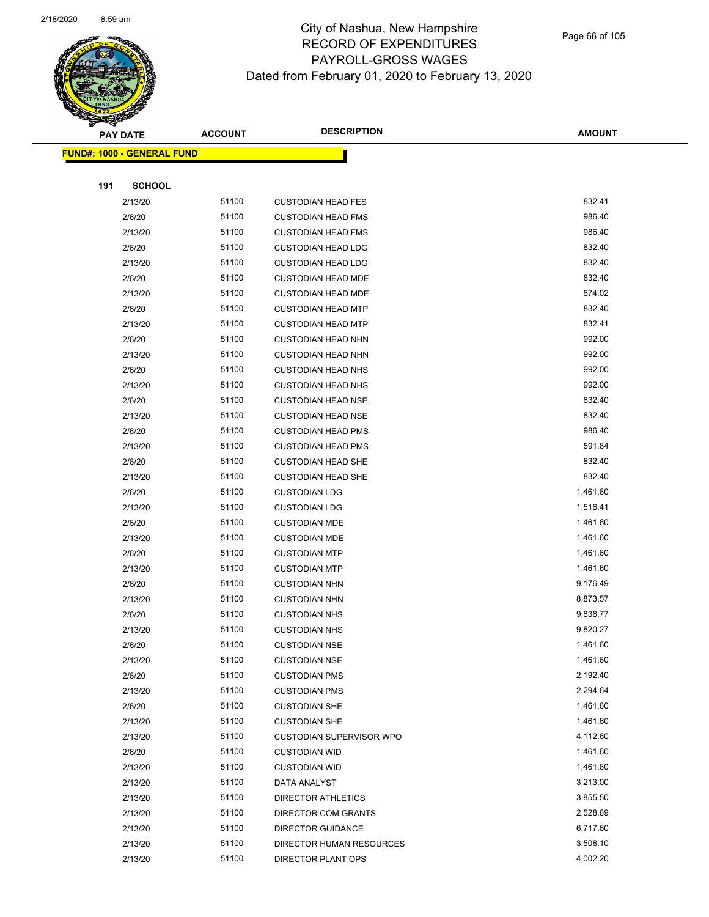

Page 66 of 105

|     | <b>PAY DATE</b>                   | <b>ACCOUNT</b> | <b>DESCRIPTION</b>                                      | <b>AMOUNT</b>        |
|-----|-----------------------------------|----------------|---------------------------------------------------------|----------------------|
|     | <b>FUND#: 1000 - GENERAL FUND</b> |                |                                                         |                      |
|     |                                   |                |                                                         |                      |
| 191 | <b>SCHOOL</b>                     |                |                                                         |                      |
|     | 2/13/20                           | 51100          | <b>CUSTODIAN HEAD FES</b>                               | 832.41               |
|     | 2/6/20                            | 51100          | <b>CUSTODIAN HEAD FMS</b>                               | 986.40               |
|     | 2/13/20                           | 51100          | <b>CUSTODIAN HEAD FMS</b>                               | 986.40               |
|     | 2/6/20                            | 51100          | <b>CUSTODIAN HEAD LDG</b>                               | 832.40               |
|     | 2/13/20                           | 51100          | <b>CUSTODIAN HEAD LDG</b>                               | 832.40               |
|     | 2/6/20                            | 51100          | <b>CUSTODIAN HEAD MDE</b>                               | 832.40               |
|     | 2/13/20                           | 51100          | <b>CUSTODIAN HEAD MDE</b>                               | 874.02               |
|     | 2/6/20                            | 51100          | <b>CUSTODIAN HEAD MTP</b>                               | 832.40               |
|     | 2/13/20                           | 51100          | <b>CUSTODIAN HEAD MTP</b>                               | 832.41               |
|     | 2/6/20                            | 51100          | <b>CUSTODIAN HEAD NHN</b>                               | 992.00               |
|     | 2/13/20                           | 51100          | <b>CUSTODIAN HEAD NHN</b>                               | 992.00               |
|     | 2/6/20                            | 51100          | <b>CUSTODIAN HEAD NHS</b>                               | 992.00               |
|     | 2/13/20                           | 51100          | <b>CUSTODIAN HEAD NHS</b>                               | 992.00               |
|     | 2/6/20                            | 51100          | <b>CUSTODIAN HEAD NSE</b>                               | 832.40               |
|     | 2/13/20                           | 51100          | <b>CUSTODIAN HEAD NSE</b>                               | 832.40               |
|     | 2/6/20                            | 51100          | <b>CUSTODIAN HEAD PMS</b>                               | 986.40               |
|     | 2/13/20                           | 51100          | <b>CUSTODIAN HEAD PMS</b>                               | 591.84               |
|     | 2/6/20                            | 51100          | <b>CUSTODIAN HEAD SHE</b>                               | 832.40               |
|     | 2/13/20                           | 51100          | <b>CUSTODIAN HEAD SHE</b>                               | 832.40               |
|     | 2/6/20                            | 51100          | <b>CUSTODIAN LDG</b>                                    | 1,461.60             |
|     | 2/13/20                           | 51100          | <b>CUSTODIAN LDG</b>                                    | 1,516.41             |
|     | 2/6/20                            | 51100          | <b>CUSTODIAN MDE</b>                                    | 1,461.60             |
|     | 2/13/20                           | 51100          | <b>CUSTODIAN MDE</b>                                    | 1,461.60             |
|     | 2/6/20                            | 51100          | <b>CUSTODIAN MTP</b>                                    | 1,461.60             |
|     | 2/13/20                           | 51100          | <b>CUSTODIAN MTP</b>                                    | 1,461.60             |
|     | 2/6/20                            | 51100          | <b>CUSTODIAN NHN</b>                                    | 9,176.49             |
|     | 2/13/20                           | 51100          | <b>CUSTODIAN NHN</b>                                    | 8,873.57             |
|     | 2/6/20                            | 51100          | <b>CUSTODIAN NHS</b>                                    | 9,838.77             |
|     | 2/13/20                           | 51100          | <b>CUSTODIAN NHS</b>                                    | 9,820.27             |
|     | 2/6/20                            | 51100          | <b>CUSTODIAN NSE</b>                                    | 1,461.60             |
|     | 2/13/20                           | 51100          | <b>CUSTODIAN NSE</b>                                    | 1,461.60             |
|     | 2/6/20                            | 51100          | <b>CUSTODIAN PMS</b>                                    | 2,192.40             |
|     | 2/13/20                           | 51100          | <b>CUSTODIAN PMS</b>                                    | 2,294.64             |
|     | 2/6/20                            | 51100<br>51100 | <b>CUSTODIAN SHE</b>                                    | 1,461.60<br>1,461.60 |
|     | 2/13/20<br>2/13/20                | 51100          | <b>CUSTODIAN SHE</b><br><b>CUSTODIAN SUPERVISOR WPO</b> | 4,112.60             |
|     | 2/6/20                            | 51100          | <b>CUSTODIAN WID</b>                                    | 1,461.60             |
|     | 2/13/20                           | 51100          | <b>CUSTODIAN WID</b>                                    | 1,461.60             |
|     | 2/13/20                           | 51100          | DATA ANALYST                                            | 3,213.00             |
|     | 2/13/20                           | 51100          | <b>DIRECTOR ATHLETICS</b>                               | 3,855.50             |
|     | 2/13/20                           | 51100          | DIRECTOR COM GRANTS                                     | 2,528.69             |
|     | 2/13/20                           | 51100          | <b>DIRECTOR GUIDANCE</b>                                | 6,717.60             |
|     | 2/13/20                           | 51100          | DIRECTOR HUMAN RESOURCES                                | 3,508.10             |
|     | 2/13/20                           | 51100          | DIRECTOR PLANT OPS                                      | 4,002.20             |
|     |                                   |                |                                                         |                      |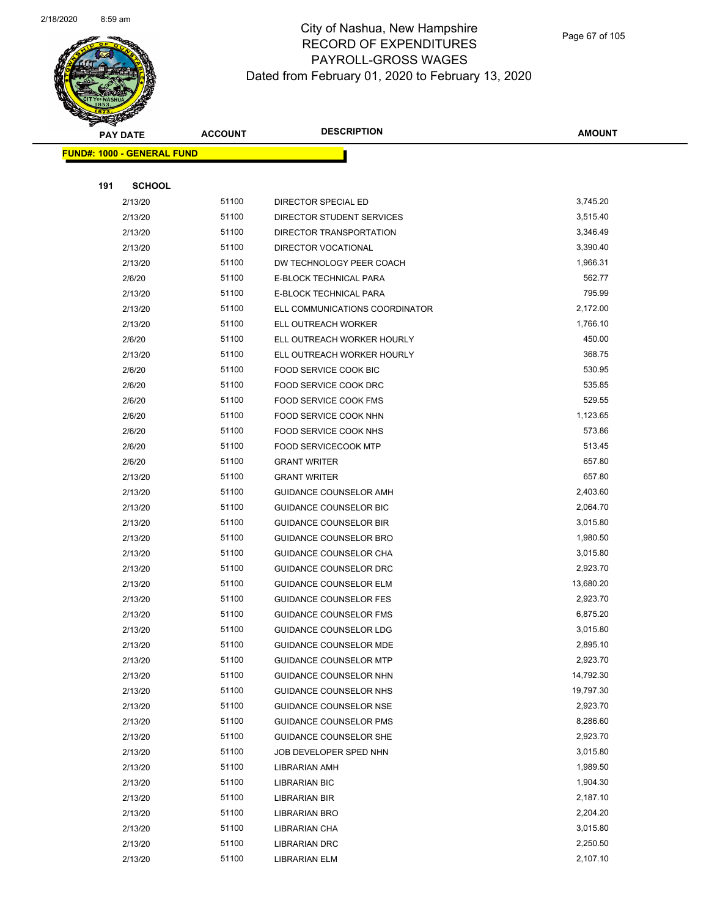

Page 67 of 105

|     | <b>PAY DATE</b>                   | <b>ACCOUNT</b> | <b>DESCRIPTION</b>             | <b>AMOUNT</b>        |
|-----|-----------------------------------|----------------|--------------------------------|----------------------|
|     | <b>FUND#: 1000 - GENERAL FUND</b> |                |                                |                      |
|     |                                   |                |                                |                      |
| 191 | <b>SCHOOL</b>                     |                |                                |                      |
|     | 2/13/20                           | 51100          | DIRECTOR SPECIAL ED            | 3,745.20             |
|     | 2/13/20                           | 51100          | DIRECTOR STUDENT SERVICES      | 3,515.40             |
|     | 2/13/20                           | 51100          | DIRECTOR TRANSPORTATION        | 3,346.49             |
|     | 2/13/20                           | 51100          | DIRECTOR VOCATIONAL            | 3,390.40             |
|     | 2/13/20                           | 51100          | DW TECHNOLOGY PEER COACH       | 1,966.31             |
|     | 2/6/20                            | 51100          | <b>E-BLOCK TECHNICAL PARA</b>  | 562.77               |
|     | 2/13/20                           | 51100          | E-BLOCK TECHNICAL PARA         | 795.99               |
|     | 2/13/20                           | 51100          | ELL COMMUNICATIONS COORDINATOR | 2,172.00             |
|     | 2/13/20                           | 51100          | ELL OUTREACH WORKER            | 1,766.10             |
|     | 2/6/20                            | 51100          | ELL OUTREACH WORKER HOURLY     | 450.00               |
|     | 2/13/20                           | 51100          | ELL OUTREACH WORKER HOURLY     | 368.75               |
|     | 2/6/20                            | 51100          | <b>FOOD SERVICE COOK BIC</b>   | 530.95               |
|     | 2/6/20                            | 51100          | FOOD SERVICE COOK DRC          | 535.85               |
|     | 2/6/20                            | 51100          | <b>FOOD SERVICE COOK FMS</b>   | 529.55               |
|     | 2/6/20                            | 51100          | FOOD SERVICE COOK NHN          | 1,123.65             |
|     | 2/6/20                            | 51100          | FOOD SERVICE COOK NHS          | 573.86               |
|     | 2/6/20                            | 51100          | <b>FOOD SERVICECOOK MTP</b>    | 513.45               |
|     | 2/6/20                            | 51100          | <b>GRANT WRITER</b>            | 657.80               |
|     | 2/13/20                           | 51100          | <b>GRANT WRITER</b>            | 657.80               |
|     | 2/13/20                           | 51100          | <b>GUIDANCE COUNSELOR AMH</b>  | 2,403.60             |
|     | 2/13/20                           | 51100          | GUIDANCE COUNSELOR BIC         | 2,064.70             |
|     | 2/13/20                           | 51100          | <b>GUIDANCE COUNSELOR BIR</b>  | 3,015.80             |
|     | 2/13/20                           | 51100          | GUIDANCE COUNSELOR BRO         | 1,980.50             |
|     | 2/13/20                           | 51100          | GUIDANCE COUNSELOR CHA         | 3,015.80             |
|     | 2/13/20                           | 51100          | GUIDANCE COUNSELOR DRC         | 2,923.70             |
|     | 2/13/20                           | 51100          | <b>GUIDANCE COUNSELOR ELM</b>  | 13,680.20            |
|     | 2/13/20                           | 51100          | <b>GUIDANCE COUNSELOR FES</b>  | 2,923.70             |
|     | 2/13/20                           | 51100          | <b>GUIDANCE COUNSELOR FMS</b>  | 6,875.20             |
|     | 2/13/20                           | 51100          | GUIDANCE COUNSELOR LDG         | 3,015.80             |
|     | 2/13/20                           | 51100          | <b>GUIDANCE COUNSELOR MDE</b>  | 2,895.10             |
|     | 2/13/20                           | 51100          | <b>GUIDANCE COUNSELOR MTP</b>  | 2,923.70             |
|     | 2/13/20                           | 51100          | GUIDANCE COUNSELOR NHN         | 14,792.30            |
|     | 2/13/20                           | 51100          | GUIDANCE COUNSELOR NHS         | 19,797.30            |
|     | 2/13/20                           | 51100          | <b>GUIDANCE COUNSELOR NSE</b>  | 2,923.70             |
|     | 2/13/20                           | 51100          | <b>GUIDANCE COUNSELOR PMS</b>  | 8,286.60             |
|     | 2/13/20                           | 51100          | <b>GUIDANCE COUNSELOR SHE</b>  | 2,923.70             |
|     | 2/13/20                           | 51100          | JOB DEVELOPER SPED NHN         | 3,015.80             |
|     | 2/13/20                           | 51100          | LIBRARIAN AMH                  | 1,989.50             |
|     | 2/13/20                           | 51100          | <b>LIBRARIAN BIC</b>           | 1,904.30             |
|     | 2/13/20                           | 51100          | LIBRARIAN BIR                  | 2,187.10             |
|     | 2/13/20                           | 51100          | LIBRARIAN BRO                  | 2,204.20             |
|     | 2/13/20                           | 51100          | LIBRARIAN CHA                  | 3,015.80             |
|     | 2/13/20                           | 51100<br>51100 | <b>LIBRARIAN DRC</b>           | 2,250.50<br>2,107.10 |
|     | 2/13/20                           |                | <b>LIBRARIAN ELM</b>           |                      |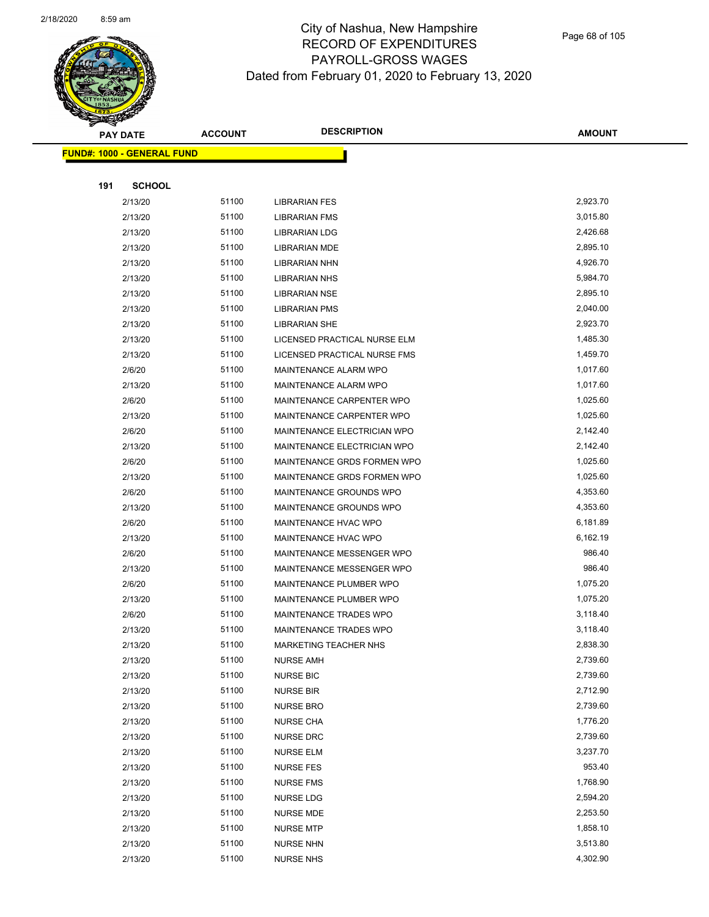

**AMOUNT**

| <b>FUND#: 1000 - GENERAL FUND</b> |                |                                      |                      |
|-----------------------------------|----------------|--------------------------------------|----------------------|
|                                   |                |                                      |                      |
| 191<br><b>SCHOOL</b>              |                |                                      |                      |
| 2/13/20                           | 51100          | <b>LIBRARIAN FES</b>                 | 2,923.70             |
| 2/13/20                           | 51100          | <b>LIBRARIAN FMS</b>                 | 3,015.80             |
| 2/13/20                           | 51100          | <b>LIBRARIAN LDG</b>                 | 2,426.68             |
| 2/13/20                           | 51100          | <b>LIBRARIAN MDE</b>                 | 2,895.10             |
| 2/13/20                           | 51100          | <b>LIBRARIAN NHN</b>                 | 4,926.70             |
| 2/13/20                           | 51100          | <b>LIBRARIAN NHS</b>                 | 5,984.70             |
| 2/13/20                           | 51100          | <b>LIBRARIAN NSE</b>                 | 2,895.10             |
| 2/13/20                           | 51100          | <b>LIBRARIAN PMS</b>                 | 2,040.00             |
| 2/13/20                           | 51100          | <b>LIBRARIAN SHE</b>                 | 2,923.70             |
| 2/13/20                           | 51100          | LICENSED PRACTICAL NURSE ELM         | 1,485.30             |
| 2/13/20                           | 51100          | LICENSED PRACTICAL NURSE FMS         | 1,459.70             |
| 2/6/20                            | 51100          | MAINTENANCE ALARM WPO                | 1,017.60             |
| 2/13/20                           | 51100          | MAINTENANCE ALARM WPO                | 1,017.60             |
| 2/6/20                            | 51100          | MAINTENANCE CARPENTER WPO            | 1,025.60             |
| 2/13/20                           | 51100          | MAINTENANCE CARPENTER WPO            | 1,025.60             |
| 2/6/20                            | 51100          | MAINTENANCE ELECTRICIAN WPO          | 2,142.40             |
| 2/13/20                           | 51100          | MAINTENANCE ELECTRICIAN WPO          | 2,142.40             |
| 2/6/20                            | 51100          | MAINTENANCE GRDS FORMEN WPO          | 1,025.60             |
| 2/13/20                           | 51100          | MAINTENANCE GRDS FORMEN WPO          | 1,025.60             |
| 2/6/20                            | 51100          | MAINTENANCE GROUNDS WPO              | 4,353.60             |
| 2/13/20                           | 51100          | MAINTENANCE GROUNDS WPO              | 4,353.60             |
| 2/6/20                            | 51100          | MAINTENANCE HVAC WPO                 | 6,181.89             |
| 2/13/20                           | 51100          | MAINTENANCE HVAC WPO                 | 6,162.19             |
| 2/6/20                            | 51100          | MAINTENANCE MESSENGER WPO            | 986.40               |
| 2/13/20                           | 51100          | MAINTENANCE MESSENGER WPO            | 986.40               |
| 2/6/20                            | 51100          | MAINTENANCE PLUMBER WPO              | 1,075.20             |
| 2/13/20                           | 51100          | MAINTENANCE PLUMBER WPO              | 1,075.20             |
| 2/6/20                            | 51100          | MAINTENANCE TRADES WPO               | 3,118.40             |
| 2/13/20                           | 51100          | MAINTENANCE TRADES WPO               | 3,118.40             |
| 2/13/20                           | 51100          | <b>MARKETING TEACHER NHS</b>         | 2,838.30             |
| 2/13/20                           | 51100          | NURSE AMH                            | 2,739.60             |
| 2/13/20                           | 51100          | <b>NURSE BIC</b>                     | 2,739.60             |
| 2/13/20                           | 51100          | <b>NURSE BIR</b>                     | 2,712.90             |
| 2/13/20                           | 51100          | <b>NURSE BRO</b>                     | 2,739.60             |
| 2/13/20                           | 51100<br>51100 | <b>NURSE CHA</b>                     | 1,776.20<br>2,739.60 |
| 2/13/20<br>2/13/20                | 51100          | <b>NURSE DRC</b>                     | 3,237.70             |
|                                   | 51100          | <b>NURSE ELM</b><br><b>NURSE FES</b> | 953.40               |
| 2/13/20                           | 51100          |                                      | 1,768.90             |
| 2/13/20<br>2/13/20                | 51100          | <b>NURSE FMS</b><br><b>NURSE LDG</b> | 2,594.20             |
| 2/13/20                           | 51100          | <b>NURSE MDE</b>                     | 2,253.50             |
| 2/13/20                           | 51100          | <b>NURSE MTP</b>                     | 1,858.10             |
| 2/13/20                           | 51100          | <b>NURSE NHN</b>                     | 3,513.80             |
| 2/13/20                           | 51100          | <b>NURSE NHS</b>                     | 4,302.90             |
|                                   |                |                                      |                      |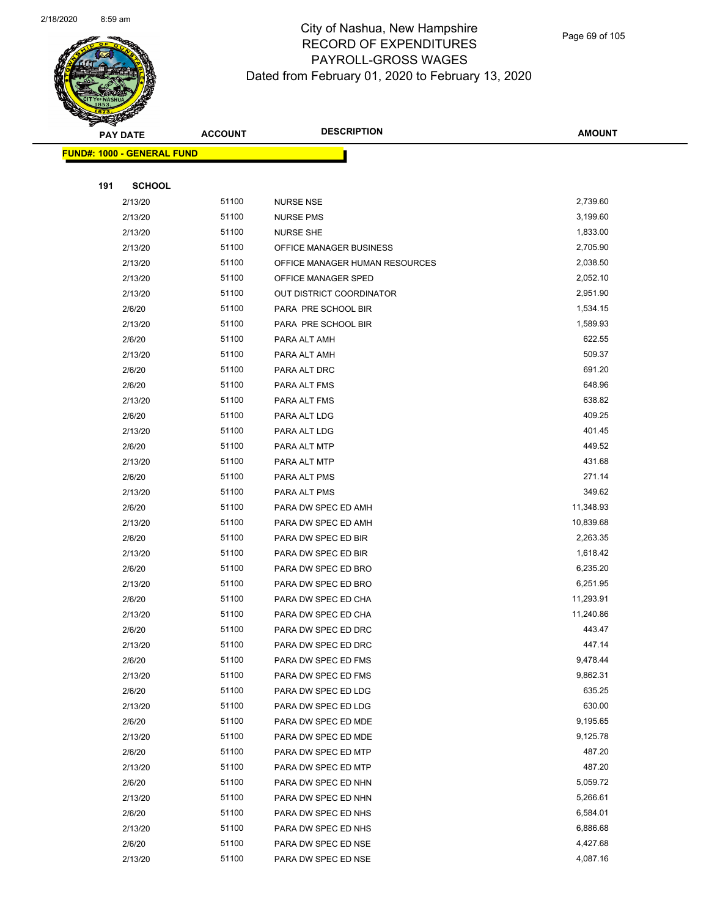

|     | <b>PAY DATE</b>                   | <b>ACCOUNT</b> | <b>DESCRIPTION</b>                         | <b>AMOUNT</b>    |
|-----|-----------------------------------|----------------|--------------------------------------------|------------------|
|     | <b>FUND#: 1000 - GENERAL FUND</b> |                |                                            |                  |
|     |                                   |                |                                            |                  |
| 191 | <b>SCHOOL</b>                     |                |                                            |                  |
|     | 2/13/20                           | 51100          | <b>NURSE NSE</b>                           | 2,739.60         |
|     | 2/13/20                           | 51100          | <b>NURSE PMS</b>                           | 3,199.60         |
|     | 2/13/20                           | 51100          | <b>NURSE SHE</b>                           | 1,833.00         |
|     | 2/13/20                           | 51100          | OFFICE MANAGER BUSINESS                    | 2,705.90         |
|     | 2/13/20                           | 51100          | OFFICE MANAGER HUMAN RESOURCES             | 2,038.50         |
|     | 2/13/20                           | 51100          | OFFICE MANAGER SPED                        | 2,052.10         |
|     | 2/13/20                           | 51100          | OUT DISTRICT COORDINATOR                   | 2,951.90         |
|     | 2/6/20                            | 51100          | PARA PRE SCHOOL BIR                        | 1,534.15         |
|     | 2/13/20                           | 51100          | PARA PRE SCHOOL BIR                        | 1,589.93         |
|     | 2/6/20                            | 51100          | PARA ALT AMH                               | 622.55           |
|     | 2/13/20                           | 51100          | PARA ALT AMH                               | 509.37           |
|     | 2/6/20                            | 51100          | PARA ALT DRC                               | 691.20           |
|     | 2/6/20                            | 51100          | PARA ALT FMS                               | 648.96           |
|     | 2/13/20                           | 51100          | PARA ALT FMS                               | 638.82           |
|     | 2/6/20                            | 51100          | PARA ALT LDG                               | 409.25           |
|     | 2/13/20                           | 51100          | PARA ALT LDG                               | 401.45           |
|     | 2/6/20                            | 51100          | PARA ALT MTP                               | 449.52           |
|     | 2/13/20                           | 51100          | PARA ALT MTP                               | 431.68           |
|     | 2/6/20                            | 51100          | PARA ALT PMS                               | 271.14           |
|     | 2/13/20                           | 51100          | PARA ALT PMS                               | 349.62           |
|     | 2/6/20                            | 51100          | PARA DW SPEC ED AMH                        | 11,348.93        |
|     | 2/13/20                           | 51100          | PARA DW SPEC ED AMH                        | 10,839.68        |
|     | 2/6/20                            | 51100          | PARA DW SPEC ED BIR                        | 2,263.35         |
|     | 2/13/20                           | 51100          | PARA DW SPEC ED BIR                        | 1,618.42         |
|     | 2/6/20                            | 51100          | PARA DW SPEC ED BRO                        | 6,235.20         |
|     | 2/13/20                           | 51100          | PARA DW SPEC ED BRO                        | 6,251.95         |
|     | 2/6/20                            | 51100          | PARA DW SPEC ED CHA                        | 11,293.91        |
|     | 2/13/20                           | 51100          | PARA DW SPEC ED CHA                        | 11,240.86        |
|     | 2/6/20                            | 51100          | PARA DW SPEC ED DRC                        | 443.47           |
|     | 2/13/20                           | 51100          | PARA DW SPEC ED DRC                        | 447.14           |
|     | 2/6/20                            | 51100          | PARA DW SPEC ED FMS                        | 9,478.44         |
|     | 2/13/20                           | 51100          | PARA DW SPEC ED FMS                        | 9,862.31         |
|     | 2/6/20                            | 51100          | PARA DW SPEC ED LDG                        | 635.25           |
|     | 2/13/20                           | 51100          | PARA DW SPEC ED LDG                        | 630.00           |
|     | 2/6/20                            | 51100          | PARA DW SPEC ED MDE                        | 9,195.65         |
|     | 2/13/20                           | 51100          | PARA DW SPEC ED MDE                        | 9,125.78         |
|     | 2/6/20                            | 51100          | PARA DW SPEC ED MTP                        | 487.20<br>487.20 |
|     | 2/13/20                           | 51100          | PARA DW SPEC ED MTP                        | 5,059.72         |
|     | 2/6/20<br>2/13/20                 | 51100<br>51100 | PARA DW SPEC ED NHN                        | 5,266.61         |
|     | 2/6/20                            | 51100          | PARA DW SPEC ED NHN<br>PARA DW SPEC ED NHS | 6,584.01         |
|     | 2/13/20                           | 51100          | PARA DW SPEC ED NHS                        | 6,886.68         |
|     | 2/6/20                            | 51100          | PARA DW SPEC ED NSE                        | 4,427.68         |
|     | 2/13/20                           | 51100          | PARA DW SPEC ED NSE                        | 4,087.16         |
|     |                                   |                |                                            |                  |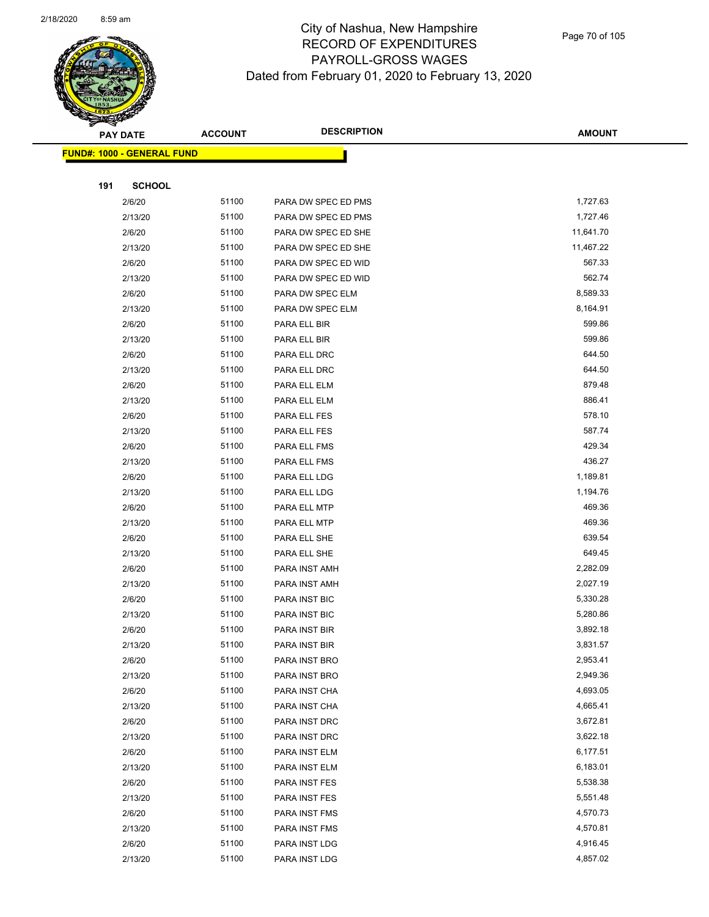

Page 70 of 105

| <b>PAY DATE</b>                   | <b>ACCOUNT</b> | <b>DESCRIPTION</b>  | <b>AMOUNT</b> |
|-----------------------------------|----------------|---------------------|---------------|
| <b>FUND#: 1000 - GENERAL FUND</b> |                |                     |               |
|                                   |                |                     |               |
| 191<br><b>SCHOOL</b>              |                |                     |               |
| 2/6/20                            | 51100          | PARA DW SPEC ED PMS | 1,727.63      |
| 2/13/20                           | 51100          | PARA DW SPEC ED PMS | 1,727.46      |
| 2/6/20                            | 51100          | PARA DW SPEC ED SHE | 11,641.70     |
| 2/13/20                           | 51100          | PARA DW SPEC ED SHE | 11,467.22     |
| 2/6/20                            | 51100          | PARA DW SPEC ED WID | 567.33        |
| 2/13/20                           | 51100          | PARA DW SPEC ED WID | 562.74        |
| 2/6/20                            | 51100          | PARA DW SPEC ELM    | 8,589.33      |
| 2/13/20                           | 51100          | PARA DW SPEC ELM    | 8,164.91      |
| 2/6/20                            | 51100          | PARA ELL BIR        | 599.86        |
| 2/13/20                           | 51100          | PARA ELL BIR        | 599.86        |
| 2/6/20                            | 51100          | PARA ELL DRC        | 644.50        |
| 2/13/20                           | 51100          | PARA ELL DRC        | 644.50        |
| 2/6/20                            | 51100          | PARA ELL ELM        | 879.48        |
| 2/13/20                           | 51100          | PARA ELL ELM        | 886.41        |
| 2/6/20                            | 51100          | PARA ELL FES        | 578.10        |
| 2/13/20                           | 51100          | PARA ELL FES        | 587.74        |
| 2/6/20                            | 51100          | PARA ELL FMS        | 429.34        |
| 2/13/20                           | 51100          | PARA ELL FMS        | 436.27        |
| 2/6/20                            | 51100          | PARA ELL LDG        | 1,189.81      |
| 2/13/20                           | 51100          | PARA ELL LDG        | 1,194.76      |
| 2/6/20                            | 51100          | PARA ELL MTP        | 469.36        |
| 2/13/20                           | 51100          | PARA ELL MTP        | 469.36        |
| 2/6/20                            | 51100          | PARA ELL SHE        | 639.54        |
| 2/13/20                           | 51100          | PARA ELL SHE        | 649.45        |
| 2/6/20                            | 51100          | PARA INST AMH       | 2,282.09      |
| 2/13/20                           | 51100          | PARA INST AMH       | 2,027.19      |
| 2/6/20                            | 51100          | PARA INST BIC       | 5,330.28      |
| 2/13/20                           | 51100          | PARA INST BIC       | 5,280.86      |
| 2/6/20                            | 51100          | PARA INST BIR       | 3,892.18      |
| 2/13/20                           | 51100          | PARA INST BIR       | 3,831.57      |
| 2/6/20                            | 51100          | PARA INST BRO       | 2,953.41      |
| 2/13/20                           | 51100          | PARA INST BRO       | 2,949.36      |
| 2/6/20                            | 51100          | PARA INST CHA       | 4,693.05      |
| 2/13/20                           | 51100          | PARA INST CHA       | 4,665.41      |
| 2/6/20                            | 51100          | PARA INST DRC       | 3,672.81      |
| 2/13/20                           | 51100          | PARA INST DRC       | 3,622.18      |
| 2/6/20                            | 51100          | PARA INST ELM       | 6,177.51      |
| 2/13/20                           | 51100          | PARA INST ELM       | 6,183.01      |
| 2/6/20                            | 51100          | PARA INST FES       | 5,538.38      |
| 2/13/20                           | 51100          | PARA INST FES       | 5,551.48      |
| 2/6/20                            | 51100          | PARA INST FMS       | 4,570.73      |
| 2/13/20                           | 51100          | PARA INST FMS       | 4,570.81      |
| 2/6/20                            | 51100          | PARA INST LDG       | 4,916.45      |
| 2/13/20                           | 51100          | PARA INST LDG       | 4,857.02      |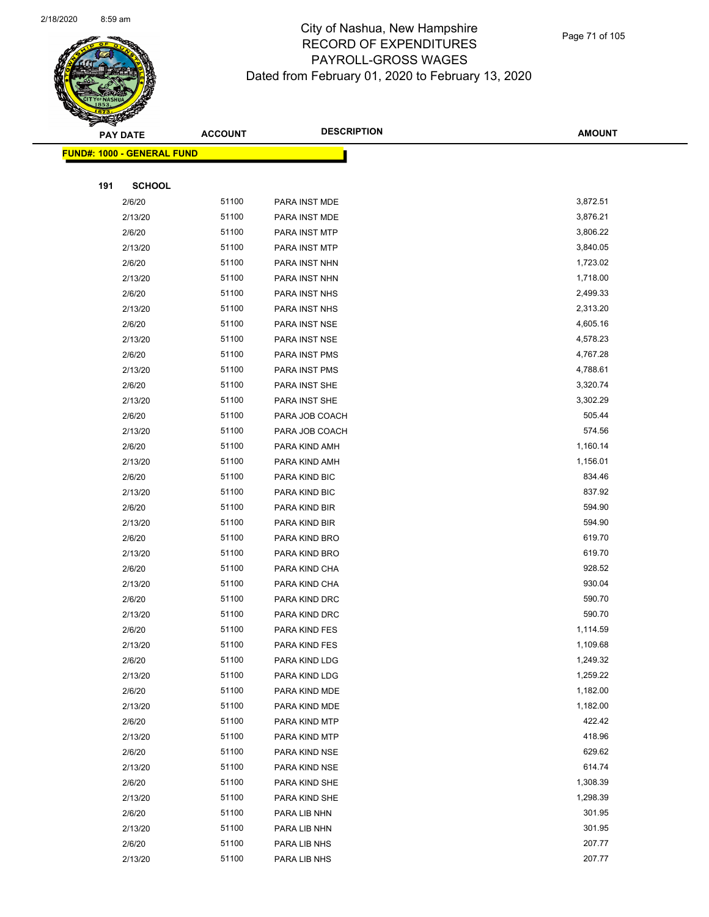

| 191 | <b>SCHOOL</b> |                                                          |                |          |
|-----|---------------|----------------------------------------------------------|----------------|----------|
|     | 2/6/20        | 51100                                                    | PARA INST MDE  | 3,872.51 |
|     | 2/13/20       | 51100                                                    | PARA INST MDE  | 3,876.21 |
|     | 2/6/20        | 51100                                                    | PARA INST MTP  | 3,806.22 |
|     | 2/13/20       | 51100                                                    | PARA INST MTP  | 3,840.05 |
|     | 2/6/20        | 51100                                                    | PARA INST NHN  | 1,723.02 |
|     | 2/13/20       | 51100                                                    | PARA INST NHN  | 1,718.00 |
|     | 2/6/20        | 51100                                                    | PARA INST NHS  | 2,499.33 |
|     | 2/13/20       | 51100                                                    | PARA INST NHS  | 2,313.20 |
|     | 2/6/20        | 51100                                                    | PARA INST NSE  | 4,605.16 |
|     | 2/13/20       | 51100                                                    | PARA INST NSE  | 4,578.23 |
|     | 2/6/20        | 51100                                                    | PARA INST PMS  | 4,767.28 |
|     | 2/13/20       | 51100                                                    | PARA INST PMS  | 4,788.61 |
|     | 2/6/20        | 51100                                                    | PARA INST SHE  | 3,320.74 |
|     | 2/13/20       | 51100                                                    | PARA INST SHE  | 3,302.29 |
|     | 2/6/20        | 51100                                                    | PARA JOB COACH | 505.44   |
|     | 2/13/20       | 51100                                                    | PARA JOB COACH | 574.56   |
|     | 2/6/20        | 51100                                                    | PARA KIND AMH  | 1,160.14 |
|     | 2/13/20       | 51100                                                    | PARA KIND AMH  | 1,156.01 |
|     | 2/6/20        | 51100                                                    | PARA KIND BIC  | 834.46   |
|     | 2/13/20       | 51100                                                    | PARA KIND BIC  | 837.92   |
|     | 2/6/20        | 51100                                                    | PARA KIND BIR  | 594.90   |
|     | 2/13/20       | 51100                                                    | PARA KIND BIR  | 594.90   |
|     | 2/6/20        | 51100                                                    | PARA KIND BRO  | 619.70   |
|     | 2/13/20       | 51100                                                    | PARA KIND BRO  | 619.70   |
|     | 2/6/20        | 51100                                                    | PARA KIND CHA  | 928.52   |
|     | 2/13/20       | 51100                                                    | PARA KIND CHA  | 930.04   |
|     | 2/6/20        | 51100                                                    | PARA KIND DRC  | 590.70   |
|     | 2/13/20       | 51100                                                    | PARA KIND DRC  | 590.70   |
|     | 2/6/20        | 51100                                                    | PARA KIND FES  | 1,114.59 |
|     | 2/13/20       | 51100                                                    | PARA KIND FES  | 1,109.68 |
|     | 2/6/20        | 51100                                                    | PARA KIND LDG  | 1,249.32 |
|     |               | 51100                                                    | PARA KIND LDG  | 1,259.22 |
|     | 2/6/20        | 51100                                                    | PARA KIND MDE  | 1,182.00 |
|     | 2/13/20       | 51100                                                    | PARA KIND MDE  | 1,182.00 |
|     | 2/6/20        | 51100                                                    | PARA KIND MTP  | 422.42   |
|     | 2/13/20       | 51100                                                    | PARA KIND MTP  | 418.96   |
|     | 2/6/20        | 51100                                                    | PARA KIND NSE  | 629.62   |
|     | 2/13/20       | 51100                                                    | PARA KIND NSE  | 614.74   |
|     | 2/6/20        | 51100                                                    | PARA KIND SHE  | 1,308.39 |
|     | 2/13/20       | 51100                                                    | PARA KIND SHE  | 1,298.39 |
|     | 2/6/20        | 51100                                                    | PARA LIB NHN   | 301.95   |
|     |               | 51100                                                    | PARA LIB NHN   | 301.95   |
|     | 2/6/20        | 51100                                                    | PARA LIB NHS   | 207.77   |
|     | 2/13/20       | 51100                                                    | PARA LIB NHS   | 207.77   |
|     |               | <u> FUND#: 1000 - GENERAL FUND</u><br>2/13/20<br>2/13/20 |                |          |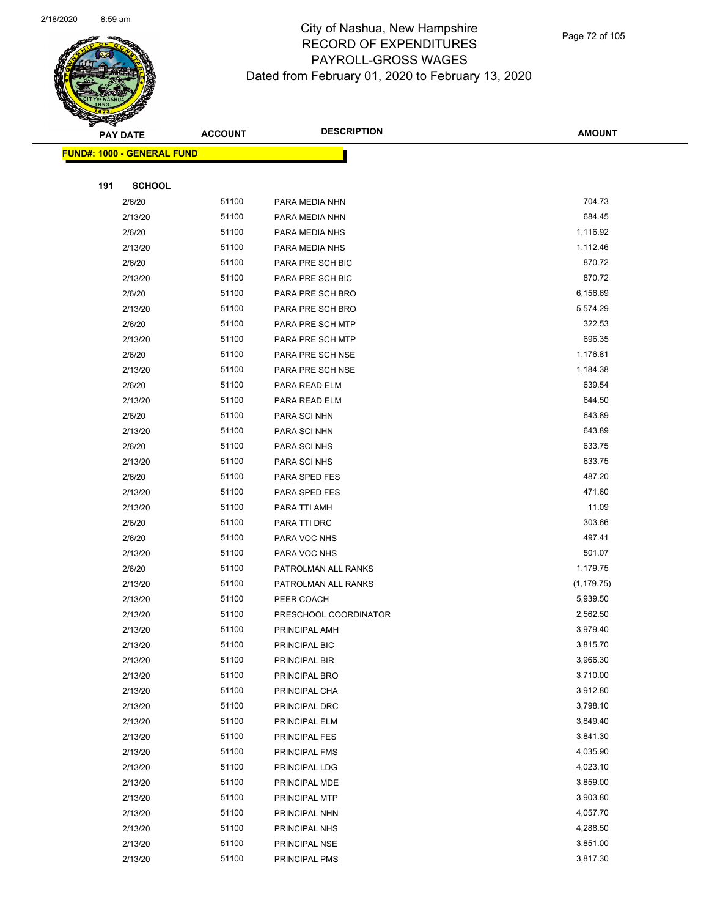

|     | <b>PAY DATE</b>                    | <b>ACCOUNT</b> | <b>DESCRIPTION</b>    | <b>AMOUNT</b> |
|-----|------------------------------------|----------------|-----------------------|---------------|
|     | <u> FUND#: 1000 - GENERAL FUND</u> |                |                       |               |
|     |                                    |                |                       |               |
| 191 | <b>SCHOOL</b>                      |                |                       |               |
|     | 2/6/20                             | 51100          | PARA MEDIA NHN        | 704.73        |
|     | 2/13/20                            | 51100          | PARA MEDIA NHN        | 684.45        |
|     | 2/6/20                             | 51100          | PARA MEDIA NHS        | 1,116.92      |
|     | 2/13/20                            | 51100          | PARA MEDIA NHS        | 1,112.46      |
|     | 2/6/20                             | 51100          | PARA PRE SCH BIC      | 870.72        |
|     | 2/13/20                            | 51100          | PARA PRE SCH BIC      | 870.72        |
|     | 2/6/20                             | 51100          | PARA PRE SCH BRO      | 6,156.69      |
|     | 2/13/20                            | 51100          | PARA PRE SCH BRO      | 5,574.29      |
|     | 2/6/20                             | 51100          | PARA PRE SCH MTP      | 322.53        |
|     | 2/13/20                            | 51100          | PARA PRE SCH MTP      | 696.35        |
|     | 2/6/20                             | 51100          | PARA PRE SCH NSE      | 1,176.81      |
|     | 2/13/20                            | 51100          | PARA PRE SCH NSE      | 1,184.38      |
|     | 2/6/20                             | 51100          | PARA READ ELM         | 639.54        |
|     | 2/13/20                            | 51100          | PARA READ ELM         | 644.50        |
|     | 2/6/20                             | 51100          | PARA SCI NHN          | 643.89        |
|     | 2/13/20                            | 51100          | PARA SCI NHN          | 643.89        |
|     | 2/6/20                             | 51100          | PARA SCI NHS          | 633.75        |
|     | 2/13/20                            | 51100          | PARA SCI NHS          | 633.75        |
|     | 2/6/20                             | 51100          | PARA SPED FES         | 487.20        |
|     | 2/13/20                            | 51100          | PARA SPED FES         | 471.60        |
|     | 2/13/20                            | 51100          | PARA TTI AMH          | 11.09         |
|     | 2/6/20                             | 51100          | PARA TTI DRC          | 303.66        |
|     | 2/6/20                             | 51100          | PARA VOC NHS          | 497.41        |
|     | 2/13/20                            | 51100          | PARA VOC NHS          | 501.07        |
|     | 2/6/20                             | 51100          | PATROLMAN ALL RANKS   | 1,179.75      |
|     | 2/13/20                            | 51100          | PATROLMAN ALL RANKS   | (1, 179.75)   |
|     | 2/13/20                            | 51100          | PEER COACH            | 5,939.50      |
|     | 2/13/20                            | 51100          | PRESCHOOL COORDINATOR | 2,562.50      |
|     | 2/13/20                            | 51100          | PRINCIPAL AMH         | 3,979.40      |
|     | 2/13/20                            | 51100          | PRINCIPAL BIC         | 3,815.70      |
|     | 2/13/20                            | 51100          | PRINCIPAL BIR         | 3,966.30      |
|     | 2/13/20                            | 51100          | PRINCIPAL BRO         | 3,710.00      |
|     | 2/13/20                            | 51100          | PRINCIPAL CHA         | 3,912.80      |
|     | 2/13/20                            | 51100          | PRINCIPAL DRC         | 3,798.10      |
|     | 2/13/20                            | 51100          | PRINCIPAL ELM         | 3,849.40      |
|     | 2/13/20                            | 51100          | PRINCIPAL FES         | 3,841.30      |
|     | 2/13/20                            | 51100          | PRINCIPAL FMS         | 4,035.90      |
|     | 2/13/20                            | 51100          | PRINCIPAL LDG         | 4,023.10      |
|     | 2/13/20                            | 51100          | PRINCIPAL MDE         | 3,859.00      |
|     | 2/13/20                            | 51100          | PRINCIPAL MTP         | 3,903.80      |
|     | 2/13/20                            | 51100          | PRINCIPAL NHN         | 4,057.70      |
|     | 2/13/20                            | 51100          | PRINCIPAL NHS         | 4,288.50      |
|     | 2/13/20                            | 51100          | PRINCIPAL NSE         | 3,851.00      |
|     | 2/13/20                            | 51100          | PRINCIPAL PMS         | 3,817.30      |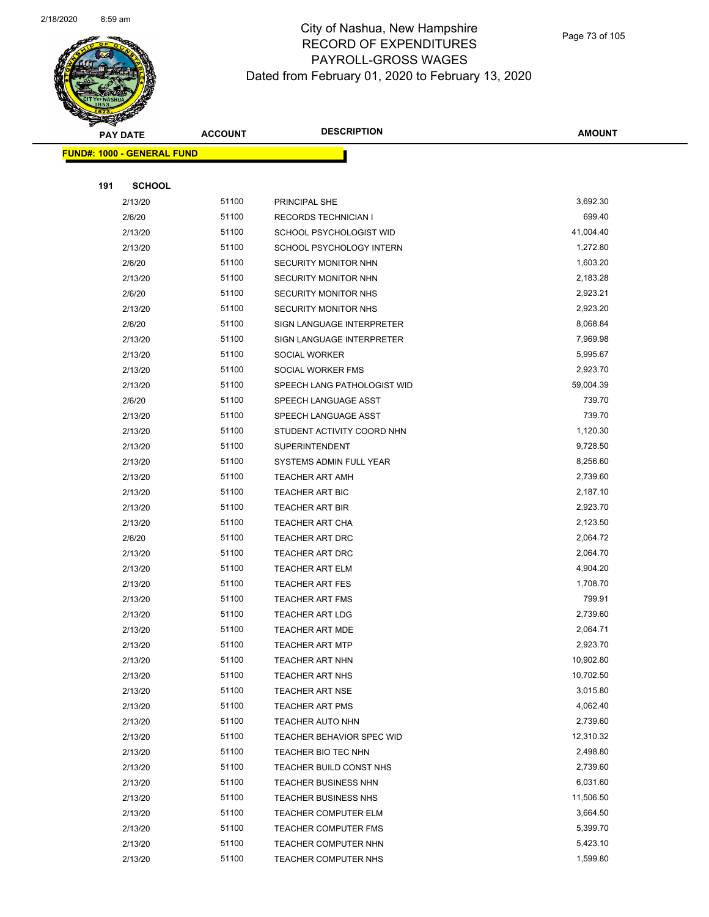

Page 73 of 105

|     | <b>PAY DATE</b>                   | <b>ACCOUNT</b> | <b>DESCRIPTION</b>          | <b>AMOUNT</b> |
|-----|-----------------------------------|----------------|-----------------------------|---------------|
|     | <b>FUND#: 1000 - GENERAL FUND</b> |                |                             |               |
|     |                                   |                |                             |               |
| 191 | <b>SCHOOL</b>                     |                |                             |               |
|     | 2/13/20                           | 51100          | PRINCIPAL SHE               | 3,692.30      |
|     | 2/6/20                            | 51100          | <b>RECORDS TECHNICIAN I</b> | 699.40        |
|     | 2/13/20                           | 51100          | SCHOOL PSYCHOLOGIST WID     | 41,004.40     |
|     | 2/13/20                           | 51100          | SCHOOL PSYCHOLOGY INTERN    | 1,272.80      |
|     | 2/6/20                            | 51100          | SECURITY MONITOR NHN        | 1,603.20      |
|     | 2/13/20                           | 51100          | SECURITY MONITOR NHN        | 2,183.28      |
|     | 2/6/20                            | 51100          | SECURITY MONITOR NHS        | 2,923.21      |
|     | 2/13/20                           | 51100          | <b>SECURITY MONITOR NHS</b> | 2,923.20      |
|     | 2/6/20                            | 51100          | SIGN LANGUAGE INTERPRETER   | 8,068.84      |
|     | 2/13/20                           | 51100          | SIGN LANGUAGE INTERPRETER   | 7,969.98      |
|     | 2/13/20                           | 51100          | SOCIAL WORKER               | 5,995.67      |
|     | 2/13/20                           | 51100          | SOCIAL WORKER FMS           | 2,923.70      |
|     | 2/13/20                           | 51100          | SPEECH LANG PATHOLOGIST WID | 59,004.39     |
|     | 2/6/20                            | 51100          | SPEECH LANGUAGE ASST        | 739.70        |
|     | 2/13/20                           | 51100          | SPEECH LANGUAGE ASST        | 739.70        |
|     | 2/13/20                           | 51100          | STUDENT ACTIVITY COORD NHN  | 1,120.30      |
|     | 2/13/20                           | 51100          | <b>SUPERINTENDENT</b>       | 9,728.50      |
|     | 2/13/20                           | 51100          | SYSTEMS ADMIN FULL YEAR     | 8,256.60      |
|     | 2/13/20                           | 51100          | <b>TEACHER ART AMH</b>      | 2,739.60      |
|     | 2/13/20                           | 51100          | TEACHER ART BIC             | 2,187.10      |
|     | 2/13/20                           | 51100          | <b>TEACHER ART BIR</b>      | 2,923.70      |
|     | 2/13/20                           | 51100          | <b>TEACHER ART CHA</b>      | 2,123.50      |
|     | 2/6/20                            | 51100          | <b>TEACHER ART DRC</b>      | 2,064.72      |
|     | 2/13/20                           | 51100          | <b>TEACHER ART DRC</b>      | 2,064.70      |
|     | 2/13/20                           | 51100          | <b>TEACHER ART ELM</b>      | 4,904.20      |
|     | 2/13/20                           | 51100          | <b>TEACHER ART FES</b>      | 1,708.70      |
|     | 2/13/20                           | 51100          | <b>TEACHER ART FMS</b>      | 799.91        |
|     | 2/13/20                           | 51100          | <b>TEACHER ART LDG</b>      | 2,739.60      |
|     | 2/13/20                           | 51100          | <b>TEACHER ART MDE</b>      | 2,064.71      |
|     | 2/13/20                           | 51100          | <b>TEACHER ART MTP</b>      | 2,923.70      |
|     | 2/13/20                           | 51100          | <b>TEACHER ART NHN</b>      | 10,902.80     |
|     | 2/13/20                           | 51100          | <b>TEACHER ART NHS</b>      | 10,702.50     |
|     | 2/13/20                           | 51100          | <b>TEACHER ART NSE</b>      | 3,015.80      |
|     | 2/13/20                           | 51100          | <b>TEACHER ART PMS</b>      | 4,062.40      |
|     | 2/13/20                           | 51100          | TEACHER AUTO NHN            | 2,739.60      |
|     | 2/13/20                           | 51100          | TEACHER BEHAVIOR SPEC WID   | 12,310.32     |
|     | 2/13/20                           | 51100          | TEACHER BIO TEC NHN         | 2,498.80      |
|     | 2/13/20                           | 51100          | TEACHER BUILD CONST NHS     | 2,739.60      |
|     | 2/13/20                           | 51100          | TEACHER BUSINESS NHN        | 6,031.60      |
|     | 2/13/20                           | 51100          | <b>TEACHER BUSINESS NHS</b> | 11,506.50     |
|     | 2/13/20                           | 51100          | TEACHER COMPUTER ELM        | 3,664.50      |
|     | 2/13/20                           | 51100          | <b>TEACHER COMPUTER FMS</b> | 5,399.70      |
|     | 2/13/20                           | 51100          | TEACHER COMPUTER NHN        | 5,423.10      |
|     | 2/13/20                           | 51100          | TEACHER COMPUTER NHS        | 1,599.80      |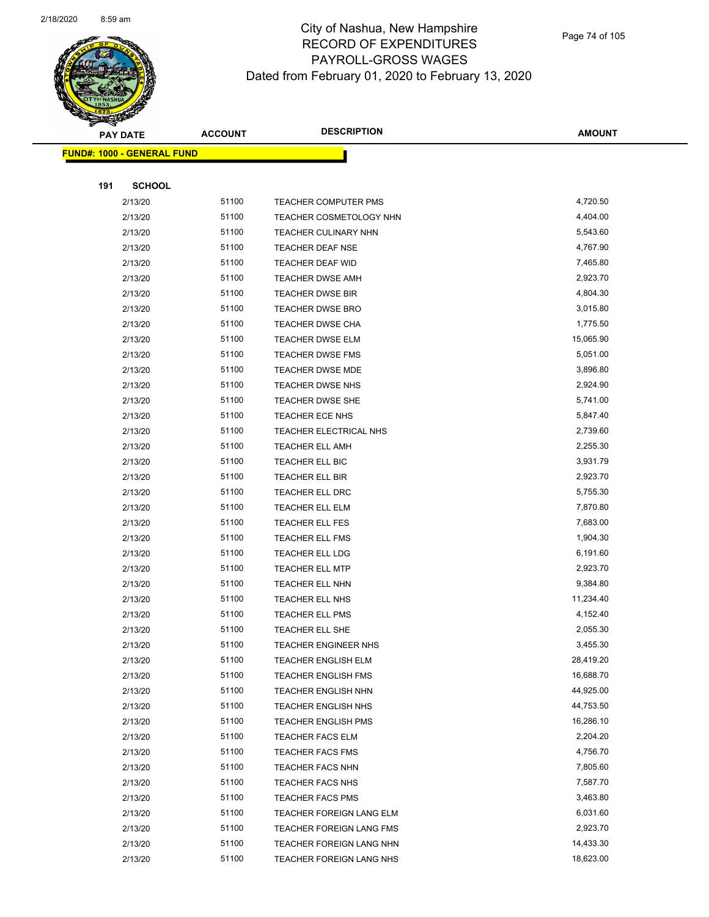

|     | <b>PAY DATE</b>            | <b>ACCOUNT</b> | <b>DESCRIPTION</b>                                   | <b>AMOUNT</b>        |
|-----|----------------------------|----------------|------------------------------------------------------|----------------------|
|     | FUND#: 1000 - GENERAL FUND |                |                                                      |                      |
|     |                            |                |                                                      |                      |
| 191 | <b>SCHOOL</b>              |                |                                                      |                      |
|     | 2/13/20                    | 51100          | TEACHER COMPUTER PMS                                 | 4,720.50             |
|     | 2/13/20                    | 51100          | TEACHER COSMETOLOGY NHN                              | 4,404.00             |
|     | 2/13/20                    | 51100          | TEACHER CULINARY NHN                                 | 5,543.60             |
|     | 2/13/20                    | 51100          | <b>TEACHER DEAF NSE</b>                              | 4,767.90             |
|     | 2/13/20                    | 51100          | <b>TEACHER DEAF WID</b>                              | 7,465.80             |
|     | 2/13/20                    | 51100          | TEACHER DWSE AMH                                     | 2,923.70             |
|     | 2/13/20                    | 51100          | TEACHER DWSE BIR                                     | 4,804.30             |
|     | 2/13/20                    | 51100          | TEACHER DWSE BRO                                     | 3,015.80             |
|     | 2/13/20                    | 51100          | <b>TEACHER DWSE CHA</b>                              | 1,775.50             |
|     | 2/13/20                    | 51100          | TEACHER DWSE ELM                                     | 15,065.90            |
|     | 2/13/20                    | 51100          | TEACHER DWSE FMS                                     | 5,051.00             |
|     | 2/13/20                    | 51100          | TEACHER DWSE MDE                                     | 3,896.80             |
|     | 2/13/20                    | 51100          | TEACHER DWSE NHS                                     | 2,924.90             |
|     | 2/13/20                    | 51100          | <b>TEACHER DWSE SHE</b>                              | 5,741.00             |
|     | 2/13/20                    | 51100          | TEACHER ECE NHS                                      | 5,847.40             |
|     | 2/13/20                    | 51100          | TEACHER ELECTRICAL NHS                               | 2,739.60             |
|     | 2/13/20                    | 51100          | <b>TEACHER ELL AMH</b>                               | 2,255.30             |
|     | 2/13/20                    | 51100          | TEACHER ELL BIC                                      | 3,931.79             |
|     | 2/13/20                    | 51100          | TEACHER ELL BIR                                      | 2,923.70             |
|     | 2/13/20                    | 51100          | TEACHER ELL DRC                                      | 5,755.30             |
|     | 2/13/20                    | 51100          | TEACHER ELL ELM                                      | 7,870.80             |
|     | 2/13/20                    | 51100          | <b>TEACHER ELL FES</b>                               | 7,683.00             |
|     | 2/13/20                    | 51100          | TEACHER ELL FMS                                      | 1,904.30             |
|     | 2/13/20                    | 51100          | TEACHER ELL LDG                                      | 6,191.60             |
|     | 2/13/20                    | 51100          | <b>TEACHER ELL MTP</b>                               | 2,923.70             |
|     | 2/13/20                    | 51100          | TEACHER ELL NHN                                      | 9,384.80             |
|     | 2/13/20                    | 51100          | TEACHER ELL NHS                                      | 11,234.40            |
|     | 2/13/20                    | 51100          | TEACHER ELL PMS                                      | 4,152.40             |
|     | 2/13/20                    | 51100          | TEACHER ELL SHE                                      | 2,055.30             |
|     | 2/13/20                    | 51100          | TEACHER ENGINEER NHS                                 | 3,455.30             |
|     | 2/13/20                    | 51100          | <b>TEACHER ENGLISH ELM</b>                           | 28,419.20            |
|     | 2/13/20                    | 51100          | <b>TEACHER ENGLISH FMS</b>                           | 16,688.70            |
|     | 2/13/20                    | 51100          | TEACHER ENGLISH NHN                                  | 44,925.00            |
|     | 2/13/20                    | 51100          | TEACHER ENGLISH NHS                                  | 44,753.50            |
|     | 2/13/20                    | 51100          | <b>TEACHER ENGLISH PMS</b>                           | 16,286.10            |
|     | 2/13/20                    | 51100<br>51100 | <b>TEACHER FACS ELM</b>                              | 2,204.20<br>4,756.70 |
|     | 2/13/20<br>2/13/20         | 51100          | <b>TEACHER FACS FMS</b>                              | 7,805.60             |
|     |                            |                | <b>TEACHER FACS NHN</b>                              |                      |
|     | 2/13/20                    | 51100          | <b>TEACHER FACS NHS</b>                              | 7,587.70             |
|     | 2/13/20                    | 51100<br>51100 | TEACHER FACS PMS                                     | 3,463.80<br>6,031.60 |
|     | 2/13/20                    | 51100          | TEACHER FOREIGN LANG ELM                             | 2,923.70             |
|     | 2/13/20<br>2/13/20         | 51100          | TEACHER FOREIGN LANG FMS<br>TEACHER FOREIGN LANG NHN | 14,433.30            |
|     | 2/13/20                    | 51100          | TEACHER FOREIGN LANG NHS                             | 18,623.00            |
|     |                            |                |                                                      |                      |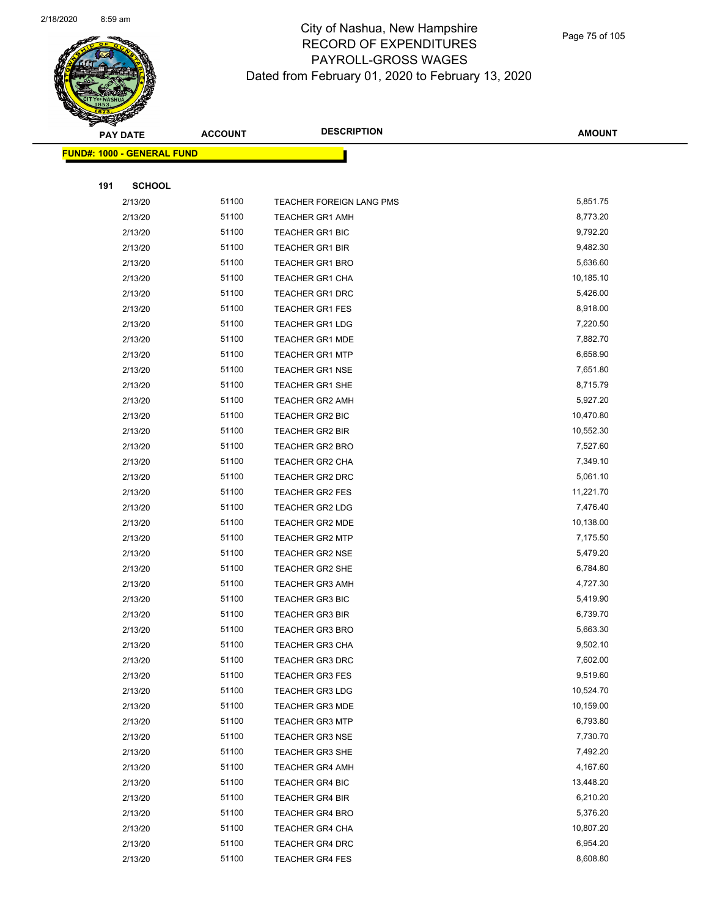

**AMOUNT**

|     | <u> FUND#: 1000 - GENERAL FUND</u> |       |                          |           |
|-----|------------------------------------|-------|--------------------------|-----------|
|     |                                    |       |                          |           |
| 191 | <b>SCHOOL</b>                      |       |                          |           |
|     | 2/13/20                            | 51100 | TEACHER FOREIGN LANG PMS | 5,851.75  |
|     | 2/13/20                            | 51100 | <b>TEACHER GR1 AMH</b>   | 8,773.20  |
|     | 2/13/20                            | 51100 | <b>TEACHER GR1 BIC</b>   | 9,792.20  |
|     | 2/13/20                            | 51100 | <b>TEACHER GR1 BIR</b>   | 9,482.30  |
|     | 2/13/20                            | 51100 | <b>TEACHER GR1 BRO</b>   | 5,636.60  |
|     | 2/13/20                            | 51100 | TEACHER GR1 CHA          | 10,185.10 |
|     | 2/13/20                            | 51100 | <b>TEACHER GR1 DRC</b>   | 5,426.00  |
|     | 2/13/20                            | 51100 | <b>TEACHER GR1 FES</b>   | 8,918.00  |
|     | 2/13/20                            | 51100 | <b>TEACHER GR1 LDG</b>   | 7,220.50  |
|     | 2/13/20                            | 51100 | <b>TEACHER GR1 MDE</b>   | 7,882.70  |
|     | 2/13/20                            | 51100 | <b>TEACHER GR1 MTP</b>   | 6,658.90  |
|     | 2/13/20                            | 51100 | <b>TEACHER GR1 NSE</b>   | 7,651.80  |
|     | 2/13/20                            | 51100 | <b>TEACHER GR1 SHE</b>   | 8,715.79  |
|     | 2/13/20                            | 51100 | <b>TEACHER GR2 AMH</b>   | 5,927.20  |
|     | 2/13/20                            | 51100 | <b>TEACHER GR2 BIC</b>   | 10,470.80 |
|     | 2/13/20                            | 51100 | TEACHER GR2 BIR          | 10,552.30 |
|     | 2/13/20                            | 51100 | <b>TEACHER GR2 BRO</b>   | 7,527.60  |
|     | 2/13/20                            | 51100 | <b>TEACHER GR2 CHA</b>   | 7,349.10  |
|     | 2/13/20                            | 51100 | TEACHER GR2 DRC          | 5,061.10  |
|     | 2/13/20                            | 51100 | <b>TEACHER GR2 FES</b>   | 11,221.70 |
|     | 2/13/20                            | 51100 | <b>TEACHER GR2 LDG</b>   | 7,476.40  |
|     | 2/13/20                            | 51100 | <b>TEACHER GR2 MDE</b>   | 10,138.00 |
|     | 2/13/20                            | 51100 | <b>TEACHER GR2 MTP</b>   | 7,175.50  |
|     | 2/13/20                            | 51100 | <b>TEACHER GR2 NSE</b>   | 5,479.20  |
|     | 2/13/20                            | 51100 | TEACHER GR2 SHE          | 6,784.80  |
|     | 2/13/20                            | 51100 | <b>TEACHER GR3 AMH</b>   | 4,727.30  |
|     | 2/13/20                            | 51100 | <b>TEACHER GR3 BIC</b>   | 5,419.90  |
|     | 2/13/20                            | 51100 | <b>TEACHER GR3 BIR</b>   | 6,739.70  |
|     | 2/13/20                            | 51100 | <b>TEACHER GR3 BRO</b>   | 5,663.30  |
|     | 2/13/20                            | 51100 | <b>TEACHER GR3 CHA</b>   | 9,502.10  |
|     | 2/13/20                            | 51100 | TEACHER GR3 DRC          | 7,602.00  |
|     | 2/13/20                            | 51100 | <b>TEACHER GR3 FES</b>   | 9,519.60  |
|     | 2/13/20                            | 51100 | <b>TEACHER GR3 LDG</b>   | 10,524.70 |
|     | 2/13/20                            | 51100 | <b>TEACHER GR3 MDE</b>   | 10,159.00 |
|     | 2/13/20                            | 51100 | <b>TEACHER GR3 MTP</b>   | 6,793.80  |
|     | 2/13/20                            | 51100 | <b>TEACHER GR3 NSE</b>   | 7,730.70  |
|     | 2/13/20                            | 51100 | <b>TEACHER GR3 SHE</b>   | 7,492.20  |
|     | 2/13/20                            | 51100 | <b>TEACHER GR4 AMH</b>   | 4,167.60  |
|     | 2/13/20                            | 51100 | <b>TEACHER GR4 BIC</b>   | 13,448.20 |
|     | 2/13/20                            | 51100 | TEACHER GR4 BIR          | 6,210.20  |
|     | 2/13/20                            | 51100 | <b>TEACHER GR4 BRO</b>   | 5,376.20  |
|     | 2/13/20                            | 51100 | <b>TEACHER GR4 CHA</b>   | 10,807.20 |
|     | 2/13/20                            | 51100 | <b>TEACHER GR4 DRC</b>   | 6,954.20  |
|     | 2/13/20                            | 51100 | TEACHER GR4 FES          | 8,608.80  |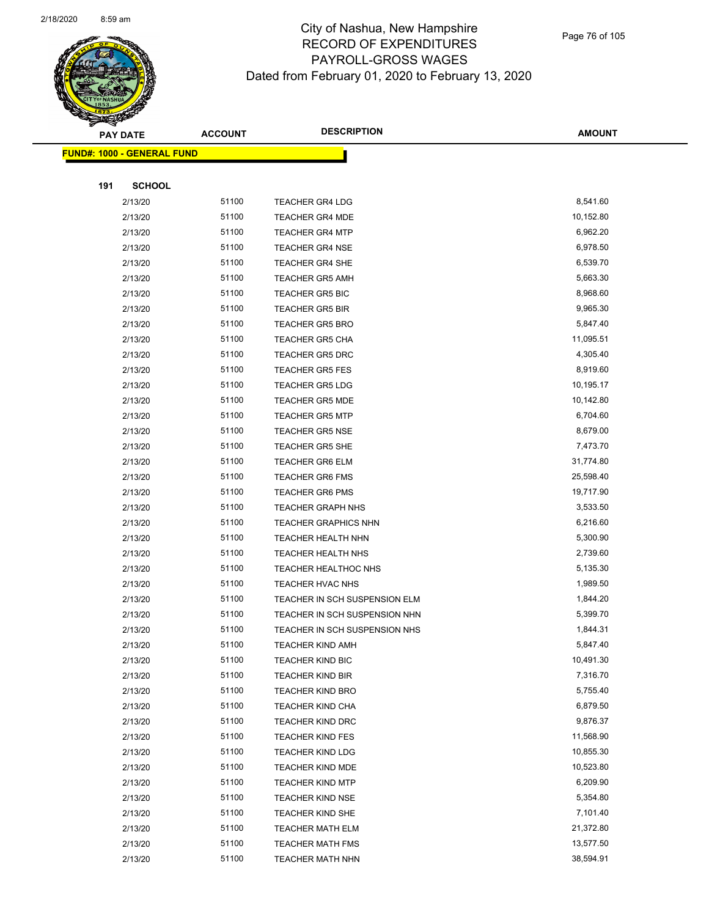

|     | <b>PAY DATE</b>                   | <b>ACCOUNT</b> | <b>DESCRIPTION</b>            | <b>AMOUNT</b> |
|-----|-----------------------------------|----------------|-------------------------------|---------------|
|     | <b>FUND#: 1000 - GENERAL FUND</b> |                |                               |               |
|     |                                   |                |                               |               |
| 191 | <b>SCHOOL</b>                     |                |                               |               |
|     | 2/13/20                           | 51100          | <b>TEACHER GR4 LDG</b>        | 8,541.60      |
|     | 2/13/20                           | 51100          | <b>TEACHER GR4 MDE</b>        | 10,152.80     |
|     | 2/13/20                           | 51100          | <b>TEACHER GR4 MTP</b>        | 6,962.20      |
|     | 2/13/20                           | 51100          | <b>TEACHER GR4 NSE</b>        | 6,978.50      |
|     | 2/13/20                           | 51100          | <b>TEACHER GR4 SHE</b>        | 6,539.70      |
|     | 2/13/20                           | 51100          | <b>TEACHER GR5 AMH</b>        | 5,663.30      |
|     | 2/13/20                           | 51100          | <b>TEACHER GR5 BIC</b>        | 8,968.60      |
|     | 2/13/20                           | 51100          | <b>TEACHER GR5 BIR</b>        | 9,965.30      |
|     | 2/13/20                           | 51100          | <b>TEACHER GR5 BRO</b>        | 5,847.40      |
|     | 2/13/20                           | 51100          | <b>TEACHER GR5 CHA</b>        | 11,095.51     |
|     | 2/13/20                           | 51100          | <b>TEACHER GR5 DRC</b>        | 4,305.40      |
|     | 2/13/20                           | 51100          | <b>TEACHER GR5 FES</b>        | 8,919.60      |
|     | 2/13/20                           | 51100          | <b>TEACHER GR5 LDG</b>        | 10,195.17     |
|     | 2/13/20                           | 51100          | <b>TEACHER GR5 MDE</b>        | 10,142.80     |
|     | 2/13/20                           | 51100          | <b>TEACHER GR5 MTP</b>        | 6,704.60      |
|     | 2/13/20                           | 51100          | <b>TEACHER GR5 NSE</b>        | 8,679.00      |
|     | 2/13/20                           | 51100          | <b>TEACHER GR5 SHE</b>        | 7,473.70      |
|     | 2/13/20                           | 51100          | TEACHER GR6 ELM               | 31,774.80     |
|     | 2/13/20                           | 51100          | <b>TEACHER GR6 FMS</b>        | 25,598.40     |
|     | 2/13/20                           | 51100          | <b>TEACHER GR6 PMS</b>        | 19,717.90     |
|     | 2/13/20                           | 51100          | <b>TEACHER GRAPH NHS</b>      | 3,533.50      |
|     | 2/13/20                           | 51100          | <b>TEACHER GRAPHICS NHN</b>   | 6,216.60      |
|     | 2/13/20                           | 51100          | <b>TEACHER HEALTH NHN</b>     | 5,300.90      |
|     | 2/13/20                           | 51100          | <b>TEACHER HEALTH NHS</b>     | 2,739.60      |
|     | 2/13/20                           | 51100          | TEACHER HEALTHOC NHS          | 5,135.30      |
|     | 2/13/20                           | 51100          | TEACHER HVAC NHS              | 1,989.50      |
|     | 2/13/20                           | 51100          | TEACHER IN SCH SUSPENSION ELM | 1,844.20      |
|     | 2/13/20                           | 51100          | TEACHER IN SCH SUSPENSION NHN | 5,399.70      |
|     | 2/13/20                           | 51100          | TEACHER IN SCH SUSPENSION NHS | 1,844.31      |
|     | 2/13/20                           | 51100          | TEACHER KIND AMH              | 5,847.40      |
|     | 2/13/20                           | 51100          | <b>TEACHER KIND BIC</b>       | 10,491.30     |
|     | 2/13/20                           | 51100          | <b>TEACHER KIND BIR</b>       | 7,316.70      |
|     | 2/13/20                           | 51100          | <b>TEACHER KIND BRO</b>       | 5,755.40      |
|     | 2/13/20                           | 51100          | <b>TEACHER KIND CHA</b>       | 6,879.50      |
|     | 2/13/20                           | 51100          | <b>TEACHER KIND DRC</b>       | 9,876.37      |
|     | 2/13/20                           | 51100          | <b>TEACHER KIND FES</b>       | 11,568.90     |
|     | 2/13/20                           | 51100          | <b>TEACHER KIND LDG</b>       | 10,855.30     |
|     | 2/13/20                           | 51100          | TEACHER KIND MDE              | 10,523.80     |
|     | 2/13/20                           | 51100          | <b>TEACHER KIND MTP</b>       | 6,209.90      |
|     | 2/13/20                           | 51100          | <b>TEACHER KIND NSE</b>       | 5,354.80      |
|     | 2/13/20                           | 51100          | TEACHER KIND SHE              | 7,101.40      |
|     | 2/13/20                           | 51100          | <b>TEACHER MATH ELM</b>       | 21,372.80     |
|     | 2/13/20                           | 51100          | <b>TEACHER MATH FMS</b>       | 13,577.50     |
|     | 2/13/20                           | 51100          | <b>TEACHER MATH NHN</b>       | 38,594.91     |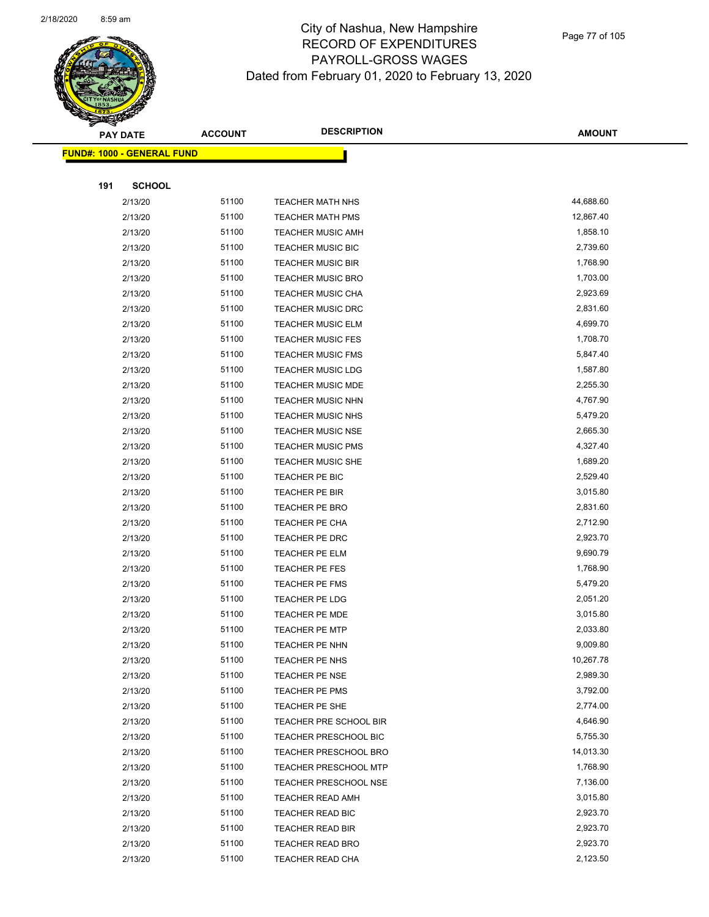

**AMOUNT**

|     | <u> FUND#: 1000 - GENERAL FUND</u> |       |                              |           |
|-----|------------------------------------|-------|------------------------------|-----------|
|     |                                    |       |                              |           |
| 191 | <b>SCHOOL</b>                      |       |                              |           |
|     | 2/13/20                            | 51100 | <b>TEACHER MATH NHS</b>      | 44,688.60 |
|     | 2/13/20                            | 51100 | <b>TEACHER MATH PMS</b>      | 12,867.40 |
|     | 2/13/20                            | 51100 | <b>TEACHER MUSIC AMH</b>     | 1,858.10  |
|     | 2/13/20                            | 51100 | TEACHER MUSIC BIC            | 2,739.60  |
|     | 2/13/20                            | 51100 | <b>TEACHER MUSIC BIR</b>     | 1,768.90  |
|     | 2/13/20                            | 51100 | <b>TEACHER MUSIC BRO</b>     | 1,703.00  |
|     | 2/13/20                            | 51100 | <b>TEACHER MUSIC CHA</b>     | 2,923.69  |
|     | 2/13/20                            | 51100 | <b>TEACHER MUSIC DRC</b>     | 2,831.60  |
|     | 2/13/20                            | 51100 | TEACHER MUSIC ELM            | 4,699.70  |
|     | 2/13/20                            | 51100 | <b>TEACHER MUSIC FES</b>     | 1,708.70  |
|     | 2/13/20                            | 51100 | <b>TEACHER MUSIC FMS</b>     | 5,847.40  |
|     | 2/13/20                            | 51100 | <b>TEACHER MUSIC LDG</b>     | 1,587.80  |
|     | 2/13/20                            | 51100 | <b>TEACHER MUSIC MDE</b>     | 2,255.30  |
|     | 2/13/20                            | 51100 | <b>TEACHER MUSIC NHN</b>     | 4,767.90  |
|     | 2/13/20                            | 51100 | TEACHER MUSIC NHS            | 5,479.20  |
|     | 2/13/20                            | 51100 | <b>TEACHER MUSIC NSE</b>     | 2,665.30  |
|     | 2/13/20                            | 51100 | <b>TEACHER MUSIC PMS</b>     | 4,327.40  |
|     | 2/13/20                            | 51100 | TEACHER MUSIC SHE            | 1,689.20  |
|     | 2/13/20                            | 51100 | TEACHER PE BIC               | 2,529.40  |
|     | 2/13/20                            | 51100 | TEACHER PE BIR               | 3,015.80  |
|     | 2/13/20                            | 51100 | <b>TEACHER PE BRO</b>        | 2,831.60  |
|     | 2/13/20                            | 51100 | TEACHER PE CHA               | 2,712.90  |
|     | 2/13/20                            | 51100 | TEACHER PE DRC               | 2,923.70  |
|     | 2/13/20                            | 51100 | TEACHER PE ELM               | 9,690.79  |
|     | 2/13/20                            | 51100 | TEACHER PE FES               | 1,768.90  |
|     | 2/13/20                            | 51100 | <b>TEACHER PE FMS</b>        | 5,479.20  |
|     | 2/13/20                            | 51100 | TEACHER PE LDG               | 2,051.20  |
|     | 2/13/20                            | 51100 | <b>TEACHER PE MDE</b>        | 3,015.80  |
|     | 2/13/20                            | 51100 | <b>TEACHER PE MTP</b>        | 2,033.80  |
|     | 2/13/20                            | 51100 | TEACHER PE NHN               | 9,009.80  |
|     | 2/13/20                            | 51100 | TEACHER PE NHS               | 10,267.78 |
|     | 2/13/20                            | 51100 | TEACHER PE NSE               | 2,989.30  |
|     | 2/13/20                            | 51100 | TEACHER PE PMS               | 3,792.00  |
|     | 2/13/20                            | 51100 | TEACHER PE SHE               | 2,774.00  |
|     | 2/13/20                            | 51100 | TEACHER PRE SCHOOL BIR       | 4,646.90  |
|     | 2/13/20                            | 51100 | TEACHER PRESCHOOL BIC        | 5,755.30  |
|     | 2/13/20                            | 51100 | <b>TEACHER PRESCHOOL BRO</b> | 14,013.30 |
|     | 2/13/20                            | 51100 | TEACHER PRESCHOOL MTP        | 1,768.90  |
|     | 2/13/20                            | 51100 | <b>TEACHER PRESCHOOL NSE</b> | 7,136.00  |
|     | 2/13/20                            | 51100 | <b>TEACHER READ AMH</b>      | 3,015.80  |
|     | 2/13/20                            | 51100 | TEACHER READ BIC             | 2,923.70  |
|     | 2/13/20                            | 51100 | <b>TEACHER READ BIR</b>      | 2,923.70  |
|     | 2/13/20                            | 51100 | <b>TEACHER READ BRO</b>      | 2,923.70  |
|     | 2/13/20                            | 51100 | TEACHER READ CHA             | 2,123.50  |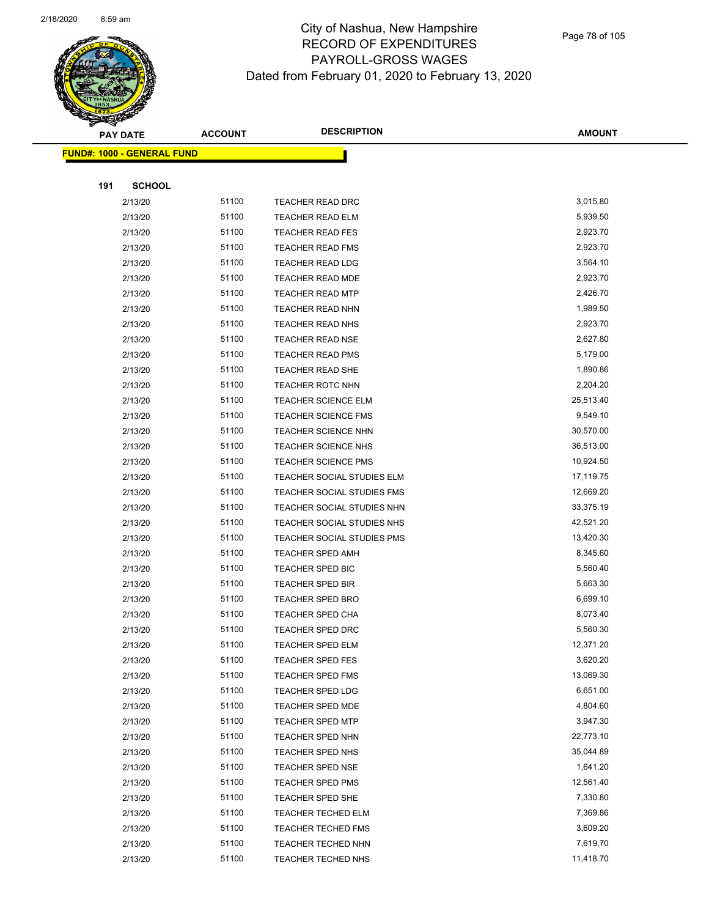

|     | <b>PAY DATE</b>                    | <b>ACCOUNT</b> | <b>DESCRIPTION</b>         | <b>AMOUNT</b> |
|-----|------------------------------------|----------------|----------------------------|---------------|
|     | <u> FUND#: 1000 - GENERAL FUND</u> |                |                            |               |
|     |                                    |                |                            |               |
| 191 | <b>SCHOOL</b>                      |                |                            |               |
|     | 2/13/20                            | 51100          | <b>TEACHER READ DRC</b>    | 3,015.80      |
|     | 2/13/20                            | 51100          | <b>TEACHER READ ELM</b>    | 5,939.50      |
|     | 2/13/20                            | 51100          | <b>TEACHER READ FES</b>    | 2,923.70      |
|     | 2/13/20                            | 51100          | <b>TEACHER READ FMS</b>    | 2,923.70      |
|     | 2/13/20                            | 51100          | <b>TEACHER READ LDG</b>    | 3,564.10      |
|     | 2/13/20                            | 51100          | <b>TEACHER READ MDE</b>    | 2,923.70      |
|     | 2/13/20                            | 51100          | <b>TEACHER READ MTP</b>    | 2,426.70      |
|     | 2/13/20                            | 51100          | <b>TEACHER READ NHN</b>    | 1,989.50      |
|     | 2/13/20                            | 51100          | TEACHER READ NHS           | 2,923.70      |
|     | 2/13/20                            | 51100          | <b>TEACHER READ NSE</b>    | 2,627.80      |
|     | 2/13/20                            | 51100          | <b>TEACHER READ PMS</b>    | 5,179.00      |
|     | 2/13/20                            | 51100          | TEACHER READ SHE           | 1,890.86      |
|     | 2/13/20                            | 51100          | <b>TEACHER ROTC NHN</b>    | 2,204.20      |
|     | 2/13/20                            | 51100          | <b>TEACHER SCIENCE ELM</b> | 25,513.40     |
|     | 2/13/20                            | 51100          | <b>TEACHER SCIENCE FMS</b> | 9,549.10      |
|     | 2/13/20                            | 51100          | <b>TEACHER SCIENCE NHN</b> | 30,570.00     |
|     | 2/13/20                            | 51100          | TEACHER SCIENCE NHS        | 36,513.00     |
|     | 2/13/20                            | 51100          | TEACHER SCIENCE PMS        | 10,924.50     |
|     | 2/13/20                            | 51100          | TEACHER SOCIAL STUDIES ELM | 17,119.75     |
|     | 2/13/20                            | 51100          | TEACHER SOCIAL STUDIES FMS | 12,669.20     |
|     | 2/13/20                            | 51100          | TEACHER SOCIAL STUDIES NHN | 33,375.19     |
|     | 2/13/20                            | 51100          | TEACHER SOCIAL STUDIES NHS | 42,521.20     |
|     | 2/13/20                            | 51100          | TEACHER SOCIAL STUDIES PMS | 13,420.30     |
|     | 2/13/20                            | 51100          | <b>TEACHER SPED AMH</b>    | 8,345.60      |
|     | 2/13/20                            | 51100          | TEACHER SPED BIC           | 5,560.40      |
|     | 2/13/20                            | 51100          | <b>TEACHER SPED BIR</b>    | 5,663.30      |
|     | 2/13/20                            | 51100          | TEACHER SPED BRO           | 6,699.10      |
|     | 2/13/20                            | 51100          | <b>TEACHER SPED CHA</b>    | 8,073.40      |
|     | 2/13/20                            | 51100          | TEACHER SPED DRC           | 5,560.30      |
|     | 2/13/20                            | 51100          | TEACHER SPED ELM           | 12,371.20     |
|     | 2/13/20                            | 51100          | <b>TEACHER SPED FES</b>    | 3,620.20      |
|     | 2/13/20                            | 51100          | <b>TEACHER SPED FMS</b>    | 13,069.30     |
|     | 2/13/20                            | 51100          | <b>TEACHER SPED LDG</b>    | 6,651.00      |
|     | 2/13/20                            | 51100          | TEACHER SPED MDE           | 4,804.60      |
|     | 2/13/20                            | 51100          | <b>TEACHER SPED MTP</b>    | 3,947.30      |
|     | 2/13/20                            | 51100          | <b>TEACHER SPED NHN</b>    | 22,773.10     |
|     | 2/13/20                            | 51100          | TEACHER SPED NHS           | 35,044.89     |
|     | 2/13/20                            | 51100          | <b>TEACHER SPED NSE</b>    | 1,641.20      |
|     | 2/13/20                            | 51100          | TEACHER SPED PMS           | 12,561.40     |
|     | 2/13/20                            | 51100          | TEACHER SPED SHE           | 7,330.80      |
|     | 2/13/20                            | 51100          | <b>TEACHER TECHED ELM</b>  | 7,369.86      |
|     | 2/13/20                            | 51100          | <b>TEACHER TECHED FMS</b>  | 3,609.20      |
|     | 2/13/20                            | 51100          | TEACHER TECHED NHN         | 7,619.70      |
|     | 2/13/20                            | 51100          | TEACHER TECHED NHS         | 11,418.70     |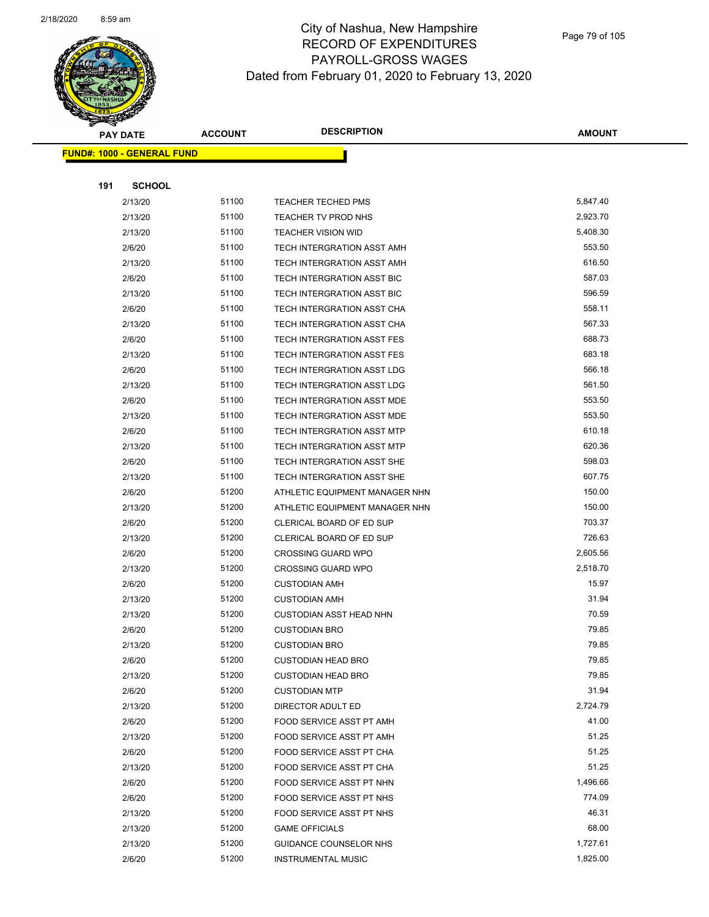

Page 79 of 105

|     | <b>PAY DATE</b>                    | <b>ACCOUNT</b> | <b>DESCRIPTION</b>                | <b>AMOUNT</b> |
|-----|------------------------------------|----------------|-----------------------------------|---------------|
|     | <u> FUND#: 1000 - GENERAL FUND</u> |                |                                   |               |
|     |                                    |                |                                   |               |
| 191 | <b>SCHOOL</b>                      |                |                                   |               |
|     | 2/13/20                            | 51100          | <b>TEACHER TECHED PMS</b>         | 5,847.40      |
|     | 2/13/20                            | 51100          | TEACHER TV PROD NHS               | 2,923.70      |
|     | 2/13/20                            | 51100          | <b>TEACHER VISION WID</b>         | 5,408.30      |
|     | 2/6/20                             | 51100          | TECH INTERGRATION ASST AMH        | 553.50        |
|     | 2/13/20                            | 51100          | TECH INTERGRATION ASST AMH        | 616.50        |
|     | 2/6/20                             | 51100          | TECH INTERGRATION ASST BIC        | 587.03        |
|     | 2/13/20                            | 51100          | TECH INTERGRATION ASST BIC        | 596.59        |
|     | 2/6/20                             | 51100          | TECH INTERGRATION ASST CHA        | 558.11        |
|     | 2/13/20                            | 51100          | TECH INTERGRATION ASST CHA        | 567.33        |
|     | 2/6/20                             | 51100          | TECH INTERGRATION ASST FES        | 688.73        |
|     | 2/13/20                            | 51100          | TECH INTERGRATION ASST FES        | 683.18        |
|     | 2/6/20                             | 51100          | TECH INTERGRATION ASST LDG        | 566.18        |
|     | 2/13/20                            | 51100          | <b>TECH INTERGRATION ASST LDG</b> | 561.50        |
|     | 2/6/20                             | 51100          | TECH INTERGRATION ASST MDE        | 553.50        |
|     | 2/13/20                            | 51100          | TECH INTERGRATION ASST MDE        | 553.50        |
|     | 2/6/20                             | 51100          | TECH INTERGRATION ASST MTP        | 610.18        |
|     | 2/13/20                            | 51100          | TECH INTERGRATION ASST MTP        | 620.36        |
|     | 2/6/20                             | 51100          | TECH INTERGRATION ASST SHE        | 598.03        |
|     | 2/13/20                            | 51100          | TECH INTERGRATION ASST SHE        | 607.75        |
|     | 2/6/20                             | 51200          | ATHLETIC EQUIPMENT MANAGER NHN    | 150.00        |
|     | 2/13/20                            | 51200          | ATHLETIC EQUIPMENT MANAGER NHN    | 150.00        |
|     | 2/6/20                             | 51200          | CLERICAL BOARD OF ED SUP          | 703.37        |
|     | 2/13/20                            | 51200          | CLERICAL BOARD OF ED SUP          | 726.63        |
|     | 2/6/20                             | 51200          | <b>CROSSING GUARD WPO</b>         | 2,605.56      |
|     | 2/13/20                            | 51200          | <b>CROSSING GUARD WPO</b>         | 2,518.70      |
|     | 2/6/20                             | 51200          | <b>CUSTODIAN AMH</b>              | 15.97         |
|     | 2/13/20                            | 51200          | <b>CUSTODIAN AMH</b>              | 31.94         |
|     | 2/13/20                            | 51200          | <b>CUSTODIAN ASST HEAD NHN</b>    | 70.59         |
|     | 2/6/20                             | 51200          | <b>CUSTODIAN BRO</b>              | 79.85         |
|     | 2/13/20                            | 51200          | <b>CUSTODIAN BRO</b>              | 79.85         |
|     | 2/6/20                             | 51200          | <b>CUSTODIAN HEAD BRO</b>         | 79.85         |
|     | 2/13/20                            | 51200          | <b>CUSTODIAN HEAD BRO</b>         | 79.85         |
|     | 2/6/20                             | 51200          | <b>CUSTODIAN MTP</b>              | 31.94         |
|     | 2/13/20                            | 51200          | DIRECTOR ADULT ED                 | 2,724.79      |
|     | 2/6/20                             | 51200          | FOOD SERVICE ASST PT AMH          | 41.00         |
|     | 2/13/20                            | 51200          | FOOD SERVICE ASST PT AMH          | 51.25         |
|     | 2/6/20                             | 51200          | FOOD SERVICE ASST PT CHA          | 51.25         |
|     | 2/13/20                            | 51200          | FOOD SERVICE ASST PT CHA          | 51.25         |
|     | 2/6/20                             | 51200          | FOOD SERVICE ASST PT NHN          | 1,496.66      |
|     | 2/6/20                             | 51200          | FOOD SERVICE ASST PT NHS          | 774.09        |
|     | 2/13/20                            | 51200          | FOOD SERVICE ASST PT NHS          | 46.31         |
|     | 2/13/20                            | 51200          | <b>GAME OFFICIALS</b>             | 68.00         |
|     | 2/13/20                            | 51200          | GUIDANCE COUNSELOR NHS            | 1,727.61      |
|     | 2/6/20                             | 51200          | <b>INSTRUMENTAL MUSIC</b>         | 1,825.00      |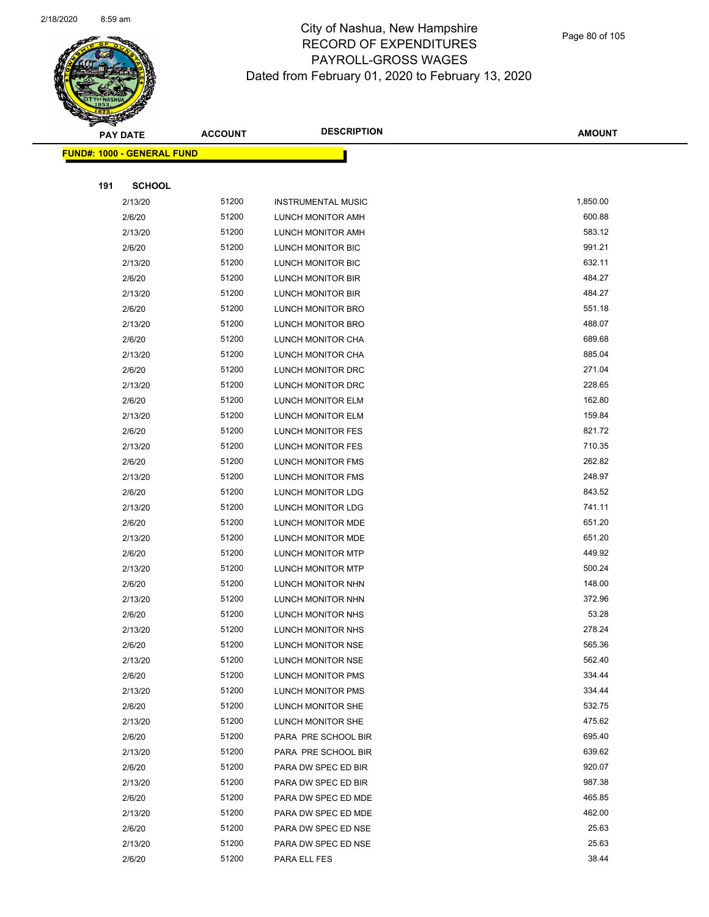

|     | <b>PAY DATE</b>                    | <b>ACCOUNT</b> | <b>DESCRIPTION</b>        | <b>AMOUNT</b> |
|-----|------------------------------------|----------------|---------------------------|---------------|
|     | <u> FUND#: 1000 - GENERAL FUND</u> |                |                           |               |
|     |                                    |                |                           |               |
| 191 | <b>SCHOOL</b>                      |                |                           |               |
|     | 2/13/20                            | 51200          | <b>INSTRUMENTAL MUSIC</b> | 1,850.00      |
|     | 2/6/20                             | 51200          | LUNCH MONITOR AMH         | 600.88        |
|     | 2/13/20                            | 51200          | LUNCH MONITOR AMH         | 583.12        |
|     | 2/6/20                             | 51200          | LUNCH MONITOR BIC         | 991.21        |
|     | 2/13/20                            | 51200          | LUNCH MONITOR BIC         | 632.11        |
|     | 2/6/20                             | 51200          | LUNCH MONITOR BIR         | 484.27        |
|     | 2/13/20                            | 51200          | LUNCH MONITOR BIR         | 484.27        |
|     | 2/6/20                             | 51200          | LUNCH MONITOR BRO         | 551.18        |
|     | 2/13/20                            | 51200          | LUNCH MONITOR BRO         | 488.07        |
|     | 2/6/20                             | 51200          | LUNCH MONITOR CHA         | 689.68        |
|     | 2/13/20                            | 51200          | LUNCH MONITOR CHA         | 885.04        |
|     | 2/6/20                             | 51200          | LUNCH MONITOR DRC         | 271.04        |
|     | 2/13/20                            | 51200          | LUNCH MONITOR DRC         | 228.65        |
|     | 2/6/20                             | 51200          | LUNCH MONITOR ELM         | 162.80        |
|     | 2/13/20                            | 51200          | LUNCH MONITOR ELM         | 159.84        |
|     | 2/6/20                             | 51200          | LUNCH MONITOR FES         | 821.72        |
|     | 2/13/20                            | 51200          | LUNCH MONITOR FES         | 710.35        |
|     | 2/6/20                             | 51200          | LUNCH MONITOR FMS         | 262.82        |
|     | 2/13/20                            | 51200          | LUNCH MONITOR FMS         | 248.97        |
|     | 2/6/20                             | 51200          | LUNCH MONITOR LDG         | 843.52        |
|     | 2/13/20                            | 51200          | LUNCH MONITOR LDG         | 741.11        |
|     | 2/6/20                             | 51200          | LUNCH MONITOR MDE         | 651.20        |
|     | 2/13/20                            | 51200          | LUNCH MONITOR MDE         | 651.20        |
|     | 2/6/20                             | 51200          | LUNCH MONITOR MTP         | 449.92        |
|     | 2/13/20                            | 51200          | LUNCH MONITOR MTP         | 500.24        |
|     | 2/6/20                             | 51200          | LUNCH MONITOR NHN         | 148.00        |
|     | 2/13/20                            | 51200          | LUNCH MONITOR NHN         | 372.96        |
|     | 2/6/20                             | 51200          | LUNCH MONITOR NHS         | 53.28         |
|     | 2/13/20                            | 51200          | LUNCH MONITOR NHS         | 278.24        |
|     | 2/6/20                             | 51200          | LUNCH MONITOR NSE         | 565.36        |
|     | 2/13/20                            | 51200          | LUNCH MONITOR NSE         | 562.40        |
|     | 2/6/20                             | 51200          | LUNCH MONITOR PMS         | 334.44        |
|     | 2/13/20                            | 51200          | <b>LUNCH MONITOR PMS</b>  | 334.44        |
|     | 2/6/20                             | 51200          | LUNCH MONITOR SHE         | 532.75        |
|     | 2/13/20                            | 51200          | LUNCH MONITOR SHE         | 475.62        |
|     | 2/6/20                             | 51200          | PARA PRE SCHOOL BIR       | 695.40        |
|     | 2/13/20                            | 51200          | PARA PRE SCHOOL BIR       | 639.62        |
|     | 2/6/20                             | 51200          | PARA DW SPEC ED BIR       | 920.07        |
|     | 2/13/20                            | 51200          | PARA DW SPEC ED BIR       | 987.38        |
|     | 2/6/20                             | 51200          | PARA DW SPEC ED MDE       | 465.85        |
|     | 2/13/20                            | 51200          | PARA DW SPEC ED MDE       | 462.00        |
|     | 2/6/20                             | 51200          | PARA DW SPEC ED NSE       | 25.63         |
|     | 2/13/20                            | 51200          | PARA DW SPEC ED NSE       | 25.63         |
|     | 2/6/20                             | 51200          | PARA ELL FES              | 38.44         |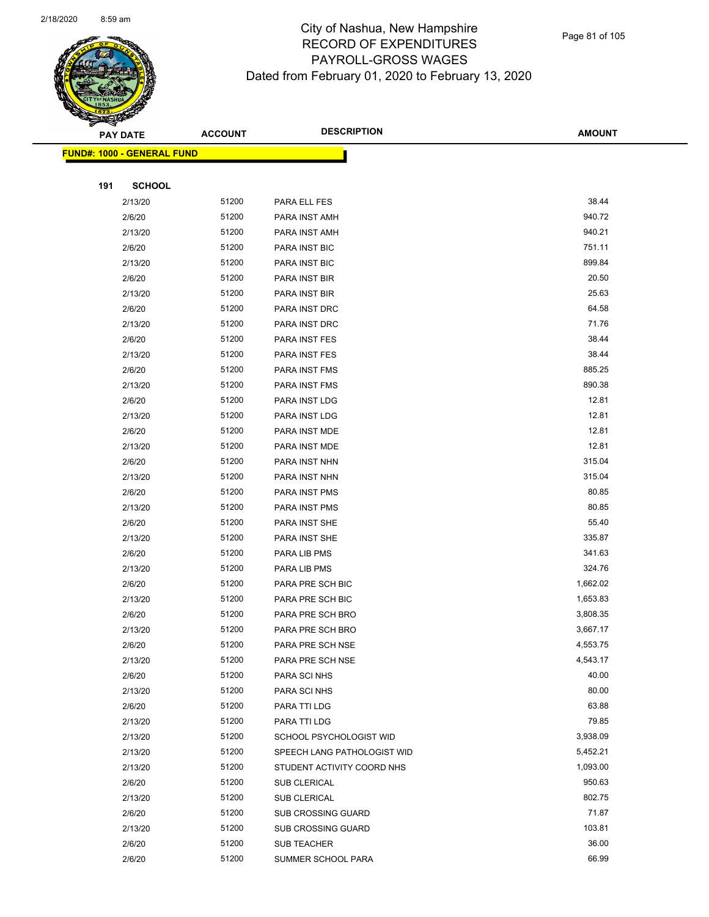

|     | <b>PAY DATE</b>                    | <b>ACCOUNT</b> | <b>DESCRIPTION</b>          | <b>AMOUNT</b>   |
|-----|------------------------------------|----------------|-----------------------------|-----------------|
|     | <u> FUND#: 1000 - GENERAL FUND</u> |                |                             |                 |
|     |                                    |                |                             |                 |
| 191 | <b>SCHOOL</b>                      |                |                             |                 |
|     | 2/13/20                            | 51200          | PARA ELL FES                | 38.44           |
|     | 2/6/20                             | 51200          | PARA INST AMH               | 940.72          |
|     | 2/13/20                            | 51200          | PARA INST AMH               | 940.21          |
|     | 2/6/20                             | 51200          | PARA INST BIC               | 751.11          |
|     | 2/13/20                            | 51200          | PARA INST BIC               | 899.84          |
|     | 2/6/20                             | 51200          | PARA INST BIR               | 20.50           |
|     | 2/13/20                            | 51200          | PARA INST BIR               | 25.63           |
|     | 2/6/20                             | 51200          | PARA INST DRC               | 64.58           |
|     | 2/13/20                            | 51200          | PARA INST DRC               | 71.76           |
|     | 2/6/20                             | 51200          | PARA INST FES               | 38.44           |
|     | 2/13/20                            | 51200          | PARA INST FES               | 38.44           |
|     | 2/6/20                             | 51200          | PARA INST FMS               | 885.25          |
|     | 2/13/20                            | 51200          | PARA INST FMS               | 890.38          |
|     | 2/6/20                             | 51200          | PARA INST LDG               | 12.81           |
|     | 2/13/20                            | 51200          | PARA INST LDG               | 12.81           |
|     | 2/6/20                             | 51200          | PARA INST MDE               | 12.81           |
|     | 2/13/20                            | 51200          | PARA INST MDE               | 12.81           |
|     | 2/6/20                             | 51200          | PARA INST NHN               | 315.04          |
|     | 2/13/20                            | 51200          | PARA INST NHN               | 315.04          |
|     | 2/6/20                             | 51200          | PARA INST PMS               | 80.85           |
|     | 2/13/20                            | 51200          | PARA INST PMS               | 80.85           |
|     | 2/6/20                             | 51200          | PARA INST SHE               | 55.40           |
|     | 2/13/20                            | 51200          | PARA INST SHE               | 335.87          |
|     | 2/6/20                             | 51200          | PARA LIB PMS                | 341.63          |
|     | 2/13/20                            | 51200          | PARA LIB PMS                | 324.76          |
|     | 2/6/20                             | 51200          | PARA PRE SCH BIC            | 1,662.02        |
|     | 2/13/20                            | 51200          | PARA PRE SCH BIC            | 1,653.83        |
|     | 2/6/20                             | 51200          | PARA PRE SCH BRO            | 3,808.35        |
|     | 2/13/20                            | 51200          | PARA PRE SCH BRO            | 3,667.17        |
|     | 2/6/20                             | 51200          | PARA PRE SCH NSE            | 4,553.75        |
|     | 2/13/20                            | 51200          | PARA PRE SCH NSE            | 4,543.17        |
|     | 2/6/20                             | 51200          | PARA SCI NHS                | 40.00           |
|     | 2/13/20                            | 51200          | PARA SCI NHS                | 80.00           |
|     | 2/6/20                             | 51200          | PARA TTI LDG                | 63.88           |
|     | 2/13/20                            | 51200          | PARA TTI LDG                | 79.85           |
|     | 2/13/20                            | 51200          | SCHOOL PSYCHOLOGIST WID     | 3,938.09        |
|     | 2/13/20                            | 51200          | SPEECH LANG PATHOLOGIST WID | 5,452.21        |
|     | 2/13/20                            | 51200          | STUDENT ACTIVITY COORD NHS  | 1,093.00        |
|     | 2/6/20                             | 51200          | SUB CLERICAL                | 950.63          |
|     | 2/13/20                            | 51200          | <b>SUB CLERICAL</b>         | 802.75          |
|     | 2/6/20                             | 51200<br>51200 | <b>SUB CROSSING GUARD</b>   | 71.87<br>103.81 |
|     | 2/13/20                            | 51200          | <b>SUB CROSSING GUARD</b>   | 36.00           |
|     | 2/6/20                             | 51200          | SUB TEACHER                 | 66.99           |
|     | 2/6/20                             |                | SUMMER SCHOOL PARA          |                 |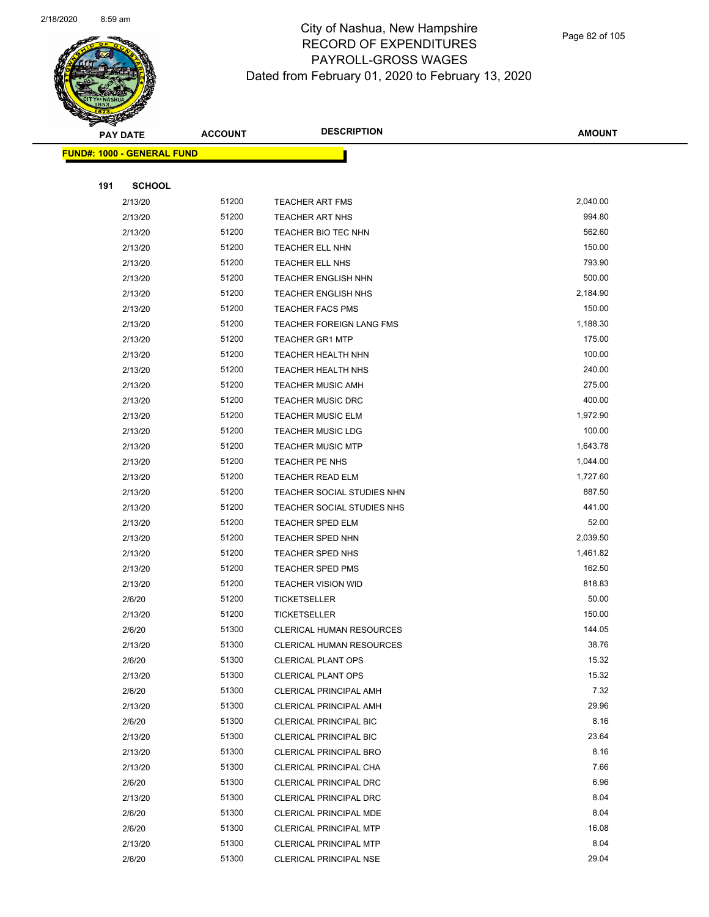

Page 82 of 105

|     | <b>PAY DATE</b>                   | <b>ACCOUNT</b> | <b>DESCRIPTION</b>                                      | <b>AMOUNT</b> |
|-----|-----------------------------------|----------------|---------------------------------------------------------|---------------|
|     | <b>FUND#: 1000 - GENERAL FUND</b> |                |                                                         |               |
|     |                                   |                |                                                         |               |
| 191 | <b>SCHOOL</b>                     |                |                                                         |               |
|     | 2/13/20                           | 51200          | <b>TEACHER ART FMS</b>                                  | 2,040.00      |
|     | 2/13/20                           | 51200          | <b>TEACHER ART NHS</b>                                  | 994.80        |
|     | 2/13/20                           | 51200          | TEACHER BIO TEC NHN                                     | 562.60        |
|     | 2/13/20                           | 51200          | <b>TEACHER ELL NHN</b>                                  | 150.00        |
|     | 2/13/20                           | 51200          | <b>TEACHER ELL NHS</b>                                  | 793.90        |
|     | 2/13/20                           | 51200          | <b>TEACHER ENGLISH NHN</b>                              | 500.00        |
|     | 2/13/20                           | 51200          | <b>TEACHER ENGLISH NHS</b>                              | 2,184.90      |
|     | 2/13/20                           | 51200          | <b>TEACHER FACS PMS</b>                                 | 150.00        |
|     | 2/13/20                           | 51200          | TEACHER FOREIGN LANG FMS                                | 1,188.30      |
|     | 2/13/20                           | 51200          | <b>TEACHER GR1 MTP</b>                                  | 175.00        |
|     | 2/13/20                           | 51200          | TEACHER HEALTH NHN                                      | 100.00        |
|     | 2/13/20                           | 51200          | <b>TEACHER HEALTH NHS</b>                               | 240.00        |
|     | 2/13/20                           | 51200          | <b>TEACHER MUSIC AMH</b>                                | 275.00        |
|     | 2/13/20                           | 51200          | <b>TEACHER MUSIC DRC</b>                                | 400.00        |
|     | 2/13/20                           | 51200          | <b>TEACHER MUSIC ELM</b>                                | 1,972.90      |
|     | 2/13/20                           | 51200          | <b>TEACHER MUSIC LDG</b>                                | 100.00        |
|     | 2/13/20                           | 51200          | <b>TEACHER MUSIC MTP</b>                                | 1,643.78      |
|     | 2/13/20                           | 51200          | TEACHER PE NHS                                          | 1,044.00      |
|     | 2/13/20                           | 51200          | <b>TEACHER READ ELM</b>                                 | 1,727.60      |
|     | 2/13/20                           | 51200          | TEACHER SOCIAL STUDIES NHN                              | 887.50        |
|     | 2/13/20                           | 51200          | TEACHER SOCIAL STUDIES NHS                              | 441.00        |
|     | 2/13/20                           | 51200          | <b>TEACHER SPED ELM</b>                                 | 52.00         |
|     | 2/13/20                           | 51200          | <b>TEACHER SPED NHN</b>                                 | 2,039.50      |
|     | 2/13/20                           | 51200          | <b>TEACHER SPED NHS</b>                                 | 1,461.82      |
|     | 2/13/20                           | 51200          | <b>TEACHER SPED PMS</b>                                 | 162.50        |
|     | 2/13/20                           | 51200          | <b>TEACHER VISION WID</b>                               | 818.83        |
|     | 2/6/20                            | 51200          | <b>TICKETSELLER</b>                                     | 50.00         |
|     | 2/13/20                           | 51200          | <b>TICKETSELLER</b>                                     | 150.00        |
|     | 2/6/20                            | 51300          | <b>CLERICAL HUMAN RESOURCES</b>                         | 144.05        |
|     | 2/13/20                           | 51300          | <b>CLERICAL HUMAN RESOURCES</b>                         | 38.76         |
|     | 2/6/20                            | 51300          | <b>CLERICAL PLANT OPS</b>                               | 15.32         |
|     | 2/13/20                           | 51300          | <b>CLERICAL PLANT OPS</b>                               | 15.32         |
|     | 2/6/20                            | 51300          | CLERICAL PRINCIPAL AMH                                  | 7.32          |
|     | 2/13/20                           | 51300<br>51300 | <b>CLERICAL PRINCIPAL AMH</b>                           | 29.96<br>8.16 |
|     | 2/6/20                            | 51300          | <b>CLERICAL PRINCIPAL BIC</b>                           | 23.64         |
|     | 2/13/20<br>2/13/20                | 51300          | CLERICAL PRINCIPAL BIC<br><b>CLERICAL PRINCIPAL BRO</b> | 8.16          |
|     |                                   | 51300          | CLERICAL PRINCIPAL CHA                                  | 7.66          |
|     | 2/13/20<br>2/6/20                 | 51300          | CLERICAL PRINCIPAL DRC                                  | 6.96          |
|     | 2/13/20                           | 51300          | CLERICAL PRINCIPAL DRC                                  | 8.04          |
|     | 2/6/20                            | 51300          | CLERICAL PRINCIPAL MDE                                  | 8.04          |
|     | 2/6/20                            | 51300          | <b>CLERICAL PRINCIPAL MTP</b>                           | 16.08         |
|     | 2/13/20                           | 51300          | <b>CLERICAL PRINCIPAL MTP</b>                           | 8.04          |
|     | 2/6/20                            | 51300          | <b>CLERICAL PRINCIPAL NSE</b>                           | 29.04         |
|     |                                   |                |                                                         |               |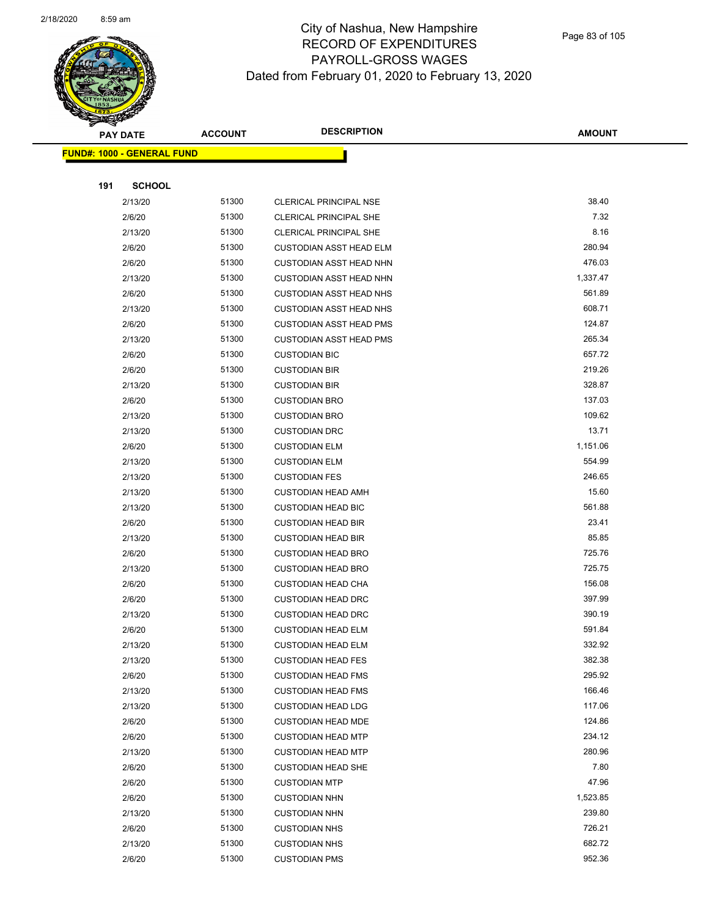

|     | <b>PAY DATE</b>                    | <b>ACCOUNT</b> | <b>DESCRIPTION</b>             | <b>AMOUNT</b> |
|-----|------------------------------------|----------------|--------------------------------|---------------|
|     | <u> FUND#: 1000 - GENERAL FUND</u> |                |                                |               |
|     |                                    |                |                                |               |
| 191 | <b>SCHOOL</b>                      |                |                                |               |
|     | 2/13/20                            | 51300          | CLERICAL PRINCIPAL NSE         | 38.40         |
|     | 2/6/20                             | 51300          | CLERICAL PRINCIPAL SHE         | 7.32          |
|     | 2/13/20                            | 51300          | CLERICAL PRINCIPAL SHE         | 8.16          |
|     | 2/6/20                             | 51300          | <b>CUSTODIAN ASST HEAD ELM</b> | 280.94        |
|     | 2/6/20                             | 51300          | <b>CUSTODIAN ASST HEAD NHN</b> | 476.03        |
|     | 2/13/20                            | 51300          | <b>CUSTODIAN ASST HEAD NHN</b> | 1,337.47      |
|     | 2/6/20                             | 51300          | <b>CUSTODIAN ASST HEAD NHS</b> | 561.89        |
|     | 2/13/20                            | 51300          | <b>CUSTODIAN ASST HEAD NHS</b> | 608.71        |
|     | 2/6/20                             | 51300          | <b>CUSTODIAN ASST HEAD PMS</b> | 124.87        |
|     | 2/13/20                            | 51300          | <b>CUSTODIAN ASST HEAD PMS</b> | 265.34        |
|     | 2/6/20                             | 51300          | <b>CUSTODIAN BIC</b>           | 657.72        |
|     | 2/6/20                             | 51300          | <b>CUSTODIAN BIR</b>           | 219.26        |
|     | 2/13/20                            | 51300          | <b>CUSTODIAN BIR</b>           | 328.87        |
|     | 2/6/20                             | 51300          | <b>CUSTODIAN BRO</b>           | 137.03        |
|     | 2/13/20                            | 51300          | <b>CUSTODIAN BRO</b>           | 109.62        |
|     | 2/13/20                            | 51300          | <b>CUSTODIAN DRC</b>           | 13.71         |
|     | 2/6/20                             | 51300          | <b>CUSTODIAN ELM</b>           | 1,151.06      |
|     | 2/13/20                            | 51300          | <b>CUSTODIAN ELM</b>           | 554.99        |
|     | 2/13/20                            | 51300          | <b>CUSTODIAN FES</b>           | 246.65        |
|     | 2/13/20                            | 51300          | <b>CUSTODIAN HEAD AMH</b>      | 15.60         |
|     | 2/13/20                            | 51300          | <b>CUSTODIAN HEAD BIC</b>      | 561.88        |
|     | 2/6/20                             | 51300          | <b>CUSTODIAN HEAD BIR</b>      | 23.41         |
|     | 2/13/20                            | 51300          | <b>CUSTODIAN HEAD BIR</b>      | 85.85         |
|     | 2/6/20                             | 51300          | <b>CUSTODIAN HEAD BRO</b>      | 725.76        |
|     | 2/13/20                            | 51300          | <b>CUSTODIAN HEAD BRO</b>      | 725.75        |
|     | 2/6/20                             | 51300          | <b>CUSTODIAN HEAD CHA</b>      | 156.08        |
|     | 2/6/20                             | 51300          | <b>CUSTODIAN HEAD DRC</b>      | 397.99        |
|     | 2/13/20                            | 51300          | <b>CUSTODIAN HEAD DRC</b>      | 390.19        |
|     | 2/6/20                             | 51300          | <b>CUSTODIAN HEAD ELM</b>      | 591.84        |
|     | 2/13/20                            | 51300          | <b>CUSTODIAN HEAD ELM</b>      | 332.92        |
|     | 2/13/20                            | 51300          | <b>CUSTODIAN HEAD FES</b>      | 382.38        |
|     | 2/6/20                             | 51300          | <b>CUSTODIAN HEAD FMS</b>      | 295.92        |
|     | 2/13/20                            | 51300          | <b>CUSTODIAN HEAD FMS</b>      | 166.46        |
|     | 2/13/20                            | 51300          | <b>CUSTODIAN HEAD LDG</b>      | 117.06        |
|     | 2/6/20                             | 51300          | <b>CUSTODIAN HEAD MDE</b>      | 124.86        |
|     | 2/6/20                             | 51300          | <b>CUSTODIAN HEAD MTP</b>      | 234.12        |
|     | 2/13/20                            | 51300          | <b>CUSTODIAN HEAD MTP</b>      | 280.96        |
|     | 2/6/20                             | 51300          | <b>CUSTODIAN HEAD SHE</b>      | 7.80          |
|     | 2/6/20                             | 51300          | <b>CUSTODIAN MTP</b>           | 47.96         |
|     | 2/6/20                             | 51300          | <b>CUSTODIAN NHN</b>           | 1,523.85      |
|     | 2/13/20                            | 51300          | <b>CUSTODIAN NHN</b>           | 239.80        |
|     | 2/6/20                             | 51300          | <b>CUSTODIAN NHS</b>           | 726.21        |
|     | 2/13/20                            | 51300          | <b>CUSTODIAN NHS</b>           | 682.72        |
|     | 2/6/20                             | 51300          | <b>CUSTODIAN PMS</b>           | 952.36        |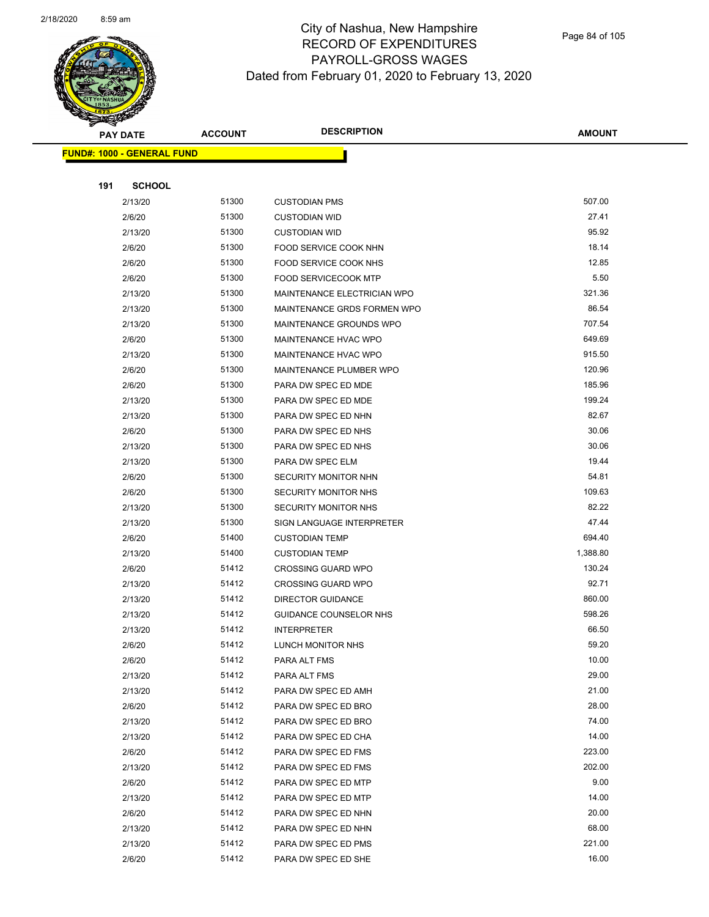

Page 84 of 105

| <b>PAY DATE</b>                   | <b>ACCOUNT</b> | <b>DESCRIPTION</b>                         | <b>AMOUNT</b>  |
|-----------------------------------|----------------|--------------------------------------------|----------------|
| <b>FUND#: 1000 - GENERAL FUND</b> |                |                                            |                |
|                                   |                |                                            |                |
| 191<br><b>SCHOOL</b>              |                |                                            |                |
| 2/13/20                           | 51300          | <b>CUSTODIAN PMS</b>                       | 507.00         |
| 2/6/20                            | 51300          | <b>CUSTODIAN WID</b>                       | 27.41          |
| 2/13/20                           | 51300          | <b>CUSTODIAN WID</b>                       | 95.92          |
| 2/6/20                            | 51300          | FOOD SERVICE COOK NHN                      | 18.14          |
| 2/6/20                            | 51300          | FOOD SERVICE COOK NHS                      | 12.85          |
| 2/6/20                            | 51300          | <b>FOOD SERVICECOOK MTP</b>                | 5.50           |
| 2/13/20                           | 51300          | MAINTENANCE ELECTRICIAN WPO                | 321.36         |
| 2/13/20                           | 51300          | MAINTENANCE GRDS FORMEN WPO                | 86.54          |
| 2/13/20                           | 51300          | MAINTENANCE GROUNDS WPO                    | 707.54         |
| 2/6/20                            | 51300          | MAINTENANCE HVAC WPO                       | 649.69         |
| 2/13/20                           | 51300          | MAINTENANCE HVAC WPO                       | 915.50         |
| 2/6/20                            | 51300          | MAINTENANCE PLUMBER WPO                    | 120.96         |
| 2/6/20                            | 51300          | PARA DW SPEC ED MDE                        | 185.96         |
| 2/13/20                           | 51300          | PARA DW SPEC ED MDE                        | 199.24         |
| 2/13/20                           | 51300          | PARA DW SPEC ED NHN                        | 82.67          |
| 2/6/20                            | 51300          | PARA DW SPEC ED NHS                        | 30.06          |
| 2/13/20                           | 51300          | PARA DW SPEC ED NHS                        | 30.06          |
| 2/13/20                           | 51300          | PARA DW SPEC ELM                           | 19.44          |
| 2/6/20                            | 51300          | SECURITY MONITOR NHN                       | 54.81          |
| 2/6/20                            | 51300          | SECURITY MONITOR NHS                       | 109.63         |
| 2/13/20                           | 51300          | SECURITY MONITOR NHS                       | 82.22          |
| 2/13/20                           | 51300          | SIGN LANGUAGE INTERPRETER                  | 47.44          |
| 2/6/20                            | 51400          | <b>CUSTODIAN TEMP</b>                      | 694.40         |
| 2/13/20                           | 51400          | <b>CUSTODIAN TEMP</b>                      | 1,388.80       |
| 2/6/20                            | 51412          | <b>CROSSING GUARD WPO</b>                  | 130.24         |
| 2/13/20                           | 51412          | <b>CROSSING GUARD WPO</b>                  | 92.71          |
| 2/13/20                           | 51412          | <b>DIRECTOR GUIDANCE</b>                   | 860.00         |
| 2/13/20                           | 51412          | GUIDANCE COUNSELOR NHS                     | 598.26         |
| 2/13/20                           | 51412          | <b>INTERPRETER</b>                         | 66.50          |
| 2/6/20                            | 51412          | LUNCH MONITOR NHS                          | 59.20          |
| 2/6/20                            | 51412          | PARA ALT FMS                               | 10.00          |
| 2/13/20                           | 51412          | PARA ALT FMS                               | 29.00          |
| 2/13/20                           | 51412          | PARA DW SPEC ED AMH                        | 21.00          |
| 2/6/20                            | 51412<br>51412 | PARA DW SPEC ED BRO                        | 28.00<br>74.00 |
| 2/13/20                           | 51412          | PARA DW SPEC ED BRO<br>PARA DW SPEC ED CHA | 14.00          |
| 2/13/20<br>2/6/20                 | 51412          | PARA DW SPEC ED FMS                        | 223.00         |
| 2/13/20                           | 51412          | PARA DW SPEC ED FMS                        | 202.00         |
| 2/6/20                            | 51412          | PARA DW SPEC ED MTP                        | 9.00           |
| 2/13/20                           | 51412          | PARA DW SPEC ED MTP                        | 14.00          |
| 2/6/20                            | 51412          | PARA DW SPEC ED NHN                        | 20.00          |
| 2/13/20                           | 51412          | PARA DW SPEC ED NHN                        | 68.00          |
| 2/13/20                           | 51412          | PARA DW SPEC ED PMS                        | 221.00         |
| 2/6/20                            | 51412          | PARA DW SPEC ED SHE                        | 16.00          |
|                                   |                |                                            |                |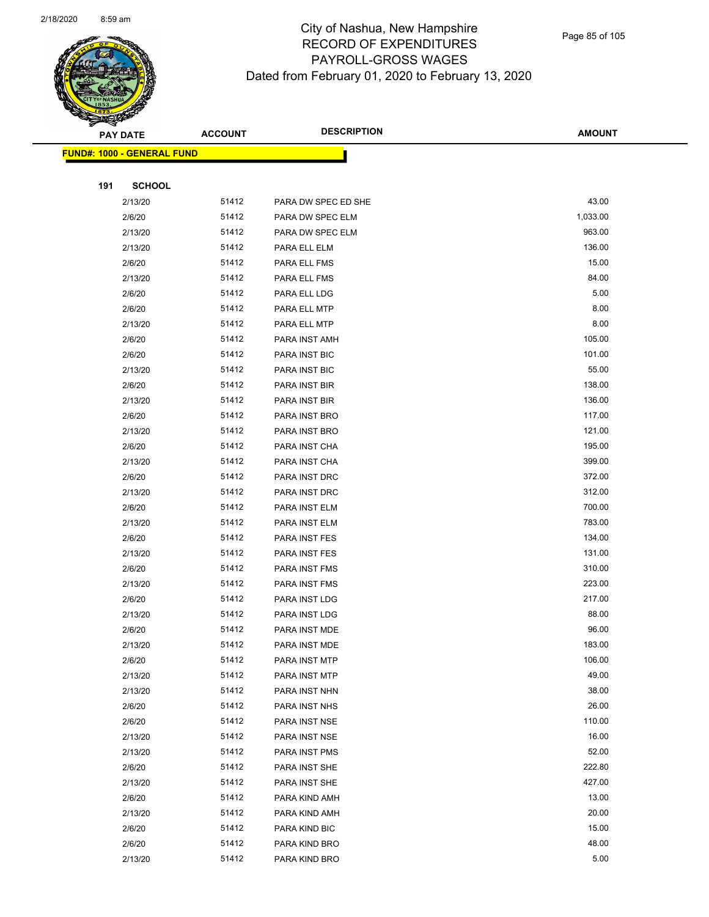

Page 85 of 105

| ॼ   | <b>PAY DATE</b>                   | <b>ACCOUNT</b> | <b>DESCRIPTION</b>             | <b>AMOUNT</b>   |
|-----|-----------------------------------|----------------|--------------------------------|-----------------|
|     | <b>FUND#: 1000 - GENERAL FUND</b> |                |                                |                 |
|     |                                   |                |                                |                 |
| 191 | <b>SCHOOL</b>                     |                |                                |                 |
|     | 2/13/20                           | 51412          | PARA DW SPEC ED SHE            | 43.00           |
|     | 2/6/20                            | 51412          | PARA DW SPEC ELM               | 1,033.00        |
|     | 2/13/20                           | 51412          | PARA DW SPEC ELM               | 963.00          |
|     | 2/13/20                           | 51412          | PARA ELL ELM                   | 136.00          |
|     | 2/6/20                            | 51412          | PARA ELL FMS                   | 15.00           |
|     | 2/13/20                           | 51412          | PARA ELL FMS                   | 84.00           |
|     | 2/6/20                            | 51412          | PARA ELL LDG                   | 5.00            |
|     | 2/6/20                            | 51412          | PARA ELL MTP                   | 8.00            |
|     | 2/13/20                           | 51412          | PARA ELL MTP                   | 8.00            |
|     | 2/6/20                            | 51412          | PARA INST AMH                  | 105.00          |
|     | 2/6/20                            | 51412          | PARA INST BIC                  | 101.00          |
|     | 2/13/20                           | 51412          | PARA INST BIC                  | 55.00           |
|     | 2/6/20                            | 51412          | PARA INST BIR                  | 138.00          |
|     | 2/13/20                           | 51412          | PARA INST BIR                  | 136.00          |
|     | 2/6/20                            | 51412          | PARA INST BRO                  | 117.00          |
|     | 2/13/20                           | 51412          | PARA INST BRO                  | 121.00          |
|     | 2/6/20                            | 51412          | PARA INST CHA                  | 195.00          |
|     | 2/13/20                           | 51412          | PARA INST CHA                  | 399.00          |
|     | 2/6/20                            | 51412          | PARA INST DRC                  | 372.00          |
|     | 2/13/20                           | 51412          | PARA INST DRC                  | 312.00          |
|     | 2/6/20                            | 51412          | PARA INST ELM                  | 700.00          |
|     | 2/13/20                           | 51412          | PARA INST ELM                  | 783.00          |
|     | 2/6/20                            | 51412          | PARA INST FES                  | 134.00          |
|     | 2/13/20                           | 51412          | PARA INST FES                  | 131.00          |
|     | 2/6/20                            | 51412          | PARA INST FMS                  | 310.00          |
|     | 2/13/20                           | 51412          | PARA INST FMS                  | 223.00          |
|     | 2/6/20                            | 51412          | PARA INST LDG                  | 217.00          |
|     | 2/13/20                           | 51412          | PARA INST LDG                  | 88.00           |
|     | 2/6/20                            | 51412          | PARA INST MDE                  | 96.00           |
|     | 2/13/20                           | 51412          | PARA INST MDE                  | 183.00          |
|     | 2/6/20                            | 51412          | PARA INST MTP                  | 106.00          |
|     | 2/13/20                           | 51412          | PARA INST MTP                  | 49.00           |
|     | 2/13/20                           | 51412          | PARA INST NHN                  | 38.00           |
|     | 2/6/20                            | 51412          | PARA INST NHS                  | 26.00           |
|     | 2/6/20                            | 51412          | PARA INST NSE                  | 110.00<br>16.00 |
|     | 2/13/20                           | 51412<br>51412 | PARA INST NSE                  | 52.00           |
|     | 2/13/20                           | 51412          | PARA INST PMS                  | 222.80          |
|     | 2/6/20<br>2/13/20                 | 51412          | PARA INST SHE                  | 427.00          |
|     |                                   | 51412          | PARA INST SHE                  | 13.00           |
|     | 2/6/20<br>2/13/20                 | 51412          | PARA KIND AMH<br>PARA KIND AMH | 20.00           |
|     | 2/6/20                            | 51412          | PARA KIND BIC                  | 15.00           |
|     | 2/6/20                            | 51412          | PARA KIND BRO                  | 48.00           |
|     | 2/13/20                           | 51412          | PARA KIND BRO                  | 5.00            |
|     |                                   |                |                                |                 |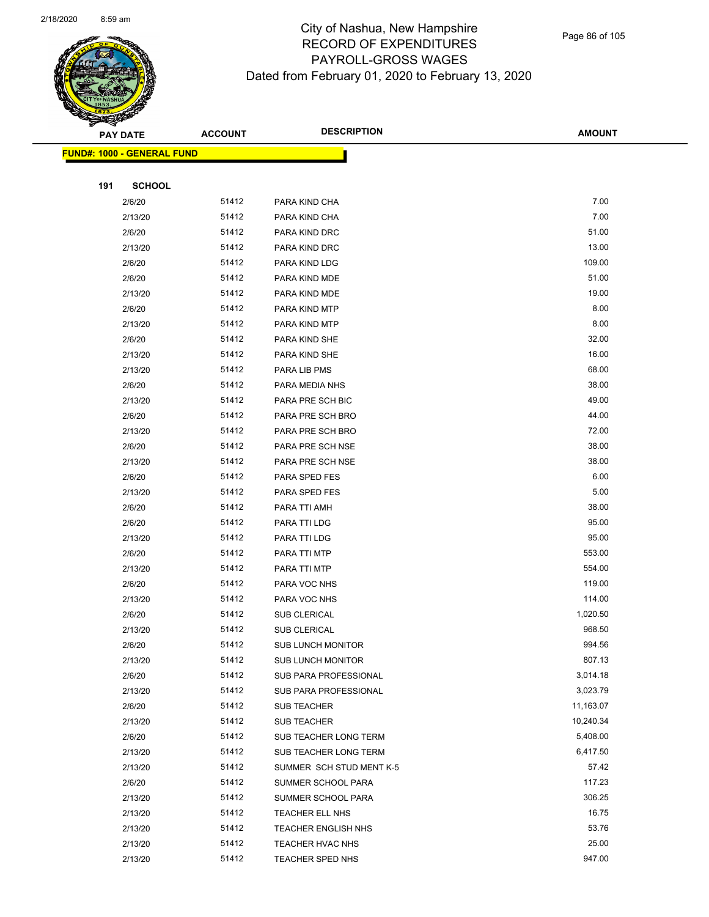

 $\overline{\phantom{0}}$ 

|     | <b>PAY DATE</b>                   | <b>ACCOUNT</b> | <b>DESCRIPTION</b>         | <b>AMOUNT</b> |
|-----|-----------------------------------|----------------|----------------------------|---------------|
|     | <b>FUND#: 1000 - GENERAL FUND</b> |                |                            |               |
|     |                                   |                |                            |               |
| 191 | <b>SCHOOL</b>                     |                |                            |               |
|     | 2/6/20                            | 51412          | PARA KIND CHA              | 7.00          |
|     | 2/13/20                           | 51412          | PARA KIND CHA              | 7.00          |
|     | 2/6/20                            | 51412          | PARA KIND DRC              | 51.00         |
|     | 2/13/20                           | 51412          | PARA KIND DRC              | 13.00         |
|     | 2/6/20                            | 51412          | PARA KIND LDG              | 109.00        |
|     | 2/6/20                            | 51412          | PARA KIND MDE              | 51.00         |
|     | 2/13/20                           | 51412          | PARA KIND MDE              | 19.00         |
|     | 2/6/20                            | 51412          | PARA KIND MTP              | 8.00          |
|     | 2/13/20                           | 51412          | PARA KIND MTP              | 8.00          |
|     | 2/6/20                            | 51412          | PARA KIND SHE              | 32.00         |
|     | 2/13/20                           | 51412          | PARA KIND SHE              | 16.00         |
|     | 2/13/20                           | 51412          | PARA LIB PMS               | 68.00         |
|     | 2/6/20                            | 51412          | PARA MEDIA NHS             | 38.00         |
|     | 2/13/20                           | 51412          | PARA PRE SCH BIC           | 49.00         |
|     | 2/6/20                            | 51412          | PARA PRE SCH BRO           | 44.00         |
|     | 2/13/20                           | 51412          | PARA PRE SCH BRO           | 72.00         |
|     | 2/6/20                            | 51412          | PARA PRE SCH NSE           | 38.00         |
|     | 2/13/20                           | 51412          | PARA PRE SCH NSE           | 38.00         |
|     | 2/6/20                            | 51412          | PARA SPED FES              | 6.00          |
|     | 2/13/20                           | 51412          | PARA SPED FES              | 5.00          |
|     | 2/6/20                            | 51412          | PARA TTI AMH               | 38.00         |
|     | 2/6/20                            | 51412          | PARA TTI LDG               | 95.00         |
|     | 2/13/20                           | 51412          | PARA TTI LDG               | 95.00         |
|     | 2/6/20                            | 51412          | PARA TTI MTP               | 553.00        |
|     | 2/13/20                           | 51412          | PARA TTI MTP               | 554.00        |
|     | 2/6/20                            | 51412          | PARA VOC NHS               | 119.00        |
|     | 2/13/20                           | 51412          | PARA VOC NHS               | 114.00        |
|     | 2/6/20                            | 51412          | SUB CLERICAL               | 1,020.50      |
|     | 2/13/20                           | 51412          | SUB CLERICAL               | 968.50        |
|     | 2/6/20                            | 51412          | SUB LUNCH MONITOR          | 994.56        |
|     | 2/13/20                           | 51412          | <b>SUB LUNCH MONITOR</b>   | 807.13        |
|     | 2/6/20                            | 51412          | SUB PARA PROFESSIONAL      | 3,014.18      |
|     | 2/13/20                           | 51412          | SUB PARA PROFESSIONAL      | 3,023.79      |
|     | 2/6/20                            | 51412          | SUB TEACHER                | 11,163.07     |
|     | 2/13/20                           | 51412          | <b>SUB TEACHER</b>         | 10,240.34     |
|     | 2/6/20                            | 51412          | SUB TEACHER LONG TERM      | 5,408.00      |
|     | 2/13/20                           | 51412          | SUB TEACHER LONG TERM      | 6,417.50      |
|     | 2/13/20                           | 51412          | SUMMER SCH STUD MENT K-5   | 57.42         |
|     | 2/6/20                            | 51412          | SUMMER SCHOOL PARA         | 117.23        |
|     | 2/13/20                           | 51412          | SUMMER SCHOOL PARA         | 306.25        |
|     | 2/13/20                           | 51412          | <b>TEACHER ELL NHS</b>     | 16.75         |
|     | 2/13/20                           | 51412          | <b>TEACHER ENGLISH NHS</b> | 53.76         |
|     | 2/13/20                           | 51412          | TEACHER HVAC NHS           | 25.00         |
|     | 2/13/20                           | 51412          | TEACHER SPED NHS           | 947.00        |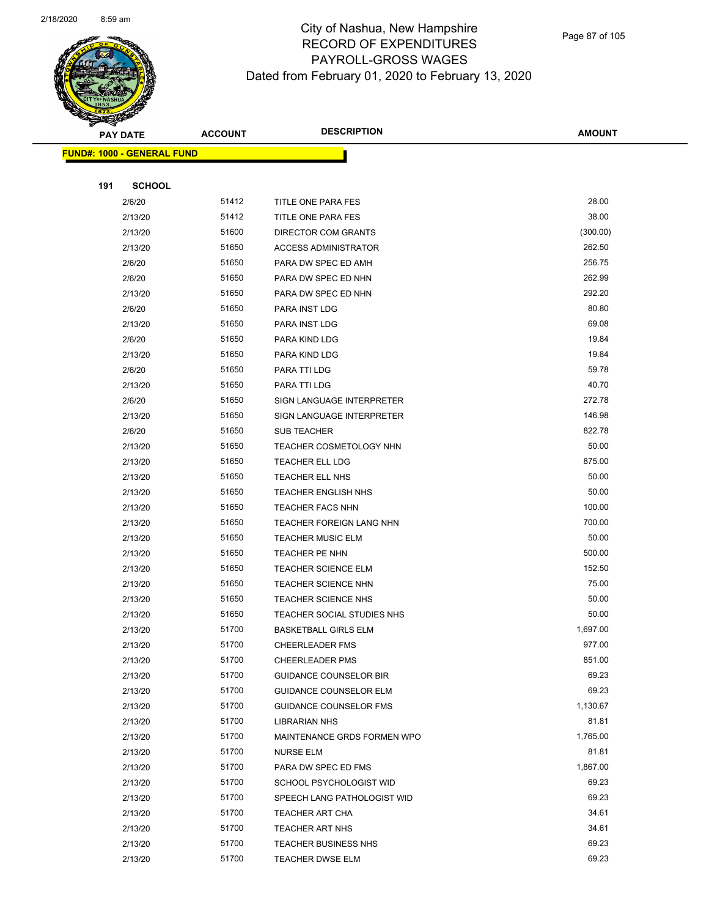

|     | <b>PAY DATE</b>                    | <b>ACCOUNT</b> | <b>DESCRIPTION</b>            | <b>AMOUNT</b> |
|-----|------------------------------------|----------------|-------------------------------|---------------|
|     | <u> FUND#: 1000 - GENERAL FUND</u> |                |                               |               |
|     |                                    |                |                               |               |
| 191 | <b>SCHOOL</b>                      |                |                               |               |
|     | 2/6/20                             | 51412          | TITLE ONE PARA FES            | 28.00         |
|     | 2/13/20                            | 51412          | TITLE ONE PARA FES            | 38.00         |
|     | 2/13/20                            | 51600          | DIRECTOR COM GRANTS           | (300.00)      |
|     | 2/13/20                            | 51650          | <b>ACCESS ADMINISTRATOR</b>   | 262.50        |
|     | 2/6/20                             | 51650          | PARA DW SPEC ED AMH           | 256.75        |
|     | 2/6/20                             | 51650          | PARA DW SPEC ED NHN           | 262.99        |
|     | 2/13/20                            | 51650          | PARA DW SPEC ED NHN           | 292.20        |
|     | 2/6/20                             | 51650          | PARA INST LDG                 | 80.80         |
|     | 2/13/20                            | 51650          | PARA INST LDG                 | 69.08         |
|     | 2/6/20                             | 51650          | PARA KIND LDG                 | 19.84         |
|     | 2/13/20                            | 51650          | PARA KIND LDG                 | 19.84         |
|     | 2/6/20                             | 51650          | PARA TTI LDG                  | 59.78         |
|     | 2/13/20                            | 51650          | PARA TTI LDG                  | 40.70         |
|     | 2/6/20                             | 51650          | SIGN LANGUAGE INTERPRETER     | 272.78        |
|     | 2/13/20                            | 51650          | SIGN LANGUAGE INTERPRETER     | 146.98        |
|     | 2/6/20                             | 51650          | <b>SUB TEACHER</b>            | 822.78        |
|     | 2/13/20                            | 51650          | TEACHER COSMETOLOGY NHN       | 50.00         |
|     | 2/13/20                            | 51650          | TEACHER ELL LDG               | 875.00        |
|     | 2/13/20                            | 51650          | <b>TEACHER ELL NHS</b>        | 50.00         |
|     | 2/13/20                            | 51650          | <b>TEACHER ENGLISH NHS</b>    | 50.00         |
|     | 2/13/20                            | 51650          | <b>TEACHER FACS NHN</b>       | 100.00        |
|     | 2/13/20                            | 51650          | TEACHER FOREIGN LANG NHN      | 700.00        |
|     | 2/13/20                            | 51650          | <b>TEACHER MUSIC ELM</b>      | 50.00         |
|     | 2/13/20                            | 51650          | TEACHER PE NHN                | 500.00        |
|     | 2/13/20                            | 51650          | <b>TEACHER SCIENCE ELM</b>    | 152.50        |
|     | 2/13/20                            | 51650          | <b>TEACHER SCIENCE NHN</b>    | 75.00         |
|     | 2/13/20                            | 51650          | <b>TEACHER SCIENCE NHS</b>    | 50.00         |
|     | 2/13/20                            | 51650          | TEACHER SOCIAL STUDIES NHS    | 50.00         |
|     | 2/13/20                            | 51700          | <b>BASKETBALL GIRLS ELM</b>   | 1,697.00      |
|     | 2/13/20                            | 51700          | CHEERLEADER FMS               | 977.00        |
|     | 2/13/20                            | 51700          | <b>CHEERLEADER PMS</b>        | 851.00        |
|     | 2/13/20                            | 51700          | <b>GUIDANCE COUNSELOR BIR</b> | 69.23         |
|     | 2/13/20                            | 51700          | <b>GUIDANCE COUNSELOR ELM</b> | 69.23         |
|     | 2/13/20                            | 51700          | GUIDANCE COUNSELOR FMS        | 1,130.67      |
|     | 2/13/20                            | 51700          | <b>LIBRARIAN NHS</b>          | 81.81         |
|     | 2/13/20                            | 51700          | MAINTENANCE GRDS FORMEN WPO   | 1,765.00      |
|     | 2/13/20                            | 51700          | <b>NURSE ELM</b>              | 81.81         |
|     | 2/13/20                            | 51700          | PARA DW SPEC ED FMS           | 1,867.00      |
|     | 2/13/20                            | 51700          | SCHOOL PSYCHOLOGIST WID       | 69.23         |
|     | 2/13/20                            | 51700          | SPEECH LANG PATHOLOGIST WID   | 69.23         |
|     | 2/13/20                            | 51700          | <b>TEACHER ART CHA</b>        | 34.61         |
|     | 2/13/20                            | 51700          | <b>TEACHER ART NHS</b>        | 34.61         |
|     | 2/13/20                            | 51700          | <b>TEACHER BUSINESS NHS</b>   | 69.23         |
|     | 2/13/20                            | 51700          | <b>TEACHER DWSE ELM</b>       | 69.23         |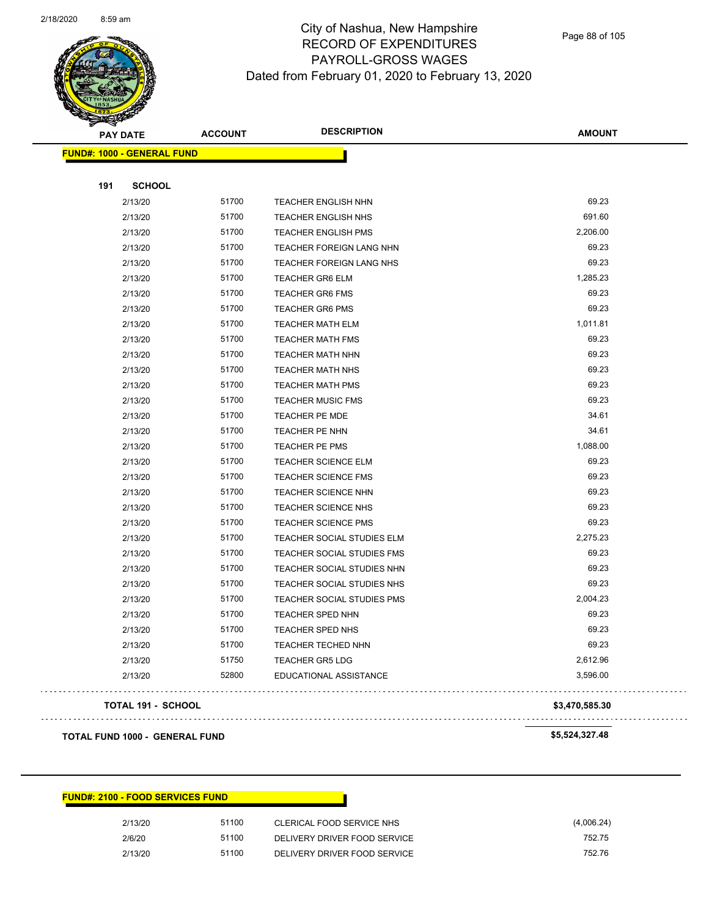

Page 88 of 105

|     | <b>PAY DATE</b>                   | <b>ACCOUNT</b> | <b>DESCRIPTION</b>                | <b>AMOUNT</b>  |
|-----|-----------------------------------|----------------|-----------------------------------|----------------|
|     | <b>FUND#: 1000 - GENERAL FUND</b> |                |                                   |                |
| 191 | <b>SCHOOL</b>                     |                |                                   |                |
|     | 2/13/20                           | 51700          | TEACHER ENGLISH NHN               | 69.23          |
|     | 2/13/20                           | 51700          | <b>TEACHER ENGLISH NHS</b>        | 691.60         |
|     | 2/13/20                           | 51700          | <b>TEACHER ENGLISH PMS</b>        | 2,206.00       |
|     | 2/13/20                           | 51700          | TEACHER FOREIGN LANG NHN          | 69.23          |
|     | 2/13/20                           | 51700          | <b>TEACHER FOREIGN LANG NHS</b>   | 69.23          |
|     | 2/13/20                           | 51700          | <b>TEACHER GR6 ELM</b>            | 1,285.23       |
|     | 2/13/20                           | 51700          | <b>TEACHER GR6 FMS</b>            | 69.23          |
|     | 2/13/20                           | 51700          | <b>TEACHER GR6 PMS</b>            | 69.23          |
|     | 2/13/20                           | 51700          | <b>TEACHER MATH ELM</b>           | 1,011.81       |
|     | 2/13/20                           | 51700          | <b>TEACHER MATH FMS</b>           | 69.23          |
|     | 2/13/20                           | 51700          | <b>TEACHER MATH NHN</b>           | 69.23          |
|     | 2/13/20                           | 51700          | <b>TEACHER MATH NHS</b>           | 69.23          |
|     | 2/13/20                           | 51700          | <b>TEACHER MATH PMS</b>           | 69.23          |
|     | 2/13/20                           | 51700          | <b>TEACHER MUSIC FMS</b>          | 69.23          |
|     | 2/13/20                           | 51700          | <b>TEACHER PE MDE</b>             | 34.61          |
|     | 2/13/20                           | 51700          | TEACHER PE NHN                    | 34.61          |
|     | 2/13/20                           | 51700          | <b>TEACHER PE PMS</b>             | 1,088.00       |
|     | 2/13/20                           | 51700          | <b>TEACHER SCIENCE ELM</b>        | 69.23          |
|     | 2/13/20                           | 51700          | <b>TEACHER SCIENCE FMS</b>        | 69.23          |
|     | 2/13/20                           | 51700          | TEACHER SCIENCE NHN               | 69.23          |
|     | 2/13/20                           | 51700          | <b>TEACHER SCIENCE NHS</b>        | 69.23          |
|     | 2/13/20                           | 51700          | <b>TEACHER SCIENCE PMS</b>        | 69.23          |
|     | 2/13/20                           | 51700          | TEACHER SOCIAL STUDIES ELM        | 2,275.23       |
|     | 2/13/20                           | 51700          | TEACHER SOCIAL STUDIES FMS        | 69.23          |
|     | 2/13/20                           | 51700          | TEACHER SOCIAL STUDIES NHN        | 69.23          |
|     | 2/13/20                           | 51700          | TEACHER SOCIAL STUDIES NHS        | 69.23          |
|     | 2/13/20                           | 51700          | <b>TEACHER SOCIAL STUDIES PMS</b> | 2,004.23       |
|     | 2/13/20                           | 51700          | <b>TEACHER SPED NHN</b>           | 69.23          |
|     | 2/13/20                           | 51700          | TEACHER SPED NHS                  | 69.23          |
|     | 2/13/20                           | 51700          | TEACHER TECHED NHN                | 69.23          |
|     | 2/13/20                           | 51750          | <b>TEACHER GR5 LDG</b>            | 2,612.96       |
|     | 2/13/20                           | 52800          | EDUCATIONAL ASSISTANCE            | 3,596.00       |
|     |                                   |                |                                   |                |
|     | <b>TOTAL 191 - SCHOOL</b>         |                |                                   | \$3,470,585.30 |

#### **TOTAL FUND 1000 - GENERAL FUND \$5,524,327.48**

 $\bar{\nu}$  ,  $\bar{\nu}$ 

| <b>FUND#: 2100 - FOOD SERVICES FUND</b> |       |                              |            |
|-----------------------------------------|-------|------------------------------|------------|
| 2/13/20                                 | 51100 | CLERICAL FOOD SERVICE NHS    | (4,006.24) |
| 2/6/20                                  | 51100 | DELIVERY DRIVER FOOD SERVICE | 752.75     |
| 2/13/20                                 | 51100 | DELIVERY DRIVER FOOD SERVICE | 752.76     |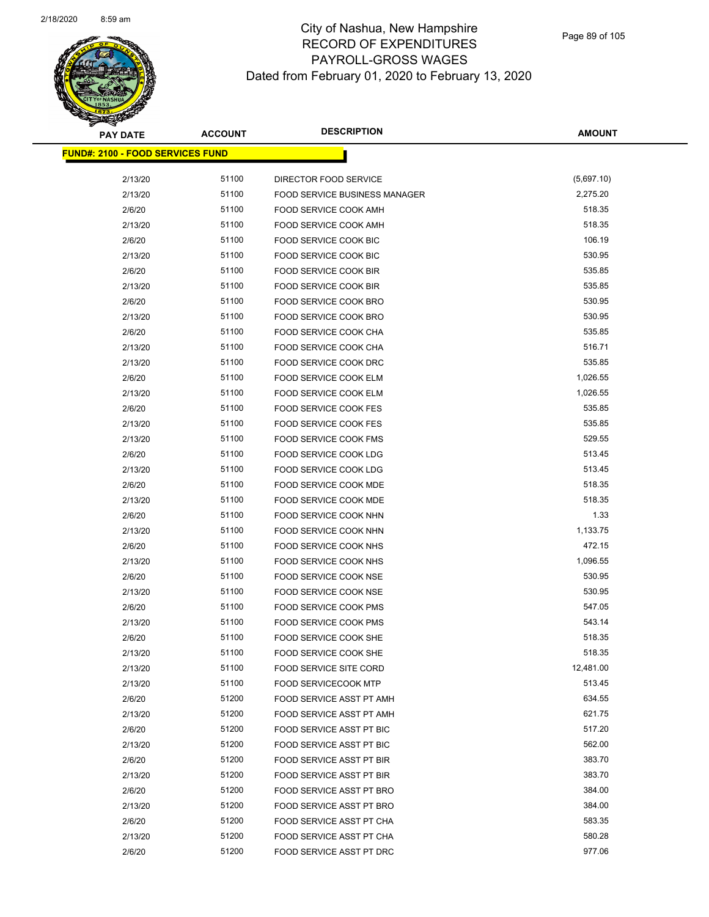

**AMOUNT**

| <u> FUND#: 2100 - FOOD SERVICES FUND</u> |       |                                      |            |
|------------------------------------------|-------|--------------------------------------|------------|
|                                          |       |                                      |            |
| 2/13/20                                  | 51100 | DIRECTOR FOOD SERVICE                | (5,697.10) |
| 2/13/20                                  | 51100 | <b>FOOD SERVICE BUSINESS MANAGER</b> | 2,275.20   |
| 2/6/20                                   | 51100 | FOOD SERVICE COOK AMH                | 518.35     |
| 2/13/20                                  | 51100 | FOOD SERVICE COOK AMH                | 518.35     |
| 2/6/20                                   | 51100 | FOOD SERVICE COOK BIC                | 106.19     |
| 2/13/20                                  | 51100 | <b>FOOD SERVICE COOK BIC</b>         | 530.95     |
| 2/6/20                                   | 51100 | FOOD SERVICE COOK BIR                | 535.85     |
| 2/13/20                                  | 51100 | FOOD SERVICE COOK BIR                | 535.85     |
| 2/6/20                                   | 51100 | FOOD SERVICE COOK BRO                | 530.95     |
| 2/13/20                                  | 51100 | FOOD SERVICE COOK BRO                | 530.95     |
| 2/6/20                                   | 51100 | FOOD SERVICE COOK CHA                | 535.85     |
| 2/13/20                                  | 51100 | FOOD SERVICE COOK CHA                | 516.71     |
| 2/13/20                                  | 51100 | FOOD SERVICE COOK DRC                | 535.85     |
| 2/6/20                                   | 51100 | FOOD SERVICE COOK ELM                | 1,026.55   |
| 2/13/20                                  | 51100 | FOOD SERVICE COOK ELM                | 1,026.55   |
| 2/6/20                                   | 51100 | <b>FOOD SERVICE COOK FES</b>         | 535.85     |
| 2/13/20                                  | 51100 | <b>FOOD SERVICE COOK FES</b>         | 535.85     |
| 2/13/20                                  | 51100 | FOOD SERVICE COOK FMS                | 529.55     |
| 2/6/20                                   | 51100 | FOOD SERVICE COOK LDG                | 513.45     |
| 2/13/20                                  | 51100 | FOOD SERVICE COOK LDG                | 513.45     |
| 2/6/20                                   | 51100 | <b>FOOD SERVICE COOK MDE</b>         | 518.35     |
| 2/13/20                                  | 51100 | FOOD SERVICE COOK MDE                | 518.35     |
| 2/6/20                                   | 51100 | FOOD SERVICE COOK NHN                | 1.33       |
| 2/13/20                                  | 51100 | FOOD SERVICE COOK NHN                | 1,133.75   |
| 2/6/20                                   | 51100 | FOOD SERVICE COOK NHS                | 472.15     |
| 2/13/20                                  | 51100 | FOOD SERVICE COOK NHS                | 1,096.55   |
| 2/6/20                                   | 51100 | FOOD SERVICE COOK NSE                | 530.95     |
| 2/13/20                                  | 51100 | <b>FOOD SERVICE COOK NSE</b>         | 530.95     |
| 2/6/20                                   | 51100 | FOOD SERVICE COOK PMS                | 547.05     |
| 2/13/20                                  | 51100 | <b>FOOD SERVICE COOK PMS</b>         | 543.14     |
| 2/6/20                                   | 51100 | FOOD SERVICE COOK SHE                | 518.35     |
| 2/13/20                                  | 51100 | FOOD SERVICE COOK SHE                | 518.35     |
| 2/13/20                                  | 51100 | <b>FOOD SERVICE SITE CORD</b>        | 12,481.00  |
| 2/13/20                                  | 51100 | <b>FOOD SERVICECOOK MTP</b>          | 513.45     |
| 2/6/20                                   | 51200 | FOOD SERVICE ASST PT AMH             | 634.55     |
| 2/13/20                                  | 51200 | FOOD SERVICE ASST PT AMH             | 621.75     |
| 2/6/20                                   | 51200 | FOOD SERVICE ASST PT BIC             | 517.20     |
| 2/13/20                                  | 51200 | FOOD SERVICE ASST PT BIC             | 562.00     |
| 2/6/20                                   | 51200 | FOOD SERVICE ASST PT BIR             | 383.70     |
| 2/13/20                                  | 51200 | FOOD SERVICE ASST PT BIR             | 383.70     |
| 2/6/20                                   | 51200 | FOOD SERVICE ASST PT BRO             | 384.00     |
| 2/13/20                                  | 51200 | FOOD SERVICE ASST PT BRO             | 384.00     |
| 2/6/20                                   | 51200 | FOOD SERVICE ASST PT CHA             | 583.35     |
| 2/13/20                                  | 51200 | FOOD SERVICE ASST PT CHA             | 580.28     |
| 2/6/20                                   | 51200 | FOOD SERVICE ASST PT DRC             | 977.06     |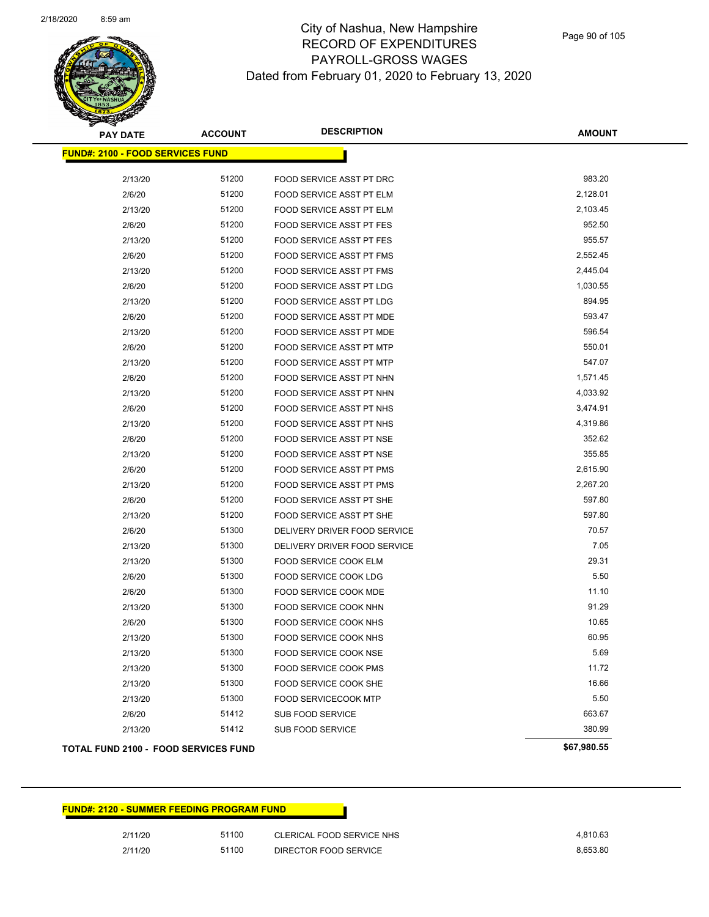| <b>PAY DATE</b>                         | <b>ACCOUNT</b> | <b>DESCRIPTION</b>              | <b>AMOUNT</b>        |
|-----------------------------------------|----------------|---------------------------------|----------------------|
| <b>FUND#: 2100 - FOOD SERVICES FUND</b> |                |                                 |                      |
| 2/13/20                                 | 51200          | FOOD SERVICE ASST PT DRC        | 983.20               |
| 2/6/20                                  | 51200          | <b>FOOD SERVICE ASST PT ELM</b> | 2,128.01             |
| 2/13/20                                 | 51200          | FOOD SERVICE ASST PT ELM        | 2,103.45             |
| 2/6/20                                  | 51200          | <b>FOOD SERVICE ASST PT FES</b> | 952.50               |
| 2/13/20                                 | 51200          | <b>FOOD SERVICE ASST PT FES</b> | 955.57               |
|                                         | 51200          |                                 | 2,552.45             |
| 2/6/20                                  | 51200          | FOOD SERVICE ASST PT FMS        |                      |
| 2/13/20                                 | 51200          | FOOD SERVICE ASST PT FMS        | 2,445.04<br>1,030.55 |
| 2/6/20                                  |                | <b>FOOD SERVICE ASST PT LDG</b> |                      |
| 2/13/20                                 | 51200          | FOOD SERVICE ASST PT LDG        | 894.95               |
| 2/6/20                                  | 51200          | FOOD SERVICE ASST PT MDE        | 593.47               |
| 2/13/20                                 | 51200          | FOOD SERVICE ASST PT MDE        | 596.54               |
| 2/6/20                                  | 51200          | FOOD SERVICE ASST PT MTP        | 550.01               |
| 2/13/20                                 | 51200          | <b>FOOD SERVICE ASST PT MTP</b> | 547.07               |
| 2/6/20                                  | 51200          | FOOD SERVICE ASST PT NHN        | 1,571.45             |
| 2/13/20                                 | 51200          | FOOD SERVICE ASST PT NHN        | 4,033.92             |
| 2/6/20                                  | 51200          | FOOD SERVICE ASST PT NHS        | 3,474.91             |
| 2/13/20                                 | 51200          | <b>FOOD SERVICE ASST PT NHS</b> | 4,319.86             |
| 2/6/20                                  | 51200          | FOOD SERVICE ASST PT NSE        | 352.62               |
| 2/13/20                                 | 51200          | FOOD SERVICE ASST PT NSE        | 355.85               |
| 2/6/20                                  | 51200          | FOOD SERVICE ASST PT PMS        | 2,615.90             |
| 2/13/20                                 | 51200          | FOOD SERVICE ASST PT PMS        | 2,267.20             |
| 2/6/20                                  | 51200          | FOOD SERVICE ASST PT SHE        | 597.80               |
| 2/13/20                                 | 51200          | FOOD SERVICE ASST PT SHE        | 597.80               |
| 2/6/20                                  | 51300          | DELIVERY DRIVER FOOD SERVICE    | 70.57                |
| 2/13/20                                 | 51300          | DELIVERY DRIVER FOOD SERVICE    | 7.05                 |
| 2/13/20                                 | 51300          | FOOD SERVICE COOK ELM           | 29.31                |
| 2/6/20                                  | 51300          | FOOD SERVICE COOK LDG           | 5.50                 |
| 2/6/20                                  | 51300          | <b>FOOD SERVICE COOK MDE</b>    | 11.10                |
| 2/13/20                                 | 51300          | FOOD SERVICE COOK NHN           | 91.29                |
| 2/6/20                                  | 51300          | FOOD SERVICE COOK NHS           | 10.65                |
| 2/13/20                                 | 51300          | FOOD SERVICE COOK NHS           | 60.95                |
| 2/13/20                                 | 51300          | FOOD SERVICE COOK NSE           | 5.69                 |
| 2/13/20                                 | 51300          | FOOD SERVICE COOK PMS           | 11.72                |
| 2/13/20                                 | 51300          | <b>FOOD SERVICE COOK SHE</b>    | 16.66                |
| 2/13/20                                 | 51300          | <b>FOOD SERVICECOOK MTP</b>     | 5.50                 |
| 2/6/20                                  | 51412          | SUB FOOD SERVICE                | 663.67               |
| 2/13/20                                 | 51412          | SUB FOOD SERVICE                | 380.99               |
| TOTAL FUND 2100 - FOOD SERVICES FUND    |                |                                 | \$67,980.55          |

| <b>FUND#: 2120 - SUMMER FEEDING PROGRAM FUND</b> |       |                           |          |
|--------------------------------------------------|-------|---------------------------|----------|
| 2/11/20                                          | 51100 | CLERICAL FOOD SERVICE NHS | 4.810.63 |
| 2/11/20                                          | 51100 | DIRECTOR FOOD SERVICE     | 8.653.80 |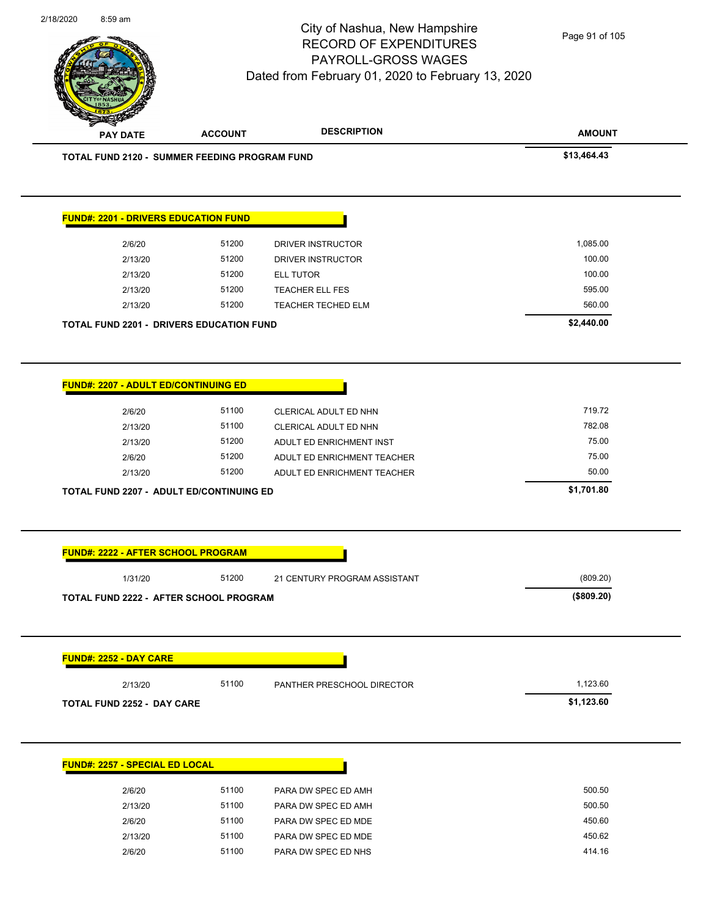| 2/6/20                                                                                                               | 51200 | DRIVER INSTRUCTOR            | 1,085.00               |
|----------------------------------------------------------------------------------------------------------------------|-------|------------------------------|------------------------|
| 2/13/20                                                                                                              | 51200 | <b>DRIVER INSTRUCTOR</b>     | 100.00                 |
| 2/13/20                                                                                                              | 51200 | <b>ELL TUTOR</b>             | 100.00                 |
| 2/13/20                                                                                                              | 51200 | TEACHER ELL FES              | 595.00                 |
| 2/13/20                                                                                                              | 51200 | TEACHER TECHED ELM           | 560.00                 |
| <b>TOTAL FUND 2201 - DRIVERS EDUCATION FUND</b>                                                                      |       |                              | \$2,440.00             |
| <b>FUND#: 2207 - ADULT ED/CONTINUING ED</b>                                                                          |       |                              |                        |
| 2/6/20                                                                                                               | 51100 | CLERICAL ADULT ED NHN        | 719.72                 |
| 2/13/20                                                                                                              | 51100 | CLERICAL ADULT ED NHN        | 782.08                 |
| 2/13/20                                                                                                              | 51200 | ADULT ED ENRICHMENT INST     | 75.00                  |
| 2/6/20                                                                                                               | 51200 | ADULT ED ENRICHMENT TEACHER  | 75.00                  |
| 2/13/20                                                                                                              | 51200 | ADULT ED ENRICHMENT TEACHER  | 50.00                  |
| <b>TOTAL FUND 2207 - ADULT ED/CONTINUING ED</b>                                                                      |       |                              | \$1,701.80             |
|                                                                                                                      |       |                              |                        |
|                                                                                                                      |       |                              |                        |
| 1/31/20                                                                                                              | 51200 | 21 CENTURY PROGRAM ASSISTANT | (809.20)<br>(\$809.20) |
| <b>FUND#: 2222 - AFTER SCHOOL PROGRAM</b><br>TOTAL FUND 2222 - AFTER SCHOOL PROGRAM<br><b>FUND#: 2252 - DAY CARE</b> |       |                              |                        |
| 2/13/20                                                                                                              | 51100 | PANTHER PRESCHOOL DIRECTOR   | 1,123.60               |
|                                                                                                                      |       |                              | \$1,123.60             |
|                                                                                                                      |       |                              |                        |
| TOTAL FUND 2252 - DAY CARE<br><b>FUND#: 2257 - SPECIAL ED LOCAL</b>                                                  |       |                              |                        |
| 2/6/20                                                                                                               | 51100 | PARA DW SPEC ED AMH          | 500.50                 |
| 2/13/20                                                                                                              | 51100 | PARA DW SPEC ED AMH          | 500.50                 |
| 2/6/20                                                                                                               | 51100 | PARA DW SPEC ED MDE          | 450.60                 |
| 2/13/20                                                                                                              | 51100 | PARA DW SPEC ED MDE          | 450.62                 |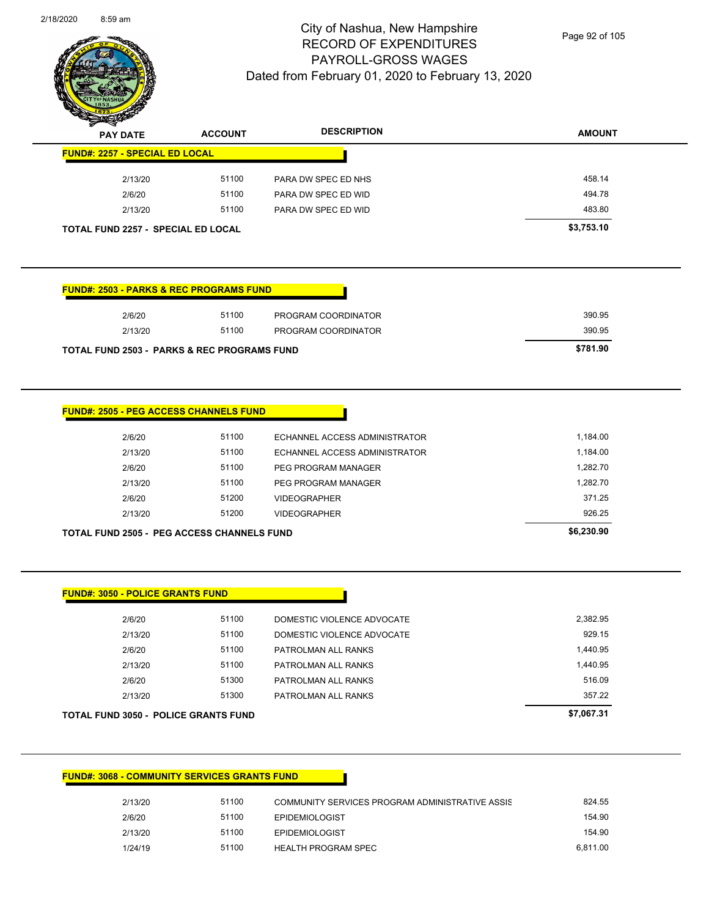

Page 92 of 105

| $\mathscr{D} \mathscr{A}$<br><b>PAY DATE</b> | <b>ACCOUNT</b> | <b>DESCRIPTION</b>  | <b>AMOUNT</b> |
|----------------------------------------------|----------------|---------------------|---------------|
| <b>FUND#: 2257 - SPECIAL ED LOCAL</b>        |                |                     |               |
| 2/13/20                                      | 51100          | PARA DW SPEC ED NHS | 458.14        |
| 2/6/20                                       | 51100          | PARA DW SPEC ED WID | 494.78        |
| 2/13/20                                      | 51100          | PARA DW SPEC ED WID | 483.80        |
| <b>TOTAL FUND 2257 - SPECIAL ED LOCAL</b>    |                |                     | \$3,753.10    |

#### **FUND#: 2503 - PARKS & REC PROGRAMS FUND**

| 2/13/20<br><b>TOTAL FUND 2503 - PARKS &amp; REC PROGRAMS FUND</b> | 51100 | PROGRAM COORDINATOR | 390.95<br>\$781.90 |
|-------------------------------------------------------------------|-------|---------------------|--------------------|
| 2/6/20                                                            | 51100 | PROGRAM COORDINATOR | 390.95             |

#### **FUND#: 2505 - PEG ACCESS CHANNELS FUND**

| <b>TOTAL FUND 2505 - PEG ACCESS CHANNELS FUND</b> | \$6,230,90 |       |                               |          |
|---------------------------------------------------|------------|-------|-------------------------------|----------|
|                                                   | 2/13/20    | 51200 | <b>VIDEOGRAPHER</b>           | 926.25   |
|                                                   | 2/6/20     | 51200 | <b>VIDEOGRAPHER</b>           | 371.25   |
|                                                   | 2/13/20    | 51100 | PEG PROGRAM MANAGER           | 1.282.70 |
|                                                   | 2/6/20     | 51100 | PEG PROGRAM MANAGER           | 1.282.70 |
|                                                   | 2/13/20    | 51100 | ECHANNEL ACCESS ADMINISTRATOR | 1.184.00 |
|                                                   | 2/6/20     | 51100 | ECHANNEL ACCESS ADMINISTRATOR | 1,184.00 |
|                                                   |            |       |                               |          |

**FUND#: 3050 - POLICE GRANTS FUND**

| TOTAL FUND 3050 - POLICE GRANTS FUND |       |                            | \$7,067.31 |
|--------------------------------------|-------|----------------------------|------------|
| 2/13/20                              | 51300 | PATROLMAN ALL RANKS        | 357.22     |
| 2/6/20                               | 51300 | PATROLMAN ALL RANKS        | 516.09     |
| 2/13/20                              | 51100 | PATROLMAN ALL RANKS        | 1,440.95   |
| 2/6/20                               | 51100 | PATROLMAN ALL RANKS        | 1,440.95   |
| 2/13/20                              | 51100 | DOMESTIC VIOLENCE ADVOCATE | 929.15     |
| 2/6/20                               | 51100 | DOMESTIC VIOLENCE ADVOCATE | 2.382.95   |
|                                      |       |                            |            |

#### **FUND#: 3068 - COMMUNITY SERVICES GRANTS FUND**

| 2/13/20 | 51100 | COMMUNITY SERVICES PROGRAM ADMINISTRATIVE ASSIS | 824.55   |
|---------|-------|-------------------------------------------------|----------|
| 2/6/20  | 51100 | <b>EPIDEMIOLOGIST</b>                           | 154.90   |
| 2/13/20 | 51100 | <b>EPIDEMIOLOGIST</b>                           | 154.90   |
| 1/24/19 | 51100 | HEALTH PROGRAM SPEC                             | 6.811.00 |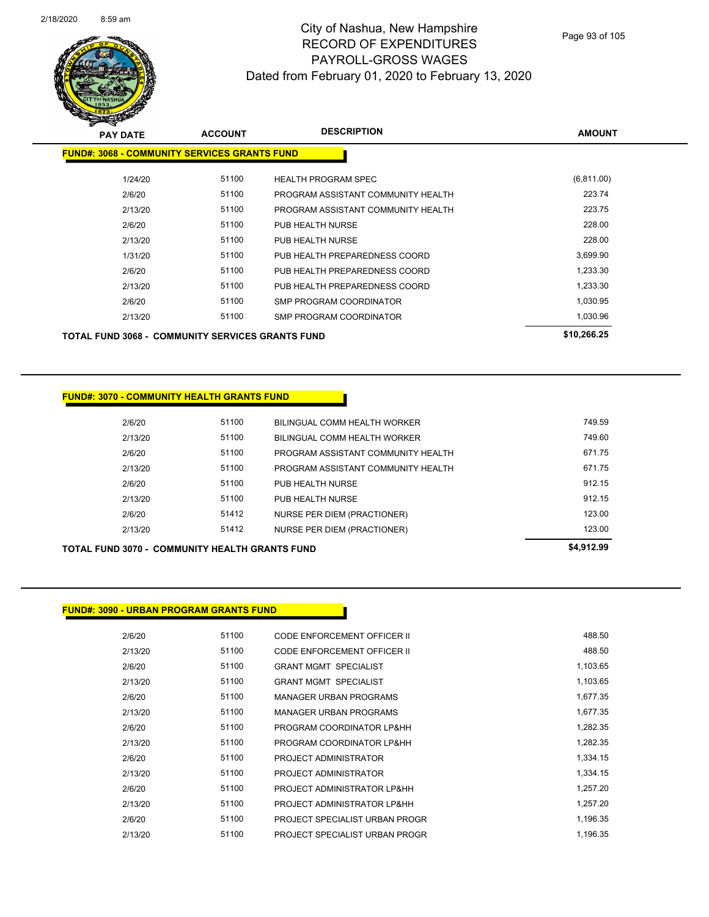

Page 93 of 105

| $\sim$<br><b>PAY DATE</b>                               | <b>ACCOUNT</b> | <b>DESCRIPTION</b>                 | <b>AMOUNT</b> |
|---------------------------------------------------------|----------------|------------------------------------|---------------|
| <b>FUND#: 3068 - COMMUNITY SERVICES GRANTS FUND</b>     |                |                                    |               |
| 1/24/20                                                 | 51100          | <b>HEALTH PROGRAM SPEC</b>         | (6,811.00)    |
| 2/6/20                                                  | 51100          | PROGRAM ASSISTANT COMMUNITY HEALTH | 223.74        |
| 2/13/20                                                 | 51100          | PROGRAM ASSISTANT COMMUNITY HEALTH | 223.75        |
| 2/6/20                                                  | 51100          | PUB HEALTH NURSE                   | 228.00        |
| 2/13/20                                                 | 51100          | PUB HEALTH NURSE                   | 228.00        |
| 1/31/20                                                 | 51100          | PUB HEALTH PREPAREDNESS COORD      | 3,699.90      |
| 2/6/20                                                  | 51100          | PUB HEALTH PREPAREDNESS COORD      | 1,233.30      |
| 2/13/20                                                 | 51100          | PUB HEALTH PREPAREDNESS COORD      | 1,233.30      |
| 2/6/20                                                  | 51100          | <b>SMP PROGRAM COORDINATOR</b>     | 1,030.95      |
| 2/13/20                                                 | 51100          | SMP PROGRAM COORDINATOR            | 1,030.96      |
| <b>TOTAL FUND 3068 - COMMUNITY SERVICES GRANTS FUND</b> | \$10,266.25    |                                    |               |

#### **FUND#: 3070 - COMMUNITY HEALTH GRANTS FUND**

| 2/6/20  | 51100 | BILINGUAL COMM HEALTH WORKER       | 749.59 |
|---------|-------|------------------------------------|--------|
| 2/13/20 | 51100 | BILINGUAL COMM HEALTH WORKER       | 749.60 |
| 2/6/20  | 51100 | PROGRAM ASSISTANT COMMUNITY HEALTH | 671.75 |
| 2/13/20 | 51100 | PROGRAM ASSISTANT COMMUNITY HEALTH | 671.75 |
| 2/6/20  | 51100 | PUB HEALTH NURSE                   | 912.15 |
| 2/13/20 | 51100 | PUB HEALTH NURSE                   | 912.15 |
| 2/6/20  | 51412 | NURSE PER DIEM (PRACTIONER)        | 123.00 |
| 2/13/20 | 51412 | NURSE PER DIEM (PRACTIONER)        | 123.00 |
|         |       |                                    |        |

#### **TOTAL FUND 3070 - COMMUNITY HEALTH GRANTS FUND \$4,912.99**

**FUND#: 3090 - URBAN PROGRAM GRANTS FUND**

| 2/13/20 | <b>DUTTC</b> | BILINGUAL COMM HEALTH WORKER       | 749. |
|---------|--------------|------------------------------------|------|
| 2/6/20  | 51100        | PROGRAM ASSISTANT COMMUNITY HEALTH | 671. |
| 2/13/20 | 51100        | PROGRAM ASSISTANT COMMUNITY HEALTH | 671. |
| 2/6/20  | 51100        | PUB HEALTH NURSE                   | 912. |
| 2/13/20 | 51100        | PUB HEALTH NURSE                   | 912. |
| 2/6/20  | 51412        | <b>NURSE PER DIEM (PRACTIONER)</b> | 123. |
| 2/13/20 | 51412        | <b>NURSE PER DIEM (PRACTIONER)</b> | 123. |
|         |              |                                    |      |

| 2/6/20  | 51100 | CODE ENFORCEMENT OFFICER II    | 488.50   |
|---------|-------|--------------------------------|----------|
| 2/13/20 | 51100 | CODE ENFORCEMENT OFFICER II    | 488.50   |
| 2/6/20  | 51100 | <b>GRANT MGMT SPECIALIST</b>   | 1,103.65 |
| 2/13/20 | 51100 | <b>GRANT MGMT SPECIALIST</b>   | 1,103.65 |
| 2/6/20  | 51100 | <b>MANAGER URBAN PROGRAMS</b>  | 1,677.35 |
| 2/13/20 | 51100 | <b>MANAGER URBAN PROGRAMS</b>  | 1,677.35 |
| 2/6/20  | 51100 | PROGRAM COORDINATOR LP&HH      | 1,282.35 |
| 2/13/20 | 51100 | PROGRAM COORDINATOR LP&HH      | 1,282.35 |
| 2/6/20  | 51100 | PROJECT ADMINISTRATOR          | 1,334.15 |
| 2/13/20 | 51100 | PROJECT ADMINISTRATOR          | 1,334.15 |
| 2/6/20  | 51100 | PROJECT ADMINISTRATOR LP&HH    | 1,257.20 |
| 2/13/20 | 51100 | PROJECT ADMINISTRATOR LP&HH    | 1,257.20 |
| 2/6/20  | 51100 | PROJECT SPECIALIST URBAN PROGR | 1,196.35 |
| 2/13/20 | 51100 | PROJECT SPECIALIST URBAN PROGR | 1,196.35 |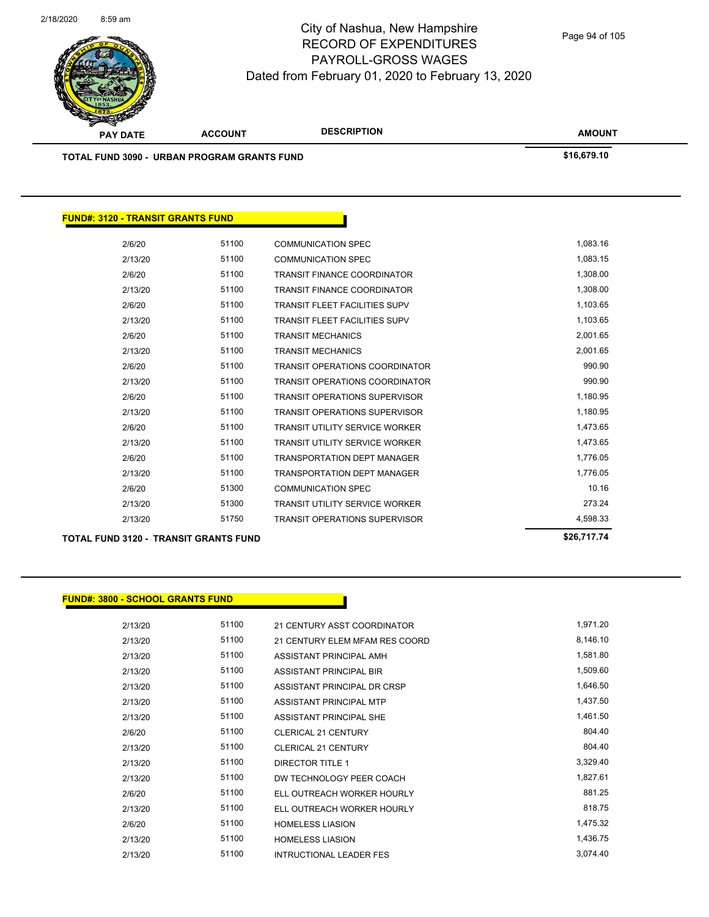

| <b>PAY DATE</b>                                    | <b>ACCOUNT</b> | <b>DESCRIPTION</b>                    | <b>AMOUNT</b> |  |
|----------------------------------------------------|----------------|---------------------------------------|---------------|--|
| <b>TOTAL FUND 3090 - URBAN PROGRAM GRANTS FUND</b> |                |                                       | \$16,679.10   |  |
|                                                    |                |                                       |               |  |
| <b>FUND#: 3120 - TRANSIT GRANTS FUND</b>           |                |                                       |               |  |
| 2/6/20                                             | 51100          | <b>COMMUNICATION SPEC</b>             | 1,083.16      |  |
| 2/13/20                                            | 51100          | <b>COMMUNICATION SPEC</b>             | 1,083.15      |  |
| 2/6/20                                             | 51100          | <b>TRANSIT FINANCE COORDINATOR</b>    | 1,308.00      |  |
| 2/13/20                                            | 51100          | <b>TRANSIT FINANCE COORDINATOR</b>    | 1,308.00      |  |
| 2/6/20                                             | 51100          | <b>TRANSIT FLEET FACILITIES SUPV</b>  | 1,103.65      |  |
| 2/13/20                                            | 51100          | <b>TRANSIT FLEET FACILITIES SUPV</b>  | 1,103.65      |  |
| 2/6/20                                             | 51100          | <b>TRANSIT MECHANICS</b>              | 2,001.65      |  |
| 2/13/20                                            | 51100          | <b>TRANSIT MECHANICS</b>              | 2,001.65      |  |
| 2/6/20                                             | 51100          | <b>TRANSIT OPERATIONS COORDINATOR</b> | 990.90        |  |
| 2/13/20                                            | 51100          | <b>TRANSIT OPERATIONS COORDINATOR</b> | 990.90        |  |
| 2/6/20                                             | 51100          | <b>TRANSIT OPERATIONS SUPERVISOR</b>  | 1,180.95      |  |
| 2/13/20                                            | 51100          | <b>TRANSIT OPERATIONS SUPERVISOR</b>  | 1,180.95      |  |
| 2/6/20                                             | 51100          | <b>TRANSIT UTILITY SERVICE WORKER</b> | 1,473.65      |  |
| 2/13/20                                            | 51100          | <b>TRANSIT UTILITY SERVICE WORKER</b> | 1,473.65      |  |
| 2/6/20                                             | 51100          | <b>TRANSPORTATION DEPT MANAGER</b>    | 1,776.05      |  |
| 2/13/20                                            | 51100          | <b>TRANSPORTATION DEPT MANAGER</b>    | 1,776.05      |  |
| 2/6/20                                             | 51300          | <b>COMMUNICATION SPEC</b>             | 10.16         |  |
| 2/13/20                                            | 51300          | <b>TRANSIT UTILITY SERVICE WORKER</b> | 273.24        |  |

2/13/20 51750 TRANSIT OPERATIONS SUPERVISOR 6133 4,598.33

**TOTAL FUND 3120 - TRANSIT GRANTS FUND \$26,717.74** 

#### **FUND#: 3800 - SCHOOL GRANTS FUND**

| 2/13/20 | 51100 | 21 CENTURY ASST COORDINATOR    | 1,971.20 |
|---------|-------|--------------------------------|----------|
| 2/13/20 | 51100 | 21 CENTURY ELEM MFAM RES COORD | 8,146.10 |
| 2/13/20 | 51100 | ASSISTANT PRINCIPAL AMH        | 1,581.80 |
| 2/13/20 | 51100 | ASSISTANT PRINCIPAL BIR        | 1,509.60 |
| 2/13/20 | 51100 | ASSISTANT PRINCIPAL DR CRSP    | 1,646.50 |
| 2/13/20 | 51100 | ASSISTANT PRINCIPAL MTP        | 1,437.50 |
| 2/13/20 | 51100 | ASSISTANT PRINCIPAL SHE        | 1,461.50 |
| 2/6/20  | 51100 | <b>CLERICAL 21 CENTURY</b>     | 804.40   |
| 2/13/20 | 51100 | <b>CLERICAL 21 CENTURY</b>     | 804.40   |
| 2/13/20 | 51100 | <b>DIRECTOR TITLE 1</b>        | 3,329.40 |
| 2/13/20 | 51100 | DW TECHNOLOGY PEER COACH       | 1,827.61 |
| 2/6/20  | 51100 | ELL OUTREACH WORKER HOURLY     | 881.25   |
| 2/13/20 | 51100 | ELL OUTREACH WORKER HOURLY     | 818.75   |
| 2/6/20  | 51100 | <b>HOMELESS LIASION</b>        | 1,475.32 |
| 2/13/20 | 51100 | <b>HOMELESS LIASION</b>        | 1,436.75 |
| 2/13/20 | 51100 | <b>INTRUCTIONAL LEADER FES</b> | 3,074.40 |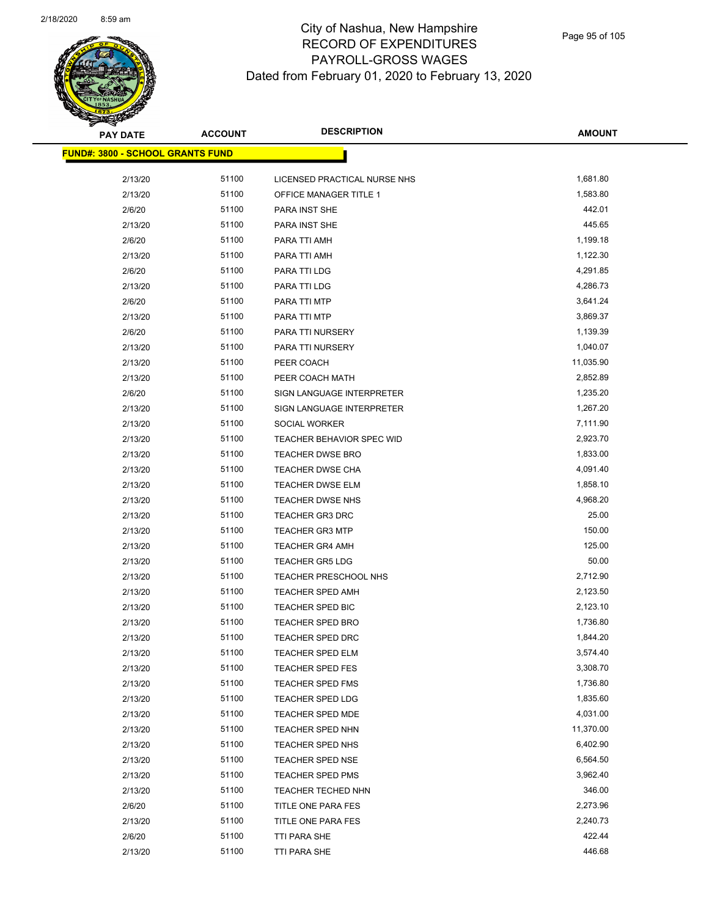

| <b>PAY DATE</b>                         | <b>ACCOUNT</b> | <b>DESCRIPTION</b>                      | <b>AMOUNT</b>        |
|-----------------------------------------|----------------|-----------------------------------------|----------------------|
| <b>FUND#: 3800 - SCHOOL GRANTS FUND</b> |                |                                         |                      |
|                                         |                |                                         |                      |
| 2/13/20                                 | 51100<br>51100 | LICENSED PRACTICAL NURSE NHS            | 1,681.80<br>1,583.80 |
| 2/13/20                                 | 51100          | OFFICE MANAGER TITLE 1<br>PARA INST SHE | 442.01               |
| 2/6/20<br>2/13/20                       | 51100          | PARA INST SHE                           | 445.65               |
| 2/6/20                                  | 51100          | PARA TTI AMH                            | 1,199.18             |
|                                         | 51100          |                                         | 1,122.30             |
| 2/13/20                                 | 51100          | PARA TTI AMH                            |                      |
| 2/6/20                                  |                | PARA TTI LDG                            | 4,291.85<br>4,286.73 |
| 2/13/20                                 | 51100          | PARA TTI LDG                            |                      |
| 2/6/20                                  | 51100          | PARA TTI MTP                            | 3,641.24             |
| 2/13/20                                 | 51100          | PARA TTI MTP                            | 3,869.37             |
| 2/6/20                                  | 51100          | PARA TTI NURSERY                        | 1,139.39             |
| 2/13/20                                 | 51100          | PARA TTI NURSERY                        | 1,040.07             |
| 2/13/20                                 | 51100          | PEER COACH                              | 11,035.90            |
| 2/13/20                                 | 51100          | PEER COACH MATH                         | 2,852.89             |
| 2/6/20                                  | 51100          | SIGN LANGUAGE INTERPRETER               | 1,235.20             |
| 2/13/20                                 | 51100          | SIGN LANGUAGE INTERPRETER               | 1,267.20             |
| 2/13/20                                 | 51100          | SOCIAL WORKER                           | 7,111.90             |
| 2/13/20                                 | 51100          | TEACHER BEHAVIOR SPEC WID               | 2,923.70             |
| 2/13/20                                 | 51100          | TEACHER DWSE BRO                        | 1,833.00             |
| 2/13/20                                 | 51100          | <b>TEACHER DWSE CHA</b>                 | 4,091.40             |
| 2/13/20                                 | 51100          | <b>TEACHER DWSE ELM</b>                 | 1,858.10             |
| 2/13/20                                 | 51100          | <b>TEACHER DWSE NHS</b>                 | 4,968.20             |
| 2/13/20                                 | 51100          | TEACHER GR3 DRC                         | 25.00                |
| 2/13/20                                 | 51100          | <b>TEACHER GR3 MTP</b>                  | 150.00               |
| 2/13/20                                 | 51100          | <b>TEACHER GR4 AMH</b>                  | 125.00               |
| 2/13/20                                 | 51100          | <b>TEACHER GR5 LDG</b>                  | 50.00                |
| 2/13/20                                 | 51100          | TEACHER PRESCHOOL NHS                   | 2,712.90             |
| 2/13/20                                 | 51100          | <b>TEACHER SPED AMH</b>                 | 2,123.50             |
| 2/13/20                                 | 51100          | TEACHER SPED BIC                        | 2,123.10             |
| 2/13/20                                 | 51100          | TEACHER SPED BRO                        | 1,736.80             |
| 2/13/20                                 | 51100          | <b>TEACHER SPED DRC</b>                 | 1,844.20             |
| 2/13/20                                 | 51100          | TEACHER SPED ELM                        | 3,574.40             |
| 2/13/20                                 | 51100          | <b>TEACHER SPED FES</b>                 | 3,308.70             |
| 2/13/20                                 | 51100          | TEACHER SPED FMS                        | 1,736.80             |
| 2/13/20                                 | 51100          | TEACHER SPED LDG                        | 1,835.60             |
| 2/13/20                                 | 51100          | TEACHER SPED MDE                        | 4,031.00             |
| 2/13/20                                 | 51100          | <b>TEACHER SPED NHN</b>                 | 11,370.00            |
| 2/13/20                                 | 51100          | TEACHER SPED NHS                        | 6,402.90             |
| 2/13/20                                 | 51100          | TEACHER SPED NSE                        | 6,564.50             |
| 2/13/20                                 | 51100          | TEACHER SPED PMS                        | 3,962.40             |
| 2/13/20                                 | 51100          | TEACHER TECHED NHN                      | 346.00               |
| 2/6/20                                  | 51100          | TITLE ONE PARA FES                      | 2,273.96             |
| 2/13/20                                 | 51100          | TITLE ONE PARA FES                      | 2,240.73             |
| 2/6/20                                  | 51100          | TTI PARA SHE                            | 422.44               |
| 2/13/20                                 | 51100          | TTI PARA SHE                            | 446.68               |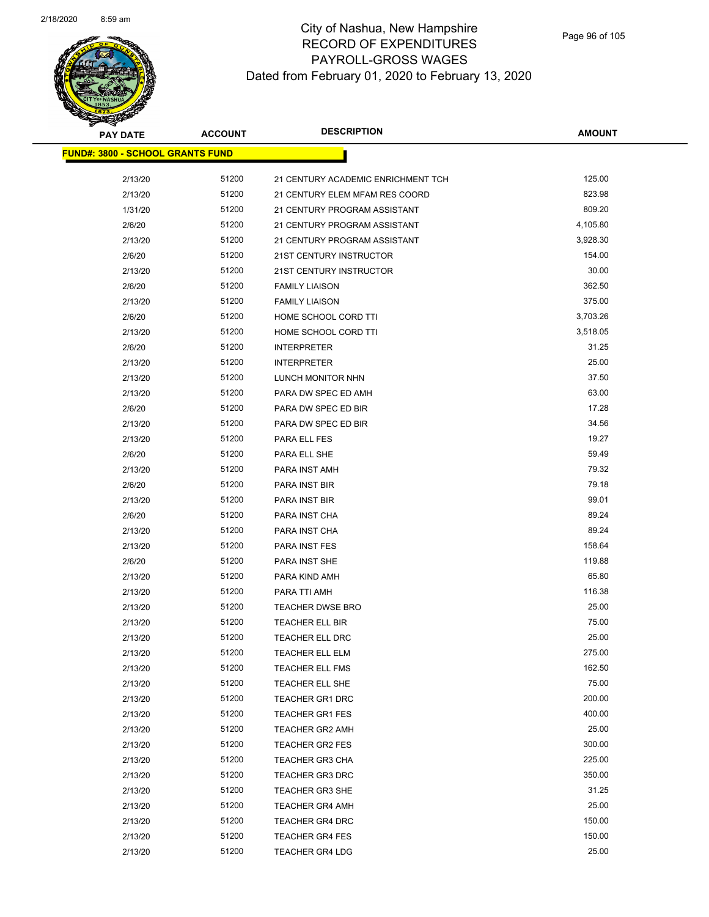

| <b>PAY DATE</b>                         | <b>ACCOUNT</b> | <b>DESCRIPTION</b>                 | <b>AMOUNT</b> |
|-----------------------------------------|----------------|------------------------------------|---------------|
| <b>FUND#: 3800 - SCHOOL GRANTS FUND</b> |                |                                    |               |
| 2/13/20                                 | 51200          | 21 CENTURY ACADEMIC ENRICHMENT TCH | 125.00        |
| 2/13/20                                 | 51200          | 21 CENTURY ELEM MFAM RES COORD     | 823.98        |
| 1/31/20                                 | 51200          | 21 CENTURY PROGRAM ASSISTANT       | 809.20        |
| 2/6/20                                  | 51200          | 21 CENTURY PROGRAM ASSISTANT       | 4,105.80      |
| 2/13/20                                 | 51200          | 21 CENTURY PROGRAM ASSISTANT       | 3,928.30      |
| 2/6/20                                  | 51200          | 21ST CENTURY INSTRUCTOR            | 154.00        |
| 2/13/20                                 | 51200          | 21ST CENTURY INSTRUCTOR            | 30.00         |
| 2/6/20                                  | 51200          | <b>FAMILY LIAISON</b>              | 362.50        |
| 2/13/20                                 | 51200          | <b>FAMILY LIAISON</b>              | 375.00        |
| 2/6/20                                  | 51200          | HOME SCHOOL CORD TTI               | 3,703.26      |
| 2/13/20                                 | 51200          | HOME SCHOOL CORD TTI               | 3,518.05      |
| 2/6/20                                  | 51200          | <b>INTERPRETER</b>                 | 31.25         |
| 2/13/20                                 | 51200          | <b>INTERPRETER</b>                 | 25.00         |
| 2/13/20                                 | 51200          | LUNCH MONITOR NHN                  | 37.50         |
| 2/13/20                                 | 51200          | PARA DW SPEC ED AMH                | 63.00         |
| 2/6/20                                  | 51200          | PARA DW SPEC ED BIR                | 17.28         |
| 2/13/20                                 | 51200          | PARA DW SPEC ED BIR                | 34.56         |
| 2/13/20                                 | 51200          | PARA ELL FES                       | 19.27         |
| 2/6/20                                  | 51200          | PARA ELL SHE                       | 59.49         |
| 2/13/20                                 | 51200          | PARA INST AMH                      | 79.32         |
| 2/6/20                                  | 51200          | PARA INST BIR                      | 79.18         |
| 2/13/20                                 | 51200          | PARA INST BIR                      | 99.01         |
| 2/6/20                                  | 51200          | PARA INST CHA                      | 89.24         |
| 2/13/20                                 | 51200          | PARA INST CHA                      | 89.24         |
| 2/13/20                                 | 51200          | <b>PARA INST FES</b>               | 158.64        |
| 2/6/20                                  | 51200          | PARA INST SHE                      | 119.88        |
| 2/13/20                                 | 51200          | PARA KIND AMH                      | 65.80         |
| 2/13/20                                 | 51200          | PARA TTI AMH                       | 116.38        |
| 2/13/20                                 | 51200          | TEACHER DWSE BRO                   | 25.00         |
| 2/13/20                                 | 51200          | TEACHER ELL BIR                    | 75.00         |
| 2/13/20                                 | 51200          | <b>TEACHER ELL DRC</b>             | 25.00         |
| 2/13/20                                 | 51200          | TEACHER ELL ELM                    | 275.00        |
| 2/13/20                                 | 51200          | TEACHER ELL FMS                    | 162.50        |
| 2/13/20                                 | 51200          | TEACHER ELL SHE                    | 75.00         |
| 2/13/20                                 | 51200          | <b>TEACHER GR1 DRC</b>             | 200.00        |
| 2/13/20                                 | 51200          | <b>TEACHER GR1 FES</b>             | 400.00        |
| 2/13/20                                 | 51200          | <b>TEACHER GR2 AMH</b>             | 25.00         |
| 2/13/20                                 | 51200          | <b>TEACHER GR2 FES</b>             | 300.00        |
| 2/13/20                                 | 51200          | TEACHER GR3 CHA                    | 225.00        |
| 2/13/20                                 | 51200          | <b>TEACHER GR3 DRC</b>             | 350.00        |
| 2/13/20                                 | 51200          | <b>TEACHER GR3 SHE</b>             | 31.25         |
| 2/13/20                                 | 51200          | <b>TEACHER GR4 AMH</b>             | 25.00         |
| 2/13/20                                 | 51200          | <b>TEACHER GR4 DRC</b>             | 150.00        |
| 2/13/20                                 | 51200          | <b>TEACHER GR4 FES</b>             | 150.00        |
| 2/13/20                                 | 51200          | <b>TEACHER GR4 LDG</b>             | 25.00         |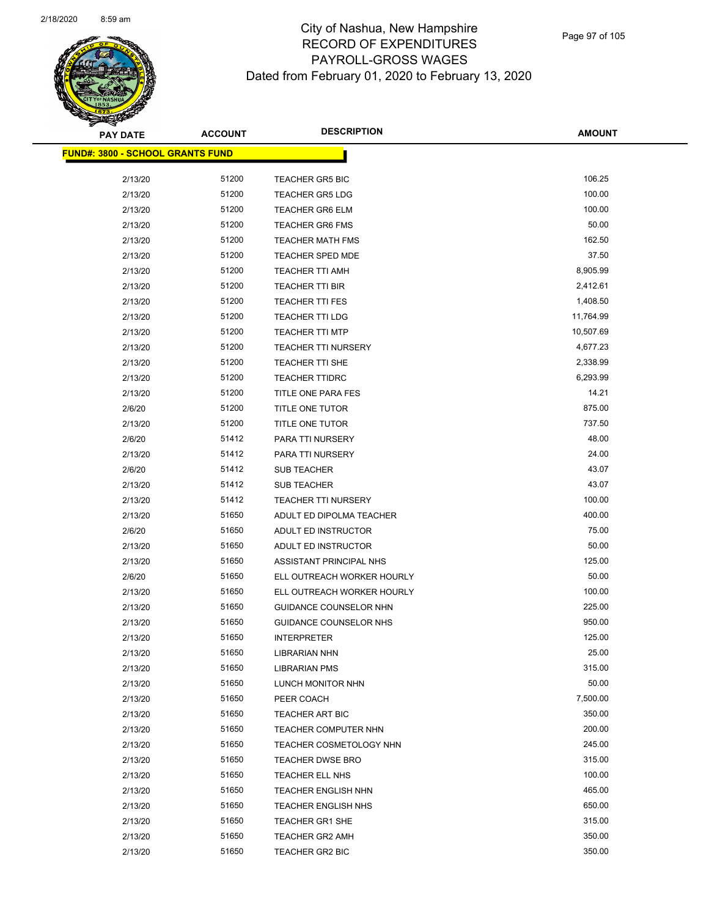| <b>PAY DATE</b>                          | <b>ACCOUNT</b> | <b>DESCRIPTION</b>             | <b>AMOUNT</b> |
|------------------------------------------|----------------|--------------------------------|---------------|
| <u> FUND#: 3800 - SCHOOL GRANTS FUND</u> |                |                                |               |
|                                          |                |                                |               |
| 2/13/20                                  | 51200          | <b>TEACHER GR5 BIC</b>         | 106.25        |
| 2/13/20                                  | 51200          | <b>TEACHER GR5 LDG</b>         | 100.00        |
| 2/13/20                                  | 51200          | <b>TEACHER GR6 ELM</b>         | 100.00        |
| 2/13/20                                  | 51200          | <b>TEACHER GR6 FMS</b>         | 50.00         |
| 2/13/20                                  | 51200          | <b>TEACHER MATH FMS</b>        | 162.50        |
| 2/13/20                                  | 51200          | TEACHER SPED MDE               | 37.50         |
| 2/13/20                                  | 51200          | <b>TEACHER TTI AMH</b>         | 8,905.99      |
| 2/13/20                                  | 51200          | <b>TEACHER TTI BIR</b>         | 2,412.61      |
| 2/13/20                                  | 51200          | <b>TEACHER TTI FES</b>         | 1,408.50      |
| 2/13/20                                  | 51200          | <b>TEACHER TTI LDG</b>         | 11,764.99     |
| 2/13/20                                  | 51200          | <b>TEACHER TTI MTP</b>         | 10,507.69     |
| 2/13/20                                  | 51200          | <b>TEACHER TTI NURSERY</b>     | 4,677.23      |
| 2/13/20                                  | 51200          | <b>TEACHER TTI SHE</b>         | 2,338.99      |
| 2/13/20                                  | 51200          | <b>TEACHER TTIDRC</b>          | 6,293.99      |
| 2/13/20                                  | 51200          | TITLE ONE PARA FES             | 14.21         |
| 2/6/20                                   | 51200          | TITLE ONE TUTOR                | 875.00        |
| 2/13/20                                  | 51200          | TITLE ONE TUTOR                | 737.50        |
| 2/6/20                                   | 51412          | PARA TTI NURSERY               | 48.00         |
| 2/13/20                                  | 51412          | PARA TTI NURSERY               | 24.00         |
| 2/6/20                                   | 51412          | SUB TEACHER                    | 43.07         |
| 2/13/20                                  | 51412          | SUB TEACHER                    | 43.07         |
| 2/13/20                                  | 51412          | <b>TEACHER TTI NURSERY</b>     | 100.00        |
| 2/13/20                                  | 51650          | ADULT ED DIPOLMA TEACHER       | 400.00        |
| 2/6/20                                   | 51650          | ADULT ED INSTRUCTOR            | 75.00         |
| 2/13/20                                  | 51650          | ADULT ED INSTRUCTOR            | 50.00         |
| 2/13/20                                  | 51650          | ASSISTANT PRINCIPAL NHS        | 125.00        |
| 2/6/20                                   | 51650          | ELL OUTREACH WORKER HOURLY     | 50.00         |
| 2/13/20                                  | 51650          | ELL OUTREACH WORKER HOURLY     | 100.00        |
| 2/13/20                                  | 51650          | GUIDANCE COUNSELOR NHN         | 225.00        |
| 2/13/20                                  | 51650          | GUIDANCE COUNSELOR NHS         | 950.00        |
| 2/13/20                                  | 51650          | <b>INTERPRETER</b>             | 125.00        |
| 2/13/20                                  | 51650          | <b>LIBRARIAN NHN</b>           | 25.00         |
| 2/13/20                                  | 51650          | <b>LIBRARIAN PMS</b>           | 315.00        |
| 2/13/20                                  | 51650          | LUNCH MONITOR NHN              | 50.00         |
| 2/13/20                                  | 51650          | PEER COACH                     | 7,500.00      |
| 2/13/20                                  | 51650          | <b>TEACHER ART BIC</b>         | 350.00        |
| 2/13/20                                  | 51650          | TEACHER COMPUTER NHN           | 200.00        |
| 2/13/20                                  | 51650          | <b>TEACHER COSMETOLOGY NHN</b> | 245.00        |
| 2/13/20                                  | 51650          | <b>TEACHER DWSE BRO</b>        | 315.00        |
| 2/13/20                                  | 51650          | TEACHER ELL NHS                | 100.00        |
| 2/13/20                                  | 51650          | <b>TEACHER ENGLISH NHN</b>     | 465.00        |
| 2/13/20                                  | 51650          | <b>TEACHER ENGLISH NHS</b>     | 650.00        |
| 2/13/20                                  | 51650          | <b>TEACHER GR1 SHE</b>         | 315.00        |
| 2/13/20                                  | 51650          | <b>TEACHER GR2 AMH</b>         | 350.00        |
| 2/13/20                                  | 51650          | TEACHER GR2 BIC                | 350.00        |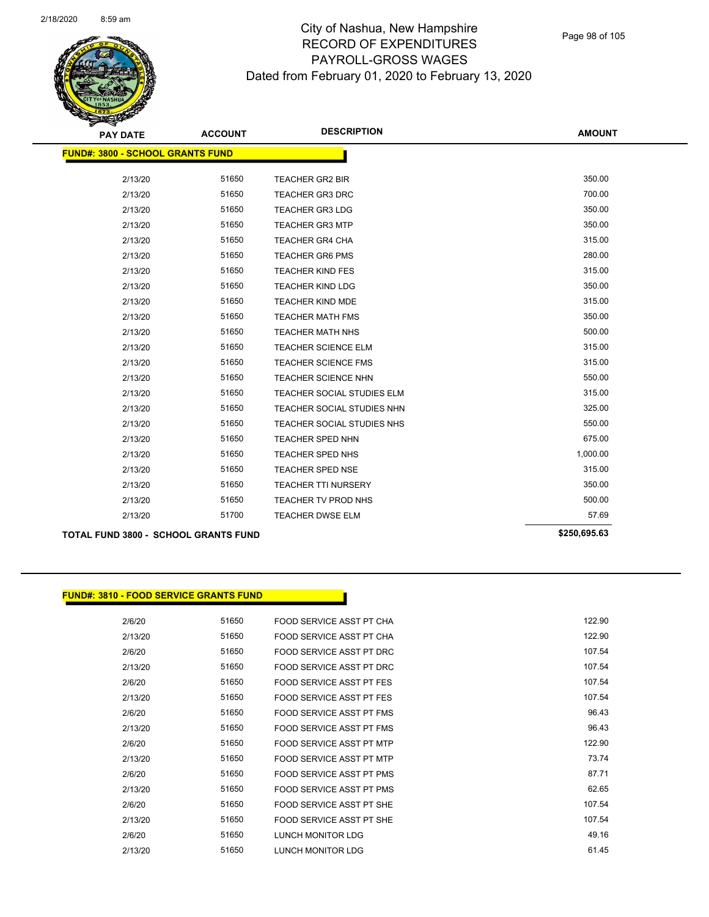Page 98 of 105

| <b>PAY DATE</b>                      | <b>ACCOUNT</b>                          | <b>DESCRIPTION</b>         | <b>AMOUNT</b> |  |  |  |  |
|--------------------------------------|-----------------------------------------|----------------------------|---------------|--|--|--|--|
|                                      | <b>FUND#: 3800 - SCHOOL GRANTS FUND</b> |                            |               |  |  |  |  |
|                                      |                                         |                            |               |  |  |  |  |
| 2/13/20                              | 51650                                   | <b>TEACHER GR2 BIR</b>     | 350.00        |  |  |  |  |
| 2/13/20                              | 51650                                   | <b>TEACHER GR3 DRC</b>     | 700.00        |  |  |  |  |
| 2/13/20                              | 51650                                   | <b>TEACHER GR3 LDG</b>     | 350.00        |  |  |  |  |
| 2/13/20                              | 51650                                   | <b>TEACHER GR3 MTP</b>     | 350.00        |  |  |  |  |
| 2/13/20                              | 51650                                   | <b>TEACHER GR4 CHA</b>     | 315.00        |  |  |  |  |
| 2/13/20                              | 51650                                   | <b>TEACHER GR6 PMS</b>     | 280.00        |  |  |  |  |
| 2/13/20                              | 51650                                   | <b>TEACHER KIND FES</b>    | 315.00        |  |  |  |  |
| 2/13/20                              | 51650                                   | <b>TEACHER KIND LDG</b>    | 350.00        |  |  |  |  |
| 2/13/20                              | 51650                                   | <b>TEACHER KIND MDE</b>    | 315.00        |  |  |  |  |
| 2/13/20                              | 51650                                   | <b>TEACHER MATH FMS</b>    | 350.00        |  |  |  |  |
| 2/13/20                              | 51650                                   | <b>TEACHER MATH NHS</b>    | 500.00        |  |  |  |  |
| 2/13/20                              | 51650                                   | <b>TEACHER SCIENCE ELM</b> | 315.00        |  |  |  |  |
| 2/13/20                              | 51650                                   | <b>TEACHER SCIENCE FMS</b> | 315.00        |  |  |  |  |
| 2/13/20                              | 51650                                   | <b>TEACHER SCIENCE NHN</b> | 550.00        |  |  |  |  |
| 2/13/20                              | 51650                                   | TEACHER SOCIAL STUDIES ELM | 315.00        |  |  |  |  |
| 2/13/20                              | 51650                                   | TEACHER SOCIAL STUDIES NHN | 325.00        |  |  |  |  |
| 2/13/20                              | 51650                                   | TEACHER SOCIAL STUDIES NHS | 550.00        |  |  |  |  |
| 2/13/20                              | 51650                                   | <b>TEACHER SPED NHN</b>    | 675.00        |  |  |  |  |
| 2/13/20                              | 51650                                   | <b>TEACHER SPED NHS</b>    | 1,000.00      |  |  |  |  |
| 2/13/20                              | 51650                                   | <b>TEACHER SPED NSE</b>    | 315.00        |  |  |  |  |
| 2/13/20                              | 51650                                   | TEACHER TTI NURSERY        | 350.00        |  |  |  |  |
| 2/13/20                              | 51650                                   | TEACHER TV PROD NHS        | 500.00        |  |  |  |  |
| 2/13/20                              | 51700                                   | <b>TEACHER DWSE ELM</b>    | 57.69         |  |  |  |  |
| TOTAL FUND 3800 - SCHOOL GRANTS FUND |                                         |                            | \$250,695.63  |  |  |  |  |

#### **FUND#: 3810 - FOOD SERVICE GRANTS FUND**

2/6/20 51650 FOOD SERVICE ASST PT CHA 122.90 2/13/20 51650 FOOD SERVICE ASST PT CHA 122.90 2/6/20 51650 FOOD SERVICE ASST PT DRC 107.54 2/13/20 51650 FOOD SERVICE ASST PT DRC 107.54 2/6/20 51650 FOOD SERVICE ASST PT FES 107.54 2/13/20 51650 FOOD SERVICE ASST PT FES 107.54 2/6/20 51650 FOOD SERVICE ASST PT FMS 96.43 2/13/20 51650 FOOD SERVICE ASST PT FMS 66.43 2/6/20 51650 FOOD SERVICE ASST PT MTP 122.90 2/13/20 51650 FOOD SERVICE ASST PT MTP 73.74 2/6/20 51650 FOOD SERVICE ASST PT PMS 67.71 2/13/20 51650 FOOD SERVICE ASST PT PMS 62.65 2/6/20 51650 FOOD SERVICE ASST PT SHE 107.54 2/13/20 51650 FOOD SERVICE ASST PT SHE 107.54 2/6/20 51650 LUNCH MONITOR LDG 49.16 2/13/20 51650 LUNCH MONITOR LDG 61.45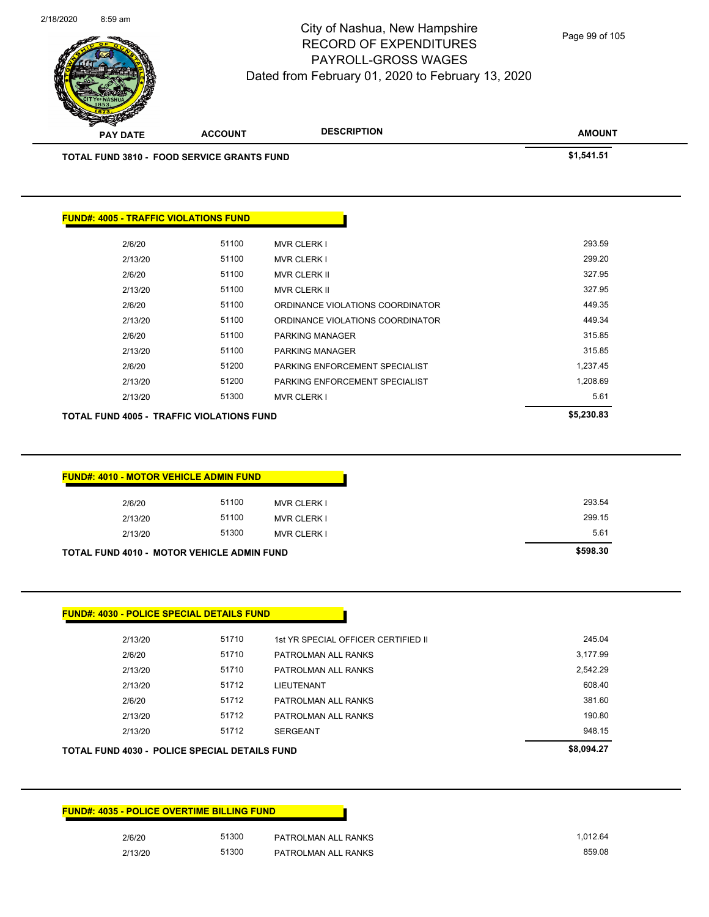| ,012.64 | PATROLMAN ALL RANKS | 51300 | 2/6/20  |
|---------|---------------------|-------|---------|
| 859.08  | PATROLMAN ALL RANKS | 51300 | 2/13/20 |

| <b>TOTAL FUND 4030 - POLICE SPECIAL DETAILS FUND</b> | \$8,094.27 |                     |          |
|------------------------------------------------------|------------|---------------------|----------|
| 2/13/20                                              | 51712      | <b>SERGEANT</b>     | 948.15   |
| 2/13/20                                              | 51712      | PATROLMAN ALL RANKS | 190.80   |
| 2/6/20                                               | 51712      | PATROLMAN ALL RANKS | 381.60   |
| 2/13/20                                              | 51712      | <b>LIEUTENANT</b>   | 608.40   |
| 2/13/20                                              | 51710      | PATROLMAN ALL RANKS | 2,542.29 |
| 2/6/20                                               |            | PATROLMAN ALL RANKS | 3,177.99 |

2/13/20 51710 1st YR SPECIAL OFFICER CERTIFIED II 245.04

| 2/13/20                                           | 51100 | MVR CLERK I | 299.15   |
|---------------------------------------------------|-------|-------------|----------|
| 2/13/20                                           | 51300 | MVR CLERK I | 5.61     |
| <b>TOTAL FUND 4010 - MOTOR VEHICLE ADMIN FUND</b> |       |             | \$598.30 |
|                                                   |       |             |          |

|         | <b>FUND#: 4010 - MOTOR VEHICLE ADMIN FUND</b> |                         |
|---------|-----------------------------------------------|-------------------------|
| 2/6/20  | 51100                                         | <b>MVR CLERK I</b>      |
| 2/13/20 | 51100                                         | <b>MVR CLERK I</b>      |
| 0142100 | E4200                                         | $MN \cap \cap L \cap L$ |

|         | <b>FUND#: 4005 - TRAFFIC VIOLATIONS FUND</b> |                                  |          |
|---------|----------------------------------------------|----------------------------------|----------|
| 2/6/20  | 51100                                        | <b>MVR CLERK I</b>               | 293.59   |
| 2/13/20 | 51100                                        | <b>MVR CLERK I</b>               | 299.20   |
| 2/6/20  | 51100                                        | <b>MVR CLERK II</b>              | 327.95   |
| 2/13/20 | 51100                                        | <b>MVR CLERK II</b>              | 327.95   |
| 2/6/20  | 51100                                        | ORDINANCE VIOLATIONS COORDINATOR | 449.35   |
| 2/13/20 | 51100                                        | ORDINANCE VIOLATIONS COORDINATOR | 449.34   |
| 2/6/20  | 51100                                        | <b>PARKING MANAGER</b>           | 315.85   |
| 2/13/20 | 51100                                        | <b>PARKING MANAGER</b>           | 315.85   |
| 2/6/20  | 51200                                        | PARKING ENFORCEMENT SPECIALIST   | 1,237.45 |
| 2/13/20 | 51200                                        | PARKING ENFORCEMENT SPECIALIST   | 1,208.69 |
| 2/13/20 | 51300                                        | <b>MVR CLERK I</b>               | 5.61     |



**FUND#: 4030 - POLICE SPECIAL DETAILS FUND**

**FUND#: 4035 - POLICE OVERTIME BILLING FUND**

2/18/2020 8:59 am

#### City of Nashua, New Hampshire RECORD OF EXPENDITURES PAYROLL-GROSS WAGES Dated from February 01, 2020 to February 13, 2020

**AMOUNT**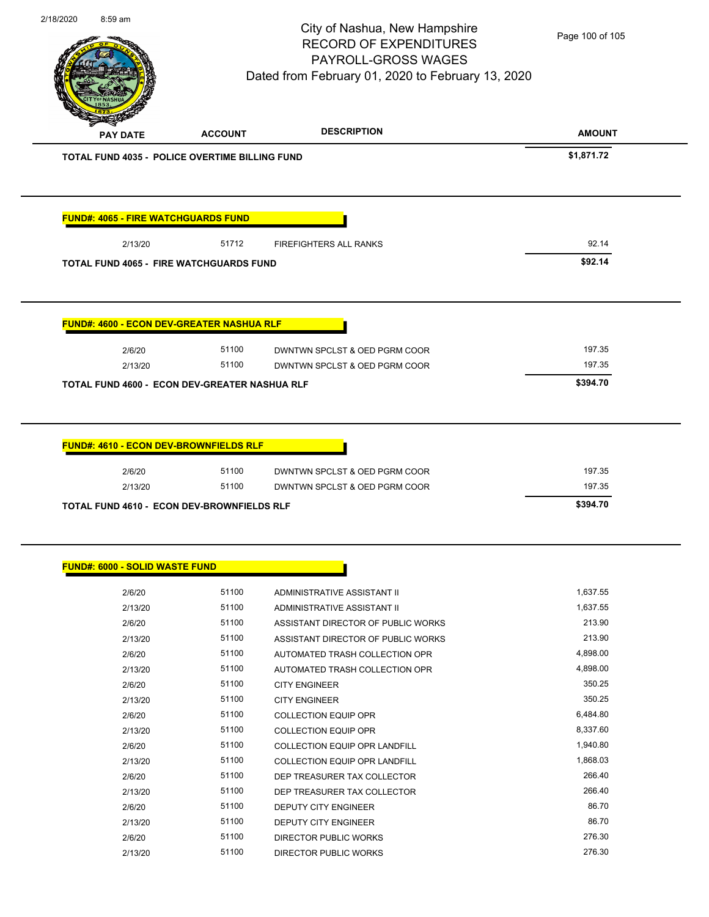|                                                  | <b>FUND#: 4065 - FIRE WATCHGUARDS FUND</b> |                               |                  |
|--------------------------------------------------|--------------------------------------------|-------------------------------|------------------|
| 2/13/20                                          | 51712                                      | <b>FIREFIGHTERS ALL RANKS</b> | 92.14            |
| <b>TOTAL FUND 4065 - FIRE WATCHGUARDS FUND</b>   |                                            |                               | \$92.14          |
|                                                  |                                            |                               |                  |
|                                                  |                                            |                               |                  |
|                                                  |                                            |                               |                  |
| <b>FUND#: 4600 - ECON DEV-GREATER NASHUA RLF</b> |                                            |                               |                  |
| 2/6/20                                           | 51100                                      | DWNTWN SPCLST & OED PGRM COOR | 197.35           |
|                                                  |                                            |                               | 197.35           |
|                                                  |                                            |                               |                  |
| 2/13/20                                          | 51100                                      | DWNTWN SPCLST & OED PGRM COOR |                  |
|                                                  |                                            |                               | \$394.70         |
|                                                  |                                            |                               |                  |
| TOTAL FUND 4600 - ECON DEV-GREATER NASHUA RLF    |                                            |                               |                  |
|                                                  |                                            |                               |                  |
| FUND#: 4610 - ECON DEV-BROWNFIELDS RLF           |                                            |                               |                  |
|                                                  |                                            |                               |                  |
| 2/6/20                                           | 51100                                      | DWNTWN SPCLST & OED PGRM COOR | 197.35<br>197.35 |

| <b>FUND#: 6000 - SOLID WASTE FUND</b> |       |                                      |          |
|---------------------------------------|-------|--------------------------------------|----------|
|                                       |       |                                      |          |
| 2/6/20                                | 51100 | ADMINISTRATIVE ASSISTANT II          | 1,637.55 |
| 2/13/20                               | 51100 | ADMINISTRATIVE ASSISTANT II          | 1,637.55 |
| 2/6/20                                | 51100 | ASSISTANT DIRECTOR OF PUBLIC WORKS   | 213.90   |
| 2/13/20                               | 51100 | ASSISTANT DIRECTOR OF PUBLIC WORKS   | 213.90   |
| 2/6/20                                | 51100 | AUTOMATED TRASH COLLECTION OPR       | 4,898.00 |
| 2/13/20                               | 51100 | AUTOMATED TRASH COLLECTION OPR       | 4,898.00 |
| 2/6/20                                | 51100 | <b>CITY ENGINEER</b>                 | 350.25   |
| 2/13/20                               | 51100 | <b>CITY ENGINEER</b>                 | 350.25   |
| 2/6/20                                | 51100 | <b>COLLECTION EQUIP OPR</b>          | 6,484.80 |
| 2/13/20                               | 51100 | <b>COLLECTION EQUIP OPR</b>          | 8,337.60 |
| 2/6/20                                | 51100 | <b>COLLECTION EQUIP OPR LANDFILL</b> | 1,940.80 |
| 2/13/20                               | 51100 | <b>COLLECTION EQUIP OPR LANDFILL</b> | 1,868.03 |
| 2/6/20                                | 51100 | DEP TREASURER TAX COLLECTOR          | 266.40   |
| 2/13/20                               | 51100 | DEP TREASURER TAX COLLECTOR          | 266.40   |
| 2/6/20                                | 51100 | <b>DEPUTY CITY ENGINEER</b>          | 86.70    |
| 2/13/20                               | 51100 | <b>DEPUTY CITY ENGINEER</b>          | 86.70    |
| 2/6/20                                | 51100 | <b>DIRECTOR PUBLIC WORKS</b>         | 276.30   |
| 2/13/20                               | 51100 | DIRECTOR PUBLIC WORKS                | 276.30   |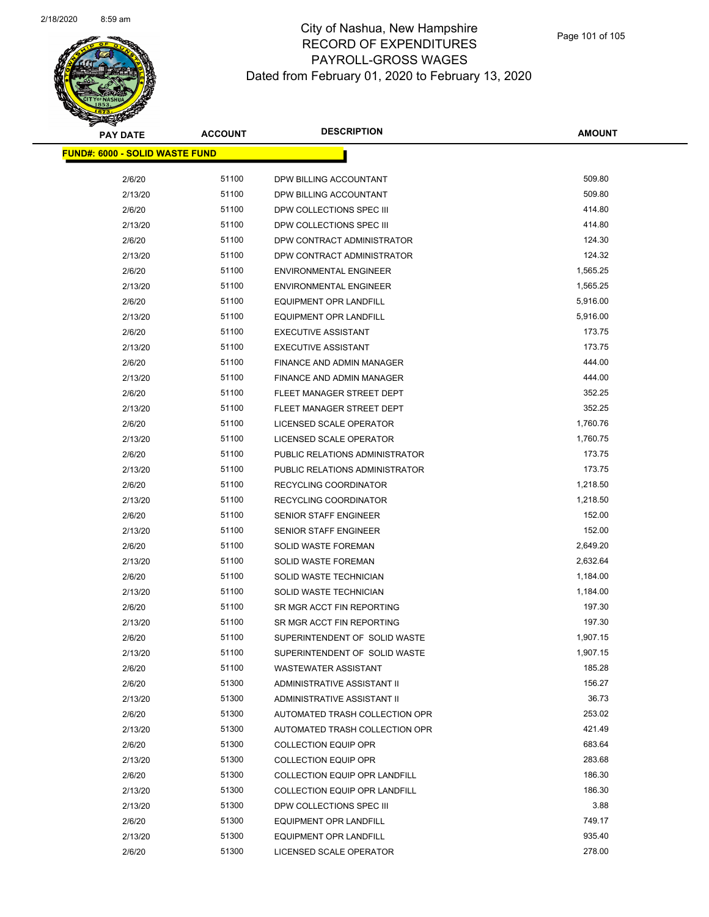| <b>PAY DATE</b>                        | <b>ACCOUNT</b> | <b>DESCRIPTION</b>                   | <b>AMOUNT</b> |
|----------------------------------------|----------------|--------------------------------------|---------------|
| <u> FUND#: 6000 - SOLID WASTE FUND</u> |                |                                      |               |
|                                        |                |                                      | 509.80        |
| 2/6/20                                 | 51100<br>51100 | DPW BILLING ACCOUNTANT               | 509.80        |
| 2/13/20                                | 51100          | DPW BILLING ACCOUNTANT               | 414.80        |
| 2/6/20                                 | 51100          | DPW COLLECTIONS SPEC III             | 414.80        |
| 2/13/20                                | 51100          | DPW COLLECTIONS SPEC III             | 124.30        |
| 2/6/20                                 |                | DPW CONTRACT ADMINISTRATOR           |               |
| 2/13/20                                | 51100          | DPW CONTRACT ADMINISTRATOR           | 124.32        |
| 2/6/20                                 | 51100          | ENVIRONMENTAL ENGINEER               | 1,565.25      |
| 2/13/20                                | 51100          | <b>ENVIRONMENTAL ENGINEER</b>        | 1,565.25      |
| 2/6/20                                 | 51100          | <b>EQUIPMENT OPR LANDFILL</b>        | 5,916.00      |
| 2/13/20                                | 51100          | <b>EQUIPMENT OPR LANDFILL</b>        | 5,916.00      |
| 2/6/20                                 | 51100          | <b>EXECUTIVE ASSISTANT</b>           | 173.75        |
| 2/13/20                                | 51100          | <b>EXECUTIVE ASSISTANT</b>           | 173.75        |
| 2/6/20                                 | 51100          | FINANCE AND ADMIN MANAGER            | 444.00        |
| 2/13/20                                | 51100          | FINANCE AND ADMIN MANAGER            | 444.00        |
| 2/6/20                                 | 51100          | FLEET MANAGER STREET DEPT            | 352.25        |
| 2/13/20                                | 51100          | FLEET MANAGER STREET DEPT            | 352.25        |
| 2/6/20                                 | 51100          | LICENSED SCALE OPERATOR              | 1,760.76      |
| 2/13/20                                | 51100          | LICENSED SCALE OPERATOR              | 1,760.75      |
| 2/6/20                                 | 51100          | PUBLIC RELATIONS ADMINISTRATOR       | 173.75        |
| 2/13/20                                | 51100          | PUBLIC RELATIONS ADMINISTRATOR       | 173.75        |
| 2/6/20                                 | 51100          | RECYCLING COORDINATOR                | 1,218.50      |
| 2/13/20                                | 51100          | RECYCLING COORDINATOR                | 1,218.50      |
| 2/6/20                                 | 51100          | SENIOR STAFF ENGINEER                | 152.00        |
| 2/13/20                                | 51100          | SENIOR STAFF ENGINEER                | 152.00        |
| 2/6/20                                 | 51100          | <b>SOLID WASTE FOREMAN</b>           | 2,649.20      |
| 2/13/20                                | 51100          | SOLID WASTE FOREMAN                  | 2,632.64      |
| 2/6/20                                 | 51100          | SOLID WASTE TECHNICIAN               | 1,184.00      |
| 2/13/20                                | 51100          | SOLID WASTE TECHNICIAN               | 1,184.00      |
| 2/6/20                                 | 51100          | SR MGR ACCT FIN REPORTING            | 197.30        |
| 2/13/20                                | 51100          | SR MGR ACCT FIN REPORTING            | 197.30        |
| 2/6/20                                 | 51100          | SUPERINTENDENT OF SOLID WASTE        | 1,907.15      |
| 2/13/20                                | 51100          | SUPERINTENDENT OF SOLID WASTE        | 1,907.15      |
| 2/6/20                                 | 51100          | <b>WASTEWATER ASSISTANT</b>          | 185.28        |
| 2/6/20                                 | 51300          | ADMINISTRATIVE ASSISTANT II          | 156.27        |
| 2/13/20                                | 51300          | ADMINISTRATIVE ASSISTANT II          | 36.73         |
| 2/6/20                                 | 51300          | AUTOMATED TRASH COLLECTION OPR       | 253.02        |
| 2/13/20                                | 51300          | AUTOMATED TRASH COLLECTION OPR       | 421.49        |
| 2/6/20                                 | 51300          | <b>COLLECTION EQUIP OPR</b>          | 683.64        |
| 2/13/20                                | 51300          | <b>COLLECTION EQUIP OPR</b>          | 283.68        |
| 2/6/20                                 | 51300          | <b>COLLECTION EQUIP OPR LANDFILL</b> | 186.30        |
| 2/13/20                                | 51300          | COLLECTION EQUIP OPR LANDFILL        | 186.30        |
| 2/13/20                                | 51300          | DPW COLLECTIONS SPEC III             | 3.88          |
| 2/6/20                                 | 51300          | <b>EQUIPMENT OPR LANDFILL</b>        | 749.17        |
| 2/13/20                                | 51300          | <b>EQUIPMENT OPR LANDFILL</b>        | 935.40        |
| 2/6/20                                 | 51300          | LICENSED SCALE OPERATOR              | 278.00        |
|                                        |                |                                      |               |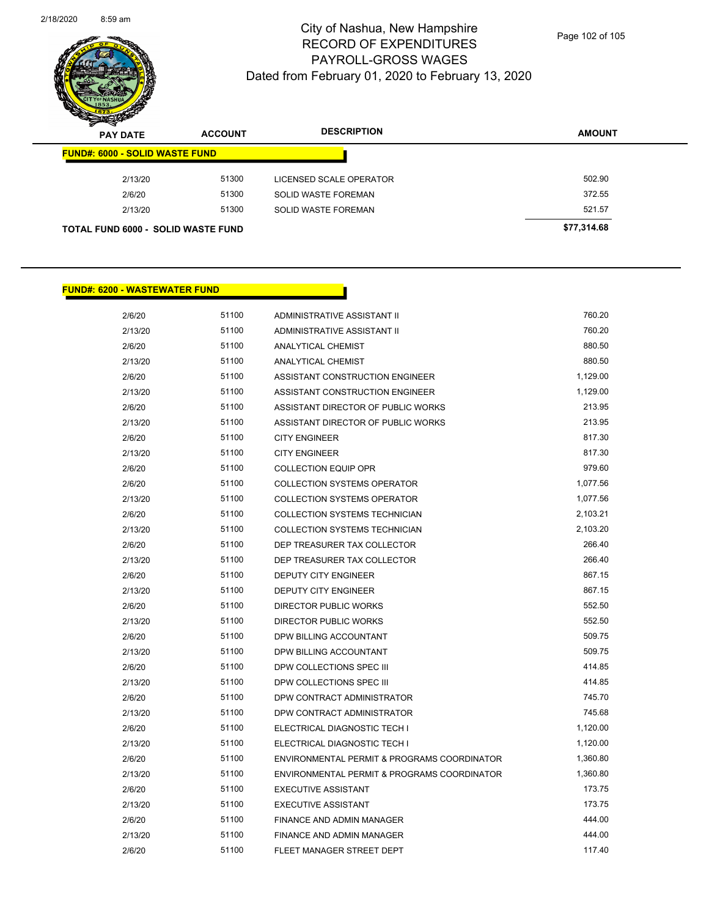

| s<br>$\mathbf{z}$<br><b>PAY DATE</b>  | <b>ACCOUNT</b> | <b>DESCRIPTION</b>      | <b>AMOUNT</b> |
|---------------------------------------|----------------|-------------------------|---------------|
| <b>FUND#: 6000 - SOLID WASTE FUND</b> |                |                         |               |
| 2/13/20                               | 51300          | LICENSED SCALE OPERATOR | 502.90        |
| 2/6/20                                | 51300          | SOLID WASTE FOREMAN     | 372.55        |
| 2/13/20                               | 51300          | SOLID WASTE FOREMAN     | 521.57        |
| TOTAL FUND 6000 - SOLID WASTE FUND    |                |                         | \$77,314.68   |

#### **FUND#: 6200 - WASTEWATER FUND**

| 2/6/20  | 51100 | ADMINISTRATIVE ASSISTANT II                 | 760.20   |
|---------|-------|---------------------------------------------|----------|
| 2/13/20 | 51100 | ADMINISTRATIVE ASSISTANT II                 | 760.20   |
| 2/6/20  | 51100 | <b>ANALYTICAL CHEMIST</b>                   | 880.50   |
| 2/13/20 | 51100 | <b>ANALYTICAL CHEMIST</b>                   | 880.50   |
| 2/6/20  | 51100 | ASSISTANT CONSTRUCTION ENGINEER             | 1,129.00 |
| 2/13/20 | 51100 | ASSISTANT CONSTRUCTION ENGINEER             | 1,129.00 |
| 2/6/20  | 51100 | ASSISTANT DIRECTOR OF PUBLIC WORKS          | 213.95   |
| 2/13/20 | 51100 | ASSISTANT DIRECTOR OF PUBLIC WORKS          | 213.95   |
| 2/6/20  | 51100 | <b>CITY ENGINEER</b>                        | 817.30   |
| 2/13/20 | 51100 | <b>CITY ENGINEER</b>                        | 817.30   |
| 2/6/20  | 51100 | <b>COLLECTION EQUIP OPR</b>                 | 979.60   |
| 2/6/20  | 51100 | <b>COLLECTION SYSTEMS OPERATOR</b>          | 1,077.56 |
| 2/13/20 | 51100 | <b>COLLECTION SYSTEMS OPERATOR</b>          | 1,077.56 |
| 2/6/20  | 51100 | COLLECTION SYSTEMS TECHNICIAN               | 2,103.21 |
| 2/13/20 | 51100 | COLLECTION SYSTEMS TECHNICIAN               | 2,103.20 |
| 2/6/20  | 51100 | DEP TREASURER TAX COLLECTOR                 | 266.40   |
| 2/13/20 | 51100 | DEP TREASURER TAX COLLECTOR                 | 266.40   |
| 2/6/20  | 51100 | <b>DEPUTY CITY ENGINEER</b>                 | 867.15   |
| 2/13/20 | 51100 | <b>DEPUTY CITY ENGINEER</b>                 | 867.15   |
| 2/6/20  | 51100 | <b>DIRECTOR PUBLIC WORKS</b>                | 552.50   |
| 2/13/20 | 51100 | DIRECTOR PUBLIC WORKS                       | 552.50   |
| 2/6/20  | 51100 | DPW BILLING ACCOUNTANT                      | 509.75   |
| 2/13/20 | 51100 | DPW BILLING ACCOUNTANT                      | 509.75   |
| 2/6/20  | 51100 | DPW COLLECTIONS SPEC III                    | 414.85   |
| 2/13/20 | 51100 | DPW COLLECTIONS SPEC III                    | 414.85   |
| 2/6/20  | 51100 | DPW CONTRACT ADMINISTRATOR                  | 745.70   |
| 2/13/20 | 51100 | DPW CONTRACT ADMINISTRATOR                  | 745.68   |
| 2/6/20  | 51100 | ELECTRICAL DIAGNOSTIC TECH I                | 1,120.00 |
| 2/13/20 | 51100 | ELECTRICAL DIAGNOSTIC TECH I                | 1,120.00 |
| 2/6/20  | 51100 | ENVIRONMENTAL PERMIT & PROGRAMS COORDINATOR | 1,360.80 |
| 2/13/20 | 51100 | ENVIRONMENTAL PERMIT & PROGRAMS COORDINATOR | 1,360.80 |
| 2/6/20  | 51100 | <b>EXECUTIVE ASSISTANT</b>                  | 173.75   |
| 2/13/20 | 51100 | <b>EXECUTIVE ASSISTANT</b>                  | 173.75   |
| 2/6/20  | 51100 | <b>FINANCE AND ADMIN MANAGER</b>            | 444.00   |
| 2/13/20 | 51100 | FINANCE AND ADMIN MANAGER                   | 444.00   |
| 2/6/20  | 51100 | FLEET MANAGER STREET DEPT                   | 117.40   |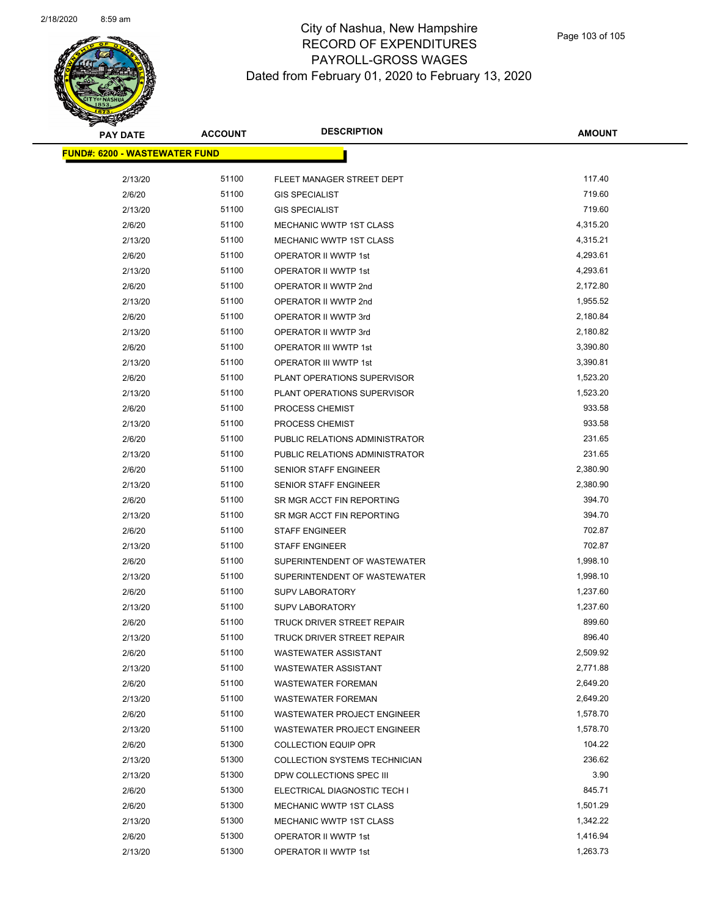| <b>PAY DATE</b>                       | <b>ACCOUNT</b> | <b>DESCRIPTION</b>             | <b>AMOUNT</b> |
|---------------------------------------|----------------|--------------------------------|---------------|
| <u> FUND#: 6200 - WASTEWATER FUND</u> |                |                                |               |
|                                       |                |                                |               |
| 2/13/20                               | 51100          | FLEET MANAGER STREET DEPT      | 117.40        |
| 2/6/20                                | 51100          | <b>GIS SPECIALIST</b>          | 719.60        |
| 2/13/20                               | 51100          | <b>GIS SPECIALIST</b>          | 719.60        |
| 2/6/20                                | 51100          | MECHANIC WWTP 1ST CLASS        | 4,315.20      |
| 2/13/20                               | 51100          | MECHANIC WWTP 1ST CLASS        | 4,315.21      |
| 2/6/20                                | 51100          | OPERATOR II WWTP 1st           | 4,293.61      |
| 2/13/20                               | 51100          | OPERATOR II WWTP 1st           | 4,293.61      |
| 2/6/20                                | 51100          | OPERATOR II WWTP 2nd           | 2,172.80      |
| 2/13/20                               | 51100          | OPERATOR II WWTP 2nd           | 1,955.52      |
| 2/6/20                                | 51100          | OPERATOR II WWTP 3rd           | 2,180.84      |
| 2/13/20                               | 51100          | OPERATOR II WWTP 3rd           | 2,180.82      |
| 2/6/20                                | 51100          | OPERATOR III WWTP 1st          | 3,390.80      |
| 2/13/20                               | 51100          | <b>OPERATOR III WWTP 1st</b>   | 3,390.81      |
| 2/6/20                                | 51100          | PLANT OPERATIONS SUPERVISOR    | 1,523.20      |
| 2/13/20                               | 51100          | PLANT OPERATIONS SUPERVISOR    | 1,523.20      |
| 2/6/20                                | 51100          | PROCESS CHEMIST                | 933.58        |
| 2/13/20                               | 51100          | PROCESS CHEMIST                | 933.58        |
| 2/6/20                                | 51100          | PUBLIC RELATIONS ADMINISTRATOR | 231.65        |
| 2/13/20                               | 51100          | PUBLIC RELATIONS ADMINISTRATOR | 231.65        |
| 2/6/20                                | 51100          | SENIOR STAFF ENGINEER          | 2,380.90      |
| 2/13/20                               | 51100          | SENIOR STAFF ENGINEER          | 2,380.90      |
| 2/6/20                                | 51100          | SR MGR ACCT FIN REPORTING      | 394.70        |
| 2/13/20                               | 51100          | SR MGR ACCT FIN REPORTING      | 394.70        |
| 2/6/20                                | 51100          | <b>STAFF ENGINEER</b>          | 702.87        |
| 2/13/20                               | 51100          | <b>STAFF ENGINEER</b>          | 702.87        |
| 2/6/20                                | 51100          | SUPERINTENDENT OF WASTEWATER   | 1,998.10      |
| 2/13/20                               | 51100          | SUPERINTENDENT OF WASTEWATER   | 1,998.10      |
| 2/6/20                                | 51100          | <b>SUPV LABORATORY</b>         | 1,237.60      |
| 2/13/20                               | 51100          | <b>SUPV LABORATORY</b>         | 1,237.60      |
| 2/6/20                                | 51100          | TRUCK DRIVER STREET REPAIR     | 899.60        |
| 2/13/20                               | 51100          | TRUCK DRIVER STREET REPAIR     | 896.40        |
| 2/6/20                                | 51100          | <b>WASTEWATER ASSISTANT</b>    | 2,509.92      |
| 2/13/20                               | 51100          | <b>WASTEWATER ASSISTANT</b>    | 2,771.88      |
| 2/6/20                                | 51100          | <b>WASTEWATER FOREMAN</b>      | 2,649.20      |
| 2/13/20                               | 51100          | <b>WASTEWATER FOREMAN</b>      | 2,649.20      |
| 2/6/20                                | 51100          | WASTEWATER PROJECT ENGINEER    | 1,578.70      |
| 2/13/20                               | 51100          | WASTEWATER PROJECT ENGINEER    | 1,578.70      |
| 2/6/20                                | 51300          | <b>COLLECTION EQUIP OPR</b>    | 104.22        |
| 2/13/20                               | 51300          | COLLECTION SYSTEMS TECHNICIAN  | 236.62        |
| 2/13/20                               | 51300          | DPW COLLECTIONS SPEC III       | 3.90          |
| 2/6/20                                | 51300          | ELECTRICAL DIAGNOSTIC TECH I   | 845.71        |
| 2/6/20                                | 51300          | MECHANIC WWTP 1ST CLASS        | 1,501.29      |
| 2/13/20                               | 51300          | <b>MECHANIC WWTP 1ST CLASS</b> | 1,342.22      |
| 2/6/20                                | 51300          | OPERATOR II WWTP 1st           | 1,416.94      |
| 2/13/20                               | 51300          | OPERATOR II WWTP 1st           | 1,263.73      |
|                                       |                |                                |               |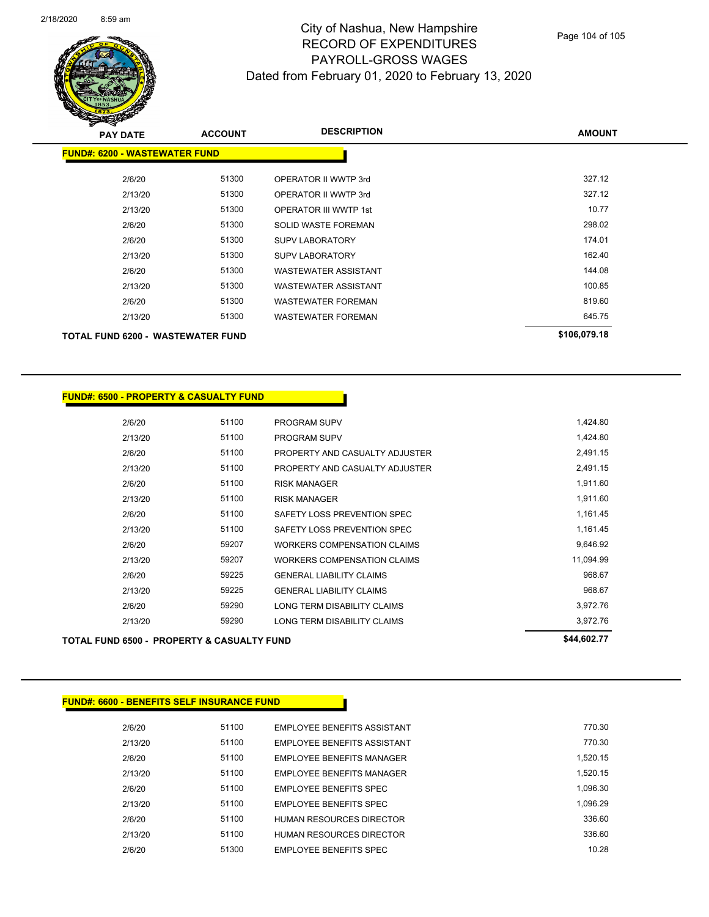

| <b>PAY DATE</b>                          | <b>ACCOUNT</b> | <b>DESCRIPTION</b>           | <b>AMOUNT</b> |
|------------------------------------------|----------------|------------------------------|---------------|
| <b>FUND#: 6200 - WASTEWATER FUND</b>     |                |                              |               |
| 2/6/20                                   | 51300          | OPERATOR II WWTP 3rd         | 327.12        |
| 2/13/20                                  | 51300          | OPERATOR II WWTP 3rd         | 327.12        |
| 2/13/20                                  | 51300          | <b>OPERATOR III WWTP 1st</b> | 10.77         |
| 2/6/20                                   | 51300          | SOLID WASTE FOREMAN          | 298.02        |
| 2/6/20                                   | 51300          | <b>SUPV LABORATORY</b>       | 174.01        |
| 2/13/20                                  | 51300          | <b>SUPV LABORATORY</b>       | 162.40        |
| 2/6/20                                   | 51300          | <b>WASTEWATER ASSISTANT</b>  | 144.08        |
| 2/13/20                                  | 51300          | <b>WASTEWATER ASSISTANT</b>  | 100.85        |
| 2/6/20                                   | 51300          | <b>WASTEWATER FOREMAN</b>    | 819.60        |
| 2/13/20                                  | 51300          | <b>WASTEWATER FOREMAN</b>    | 645.75        |
| <b>TOTAL FUND 6200 - WASTEWATER FUND</b> |                |                              | \$106,079.18  |

| <b>FUND#: 6500 - PROPERTY &amp; CASUALTY FUND</b>     |             |                                    |           |
|-------------------------------------------------------|-------------|------------------------------------|-----------|
|                                                       |             |                                    |           |
| 2/6/20                                                | 51100       | <b>PROGRAM SUPV</b>                | 1,424.80  |
| 2/13/20                                               | 51100       | <b>PROGRAM SUPV</b>                | 1,424.80  |
| 2/6/20                                                | 51100       | PROPERTY AND CASUALTY ADJUSTER     | 2,491.15  |
| 2/13/20                                               | 51100       | PROPERTY AND CASUALTY ADJUSTER     | 2,491.15  |
| 2/6/20                                                | 51100       | <b>RISK MANAGER</b>                | 1,911.60  |
| 2/13/20                                               | 51100       | <b>RISK MANAGER</b>                | 1,911.60  |
| 2/6/20                                                | 51100       | SAFETY LOSS PREVENTION SPEC        | 1,161.45  |
| 2/13/20                                               | 51100       | SAFETY LOSS PREVENTION SPEC        | 1,161.45  |
| 2/6/20                                                | 59207       | <b>WORKERS COMPENSATION CLAIMS</b> | 9,646.92  |
| 2/13/20                                               | 59207       | <b>WORKERS COMPENSATION CLAIMS</b> | 11,094.99 |
| 2/6/20                                                | 59225       | <b>GENERAL LIABILITY CLAIMS</b>    | 968.67    |
| 2/13/20                                               | 59225       | <b>GENERAL LIABILITY CLAIMS</b>    | 968.67    |
| 2/6/20                                                | 59290       | LONG TERM DISABILITY CLAIMS        | 3,972.76  |
| 2/13/20                                               | 59290       | LONG TERM DISABILITY CLAIMS        | 3,972.76  |
| <b>TOTAL FUND 6500 - PROPERTY &amp; CASUALTY FUND</b> | \$44,602.77 |                                    |           |

#### **FUND#: 6600 - BENEFITS SELF INSURANCE FUND**

| 2/6/20  | 51100 | <b>EMPLOYEE BENEFITS ASSISTANT</b> | 770.30   |
|---------|-------|------------------------------------|----------|
| 2/13/20 | 51100 | <b>FMPLOYEE BENEEITS ASSISTANT</b> | 770.30   |
| 2/6/20  | 51100 | EMPLOYEE BENEFITS MANAGER          | 1.520.15 |
| 2/13/20 | 51100 | EMPLOYEE BENEFITS MANAGER          | 1.520.15 |
| 2/6/20  | 51100 | <b>EMPLOYEE BENEEITS SPEC</b>      | 1.096.30 |
| 2/13/20 | 51100 | EMPLOYEE BENEFITS SPEC             | 1.096.29 |
| 2/6/20  | 51100 | HUMAN RESOURCES DIRECTOR           | 336.60   |
| 2/13/20 | 51100 | HUMAN RESOURCES DIRECTOR           | 336.60   |
| 2/6/20  | 51300 | <b>EMPLOYEE BENEFITS SPEC</b>      | 10.28    |